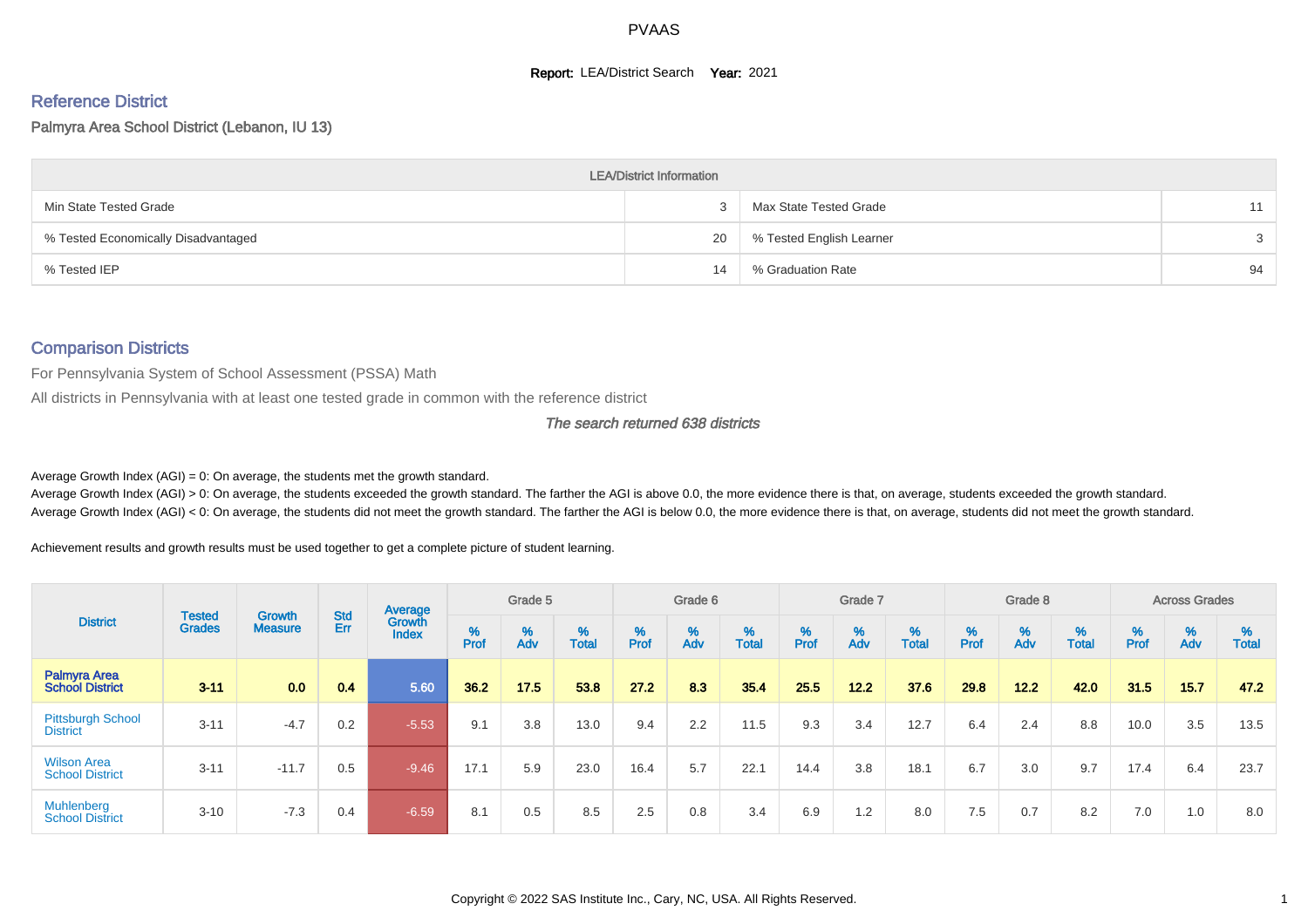#### **Report: LEA/District Search Year: 2021**

# Reference District

#### Palmyra Area School District (Lebanon, IU 13)

|                                     | <b>LEA/District Information</b> |                          |    |
|-------------------------------------|---------------------------------|--------------------------|----|
| Min State Tested Grade              |                                 | Max State Tested Grade   | 11 |
| % Tested Economically Disadvantaged | 20                              | % Tested English Learner |    |
| % Tested IEP                        | 14                              | % Graduation Rate        | 94 |

#### Comparison Districts

For Pennsylvania System of School Assessment (PSSA) Math

All districts in Pennsylvania with at least one tested grade in common with the reference district

#### The search returned 638 districts

Average Growth Index  $(AGI) = 0$ : On average, the students met the growth standard.

Average Growth Index (AGI) > 0: On average, the students exceeded the growth standard. The farther the AGI is above 0.0, the more evidence there is that, on average, students exceeded the growth standard. Average Growth Index (AGI) < 0: On average, the students did not meet the growth standard. The farther the AGI is below 0.0, the more evidence there is that, on average, students did not meet the growth standard.

Achievement results and growth results must be used together to get a complete picture of student learning.

|                                               |                                |                          |                   | Average                |        | Grade 5  |                   |        | Grade 6  |                   |           | Grade 7  |                   |           | Grade 8                       |                   |          | <b>Across Grades</b> |                   |
|-----------------------------------------------|--------------------------------|--------------------------|-------------------|------------------------|--------|----------|-------------------|--------|----------|-------------------|-----------|----------|-------------------|-----------|-------------------------------|-------------------|----------|----------------------|-------------------|
| <b>District</b>                               | <b>Tested</b><br><b>Grades</b> | Growth<br><b>Measure</b> | <b>Std</b><br>Err | Growth<br><b>Index</b> | % Pref | %<br>Adv | %<br><b>Total</b> | % Pref | %<br>Adv | %<br><b>Total</b> | %<br>Prof | %<br>Adv | %<br><b>Total</b> | %<br>Prof | $\stackrel{\%}{\mathsf{Adv}}$ | %<br><b>Total</b> | $%$ Prof | %<br>Adv             | %<br><b>Total</b> |
| <b>Palmyra Area</b><br><b>School District</b> | $3 - 11$                       | 0.0                      | 0.4               | 5.60                   | 36.2   | 17.5     | 53.8              | 27.2   | 8.3      | 35.4              | 25.5      | 12.2     | 37.6              | 29.8      | $12.2$                        | 42.0              | 31.5     | 15.7                 | 47.2              |
| <b>Pittsburgh School</b><br><b>District</b>   | $3 - 11$                       | $-4.7$                   | 0.2               | $-5.53$                | 9.1    | 3.8      | 13.0              | 9.4    | 2.2      | 11.5              | 9.3       | 3.4      | 12.7              | 6.4       | 2.4                           | 8.8               | 10.0     | 3.5                  | 13.5              |
| <b>Wilson Area</b><br><b>School District</b>  | $3 - 11$                       | $-11.7$                  | 0.5               | $-9.46$                | 17.1   | 5.9      | 23.0              | 16.4   | 5.7      | 22.1              | 14.4      | 3.8      | 18.1              | 6.7       | 3.0                           | 9.7               | 17.4     | 6.4                  | 23.7              |
| <b>Muhlenberg</b><br><b>School District</b>   | $3 - 10$                       | $-7.3$                   | 0.4               | $-6.59$                | 8.1    | 0.5      | 8.5               | 2.5    | 0.8      | 3.4               | 6.9       | 1.2      | 8.0               | 7.5       | 0.7                           | 8.2               | 7.0      | 1.0                  | 8.0               |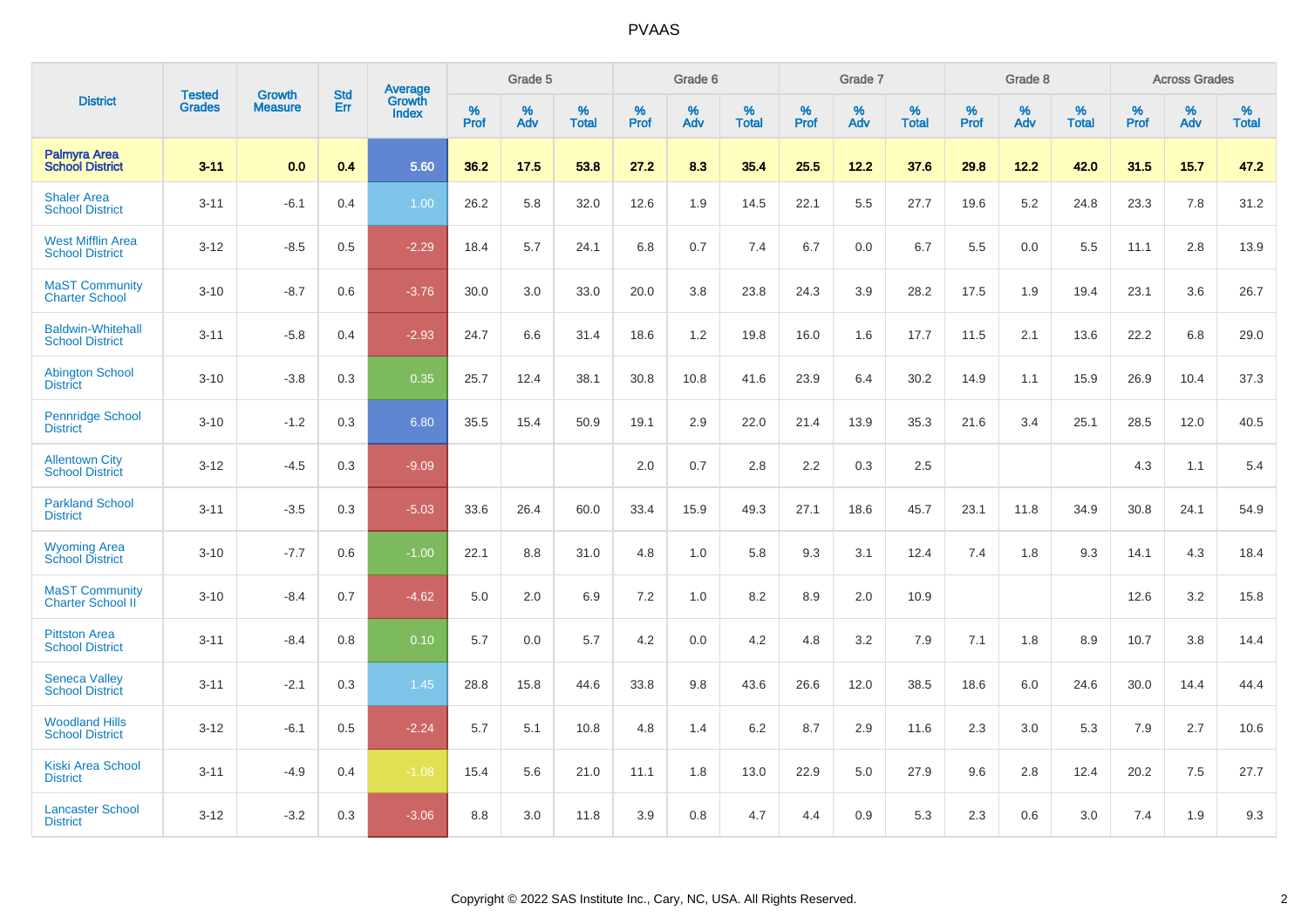|                                                    |                                |                                 | <b>Std</b> | <b>Average</b>         |           | Grade 5  |                   |           | Grade 6  |                   |              | Grade 7  |                   |           | Grade 8  |                   |           | <b>Across Grades</b> |            |
|----------------------------------------------------|--------------------------------|---------------------------------|------------|------------------------|-----------|----------|-------------------|-----------|----------|-------------------|--------------|----------|-------------------|-----------|----------|-------------------|-----------|----------------------|------------|
| <b>District</b>                                    | <b>Tested</b><br><b>Grades</b> | <b>Growth</b><br><b>Measure</b> | Err        | Growth<br><b>Index</b> | %<br>Prof | %<br>Adv | %<br><b>Total</b> | %<br>Prof | %<br>Adv | %<br><b>Total</b> | $\%$<br>Prof | %<br>Adv | %<br><b>Total</b> | %<br>Prof | %<br>Adv | %<br><b>Total</b> | %<br>Prof | %<br>Adv             | %<br>Total |
| <b>Palmyra Area</b><br><b>School District</b>      | $3 - 11$                       | 0.0                             | 0.4        | 5.60                   | 36.2      | 17.5     | 53.8              | 27.2      | 8.3      | 35.4              | 25.5         | 12.2     | 37.6              | 29.8      | 12.2     | 42.0              | 31.5      | 15.7                 | 47.2       |
| <b>Shaler Area</b><br><b>School District</b>       | $3 - 11$                       | $-6.1$                          | 0.4        | 1.00                   | 26.2      | 5.8      | 32.0              | 12.6      | 1.9      | 14.5              | 22.1         | 5.5      | 27.7              | 19.6      | 5.2      | 24.8              | 23.3      | 7.8                  | 31.2       |
| <b>West Mifflin Area</b><br><b>School District</b> | $3 - 12$                       | $-8.5$                          | 0.5        | $-2.29$                | 18.4      | 5.7      | 24.1              | 6.8       | 0.7      | 7.4               | 6.7          | 0.0      | 6.7               | 5.5       | 0.0      | 5.5               | 11.1      | 2.8                  | 13.9       |
| <b>MaST Community</b><br><b>Charter School</b>     | $3 - 10$                       | $-8.7$                          | 0.6        | $-3.76$                | 30.0      | 3.0      | 33.0              | 20.0      | 3.8      | 23.8              | 24.3         | 3.9      | 28.2              | 17.5      | 1.9      | 19.4              | 23.1      | 3.6                  | 26.7       |
| <b>Baldwin-Whitehall</b><br><b>School District</b> | $3 - 11$                       | $-5.8$                          | 0.4        | $-2.93$                | 24.7      | 6.6      | 31.4              | 18.6      | 1.2      | 19.8              | 16.0         | 1.6      | 17.7              | 11.5      | 2.1      | 13.6              | 22.2      | 6.8                  | 29.0       |
| <b>Abington School</b><br><b>District</b>          | $3 - 10$                       | $-3.8$                          | 0.3        | 0.35                   | 25.7      | 12.4     | 38.1              | 30.8      | 10.8     | 41.6              | 23.9         | 6.4      | 30.2              | 14.9      | 1.1      | 15.9              | 26.9      | 10.4                 | 37.3       |
| <b>Pennridge School</b><br><b>District</b>         | $3 - 10$                       | $-1.2$                          | 0.3        | 6.80                   | 35.5      | 15.4     | 50.9              | 19.1      | 2.9      | 22.0              | 21.4         | 13.9     | 35.3              | 21.6      | 3.4      | 25.1              | 28.5      | 12.0                 | 40.5       |
| <b>Allentown City</b><br><b>School District</b>    | $3 - 12$                       | $-4.5$                          | 0.3        | $-9.09$                |           |          |                   | 2.0       | 0.7      | 2.8               | 2.2          | 0.3      | 2.5               |           |          |                   | 4.3       | 1.1                  | 5.4        |
| <b>Parkland School</b><br><b>District</b>          | $3 - 11$                       | $-3.5$                          | 0.3        | $-5.03$                | 33.6      | 26.4     | 60.0              | 33.4      | 15.9     | 49.3              | 27.1         | 18.6     | 45.7              | 23.1      | 11.8     | 34.9              | 30.8      | 24.1                 | 54.9       |
| <b>Wyoming Area</b><br><b>School District</b>      | $3 - 10$                       | $-7.7$                          | 0.6        | $-1.00$                | 22.1      | 8.8      | 31.0              | 4.8       | 1.0      | 5.8               | 9.3          | 3.1      | 12.4              | 7.4       | 1.8      | 9.3               | 14.1      | 4.3                  | 18.4       |
| <b>MaST Community</b><br><b>Charter School II</b>  | $3 - 10$                       | $-8.4$                          | 0.7        | $-4.62$                | 5.0       | 2.0      | 6.9               | 7.2       | 1.0      | 8.2               | 8.9          | 2.0      | 10.9              |           |          |                   | 12.6      | 3.2                  | 15.8       |
| <b>Pittston Area</b><br><b>School District</b>     | $3 - 11$                       | $-8.4$                          | 0.8        | 0.10                   | 5.7       | 0.0      | 5.7               | 4.2       | 0.0      | 4.2               | 4.8          | 3.2      | 7.9               | 7.1       | 1.8      | 8.9               | 10.7      | 3.8                  | 14.4       |
| <b>Seneca Valley</b><br><b>School District</b>     | $3 - 11$                       | $-2.1$                          | 0.3        | 1.45                   | 28.8      | 15.8     | 44.6              | 33.8      | 9.8      | 43.6              | 26.6         | 12.0     | 38.5              | 18.6      | 6.0      | 24.6              | 30.0      | 14.4                 | 44.4       |
| <b>Woodland Hills</b><br><b>School District</b>    | $3 - 12$                       | $-6.1$                          | 0.5        | $-2.24$                | 5.7       | 5.1      | 10.8              | 4.8       | 1.4      | 6.2               | 8.7          | 2.9      | 11.6              | 2.3       | 3.0      | 5.3               | 7.9       | 2.7                  | 10.6       |
| <b>Kiski Area School</b><br><b>District</b>        | $3 - 11$                       | $-4.9$                          | 0.4        | $-1.08$                | 15.4      | 5.6      | 21.0              | 11.1      | 1.8      | 13.0              | 22.9         | 5.0      | 27.9              | 9.6       | 2.8      | 12.4              | 20.2      | 7.5                  | 27.7       |
| <b>Lancaster School</b><br><b>District</b>         | $3 - 12$                       | $-3.2$                          | 0.3        | $-3.06$                | 8.8       | 3.0      | 11.8              | 3.9       | 0.8      | 4.7               | 4.4          | 0.9      | 5.3               | 2.3       | 0.6      | 3.0               | 7.4       | 1.9                  | 9.3        |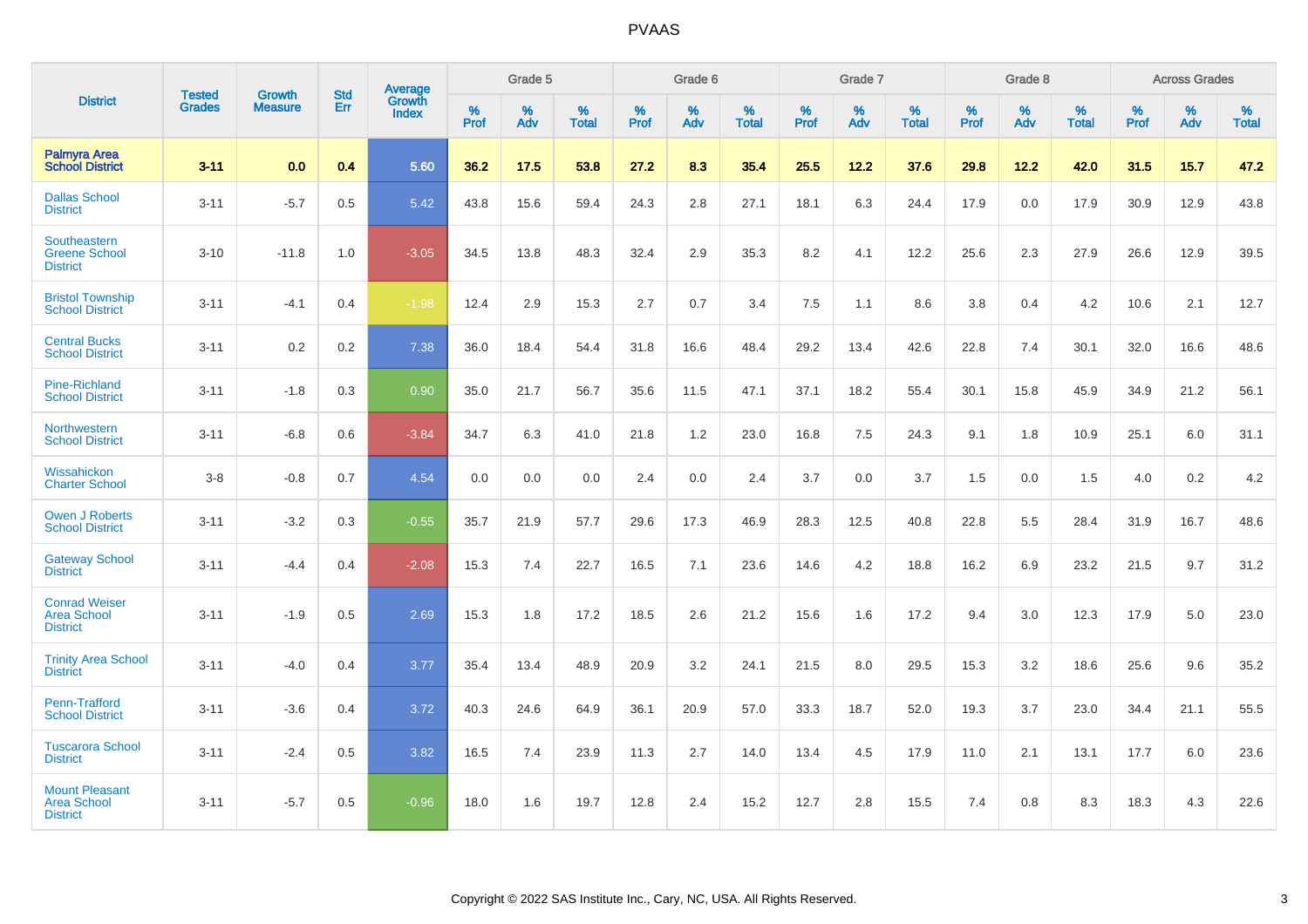|                                                                |                                |                          | <b>Std</b> | Average         |           | Grade 5  |                   |           | Grade 6  |                   |           | Grade 7  |                   |           | Grade 8  |                   |           | <b>Across Grades</b> |                   |
|----------------------------------------------------------------|--------------------------------|--------------------------|------------|-----------------|-----------|----------|-------------------|-----------|----------|-------------------|-----------|----------|-------------------|-----------|----------|-------------------|-----------|----------------------|-------------------|
| <b>District</b>                                                | <b>Tested</b><br><b>Grades</b> | Growth<br><b>Measure</b> | Err        | Growth<br>Index | %<br>Prof | %<br>Adv | %<br><b>Total</b> | %<br>Prof | %<br>Adv | %<br><b>Total</b> | %<br>Prof | %<br>Adv | %<br><b>Total</b> | %<br>Prof | %<br>Adv | %<br><b>Total</b> | %<br>Prof | %<br>Adv             | %<br><b>Total</b> |
| <b>Palmyra Area</b><br><b>School District</b>                  | $3 - 11$                       | 0.0                      | 0.4        | 5.60            | 36.2      | 17.5     | 53.8              | 27.2      | 8.3      | 35.4              | 25.5      | 12.2     | 37.6              | 29.8      | 12.2     | 42.0              | 31.5      | 15.7                 | 47.2              |
| <b>Dallas School</b><br><b>District</b>                        | $3 - 11$                       | $-5.7$                   | 0.5        | 5.42            | 43.8      | 15.6     | 59.4              | 24.3      | 2.8      | 27.1              | 18.1      | 6.3      | 24.4              | 17.9      | 0.0      | 17.9              | 30.9      | 12.9                 | 43.8              |
| Southeastern<br><b>Greene School</b><br><b>District</b>        | $3 - 10$                       | $-11.8$                  | 1.0        | $-3.05$         | 34.5      | 13.8     | 48.3              | 32.4      | 2.9      | 35.3              | 8.2       | 4.1      | 12.2              | 25.6      | 2.3      | 27.9              | 26.6      | 12.9                 | 39.5              |
| <b>Bristol Township</b><br><b>School District</b>              | $3 - 11$                       | $-4.1$                   | 0.4        | $-1.98$         | 12.4      | 2.9      | 15.3              | 2.7       | 0.7      | 3.4               | 7.5       | 1.1      | 8.6               | 3.8       | 0.4      | 4.2               | 10.6      | 2.1                  | 12.7              |
| <b>Central Bucks</b><br><b>School District</b>                 | $3 - 11$                       | 0.2                      | 0.2        | 7.38            | 36.0      | 18.4     | 54.4              | 31.8      | 16.6     | 48.4              | 29.2      | 13.4     | 42.6              | 22.8      | 7.4      | 30.1              | 32.0      | 16.6                 | 48.6              |
| <b>Pine-Richland</b><br><b>School District</b>                 | $3 - 11$                       | $-1.8$                   | 0.3        | 0.90            | 35.0      | 21.7     | 56.7              | 35.6      | 11.5     | 47.1              | 37.1      | 18.2     | 55.4              | 30.1      | 15.8     | 45.9              | 34.9      | 21.2                 | 56.1              |
| Northwestern<br><b>School District</b>                         | $3 - 11$                       | $-6.8$                   | 0.6        | $-3.84$         | 34.7      | 6.3      | 41.0              | 21.8      | 1.2      | 23.0              | 16.8      | 7.5      | 24.3              | 9.1       | 1.8      | 10.9              | 25.1      | 6.0                  | 31.1              |
| Wissahickon<br><b>Charter School</b>                           | $3-8$                          | $-0.8$                   | 0.7        | 4.54            | 0.0       | 0.0      | 0.0               | 2.4       | 0.0      | 2.4               | 3.7       | 0.0      | 3.7               | 1.5       | 0.0      | 1.5               | 4.0       | 0.2                  | 4.2               |
| <b>Owen J Roberts</b><br><b>School District</b>                | $3 - 11$                       | $-3.2$                   | 0.3        | $-0.55$         | 35.7      | 21.9     | 57.7              | 29.6      | 17.3     | 46.9              | 28.3      | 12.5     | 40.8              | 22.8      | 5.5      | 28.4              | 31.9      | 16.7                 | 48.6              |
| <b>Gateway School</b><br><b>District</b>                       | $3 - 11$                       | $-4.4$                   | 0.4        | $-2.08$         | 15.3      | 7.4      | 22.7              | 16.5      | 7.1      | 23.6              | 14.6      | 4.2      | 18.8              | 16.2      | 6.9      | 23.2              | 21.5      | 9.7                  | 31.2              |
| <b>Conrad Weiser</b><br><b>Area School</b><br><b>District</b>  | $3 - 11$                       | $-1.9$                   | 0.5        | 2.69            | 15.3      | 1.8      | 17.2              | 18.5      | 2.6      | 21.2              | 15.6      | 1.6      | 17.2              | 9.4       | 3.0      | 12.3              | 17.9      | 5.0                  | 23.0              |
| <b>Trinity Area School</b><br><b>District</b>                  | $3 - 11$                       | $-4.0$                   | 0.4        | 3.77            | 35.4      | 13.4     | 48.9              | 20.9      | 3.2      | 24.1              | 21.5      | 8.0      | 29.5              | 15.3      | 3.2      | 18.6              | 25.6      | 9.6                  | 35.2              |
| Penn-Trafford<br><b>School District</b>                        | $3 - 11$                       | $-3.6$                   | 0.4        | 3.72            | 40.3      | 24.6     | 64.9              | 36.1      | 20.9     | 57.0              | 33.3      | 18.7     | 52.0              | 19.3      | 3.7      | 23.0              | 34.4      | 21.1                 | 55.5              |
| <b>Tuscarora School</b><br><b>District</b>                     | $3 - 11$                       | $-2.4$                   | 0.5        | 3.82            | 16.5      | 7.4      | 23.9              | 11.3      | 2.7      | 14.0              | 13.4      | 4.5      | 17.9              | 11.0      | 2.1      | 13.1              | 17.7      | 6.0                  | 23.6              |
| <b>Mount Pleasant</b><br><b>Area School</b><br><b>District</b> | $3 - 11$                       | $-5.7$                   | 0.5        | $-0.96$         | 18.0      | 1.6      | 19.7              | 12.8      | 2.4      | 15.2              | 12.7      | 2.8      | 15.5              | 7.4       | 0.8      | 8.3               | 18.3      | 4.3                  | 22.6              |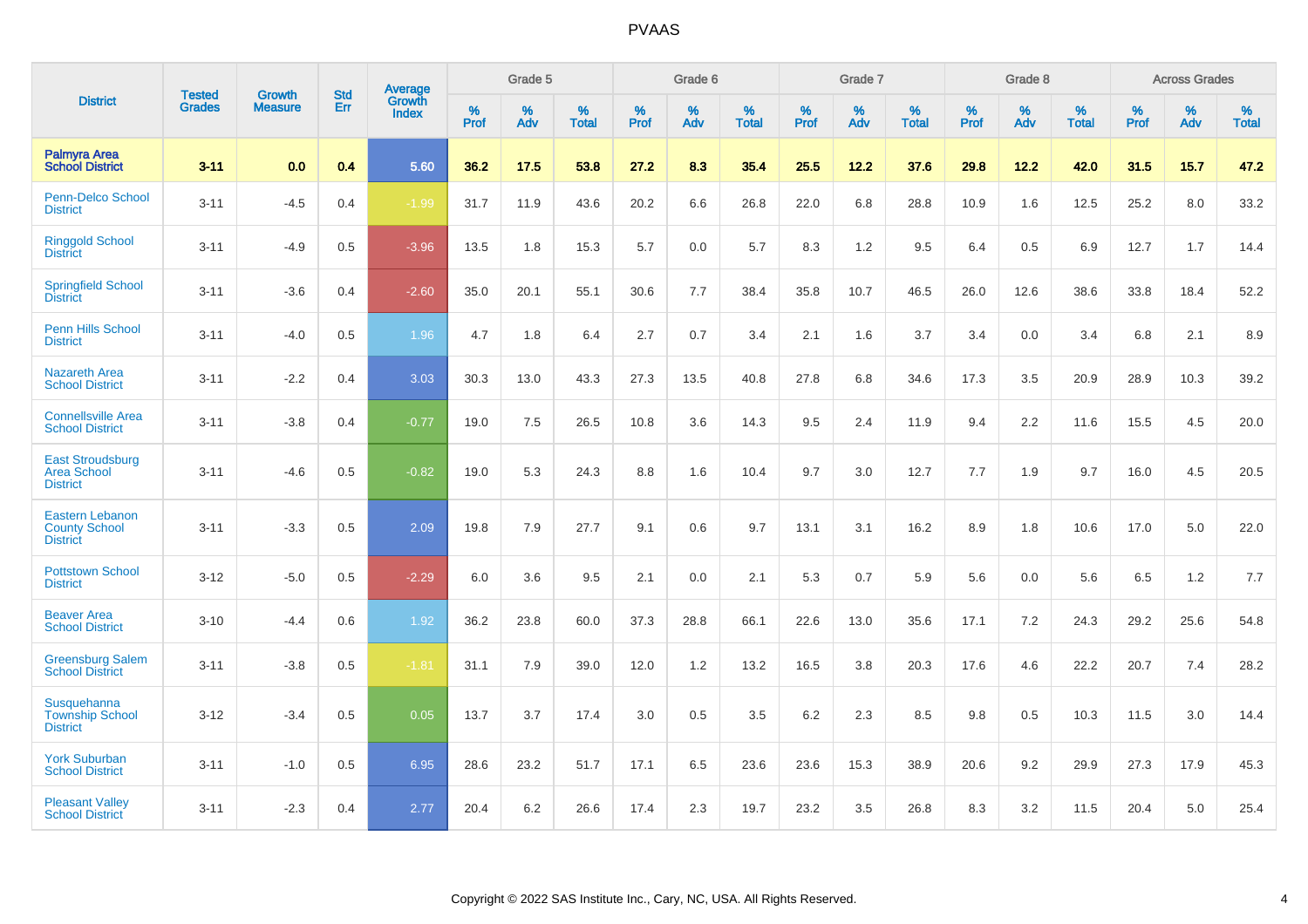|                                                                   |                                |                                 | <b>Std</b> | Average                       |           | Grade 5  |                   |           | Grade 6  |                   |           | Grade 7  |                   |           | Grade 8  |                   |           | <b>Across Grades</b> |                   |
|-------------------------------------------------------------------|--------------------------------|---------------------------------|------------|-------------------------------|-----------|----------|-------------------|-----------|----------|-------------------|-----------|----------|-------------------|-----------|----------|-------------------|-----------|----------------------|-------------------|
| <b>District</b>                                                   | <b>Tested</b><br><b>Grades</b> | <b>Growth</b><br><b>Measure</b> | Err        | <b>Growth</b><br><b>Index</b> | %<br>Prof | %<br>Adv | %<br><b>Total</b> | %<br>Prof | %<br>Adv | %<br><b>Total</b> | %<br>Prof | %<br>Adv | %<br><b>Total</b> | %<br>Prof | %<br>Adv | %<br><b>Total</b> | %<br>Prof | %<br>Adv             | %<br><b>Total</b> |
| <b>Palmyra Area</b><br><b>School District</b>                     | $3 - 11$                       | 0.0                             | 0.4        | 5.60                          | 36.2      | 17.5     | 53.8              | 27.2      | 8.3      | 35.4              | 25.5      | 12.2     | 37.6              | 29.8      | 12.2     | 42.0              | 31.5      | 15.7                 | 47.2              |
| Penn-Delco School<br><b>District</b>                              | $3 - 11$                       | $-4.5$                          | 0.4        | $-1.99$                       | 31.7      | 11.9     | 43.6              | 20.2      | 6.6      | 26.8              | 22.0      | 6.8      | 28.8              | 10.9      | 1.6      | 12.5              | 25.2      | 8.0                  | 33.2              |
| <b>Ringgold School</b><br><b>District</b>                         | $3 - 11$                       | $-4.9$                          | 0.5        | $-3.96$                       | 13.5      | 1.8      | 15.3              | 5.7       | 0.0      | 5.7               | 8.3       | 1.2      | 9.5               | 6.4       | 0.5      | 6.9               | 12.7      | 1.7                  | 14.4              |
| <b>Springfield School</b><br><b>District</b>                      | $3 - 11$                       | $-3.6$                          | 0.4        | $-2.60$                       | 35.0      | 20.1     | 55.1              | 30.6      | 7.7      | 38.4              | 35.8      | 10.7     | 46.5              | 26.0      | 12.6     | 38.6              | 33.8      | 18.4                 | 52.2              |
| Penn Hills School<br><b>District</b>                              | $3 - 11$                       | $-4.0$                          | 0.5        | 1.96                          | 4.7       | 1.8      | 6.4               | 2.7       | 0.7      | 3.4               | 2.1       | 1.6      | 3.7               | 3.4       | 0.0      | 3.4               | 6.8       | 2.1                  | 8.9               |
| <b>Nazareth Area</b><br><b>School District</b>                    | $3 - 11$                       | $-2.2$                          | 0.4        | 3.03                          | 30.3      | 13.0     | 43.3              | 27.3      | 13.5     | 40.8              | 27.8      | 6.8      | 34.6              | 17.3      | 3.5      | 20.9              | 28.9      | 10.3                 | 39.2              |
| <b>Connellsville Area</b><br><b>School District</b>               | $3 - 11$                       | $-3.8$                          | 0.4        | $-0.77$                       | 19.0      | 7.5      | 26.5              | 10.8      | 3.6      | 14.3              | 9.5       | 2.4      | 11.9              | 9.4       | 2.2      | 11.6              | 15.5      | 4.5                  | 20.0              |
| <b>East Stroudsburg</b><br><b>Area School</b><br><b>District</b>  | $3 - 11$                       | $-4.6$                          | 0.5        | $-0.82$                       | 19.0      | 5.3      | 24.3              | 8.8       | 1.6      | 10.4              | 9.7       | 3.0      | 12.7              | 7.7       | 1.9      | 9.7               | 16.0      | 4.5                  | 20.5              |
| <b>Eastern Lebanon</b><br><b>County School</b><br><b>District</b> | $3 - 11$                       | $-3.3$                          | 0.5        | 2.09                          | 19.8      | 7.9      | 27.7              | 9.1       | 0.6      | 9.7               | 13.1      | 3.1      | 16.2              | 8.9       | 1.8      | 10.6              | 17.0      | 5.0                  | 22.0              |
| <b>Pottstown School</b><br><b>District</b>                        | $3 - 12$                       | $-5.0$                          | 0.5        | $-2.29$                       | 6.0       | 3.6      | 9.5               | 2.1       | 0.0      | 2.1               | 5.3       | 0.7      | 5.9               | 5.6       | 0.0      | 5.6               | 6.5       | 1.2                  | 7.7               |
| <b>Beaver Area</b><br><b>School District</b>                      | $3 - 10$                       | $-4.4$                          | 0.6        | 1.92                          | 36.2      | 23.8     | 60.0              | 37.3      | 28.8     | 66.1              | 22.6      | 13.0     | 35.6              | 17.1      | 7.2      | 24.3              | 29.2      | 25.6                 | 54.8              |
| <b>Greensburg Salem</b><br><b>School District</b>                 | $3 - 11$                       | $-3.8$                          | 0.5        | $-1.81$                       | 31.1      | 7.9      | 39.0              | 12.0      | 1.2      | 13.2              | 16.5      | 3.8      | 20.3              | 17.6      | 4.6      | 22.2              | 20.7      | 7.4                  | 28.2              |
| Susquehanna<br><b>Township School</b><br><b>District</b>          | $3 - 12$                       | $-3.4$                          | 0.5        | 0.05                          | 13.7      | 3.7      | 17.4              | 3.0       | 0.5      | 3.5               | 6.2       | 2.3      | 8.5               | 9.8       | 0.5      | 10.3              | 11.5      | 3.0                  | 14.4              |
| <b>York Suburban</b><br><b>School District</b>                    | $3 - 11$                       | $-1.0$                          | 0.5        | 6.95                          | 28.6      | 23.2     | 51.7              | 17.1      | 6.5      | 23.6              | 23.6      | 15.3     | 38.9              | 20.6      | 9.2      | 29.9              | 27.3      | 17.9                 | 45.3              |
| <b>Pleasant Valley</b><br><b>School District</b>                  | $3 - 11$                       | $-2.3$                          | 0.4        | 2.77                          | 20.4      | 6.2      | 26.6              | 17.4      | 2.3      | 19.7              | 23.2      | 3.5      | 26.8              | 8.3       | 3.2      | 11.5              | 20.4      | 5.0                  | 25.4              |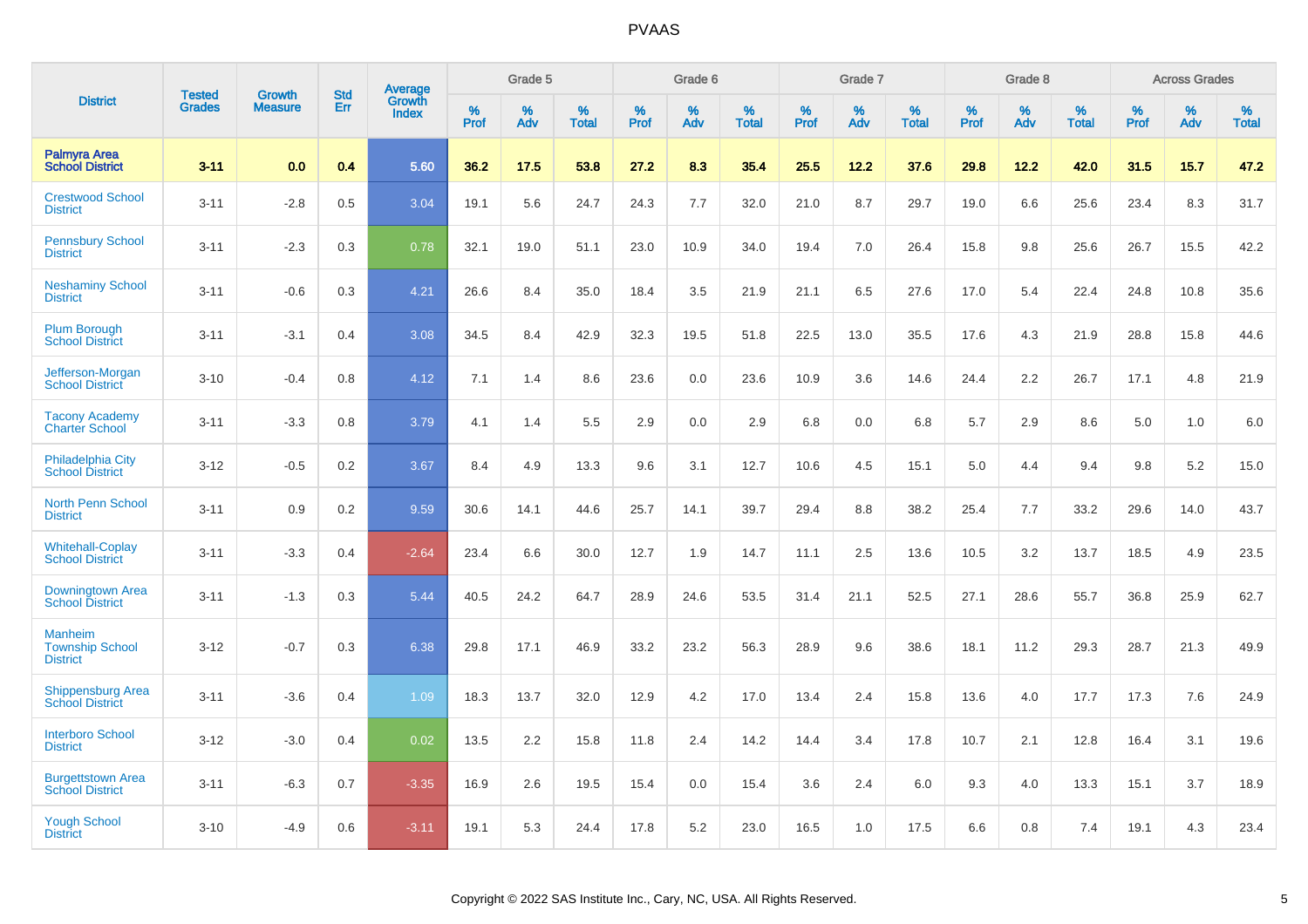|                                                      |                                | <b>Growth</b>  | <b>Std</b> | Average                |              | Grade 5  |                      |              | Grade 6     |                      |              | Grade 7  |                      |              | Grade 8     |                      |              | <b>Across Grades</b> |                      |
|------------------------------------------------------|--------------------------------|----------------|------------|------------------------|--------------|----------|----------------------|--------------|-------------|----------------------|--------------|----------|----------------------|--------------|-------------|----------------------|--------------|----------------------|----------------------|
| <b>District</b>                                      | <b>Tested</b><br><b>Grades</b> | <b>Measure</b> | Err        | Growth<br><b>Index</b> | $\%$<br>Prof | %<br>Adv | $\%$<br><b>Total</b> | $\%$<br>Prof | $\%$<br>Adv | $\%$<br><b>Total</b> | $\%$<br>Prof | %<br>Adv | $\%$<br><b>Total</b> | $\%$<br>Prof | $\%$<br>Adv | $\%$<br><b>Total</b> | $\%$<br>Prof | $\%$<br>Adv          | $\%$<br><b>Total</b> |
| <b>Palmyra Area</b><br><b>School District</b>        | $3 - 11$                       | 0.0            | 0.4        | 5.60                   | 36.2         | 17.5     | 53.8                 | 27.2         | 8.3         | 35.4                 | 25.5         | 12.2     | 37.6                 | 29.8         | 12.2        | 42.0                 | 31.5         | 15.7                 | 47.2                 |
| <b>Crestwood School</b><br><b>District</b>           | $3 - 11$                       | $-2.8$         | 0.5        | 3.04                   | 19.1         | 5.6      | 24.7                 | 24.3         | 7.7         | 32.0                 | 21.0         | 8.7      | 29.7                 | 19.0         | 6.6         | 25.6                 | 23.4         | 8.3                  | 31.7                 |
| <b>Pennsbury School</b><br><b>District</b>           | $3 - 11$                       | $-2.3$         | 0.3        | 0.78                   | 32.1         | 19.0     | 51.1                 | 23.0         | 10.9        | 34.0                 | 19.4         | 7.0      | 26.4                 | 15.8         | 9.8         | 25.6                 | 26.7         | 15.5                 | 42.2                 |
| <b>Neshaminy School</b><br><b>District</b>           | $3 - 11$                       | $-0.6$         | 0.3        | 4.21                   | 26.6         | 8.4      | 35.0                 | 18.4         | 3.5         | 21.9                 | 21.1         | 6.5      | 27.6                 | 17.0         | 5.4         | 22.4                 | 24.8         | 10.8                 | 35.6                 |
| <b>Plum Borough</b><br><b>School District</b>        | $3 - 11$                       | $-3.1$         | 0.4        | 3.08                   | 34.5         | 8.4      | 42.9                 | 32.3         | 19.5        | 51.8                 | 22.5         | 13.0     | 35.5                 | 17.6         | 4.3         | 21.9                 | 28.8         | 15.8                 | 44.6                 |
| Jefferson-Morgan<br><b>School District</b>           | $3 - 10$                       | $-0.4$         | 0.8        | 4.12                   | 7.1          | 1.4      | 8.6                  | 23.6         | 0.0         | 23.6                 | 10.9         | 3.6      | 14.6                 | 24.4         | 2.2         | 26.7                 | 17.1         | 4.8                  | 21.9                 |
| <b>Tacony Academy</b><br><b>Charter School</b>       | $3 - 11$                       | $-3.3$         | 0.8        | 3.79                   | 4.1          | 1.4      | 5.5                  | 2.9          | 0.0         | 2.9                  | 6.8          | 0.0      | 6.8                  | 5.7          | 2.9         | 8.6                  | 5.0          | 1.0                  | $6.0\,$              |
| <b>Philadelphia City</b><br><b>School District</b>   | $3 - 12$                       | $-0.5$         | 0.2        | 3.67                   | 8.4          | 4.9      | 13.3                 | 9.6          | 3.1         | 12.7                 | 10.6         | 4.5      | 15.1                 | 5.0          | 4.4         | 9.4                  | 9.8          | 5.2                  | 15.0                 |
| <b>North Penn School</b><br><b>District</b>          | $3 - 11$                       | 0.9            | 0.2        | 9.59                   | 30.6         | 14.1     | 44.6                 | 25.7         | 14.1        | 39.7                 | 29.4         | 8.8      | 38.2                 | 25.4         | 7.7         | 33.2                 | 29.6         | 14.0                 | 43.7                 |
| <b>Whitehall-Coplay</b><br><b>School District</b>    | $3 - 11$                       | $-3.3$         | 0.4        | $-2.64$                | 23.4         | 6.6      | 30.0                 | 12.7         | 1.9         | 14.7                 | 11.1         | 2.5      | 13.6                 | 10.5         | 3.2         | 13.7                 | 18.5         | 4.9                  | 23.5                 |
| Downingtown Area<br><b>School District</b>           | $3 - 11$                       | $-1.3$         | 0.3        | 5.44                   | 40.5         | 24.2     | 64.7                 | 28.9         | 24.6        | 53.5                 | 31.4         | 21.1     | 52.5                 | 27.1         | 28.6        | 55.7                 | 36.8         | 25.9                 | 62.7                 |
| Manheim<br><b>Township School</b><br><b>District</b> | $3 - 12$                       | $-0.7$         | 0.3        | 6.38                   | 29.8         | 17.1     | 46.9                 | 33.2         | 23.2        | 56.3                 | 28.9         | 9.6      | 38.6                 | 18.1         | 11.2        | 29.3                 | 28.7         | 21.3                 | 49.9                 |
| <b>Shippensburg Area</b><br><b>School District</b>   | $3 - 11$                       | $-3.6$         | 0.4        | 1.09                   | 18.3         | 13.7     | 32.0                 | 12.9         | 4.2         | 17.0                 | 13.4         | 2.4      | 15.8                 | 13.6         | 4.0         | 17.7                 | 17.3         | 7.6                  | 24.9                 |
| <b>Interboro School</b><br><b>District</b>           | $3 - 12$                       | $-3.0$         | 0.4        | 0.02                   | 13.5         | 2.2      | 15.8                 | 11.8         | 2.4         | 14.2                 | 14.4         | 3.4      | 17.8                 | 10.7         | 2.1         | 12.8                 | 16.4         | 3.1                  | 19.6                 |
| <b>Burgettstown Area</b><br><b>School District</b>   | $3 - 11$                       | $-6.3$         | 0.7        | $-3.35$                | 16.9         | 2.6      | 19.5                 | 15.4         | 0.0         | 15.4                 | 3.6          | 2.4      | 6.0                  | 9.3          | 4.0         | 13.3                 | 15.1         | 3.7                  | 18.9                 |
| <b>Yough School</b><br><b>District</b>               | $3 - 10$                       | $-4.9$         | 0.6        | $-3.11$                | 19.1         | 5.3      | 24.4                 | 17.8         | 5.2         | 23.0                 | 16.5         | 1.0      | 17.5                 | 6.6          | 0.8         | 7.4                  | 19.1         | 4.3                  | 23.4                 |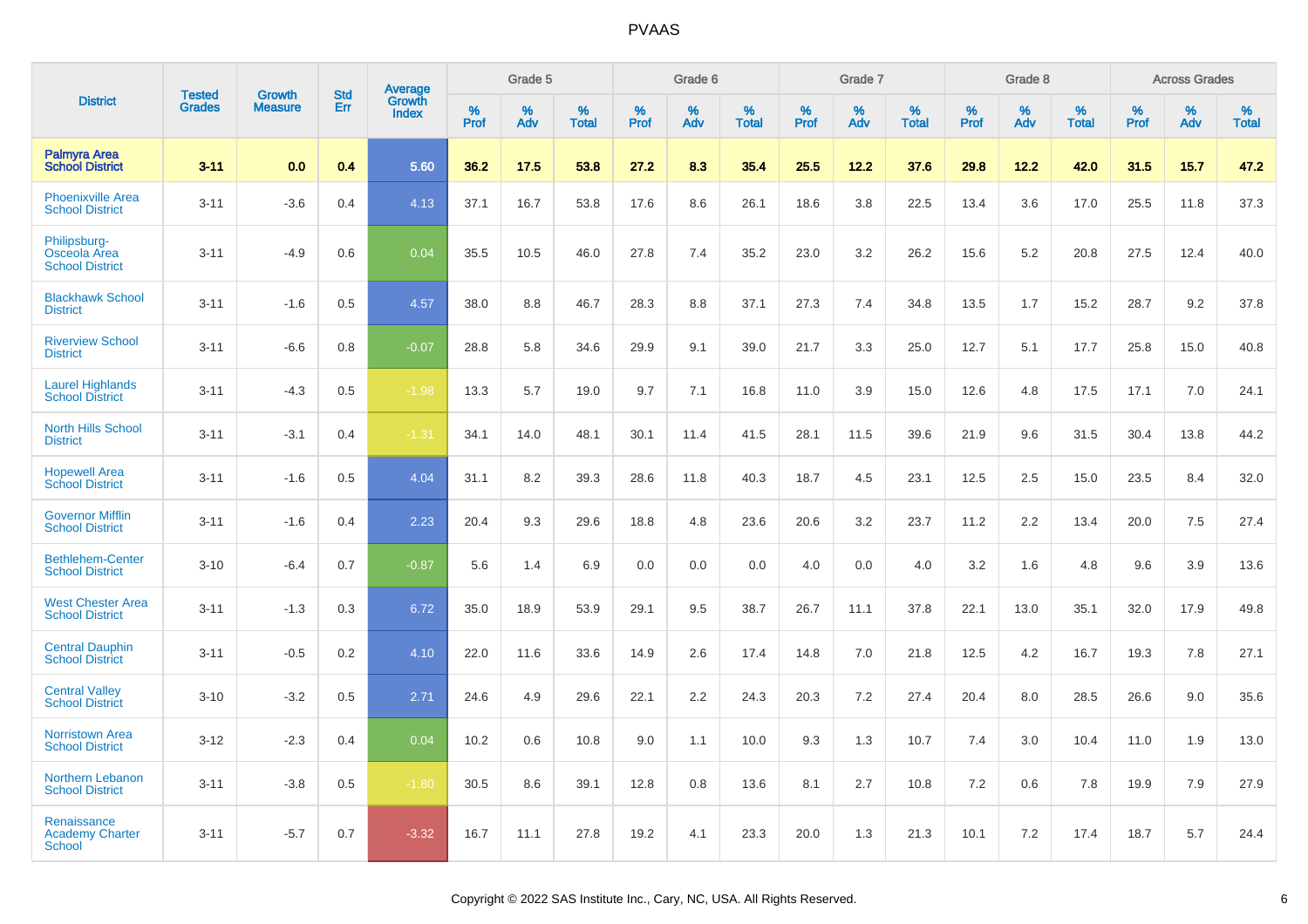|                                                        |                                |                                 | <b>Std</b> | Average                |                     | Grade 5  |                      |                     | Grade 6  |                      |              | Grade 7  |                      |                     | Grade 8  |                      |                     | <b>Across Grades</b> |                      |
|--------------------------------------------------------|--------------------------------|---------------------------------|------------|------------------------|---------------------|----------|----------------------|---------------------|----------|----------------------|--------------|----------|----------------------|---------------------|----------|----------------------|---------------------|----------------------|----------------------|
| <b>District</b>                                        | <b>Tested</b><br><b>Grades</b> | <b>Growth</b><br><b>Measure</b> | <b>Err</b> | Growth<br><b>Index</b> | $\%$<br><b>Prof</b> | %<br>Adv | $\%$<br><b>Total</b> | $\%$<br><b>Prof</b> | %<br>Adv | $\%$<br><b>Total</b> | $\%$<br>Prof | %<br>Adv | $\%$<br><b>Total</b> | $\%$<br><b>Prof</b> | %<br>Adv | $\%$<br><b>Total</b> | $\%$<br><b>Prof</b> | $\%$<br>Adv          | $\%$<br><b>Total</b> |
| <b>Palmyra Area</b><br><b>School District</b>          | $3 - 11$                       | 0.0                             | 0.4        | 5.60                   | 36.2                | 17.5     | 53.8                 | 27.2                | 8.3      | 35.4                 | 25.5         | 12.2     | 37.6                 | 29.8                | 12.2     | 42.0                 | 31.5                | 15.7                 | 47.2                 |
| <b>Phoenixville Area</b><br><b>School District</b>     | $3 - 11$                       | $-3.6$                          | 0.4        | 4.13                   | 37.1                | 16.7     | 53.8                 | 17.6                | 8.6      | 26.1                 | 18.6         | 3.8      | 22.5                 | 13.4                | 3.6      | 17.0                 | 25.5                | 11.8                 | 37.3                 |
| Philipsburg-<br>Osceola Area<br><b>School District</b> | $3 - 11$                       | $-4.9$                          | 0.6        | 0.04                   | 35.5                | 10.5     | 46.0                 | 27.8                | 7.4      | 35.2                 | 23.0         | 3.2      | 26.2                 | 15.6                | 5.2      | 20.8                 | 27.5                | 12.4                 | 40.0                 |
| <b>Blackhawk School</b><br><b>District</b>             | $3 - 11$                       | $-1.6$                          | 0.5        | 4.57                   | 38.0                | 8.8      | 46.7                 | 28.3                | 8.8      | 37.1                 | 27.3         | 7.4      | 34.8                 | 13.5                | 1.7      | 15.2                 | 28.7                | 9.2                  | 37.8                 |
| <b>Riverview School</b><br><b>District</b>             | $3 - 11$                       | $-6.6$                          | 0.8        | $-0.07$                | 28.8                | 5.8      | 34.6                 | 29.9                | 9.1      | 39.0                 | 21.7         | 3.3      | 25.0                 | 12.7                | 5.1      | 17.7                 | 25.8                | 15.0                 | 40.8                 |
| <b>Laurel Highlands</b><br><b>School District</b>      | $3 - 11$                       | $-4.3$                          | 0.5        | $-1.98$                | 13.3                | 5.7      | 19.0                 | 9.7                 | 7.1      | 16.8                 | 11.0         | 3.9      | 15.0                 | 12.6                | 4.8      | 17.5                 | 17.1                | 7.0                  | 24.1                 |
| <b>North Hills School</b><br><b>District</b>           | $3 - 11$                       | $-3.1$                          | 0.4        | $-1.31$                | 34.1                | 14.0     | 48.1                 | 30.1                | 11.4     | 41.5                 | 28.1         | 11.5     | 39.6                 | 21.9                | 9.6      | 31.5                 | 30.4                | 13.8                 | 44.2                 |
| <b>Hopewell Area</b><br><b>School District</b>         | $3 - 11$                       | $-1.6$                          | 0.5        | 4.04                   | 31.1                | 8.2      | 39.3                 | 28.6                | 11.8     | 40.3                 | 18.7         | 4.5      | 23.1                 | 12.5                | 2.5      | 15.0                 | 23.5                | 8.4                  | 32.0                 |
| <b>Governor Mifflin</b><br><b>School District</b>      | $3 - 11$                       | $-1.6$                          | 0.4        | 2.23                   | 20.4                | 9.3      | 29.6                 | 18.8                | 4.8      | 23.6                 | 20.6         | 3.2      | 23.7                 | 11.2                | 2.2      | 13.4                 | 20.0                | 7.5                  | 27.4                 |
| <b>Bethlehem-Center</b><br><b>School District</b>      | $3 - 10$                       | $-6.4$                          | 0.7        | $-0.87$                | 5.6                 | 1.4      | 6.9                  | 0.0                 | 0.0      | 0.0                  | 4.0          | 0.0      | 4.0                  | 3.2                 | 1.6      | 4.8                  | 9.6                 | 3.9                  | 13.6                 |
| <b>West Chester Area</b><br><b>School District</b>     | $3 - 11$                       | $-1.3$                          | 0.3        | 6.72                   | 35.0                | 18.9     | 53.9                 | 29.1                | 9.5      | 38.7                 | 26.7         | 11.1     | 37.8                 | 22.1                | 13.0     | 35.1                 | 32.0                | 17.9                 | 49.8                 |
| <b>Central Dauphin</b><br><b>School District</b>       | $3 - 11$                       | $-0.5$                          | 0.2        | 4.10                   | 22.0                | 11.6     | 33.6                 | 14.9                | 2.6      | 17.4                 | 14.8         | 7.0      | 21.8                 | 12.5                | 4.2      | 16.7                 | 19.3                | 7.8                  | 27.1                 |
| <b>Central Valley</b><br><b>School District</b>        | $3 - 10$                       | $-3.2$                          | 0.5        | 2.71                   | 24.6                | 4.9      | 29.6                 | 22.1                | 2.2      | 24.3                 | 20.3         | 7.2      | 27.4                 | 20.4                | 8.0      | 28.5                 | 26.6                | 9.0                  | 35.6                 |
| <b>Norristown Area</b><br><b>School District</b>       | $3 - 12$                       | $-2.3$                          | 0.4        | 0.04                   | 10.2                | 0.6      | 10.8                 | 9.0                 | 1.1      | 10.0                 | 9.3          | 1.3      | 10.7                 | 7.4                 | 3.0      | 10.4                 | 11.0                | 1.9                  | 13.0                 |
| Northern Lebanon<br><b>School District</b>             | $3 - 11$                       | $-3.8$                          | 0.5        | $-1.80$                | 30.5                | 8.6      | 39.1                 | 12.8                | 0.8      | 13.6                 | 8.1          | 2.7      | 10.8                 | 7.2                 | 0.6      | 7.8                  | 19.9                | 7.9                  | 27.9                 |
| Renaissance<br><b>Academy Charter</b><br>School        | $3 - 11$                       | $-5.7$                          | 0.7        | $-3.32$                | 16.7                | 11.1     | 27.8                 | 19.2                | 4.1      | 23.3                 | 20.0         | 1.3      | 21.3                 | 10.1                | 7.2      | 17.4                 | 18.7                | 5.7                  | 24.4                 |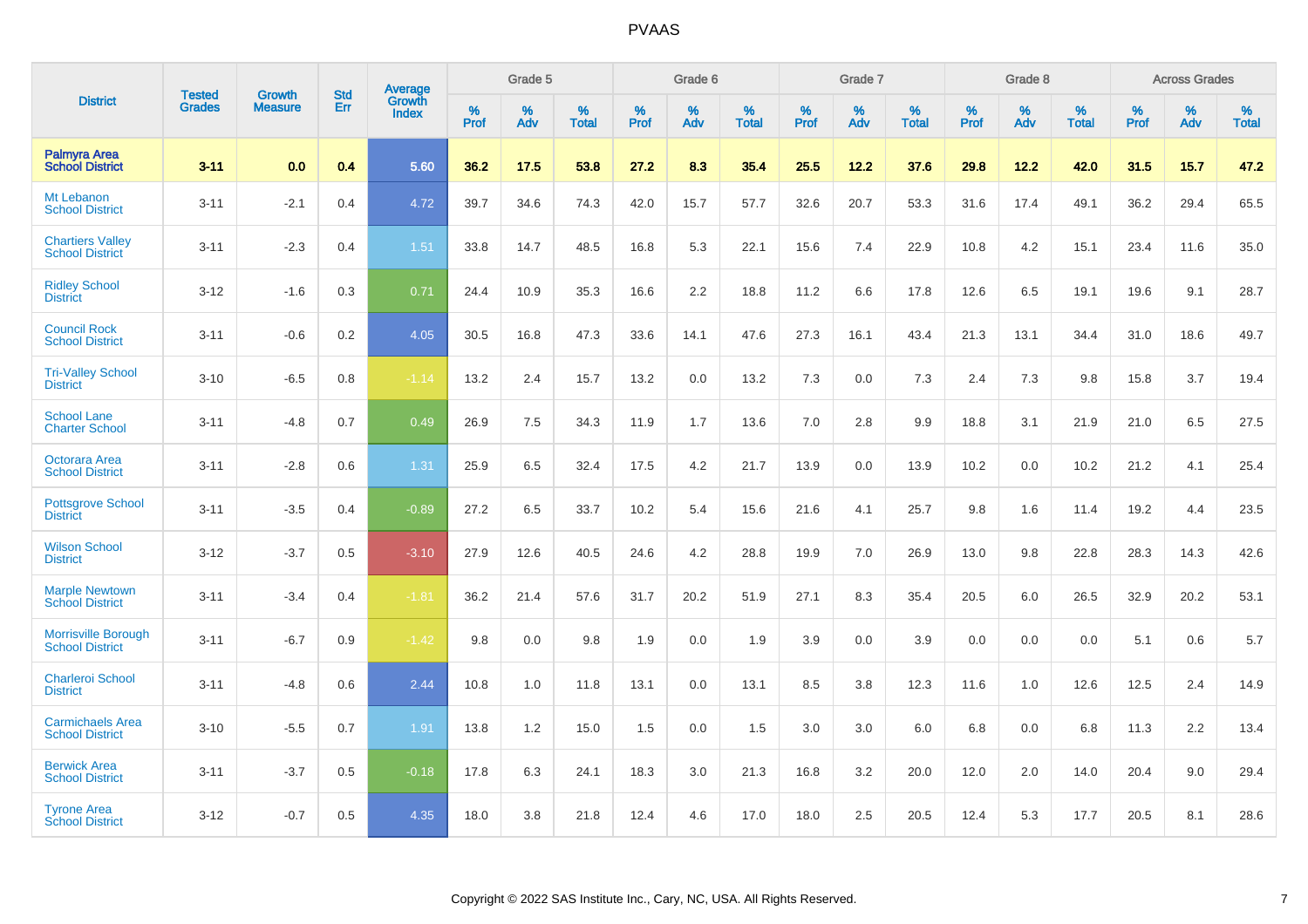|                                                      | <b>Tested</b> | <b>Growth</b>  | <b>Std</b> |                                          |              | Grade 5  |                      |              | Grade 6  |                   |              | Grade 7  |                   |              | Grade 8  |                      |              | <b>Across Grades</b> |                   |
|------------------------------------------------------|---------------|----------------|------------|------------------------------------------|--------------|----------|----------------------|--------------|----------|-------------------|--------------|----------|-------------------|--------------|----------|----------------------|--------------|----------------------|-------------------|
| <b>District</b>                                      | <b>Grades</b> | <b>Measure</b> | Err        | <b>Average</b><br>Growth<br><b>Index</b> | $\%$<br>Prof | %<br>Adv | $\%$<br><b>Total</b> | $\%$<br>Prof | %<br>Adv | %<br><b>Total</b> | $\%$<br>Prof | %<br>Adv | %<br><b>Total</b> | $\%$<br>Prof | %<br>Adv | $\%$<br><b>Total</b> | $\%$<br>Prof | %<br>Adv             | %<br><b>Total</b> |
| <b>Palmyra Area</b><br><b>School District</b>        | $3 - 11$      | 0.0            | 0.4        | 5.60                                     | 36.2         | 17.5     | 53.8                 | 27.2         | 8.3      | 35.4              | 25.5         | 12.2     | 37.6              | 29.8         | 12.2     | 42.0                 | 31.5         | 15.7                 | 47.2              |
| Mt Lebanon<br><b>School District</b>                 | $3 - 11$      | $-2.1$         | 0.4        | 4.72                                     | 39.7         | 34.6     | 74.3                 | 42.0         | 15.7     | 57.7              | 32.6         | 20.7     | 53.3              | 31.6         | 17.4     | 49.1                 | 36.2         | 29.4                 | 65.5              |
| <b>Chartiers Valley</b><br><b>School District</b>    | $3 - 11$      | $-2.3$         | 0.4        | 1.51                                     | 33.8         | 14.7     | 48.5                 | 16.8         | 5.3      | 22.1              | 15.6         | 7.4      | 22.9              | 10.8         | 4.2      | 15.1                 | 23.4         | 11.6                 | 35.0              |
| <b>Ridley School</b><br><b>District</b>              | $3 - 12$      | $-1.6$         | 0.3        | 0.71                                     | 24.4         | 10.9     | 35.3                 | 16.6         | 2.2      | 18.8              | 11.2         | 6.6      | 17.8              | 12.6         | 6.5      | 19.1                 | 19.6         | 9.1                  | 28.7              |
| <b>Council Rock</b><br><b>School District</b>        | $3 - 11$      | $-0.6$         | 0.2        | 4.05                                     | 30.5         | 16.8     | 47.3                 | 33.6         | 14.1     | 47.6              | 27.3         | 16.1     | 43.4              | 21.3         | 13.1     | 34.4                 | 31.0         | 18.6                 | 49.7              |
| <b>Tri-Valley School</b><br><b>District</b>          | $3 - 10$      | $-6.5$         | 0.8        | $-1.14$                                  | 13.2         | 2.4      | 15.7                 | 13.2         | 0.0      | 13.2              | 7.3          | 0.0      | 7.3               | 2.4          | 7.3      | 9.8                  | 15.8         | 3.7                  | 19.4              |
| <b>School Lane</b><br><b>Charter School</b>          | $3 - 11$      | $-4.8$         | 0.7        | 0.49                                     | 26.9         | 7.5      | 34.3                 | 11.9         | 1.7      | 13.6              | 7.0          | 2.8      | 9.9               | 18.8         | 3.1      | 21.9                 | 21.0         | 6.5                  | 27.5              |
| Octorara Area<br><b>School District</b>              | $3 - 11$      | $-2.8$         | 0.6        | 1.31                                     | 25.9         | 6.5      | 32.4                 | 17.5         | 4.2      | 21.7              | 13.9         | 0.0      | 13.9              | 10.2         | 0.0      | 10.2                 | 21.2         | 4.1                  | 25.4              |
| <b>Pottsgrove School</b><br><b>District</b>          | $3 - 11$      | $-3.5$         | 0.4        | $-0.89$                                  | 27.2         | 6.5      | 33.7                 | 10.2         | 5.4      | 15.6              | 21.6         | 4.1      | 25.7              | 9.8          | 1.6      | 11.4                 | 19.2         | 4.4                  | 23.5              |
| <b>Wilson School</b><br><b>District</b>              | $3 - 12$      | $-3.7$         | 0.5        | $-3.10$                                  | 27.9         | 12.6     | 40.5                 | 24.6         | 4.2      | 28.8              | 19.9         | 7.0      | 26.9              | 13.0         | 9.8      | 22.8                 | 28.3         | 14.3                 | 42.6              |
| <b>Marple Newtown</b><br><b>School District</b>      | $3 - 11$      | $-3.4$         | 0.4        | $-1.81$                                  | 36.2         | 21.4     | 57.6                 | 31.7         | 20.2     | 51.9              | 27.1         | 8.3      | 35.4              | 20.5         | 6.0      | 26.5                 | 32.9         | 20.2                 | 53.1              |
| <b>Morrisville Borough</b><br><b>School District</b> | $3 - 11$      | $-6.7$         | 0.9        | $-1.42$                                  | 9.8          | 0.0      | 9.8                  | 1.9          | 0.0      | 1.9               | 3.9          | 0.0      | 3.9               | 0.0          | 0.0      | 0.0                  | 5.1          | 0.6                  | 5.7               |
| <b>Charleroi School</b><br><b>District</b>           | $3 - 11$      | $-4.8$         | 0.6        | 2.44                                     | 10.8         | 1.0      | 11.8                 | 13.1         | 0.0      | 13.1              | 8.5          | 3.8      | 12.3              | 11.6         | 1.0      | 12.6                 | 12.5         | 2.4                  | 14.9              |
| <b>Carmichaels Area</b><br><b>School District</b>    | $3 - 10$      | $-5.5$         | 0.7        | 1.91                                     | 13.8         | 1.2      | 15.0                 | 1.5          | 0.0      | 1.5               | 3.0          | 3.0      | 6.0               | 6.8          | 0.0      | 6.8                  | 11.3         | 2.2                  | 13.4              |
| <b>Berwick Area</b><br><b>School District</b>        | $3 - 11$      | $-3.7$         | 0.5        | $-0.18$                                  | 17.8         | 6.3      | 24.1                 | 18.3         | 3.0      | 21.3              | 16.8         | 3.2      | 20.0              | 12.0         | 2.0      | 14.0                 | 20.4         | 9.0                  | 29.4              |
| <b>Tyrone Area</b><br><b>School District</b>         | $3 - 12$      | $-0.7$         | 0.5        | 4.35                                     | 18.0         | 3.8      | 21.8                 | 12.4         | 4.6      | 17.0              | 18.0         | 2.5      | 20.5              | 12.4         | 5.3      | 17.7                 | 20.5         | 8.1                  | 28.6              |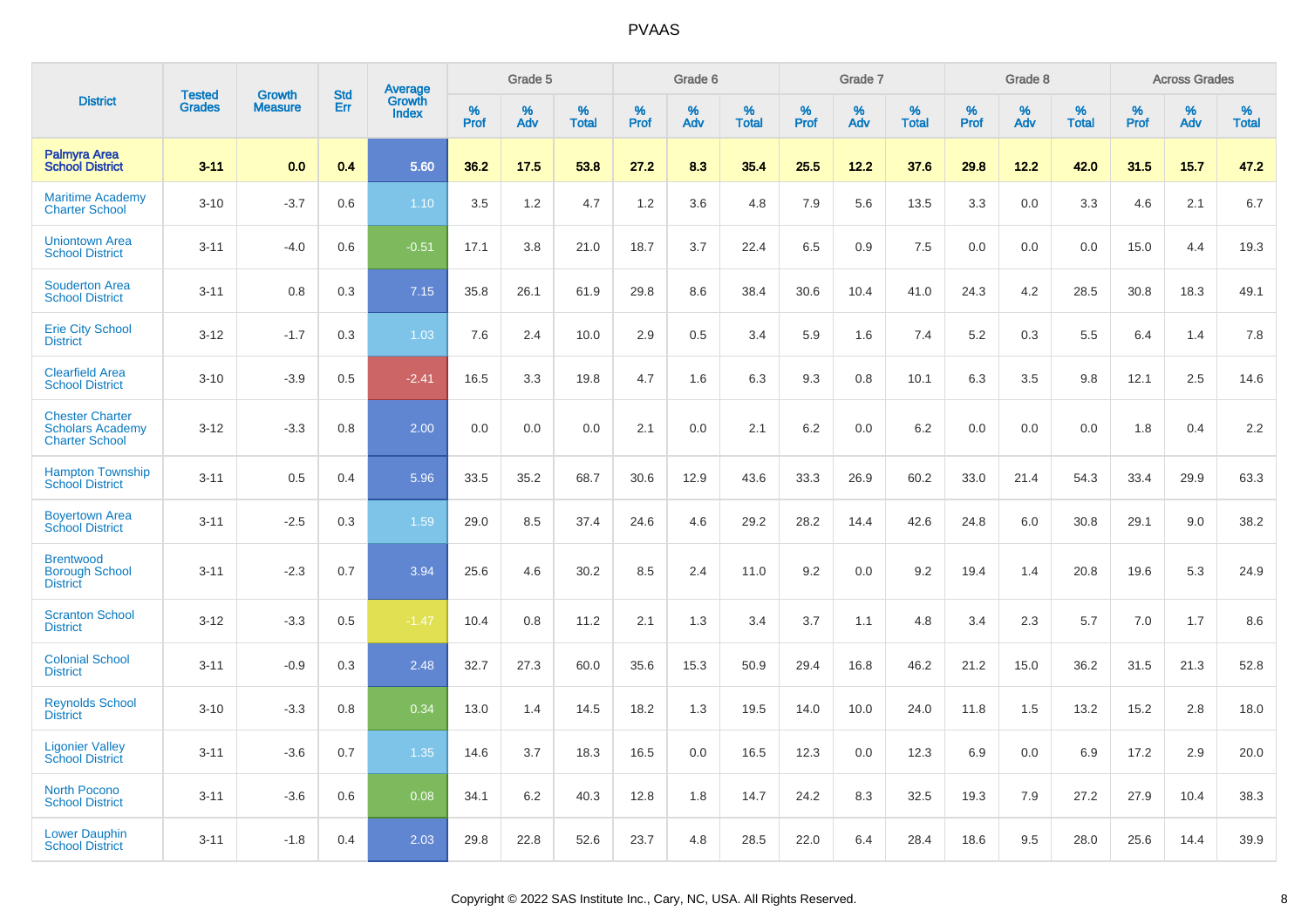|                                                                            | <b>Tested</b> | <b>Growth</b>  | <b>Std</b> | Average                |           | Grade 5  |                   |           | Grade 6  |                   |           | Grade 7  |                   |           | Grade 8  |                   |           | <b>Across Grades</b> |                   |
|----------------------------------------------------------------------------|---------------|----------------|------------|------------------------|-----------|----------|-------------------|-----------|----------|-------------------|-----------|----------|-------------------|-----------|----------|-------------------|-----------|----------------------|-------------------|
| <b>District</b>                                                            | <b>Grades</b> | <b>Measure</b> | Err        | Growth<br><b>Index</b> | %<br>Prof | %<br>Adv | %<br><b>Total</b> | %<br>Prof | %<br>Adv | %<br><b>Total</b> | %<br>Prof | %<br>Adv | %<br><b>Total</b> | %<br>Prof | %<br>Adv | %<br><b>Total</b> | %<br>Prof | %<br>Adv             | %<br><b>Total</b> |
| <b>Palmyra Area</b><br><b>School District</b>                              | $3 - 11$      | 0.0            | 0.4        | 5.60                   | 36.2      | 17.5     | 53.8              | 27.2      | 8.3      | 35.4              | 25.5      | 12.2     | 37.6              | 29.8      | 12.2     | 42.0              | 31.5      | 15.7                 | 47.2              |
| <b>Maritime Academy</b><br><b>Charter School</b>                           | $3 - 10$      | $-3.7$         | 0.6        | 1.10                   | 3.5       | 1.2      | 4.7               | 1.2       | 3.6      | 4.8               | 7.9       | 5.6      | 13.5              | 3.3       | 0.0      | 3.3               | 4.6       | 2.1                  | 6.7               |
| <b>Uniontown Area</b><br><b>School District</b>                            | $3 - 11$      | $-4.0$         | 0.6        | $-0.51$                | 17.1      | 3.8      | 21.0              | 18.7      | 3.7      | 22.4              | 6.5       | 0.9      | 7.5               | 0.0       | 0.0      | 0.0               | 15.0      | 4.4                  | 19.3              |
| <b>Souderton Area</b><br><b>School District</b>                            | $3 - 11$      | 0.8            | 0.3        | 7.15                   | 35.8      | 26.1     | 61.9              | 29.8      | 8.6      | 38.4              | 30.6      | 10.4     | 41.0              | 24.3      | 4.2      | 28.5              | 30.8      | 18.3                 | 49.1              |
| <b>Erie City School</b><br><b>District</b>                                 | $3 - 12$      | $-1.7$         | 0.3        | 1.03                   | 7.6       | 2.4      | 10.0              | 2.9       | 0.5      | 3.4               | 5.9       | 1.6      | 7.4               | 5.2       | 0.3      | 5.5               | 6.4       | 1.4                  | 7.8               |
| <b>Clearfield Area</b><br><b>School District</b>                           | $3 - 10$      | $-3.9$         | 0.5        | $-2.41$                | 16.5      | 3.3      | 19.8              | 4.7       | 1.6      | 6.3               | 9.3       | 0.8      | 10.1              | 6.3       | 3.5      | 9.8               | 12.1      | 2.5                  | 14.6              |
| <b>Chester Charter</b><br><b>Scholars Academy</b><br><b>Charter School</b> | $3 - 12$      | $-3.3$         | 0.8        | 2.00                   | 0.0       | 0.0      | 0.0               | 2.1       | 0.0      | 2.1               | 6.2       | 0.0      | 6.2               | 0.0       | 0.0      | 0.0               | 1.8       | 0.4                  | 2.2               |
| <b>Hampton Township</b><br><b>School District</b>                          | $3 - 11$      | 0.5            | 0.4        | 5.96                   | 33.5      | 35.2     | 68.7              | 30.6      | 12.9     | 43.6              | 33.3      | 26.9     | 60.2              | 33.0      | 21.4     | 54.3              | 33.4      | 29.9                 | 63.3              |
| <b>Boyertown Area</b><br><b>School District</b>                            | $3 - 11$      | $-2.5$         | 0.3        | 1.59                   | 29.0      | 8.5      | 37.4              | 24.6      | 4.6      | 29.2              | 28.2      | 14.4     | 42.6              | 24.8      | 6.0      | 30.8              | 29.1      | 9.0                  | 38.2              |
| <b>Brentwood</b><br><b>Borough School</b><br><b>District</b>               | $3 - 11$      | $-2.3$         | 0.7        | 3.94                   | 25.6      | 4.6      | 30.2              | 8.5       | 2.4      | 11.0              | 9.2       | 0.0      | 9.2               | 19.4      | 1.4      | 20.8              | 19.6      | 5.3                  | 24.9              |
| <b>Scranton School</b><br><b>District</b>                                  | $3 - 12$      | $-3.3$         | 0.5        | $-1.47$                | 10.4      | 0.8      | 11.2              | 2.1       | 1.3      | 3.4               | 3.7       | 1.1      | 4.8               | 3.4       | 2.3      | 5.7               | 7.0       | 1.7                  | 8.6               |
| <b>Colonial School</b><br><b>District</b>                                  | $3 - 11$      | $-0.9$         | 0.3        | 2.48                   | 32.7      | 27.3     | 60.0              | 35.6      | 15.3     | 50.9              | 29.4      | 16.8     | 46.2              | 21.2      | 15.0     | 36.2              | 31.5      | 21.3                 | 52.8              |
| <b>Reynolds School</b><br><b>District</b>                                  | $3 - 10$      | $-3.3$         | 0.8        | 0.34                   | 13.0      | 1.4      | 14.5              | 18.2      | 1.3      | 19.5              | 14.0      | 10.0     | 24.0              | 11.8      | 1.5      | 13.2              | 15.2      | 2.8                  | 18.0              |
| <b>Ligonier Valley</b><br><b>School District</b>                           | $3 - 11$      | $-3.6$         | 0.7        | 1.35                   | 14.6      | 3.7      | 18.3              | 16.5      | 0.0      | 16.5              | 12.3      | 0.0      | 12.3              | 6.9       | 0.0      | 6.9               | 17.2      | 2.9                  | 20.0              |
| <b>North Pocono</b><br><b>School District</b>                              | $3 - 11$      | $-3.6$         | 0.6        | 0.08                   | 34.1      | 6.2      | 40.3              | 12.8      | 1.8      | 14.7              | 24.2      | 8.3      | 32.5              | 19.3      | 7.9      | 27.2              | 27.9      | 10.4                 | 38.3              |
| <b>Lower Dauphin</b><br><b>School District</b>                             | $3 - 11$      | $-1.8$         | 0.4        | 2.03                   | 29.8      | 22.8     | 52.6              | 23.7      | 4.8      | 28.5              | 22.0      | 6.4      | 28.4              | 18.6      | 9.5      | 28.0              | 25.6      | 14.4                 | 39.9              |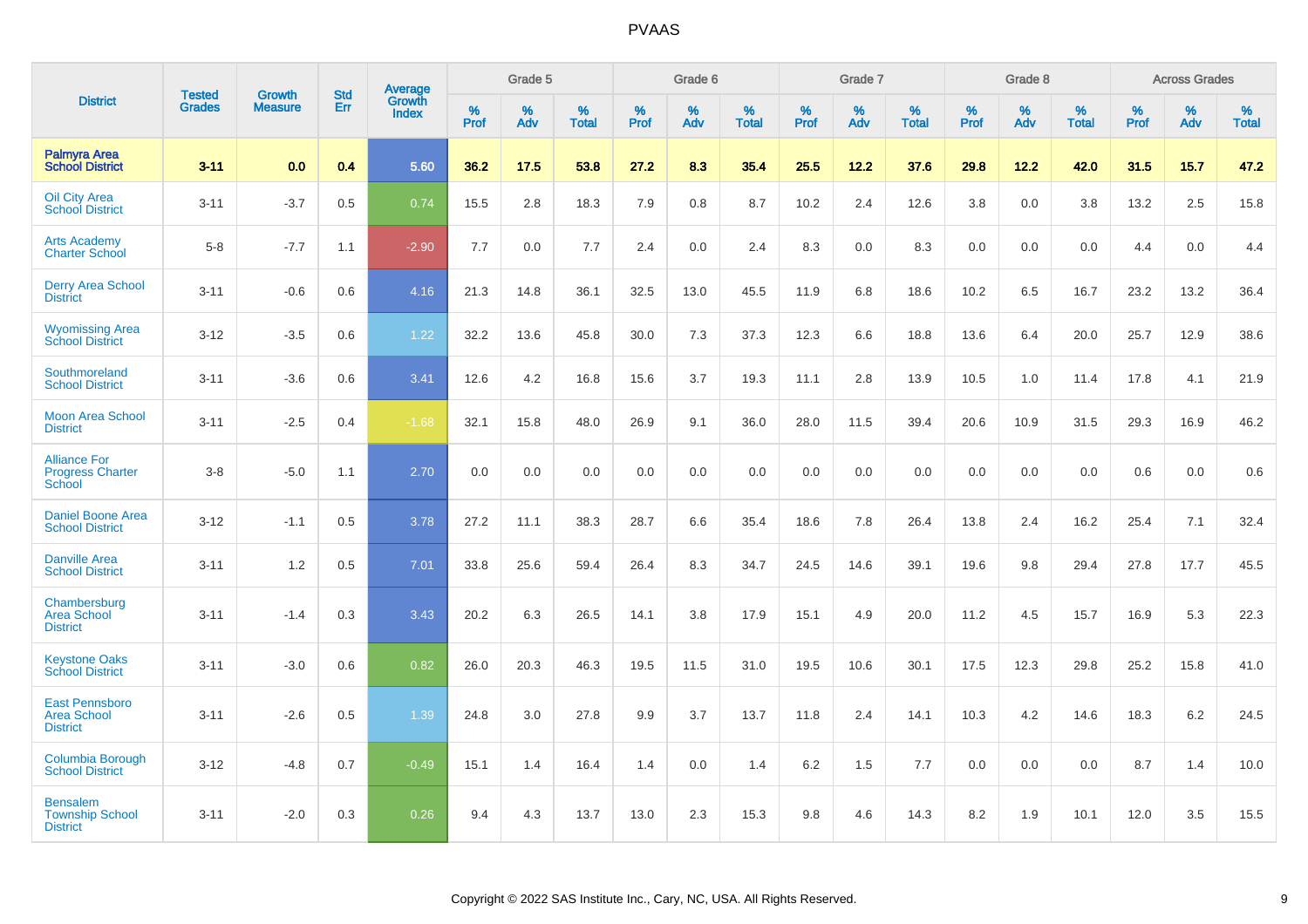|                                                                |                                |                                 | <b>Std</b> | Average                |           | Grade 5  |                   |           | Grade 6  |                   |           | Grade 7  |                      |              | Grade 8  |                   |           | <b>Across Grades</b> |                   |
|----------------------------------------------------------------|--------------------------------|---------------------------------|------------|------------------------|-----------|----------|-------------------|-----------|----------|-------------------|-----------|----------|----------------------|--------------|----------|-------------------|-----------|----------------------|-------------------|
| <b>District</b>                                                | <b>Tested</b><br><b>Grades</b> | <b>Growth</b><br><b>Measure</b> | Err        | Growth<br><b>Index</b> | %<br>Prof | %<br>Adv | %<br><b>Total</b> | %<br>Prof | %<br>Adv | %<br><b>Total</b> | %<br>Prof | %<br>Adv | $\%$<br><b>Total</b> | $\%$<br>Prof | %<br>Adv | %<br><b>Total</b> | %<br>Prof | %<br>Adv             | %<br><b>Total</b> |
| Palmyra Area<br><b>School District</b>                         | $3 - 11$                       | 0.0                             | 0.4        | 5.60                   | 36.2      | 17.5     | 53.8              | 27.2      | 8.3      | 35.4              | 25.5      | 12.2     | 37.6                 | 29.8         | 12.2     | 42.0              | 31.5      | 15.7                 | 47.2              |
| <b>Oil City Area</b><br><b>School District</b>                 | $3 - 11$                       | $-3.7$                          | 0.5        | 0.74                   | 15.5      | 2.8      | 18.3              | 7.9       | 0.8      | 8.7               | 10.2      | 2.4      | 12.6                 | 3.8          | 0.0      | 3.8               | 13.2      | 2.5                  | 15.8              |
| <b>Arts Academy</b><br><b>Charter School</b>                   | $5 - 8$                        | $-7.7$                          | 1.1        | $-2.90$                | 7.7       | 0.0      | 7.7               | 2.4       | 0.0      | 2.4               | 8.3       | 0.0      | 8.3                  | 0.0          | 0.0      | 0.0               | 4.4       | 0.0                  | 4.4               |
| <b>Derry Area School</b><br><b>District</b>                    | $3 - 11$                       | $-0.6$                          | 0.6        | 4.16                   | 21.3      | 14.8     | 36.1              | 32.5      | 13.0     | 45.5              | 11.9      | 6.8      | 18.6                 | 10.2         | 6.5      | 16.7              | 23.2      | 13.2                 | 36.4              |
| <b>Wyomissing Area</b><br><b>School District</b>               | $3 - 12$                       | $-3.5$                          | 0.6        | 1.22                   | 32.2      | 13.6     | 45.8              | 30.0      | 7.3      | 37.3              | 12.3      | 6.6      | 18.8                 | 13.6         | 6.4      | 20.0              | 25.7      | 12.9                 | 38.6              |
| Southmoreland<br><b>School District</b>                        | $3 - 11$                       | $-3.6$                          | 0.6        | 3.41                   | 12.6      | 4.2      | 16.8              | 15.6      | 3.7      | 19.3              | 11.1      | 2.8      | 13.9                 | 10.5         | 1.0      | 11.4              | 17.8      | 4.1                  | 21.9              |
| <b>Moon Area School</b><br><b>District</b>                     | $3 - 11$                       | $-2.5$                          | 0.4        | $-1.68$                | 32.1      | 15.8     | 48.0              | 26.9      | 9.1      | 36.0              | 28.0      | 11.5     | 39.4                 | 20.6         | 10.9     | 31.5              | 29.3      | 16.9                 | 46.2              |
| <b>Alliance For</b><br><b>Progress Charter</b><br>School       | $3 - 8$                        | $-5.0$                          | 1.1        | 2.70                   | 0.0       | 0.0      | 0.0               | 0.0       | 0.0      | 0.0               | 0.0       | 0.0      | 0.0                  | 0.0          | 0.0      | 0.0               | 0.6       | 0.0                  | 0.6               |
| <b>Daniel Boone Area</b><br><b>School District</b>             | $3 - 12$                       | $-1.1$                          | 0.5        | 3.78                   | 27.2      | 11.1     | 38.3              | 28.7      | 6.6      | 35.4              | 18.6      | 7.8      | 26.4                 | 13.8         | 2.4      | 16.2              | 25.4      | 7.1                  | 32.4              |
| <b>Danville Area</b><br><b>School District</b>                 | $3 - 11$                       | 1.2                             | 0.5        | 7.01                   | 33.8      | 25.6     | 59.4              | 26.4      | 8.3      | 34.7              | 24.5      | 14.6     | 39.1                 | 19.6         | 9.8      | 29.4              | 27.8      | 17.7                 | 45.5              |
| Chambersburg<br><b>Area School</b><br><b>District</b>          | $3 - 11$                       | $-1.4$                          | 0.3        | 3.43                   | 20.2      | 6.3      | 26.5              | 14.1      | 3.8      | 17.9              | 15.1      | 4.9      | 20.0                 | 11.2         | 4.5      | 15.7              | 16.9      | 5.3                  | 22.3              |
| <b>Keystone Oaks</b><br><b>School District</b>                 | $3 - 11$                       | $-3.0$                          | 0.6        | 0.82                   | 26.0      | 20.3     | 46.3              | 19.5      | 11.5     | 31.0              | 19.5      | 10.6     | 30.1                 | 17.5         | 12.3     | 29.8              | 25.2      | 15.8                 | 41.0              |
| <b>East Pennsboro</b><br><b>Area School</b><br><b>District</b> | $3 - 11$                       | $-2.6$                          | 0.5        | 1.39                   | 24.8      | 3.0      | 27.8              | 9.9       | 3.7      | 13.7              | 11.8      | 2.4      | 14.1                 | 10.3         | 4.2      | 14.6              | 18.3      | $6.2\,$              | 24.5              |
| Columbia Borough<br><b>School District</b>                     | $3 - 12$                       | $-4.8$                          | 0.7        | $-0.49$                | 15.1      | 1.4      | 16.4              | 1.4       | 0.0      | 1.4               | 6.2       | 1.5      | 7.7                  | 0.0          | 0.0      | 0.0               | 8.7       | 1.4                  | 10.0              |
| <b>Bensalem</b><br><b>Township School</b><br><b>District</b>   | $3 - 11$                       | $-2.0$                          | 0.3        | 0.26                   | 9.4       | 4.3      | 13.7              | 13.0      | 2.3      | 15.3              | 9.8       | 4.6      | 14.3                 | 8.2          | 1.9      | 10.1              | 12.0      | 3.5                  | 15.5              |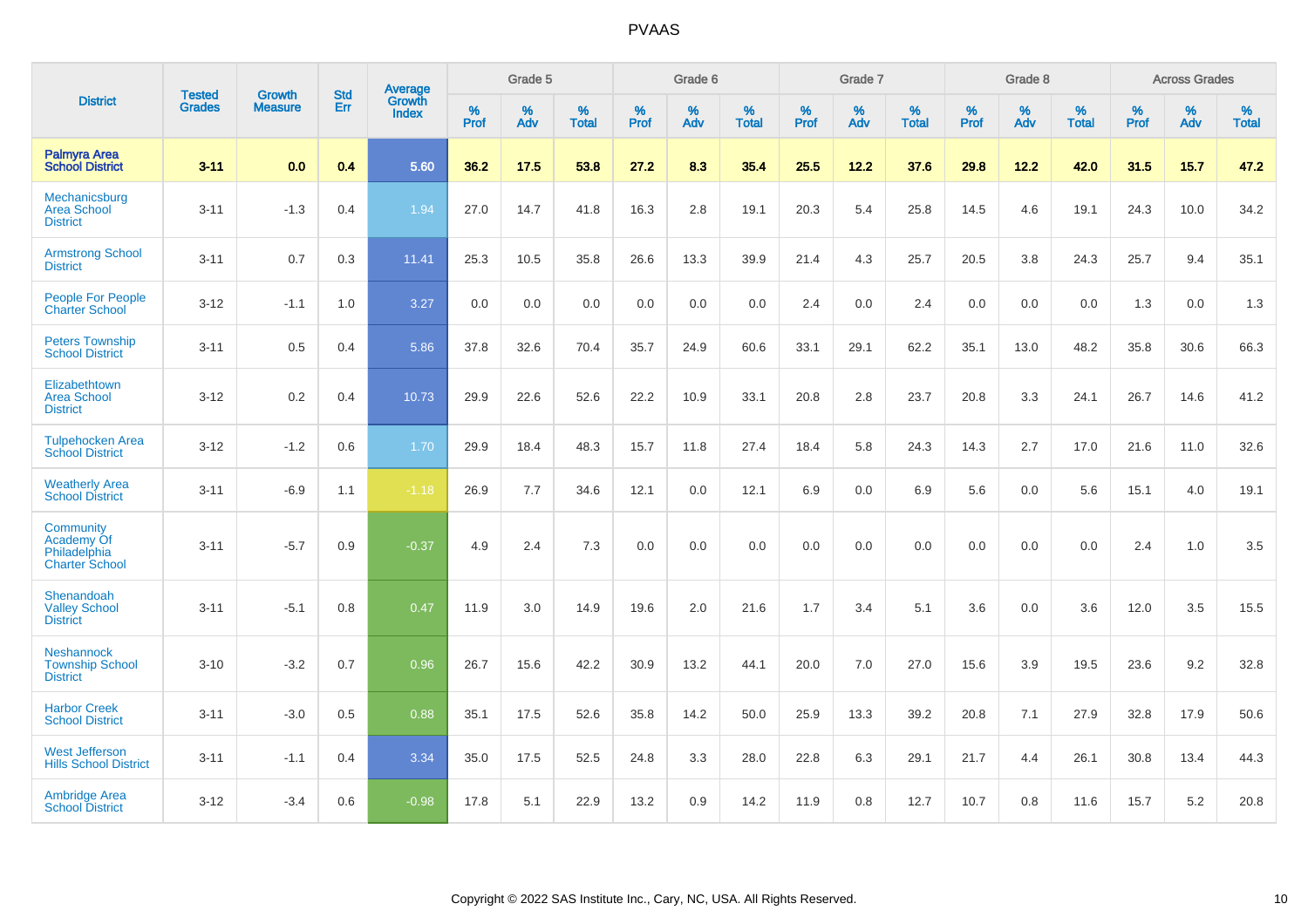|                                                                         | <b>Tested</b> |                                 | <b>Std</b> | Average                |           | Grade 5  |                   |           | Grade 6  |                   |           | Grade 7  |                   |           | Grade 8  |                   |           | <b>Across Grades</b> |                   |
|-------------------------------------------------------------------------|---------------|---------------------------------|------------|------------------------|-----------|----------|-------------------|-----------|----------|-------------------|-----------|----------|-------------------|-----------|----------|-------------------|-----------|----------------------|-------------------|
| <b>District</b>                                                         | <b>Grades</b> | <b>Growth</b><br><b>Measure</b> | Err        | Growth<br><b>Index</b> | %<br>Prof | %<br>Adv | %<br><b>Total</b> | %<br>Prof | %<br>Adv | %<br><b>Total</b> | %<br>Prof | %<br>Adv | %<br><b>Total</b> | %<br>Prof | %<br>Adv | %<br><b>Total</b> | %<br>Prof | %<br>Adv             | %<br><b>Total</b> |
| <b>Palmyra Area</b><br><b>School District</b>                           | $3 - 11$      | 0.0                             | 0.4        | 5.60                   | 36.2      | 17.5     | 53.8              | 27.2      | 8.3      | 35.4              | 25.5      | 12.2     | 37.6              | 29.8      | 12.2     | 42.0              | 31.5      | 15.7                 | 47.2              |
| Mechanicsburg<br><b>Area School</b><br><b>District</b>                  | $3 - 11$      | $-1.3$                          | 0.4        | 1.94                   | 27.0      | 14.7     | 41.8              | 16.3      | 2.8      | 19.1              | 20.3      | 5.4      | 25.8              | 14.5      | 4.6      | 19.1              | 24.3      | 10.0                 | 34.2              |
| <b>Armstrong School</b><br><b>District</b>                              | $3 - 11$      | 0.7                             | 0.3        | 11.41                  | 25.3      | 10.5     | 35.8              | 26.6      | 13.3     | 39.9              | 21.4      | 4.3      | 25.7              | 20.5      | 3.8      | 24.3              | 25.7      | 9.4                  | 35.1              |
| <b>People For People</b><br><b>Charter School</b>                       | $3 - 12$      | $-1.1$                          | 1.0        | 3.27                   | 0.0       | 0.0      | 0.0               | 0.0       | 0.0      | 0.0               | 2.4       | 0.0      | 2.4               | 0.0       | 0.0      | 0.0               | 1.3       | 0.0                  | 1.3               |
| <b>Peters Township</b><br><b>School District</b>                        | $3 - 11$      | 0.5                             | 0.4        | 5.86                   | 37.8      | 32.6     | 70.4              | 35.7      | 24.9     | 60.6              | 33.1      | 29.1     | 62.2              | 35.1      | 13.0     | 48.2              | 35.8      | 30.6                 | 66.3              |
| Elizabethtown<br><b>Area School</b><br><b>District</b>                  | $3 - 12$      | 0.2                             | 0.4        | 10.73                  | 29.9      | 22.6     | 52.6              | 22.2      | 10.9     | 33.1              | 20.8      | 2.8      | 23.7              | 20.8      | 3.3      | 24.1              | 26.7      | 14.6                 | 41.2              |
| <b>Tulpehocken Area</b><br><b>School District</b>                       | $3 - 12$      | $-1.2$                          | 0.6        | 1.70                   | 29.9      | 18.4     | 48.3              | 15.7      | 11.8     | 27.4              | 18.4      | 5.8      | 24.3              | 14.3      | 2.7      | 17.0              | 21.6      | 11.0                 | 32.6              |
| <b>Weatherly Area</b><br><b>School District</b>                         | $3 - 11$      | $-6.9$                          | 1.1        | $-1.18$                | 26.9      | 7.7      | 34.6              | 12.1      | 0.0      | 12.1              | 6.9       | 0.0      | 6.9               | 5.6       | 0.0      | 5.6               | 15.1      | 4.0                  | 19.1              |
| <b>Community</b><br>Academy Of<br>Philadelphia<br><b>Charter School</b> | $3 - 11$      | $-5.7$                          | 0.9        | $-0.37$                | 4.9       | 2.4      | 7.3               | 0.0       | 0.0      | 0.0               | 0.0       | 0.0      | 0.0               | 0.0       | 0.0      | 0.0               | 2.4       | 1.0                  | 3.5               |
| Shenandoah<br><b>Valley School</b><br><b>District</b>                   | $3 - 11$      | $-5.1$                          | 0.8        | 0.47                   | 11.9      | 3.0      | 14.9              | 19.6      | 2.0      | 21.6              | 1.7       | 3.4      | 5.1               | 3.6       | 0.0      | 3.6               | 12.0      | 3.5                  | 15.5              |
| <b>Neshannock</b><br><b>Township School</b><br><b>District</b>          | $3 - 10$      | $-3.2$                          | 0.7        | 0.96                   | 26.7      | 15.6     | 42.2              | 30.9      | 13.2     | 44.1              | 20.0      | 7.0      | 27.0              | 15.6      | 3.9      | 19.5              | 23.6      | 9.2                  | 32.8              |
| <b>Harbor Creek</b><br><b>School District</b>                           | $3 - 11$      | $-3.0$                          | 0.5        | 0.88                   | 35.1      | 17.5     | 52.6              | 35.8      | 14.2     | 50.0              | 25.9      | 13.3     | 39.2              | 20.8      | 7.1      | 27.9              | 32.8      | 17.9                 | 50.6              |
| <b>West Jefferson</b><br><b>Hills School District</b>                   | $3 - 11$      | $-1.1$                          | 0.4        | 3.34                   | 35.0      | 17.5     | 52.5              | 24.8      | 3.3      | 28.0              | 22.8      | 6.3      | 29.1              | 21.7      | 4.4      | 26.1              | 30.8      | 13.4                 | 44.3              |
| <b>Ambridge Area</b><br><b>School District</b>                          | $3 - 12$      | $-3.4$                          | 0.6        | $-0.98$                | 17.8      | 5.1      | 22.9              | 13.2      | 0.9      | 14.2              | 11.9      | 0.8      | 12.7              | 10.7      | 0.8      | 11.6              | 15.7      | 5.2                  | 20.8              |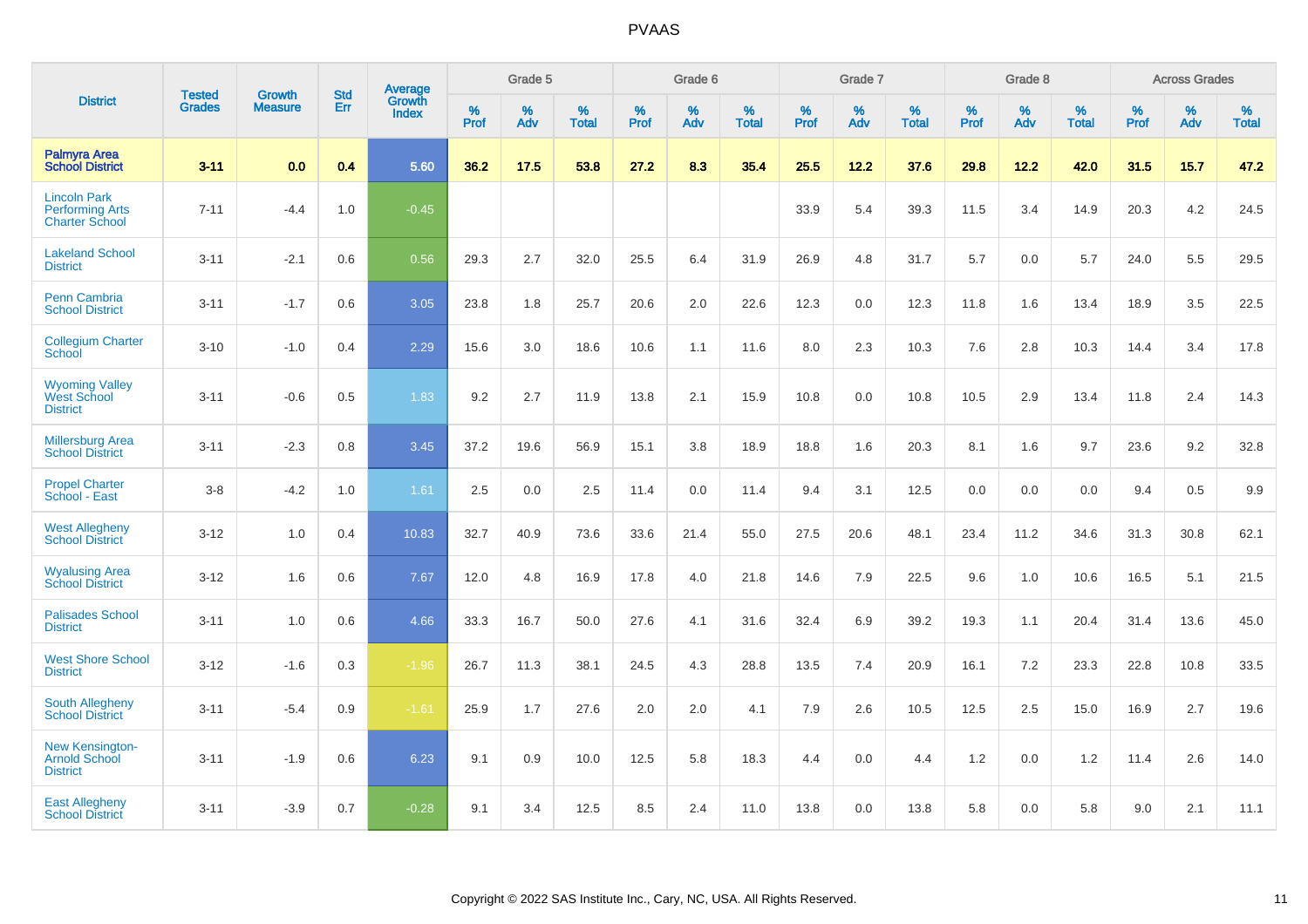|                                                                        | <b>Tested</b> | <b>Growth</b>  | <b>Std</b> | Average                       |           | Grade 5  |                   |           | Grade 6  |                   |           | Grade 7  |                   |           | Grade 8  |                   |           | <b>Across Grades</b> |                   |
|------------------------------------------------------------------------|---------------|----------------|------------|-------------------------------|-----------|----------|-------------------|-----------|----------|-------------------|-----------|----------|-------------------|-----------|----------|-------------------|-----------|----------------------|-------------------|
| <b>District</b>                                                        | <b>Grades</b> | <b>Measure</b> | Err        | <b>Growth</b><br><b>Index</b> | %<br>Prof | %<br>Adv | %<br><b>Total</b> | %<br>Prof | %<br>Adv | %<br><b>Total</b> | %<br>Prof | %<br>Adv | %<br><b>Total</b> | %<br>Prof | %<br>Adv | %<br><b>Total</b> | %<br>Prof | %<br>Adv             | %<br><b>Total</b> |
| <b>Palmyra Area</b><br><b>School District</b>                          | $3 - 11$      | 0.0            | 0.4        | 5.60                          | 36.2      | 17.5     | 53.8              | 27.2      | 8.3      | 35.4              | 25.5      | 12.2     | 37.6              | 29.8      | 12.2     | 42.0              | 31.5      | 15.7                 | 47.2              |
| <b>Lincoln Park</b><br><b>Performing Arts</b><br><b>Charter School</b> | $7 - 11$      | $-4.4$         | 1.0        | $-0.45$                       |           |          |                   |           |          |                   | 33.9      | 5.4      | 39.3              | 11.5      | 3.4      | 14.9              | 20.3      | 4.2                  | 24.5              |
| <b>Lakeland School</b><br><b>District</b>                              | $3 - 11$      | $-2.1$         | 0.6        | 0.56                          | 29.3      | 2.7      | 32.0              | 25.5      | 6.4      | 31.9              | 26.9      | 4.8      | 31.7              | 5.7       | 0.0      | 5.7               | 24.0      | 5.5                  | 29.5              |
| <b>Penn Cambria</b><br><b>School District</b>                          | $3 - 11$      | $-1.7$         | 0.6        | 3.05                          | 23.8      | 1.8      | 25.7              | 20.6      | 2.0      | 22.6              | 12.3      | 0.0      | 12.3              | 11.8      | 1.6      | 13.4              | 18.9      | 3.5                  | 22.5              |
| <b>Collegium Charter</b><br>School                                     | $3 - 10$      | $-1.0$         | 0.4        | 2.29                          | 15.6      | 3.0      | 18.6              | 10.6      | 1.1      | 11.6              | 8.0       | 2.3      | 10.3              | 7.6       | 2.8      | 10.3              | 14.4      | 3.4                  | 17.8              |
| <b>Wyoming Valley</b><br>West School<br><b>District</b>                | $3 - 11$      | $-0.6$         | 0.5        | 1.83                          | 9.2       | 2.7      | 11.9              | 13.8      | 2.1      | 15.9              | 10.8      | 0.0      | 10.8              | 10.5      | 2.9      | 13.4              | 11.8      | 2.4                  | 14.3              |
| <b>Millersburg Area</b><br><b>School District</b>                      | $3 - 11$      | $-2.3$         | 0.8        | 3.45                          | 37.2      | 19.6     | 56.9              | 15.1      | 3.8      | 18.9              | 18.8      | 1.6      | 20.3              | 8.1       | 1.6      | 9.7               | 23.6      | 9.2                  | 32.8              |
| <b>Propel Charter</b><br>School - East                                 | $3 - 8$       | $-4.2$         | 1.0        | 1.61                          | 2.5       | 0.0      | 2.5               | 11.4      | 0.0      | 11.4              | 9.4       | 3.1      | 12.5              | 0.0       | 0.0      | 0.0               | 9.4       | 0.5                  | 9.9               |
| <b>West Allegheny</b><br><b>School District</b>                        | $3 - 12$      | 1.0            | 0.4        | 10.83                         | 32.7      | 40.9     | 73.6              | 33.6      | 21.4     | 55.0              | 27.5      | 20.6     | 48.1              | 23.4      | 11.2     | 34.6              | 31.3      | 30.8                 | 62.1              |
| <b>Wyalusing Area</b><br><b>School District</b>                        | $3 - 12$      | 1.6            | 0.6        | 7.67                          | 12.0      | 4.8      | 16.9              | 17.8      | 4.0      | 21.8              | 14.6      | 7.9      | 22.5              | 9.6       | 1.0      | 10.6              | 16.5      | 5.1                  | 21.5              |
| <b>Palisades School</b><br><b>District</b>                             | $3 - 11$      | 1.0            | 0.6        | 4.66                          | 33.3      | 16.7     | 50.0              | 27.6      | 4.1      | 31.6              | 32.4      | 6.9      | 39.2              | 19.3      | 1.1      | 20.4              | 31.4      | 13.6                 | 45.0              |
| <b>West Shore School</b><br><b>District</b>                            | $3 - 12$      | $-1.6$         | 0.3        | $-1.96$                       | 26.7      | 11.3     | 38.1              | 24.5      | 4.3      | 28.8              | 13.5      | 7.4      | 20.9              | 16.1      | 7.2      | 23.3              | 22.8      | 10.8                 | 33.5              |
| <b>South Allegheny</b><br><b>School District</b>                       | $3 - 11$      | $-5.4$         | 0.9        | $-1.61$                       | 25.9      | 1.7      | 27.6              | 2.0       | 2.0      | 4.1               | 7.9       | 2.6      | 10.5              | 12.5      | 2.5      | 15.0              | 16.9      | 2.7                  | 19.6              |
| <b>New Kensington-</b><br><b>Arnold School</b><br><b>District</b>      | $3 - 11$      | $-1.9$         | 0.6        | 6.23                          | 9.1       | 0.9      | 10.0              | 12.5      | 5.8      | 18.3              | 4.4       | $0.0\,$  | 4.4               | 1.2       | 0.0      | 1.2               | 11.4      | 2.6                  | 14.0              |
| <b>East Allegheny</b><br><b>School District</b>                        | $3 - 11$      | $-3.9$         | 0.7        | $-0.28$                       | 9.1       | 3.4      | 12.5              | 8.5       | 2.4      | 11.0              | 13.8      | 0.0      | 13.8              | 5.8       | 0.0      | 5.8               | 9.0       | 2.1                  | 11.1              |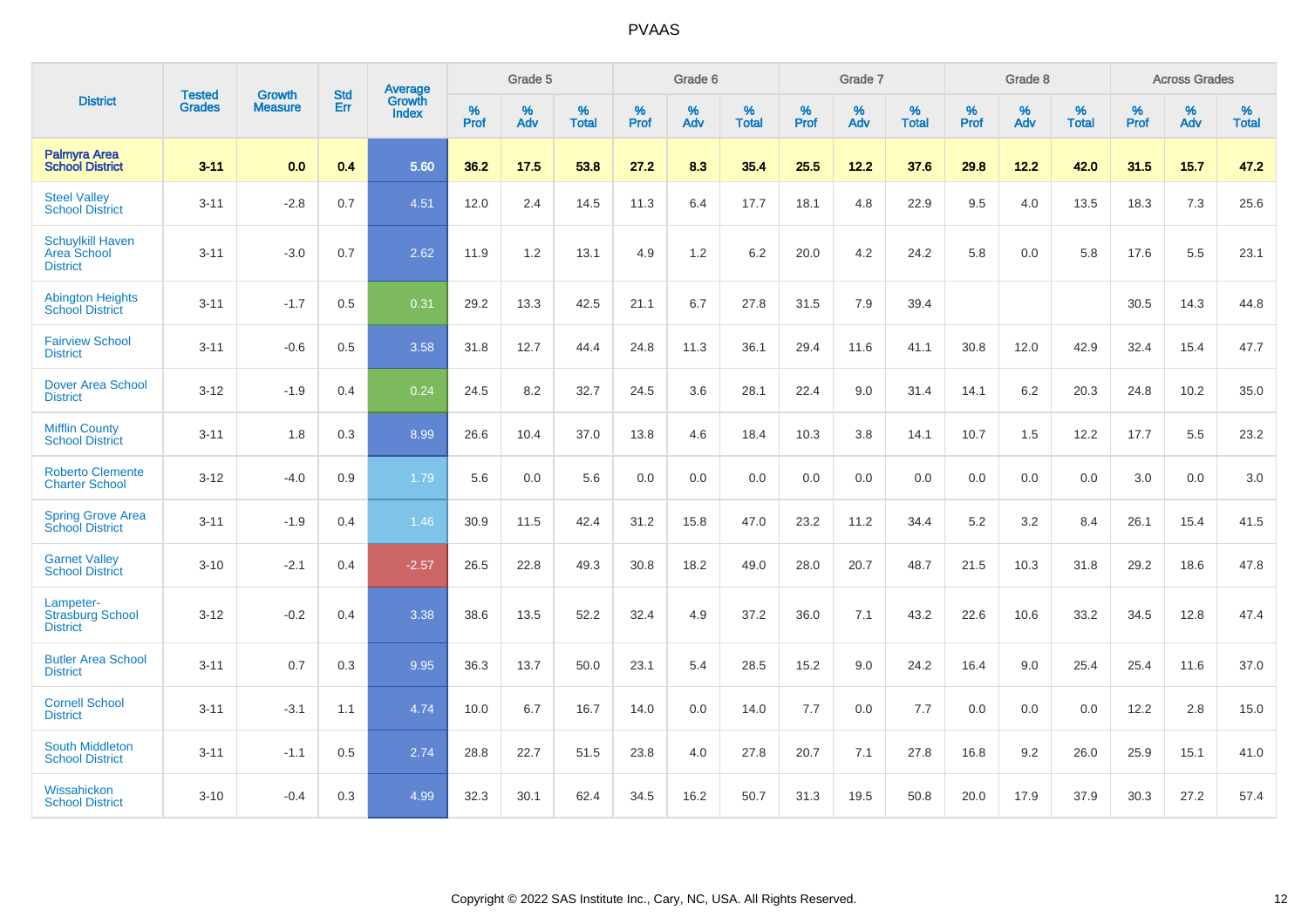|                                                                  | <b>Tested</b> | <b>Growth</b>  | <b>Std</b> | Average                |                  | Grade 5  |                   |                  | Grade 6  |                   |           | Grade 7  |                   |           | Grade 8  |                   |           | <b>Across Grades</b> |                   |
|------------------------------------------------------------------|---------------|----------------|------------|------------------------|------------------|----------|-------------------|------------------|----------|-------------------|-----------|----------|-------------------|-----------|----------|-------------------|-----------|----------------------|-------------------|
| <b>District</b>                                                  | <b>Grades</b> | <b>Measure</b> | Err        | Growth<br><b>Index</b> | %<br><b>Prof</b> | %<br>Adv | %<br><b>Total</b> | %<br><b>Prof</b> | %<br>Adv | %<br><b>Total</b> | %<br>Prof | %<br>Adv | %<br><b>Total</b> | %<br>Prof | %<br>Adv | %<br><b>Total</b> | %<br>Prof | %<br>Adv             | %<br><b>Total</b> |
| <b>Palmyra Area</b><br><b>School District</b>                    | $3 - 11$      | 0.0            | 0.4        | 5.60                   | 36.2             | 17.5     | 53.8              | 27.2             | 8.3      | 35.4              | 25.5      | 12.2     | 37.6              | 29.8      | 12.2     | 42.0              | 31.5      | 15.7                 | 47.2              |
| <b>Steel Valley</b><br><b>School District</b>                    | $3 - 11$      | $-2.8$         | 0.7        | 4.51                   | 12.0             | 2.4      | 14.5              | 11.3             | 6.4      | 17.7              | 18.1      | 4.8      | 22.9              | 9.5       | 4.0      | 13.5              | 18.3      | 7.3                  | 25.6              |
| <b>Schuylkill Haven</b><br><b>Area School</b><br><b>District</b> | $3 - 11$      | $-3.0$         | 0.7        | 2.62                   | 11.9             | 1.2      | 13.1              | 4.9              | 1.2      | 6.2               | 20.0      | 4.2      | 24.2              | 5.8       | 0.0      | 5.8               | 17.6      | 5.5                  | 23.1              |
| <b>Abington Heights</b><br><b>School District</b>                | $3 - 11$      | $-1.7$         | 0.5        | 0.31                   | 29.2             | 13.3     | 42.5              | 21.1             | 6.7      | 27.8              | 31.5      | 7.9      | 39.4              |           |          |                   | 30.5      | 14.3                 | 44.8              |
| <b>Fairview School</b><br><b>District</b>                        | $3 - 11$      | $-0.6$         | 0.5        | 3.58                   | 31.8             | 12.7     | 44.4              | 24.8             | 11.3     | 36.1              | 29.4      | 11.6     | 41.1              | 30.8      | 12.0     | 42.9              | 32.4      | 15.4                 | 47.7              |
| <b>Dover Area School</b><br><b>District</b>                      | $3 - 12$      | $-1.9$         | 0.4        | 0.24                   | 24.5             | 8.2      | 32.7              | 24.5             | 3.6      | 28.1              | 22.4      | 9.0      | 31.4              | 14.1      | $6.2\,$  | 20.3              | 24.8      | 10.2                 | 35.0              |
| <b>Mifflin County</b><br><b>School District</b>                  | $3 - 11$      | 1.8            | 0.3        | 8.99                   | 26.6             | 10.4     | 37.0              | 13.8             | 4.6      | 18.4              | 10.3      | 3.8      | 14.1              | 10.7      | 1.5      | 12.2              | 17.7      | 5.5                  | 23.2              |
| <b>Roberto Clemente</b><br><b>Charter School</b>                 | $3 - 12$      | $-4.0$         | 0.9        | 1.79                   | 5.6              | 0.0      | 5.6               | 0.0              | 0.0      | 0.0               | 0.0       | 0.0      | 0.0               | 0.0       | 0.0      | 0.0               | 3.0       | 0.0                  | 3.0               |
| <b>Spring Grove Area</b><br><b>School District</b>               | $3 - 11$      | $-1.9$         | 0.4        | 1.46                   | 30.9             | 11.5     | 42.4              | 31.2             | 15.8     | 47.0              | 23.2      | 11.2     | 34.4              | 5.2       | 3.2      | 8.4               | 26.1      | 15.4                 | 41.5              |
| <b>Garnet Valley</b><br><b>School District</b>                   | $3 - 10$      | $-2.1$         | 0.4        | $-2.57$                | 26.5             | 22.8     | 49.3              | 30.8             | 18.2     | 49.0              | 28.0      | 20.7     | 48.7              | 21.5      | 10.3     | 31.8              | 29.2      | 18.6                 | 47.8              |
| Lampeter-<br><b>Strasburg School</b><br><b>District</b>          | $3 - 12$      | $-0.2$         | 0.4        | 3.38                   | 38.6             | 13.5     | 52.2              | 32.4             | 4.9      | 37.2              | 36.0      | 7.1      | 43.2              | 22.6      | 10.6     | 33.2              | 34.5      | 12.8                 | 47.4              |
| <b>Butler Area School</b><br><b>District</b>                     | $3 - 11$      | 0.7            | 0.3        | 9.95                   | 36.3             | 13.7     | 50.0              | 23.1             | 5.4      | 28.5              | 15.2      | 9.0      | 24.2              | 16.4      | 9.0      | 25.4              | 25.4      | 11.6                 | 37.0              |
| <b>Cornell School</b><br><b>District</b>                         | $3 - 11$      | $-3.1$         | 1.1        | 4.74                   | 10.0             | 6.7      | 16.7              | 14.0             | 0.0      | 14.0              | $7.7$     | 0.0      | 7.7               | 0.0       | 0.0      | 0.0               | 12.2      | $2.8\,$              | 15.0              |
| <b>South Middleton</b><br><b>School District</b>                 | $3 - 11$      | $-1.1$         | 0.5        | 2.74                   | 28.8             | 22.7     | 51.5              | 23.8             | 4.0      | 27.8              | 20.7      | 7.1      | 27.8              | 16.8      | 9.2      | 26.0              | 25.9      | 15.1                 | 41.0              |
| Wissahickon<br><b>School District</b>                            | $3 - 10$      | $-0.4$         | 0.3        | 4.99                   | 32.3             | 30.1     | 62.4              | 34.5             | 16.2     | 50.7              | 31.3      | 19.5     | 50.8              | 20.0      | 17.9     | 37.9              | 30.3      | 27.2                 | 57.4              |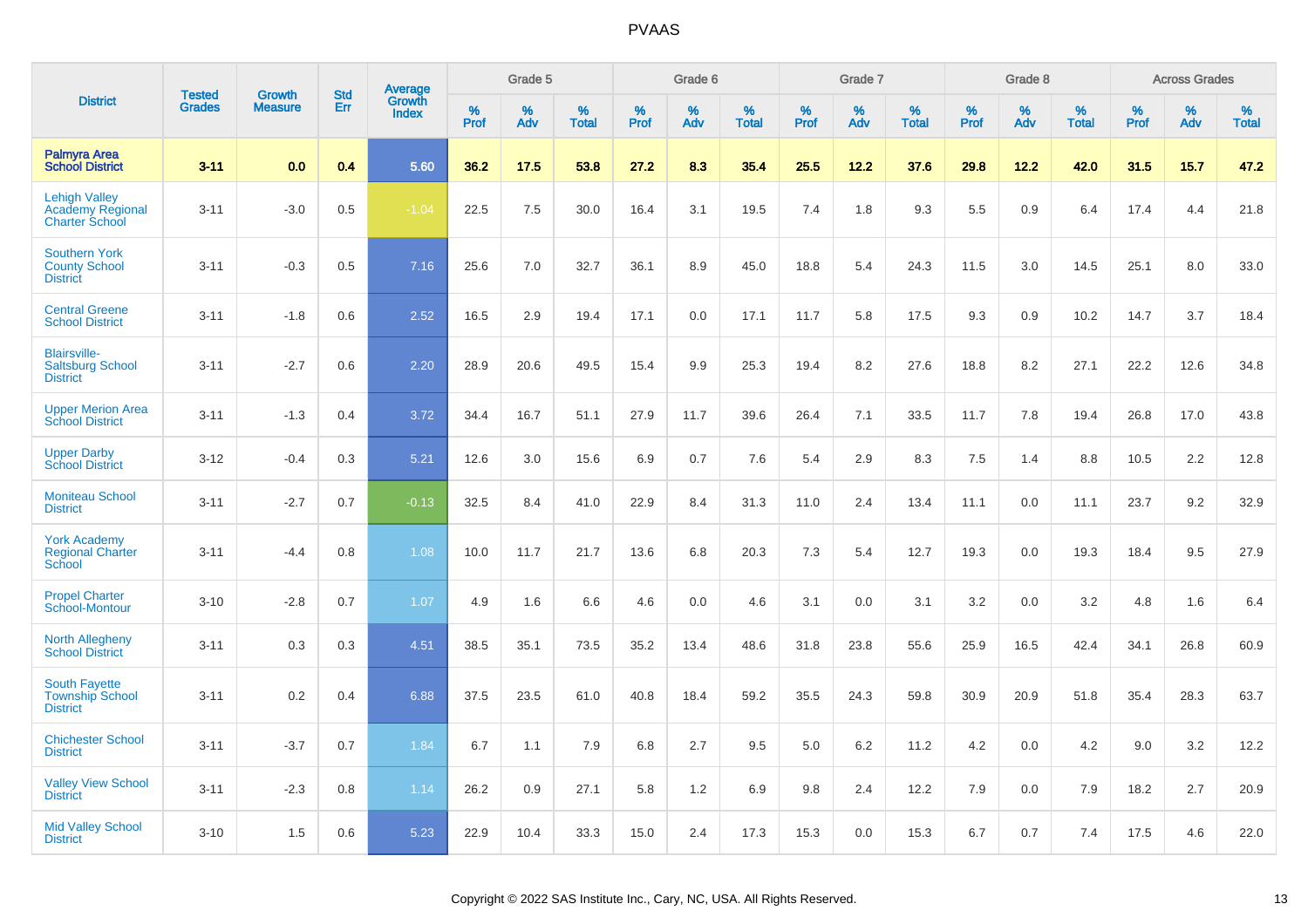|                                                                   |                                |                                 | <b>Std</b> |                                          |                  | Grade 5  |                   |           | Grade 6  |                   |           | Grade 7  |                   |           | Grade 8  |                   |              | <b>Across Grades</b> |                   |
|-------------------------------------------------------------------|--------------------------------|---------------------------------|------------|------------------------------------------|------------------|----------|-------------------|-----------|----------|-------------------|-----------|----------|-------------------|-----------|----------|-------------------|--------------|----------------------|-------------------|
| <b>District</b>                                                   | <b>Tested</b><br><b>Grades</b> | <b>Growth</b><br><b>Measure</b> | Err        | <b>Average</b><br>Growth<br><b>Index</b> | %<br><b>Prof</b> | %<br>Adv | %<br><b>Total</b> | %<br>Prof | %<br>Adv | %<br><b>Total</b> | %<br>Prof | %<br>Adv | %<br><b>Total</b> | %<br>Prof | %<br>Adv | %<br><b>Total</b> | $\%$<br>Prof | %<br>Adv             | %<br><b>Total</b> |
| <b>Palmyra Area</b><br><b>School District</b>                     | $3 - 11$                       | 0.0                             | 0.4        | 5.60                                     | 36.2             | 17.5     | 53.8              | 27.2      | 8.3      | 35.4              | 25.5      | 12.2     | 37.6              | 29.8      | 12.2     | 42.0              | 31.5         | 15.7                 | 47.2              |
| <b>Lehigh Valley</b><br>Academy Regional<br><b>Charter School</b> | $3 - 11$                       | $-3.0$                          | 0.5        | $-1.04$                                  | 22.5             | 7.5      | 30.0              | 16.4      | 3.1      | 19.5              | 7.4       | 1.8      | 9.3               | 5.5       | 0.9      | 6.4               | 17.4         | 4.4                  | 21.8              |
| <b>Southern York</b><br><b>County School</b><br><b>District</b>   | $3 - 11$                       | $-0.3$                          | 0.5        | 7.16                                     | 25.6             | 7.0      | 32.7              | 36.1      | 8.9      | 45.0              | 18.8      | 5.4      | 24.3              | 11.5      | 3.0      | 14.5              | 25.1         | 8.0                  | 33.0              |
| <b>Central Greene</b><br><b>School District</b>                   | $3 - 11$                       | $-1.8$                          | 0.6        | 2.52                                     | 16.5             | 2.9      | 19.4              | 17.1      | 0.0      | 17.1              | 11.7      | 5.8      | 17.5              | 9.3       | 0.9      | 10.2              | 14.7         | 3.7                  | 18.4              |
| <b>Blairsville-</b><br><b>Saltsburg School</b><br><b>District</b> | $3 - 11$                       | $-2.7$                          | 0.6        | 2.20                                     | 28.9             | 20.6     | 49.5              | 15.4      | 9.9      | 25.3              | 19.4      | 8.2      | 27.6              | 18.8      | 8.2      | 27.1              | 22.2         | 12.6                 | 34.8              |
| <b>Upper Merion Area</b><br><b>School District</b>                | $3 - 11$                       | $-1.3$                          | 0.4        | 3.72                                     | 34.4             | 16.7     | 51.1              | 27.9      | 11.7     | 39.6              | 26.4      | 7.1      | 33.5              | 11.7      | 7.8      | 19.4              | 26.8         | 17.0                 | 43.8              |
| <b>Upper Darby</b><br><b>School District</b>                      | $3 - 12$                       | $-0.4$                          | 0.3        | 5.21                                     | 12.6             | 3.0      | 15.6              | 6.9       | 0.7      | 7.6               | 5.4       | 2.9      | 8.3               | 7.5       | 1.4      | 8.8               | 10.5         | 2.2                  | 12.8              |
| <b>Moniteau School</b><br><b>District</b>                         | $3 - 11$                       | $-2.7$                          | 0.7        | $-0.13$                                  | 32.5             | 8.4      | 41.0              | 22.9      | 8.4      | 31.3              | 11.0      | 2.4      | 13.4              | 11.1      | 0.0      | 11.1              | 23.7         | 9.2                  | 32.9              |
| <b>York Academy</b><br><b>Regional Charter</b><br>School          | $3 - 11$                       | $-4.4$                          | 0.8        | 1.08                                     | 10.0             | 11.7     | 21.7              | 13.6      | 6.8      | 20.3              | 7.3       | 5.4      | 12.7              | 19.3      | 0.0      | 19.3              | 18.4         | 9.5                  | 27.9              |
| <b>Propel Charter</b><br>School-Montour                           | $3 - 10$                       | $-2.8$                          | 0.7        | 1.07                                     | 4.9              | 1.6      | 6.6               | 4.6       | 0.0      | 4.6               | 3.1       | 0.0      | 3.1               | 3.2       | 0.0      | 3.2               | 4.8          | 1.6                  | 6.4               |
| <b>North Allegheny</b><br><b>School District</b>                  | $3 - 11$                       | 0.3                             | 0.3        | 4.51                                     | 38.5             | 35.1     | 73.5              | 35.2      | 13.4     | 48.6              | 31.8      | 23.8     | 55.6              | 25.9      | 16.5     | 42.4              | 34.1         | 26.8                 | 60.9              |
| <b>South Fayette</b><br><b>Township School</b><br><b>District</b> | $3 - 11$                       | 0.2                             | 0.4        | 6.88                                     | 37.5             | 23.5     | 61.0              | 40.8      | 18.4     | 59.2              | 35.5      | 24.3     | 59.8              | 30.9      | 20.9     | 51.8              | 35.4         | 28.3                 | 63.7              |
| <b>Chichester School</b><br><b>District</b>                       | $3 - 11$                       | $-3.7$                          | 0.7        | 1.84                                     | 6.7              | 1.1      | 7.9               | 6.8       | 2.7      | 9.5               | 5.0       | 6.2      | 11.2              | 4.2       | 0.0      | 4.2               | 9.0          | 3.2                  | 12.2              |
| <b>Valley View School</b><br><b>District</b>                      | $3 - 11$                       | $-2.3$                          | 0.8        | 1.14                                     | 26.2             | 0.9      | 27.1              | 5.8       | 1.2      | 6.9               | 9.8       | 2.4      | 12.2              | 7.9       | 0.0      | 7.9               | 18.2         | 2.7                  | 20.9              |
| <b>Mid Valley School</b><br><b>District</b>                       | $3 - 10$                       | 1.5                             | 0.6        | 5.23                                     | 22.9             | 10.4     | 33.3              | 15.0      | 2.4      | 17.3              | 15.3      | 0.0      | 15.3              | 6.7       | 0.7      | 7.4               | 17.5         | 4.6                  | 22.0              |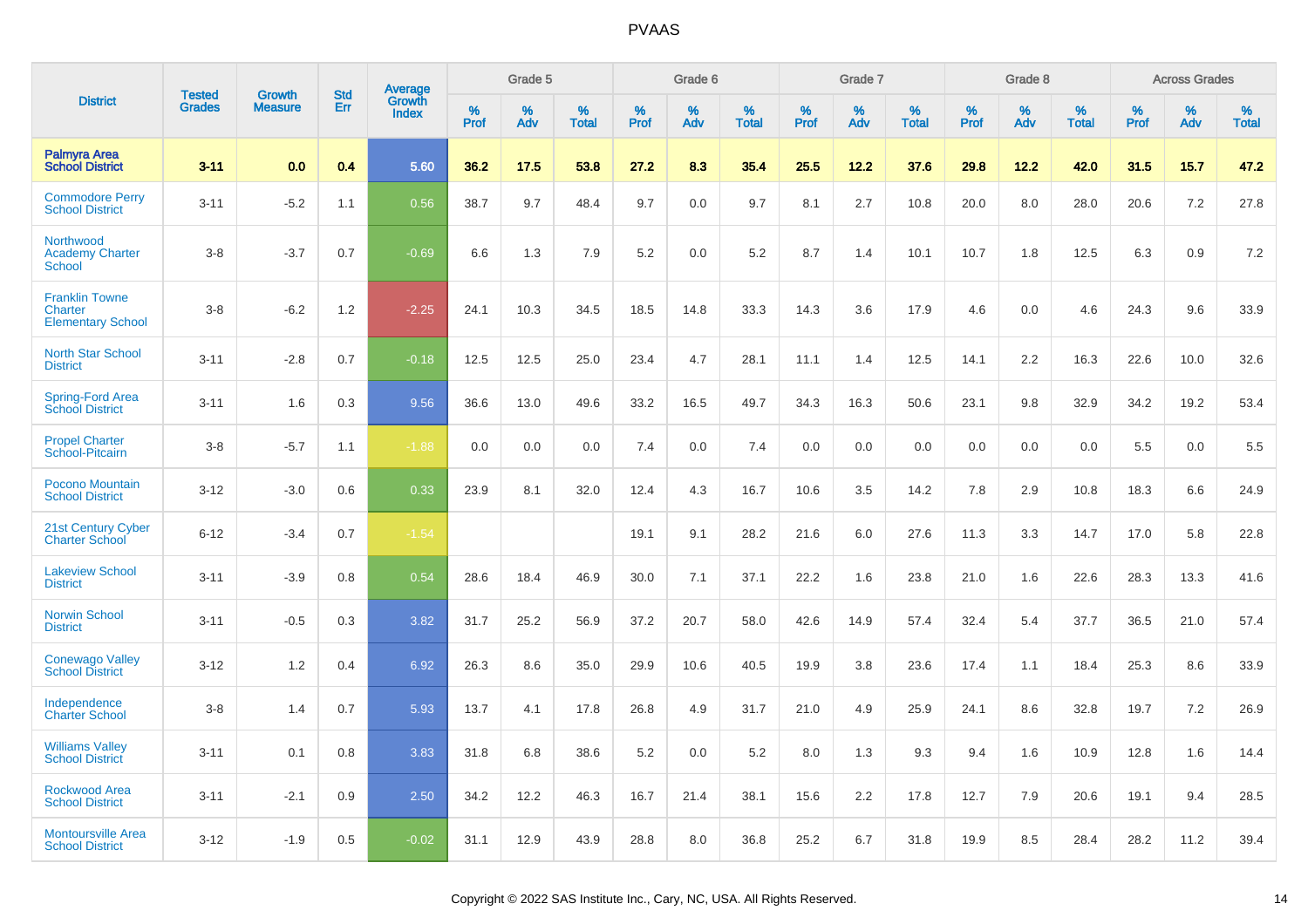|                                                              | <b>Tested</b> |                                 | <b>Std</b> |                                          |              | Grade 5  |                   |              | Grade 6  |                   |              | Grade 7  |                   |              | Grade 8  |                   |              | <b>Across Grades</b> |                   |
|--------------------------------------------------------------|---------------|---------------------------------|------------|------------------------------------------|--------------|----------|-------------------|--------------|----------|-------------------|--------------|----------|-------------------|--------------|----------|-------------------|--------------|----------------------|-------------------|
| <b>District</b>                                              | <b>Grades</b> | <b>Growth</b><br><b>Measure</b> | Err        | <b>Average</b><br>Growth<br><b>Index</b> | $\%$<br>Prof | %<br>Adv | %<br><b>Total</b> | $\%$<br>Prof | %<br>Adv | %<br><b>Total</b> | $\%$<br>Prof | %<br>Adv | %<br><b>Total</b> | $\%$<br>Prof | %<br>Adv | %<br><b>Total</b> | $\%$<br>Prof | %<br>Adv             | %<br><b>Total</b> |
| <b>Palmyra Area</b><br><b>School District</b>                | $3 - 11$      | 0.0                             | 0.4        | 5.60                                     | 36.2         | 17.5     | 53.8              | 27.2         | 8.3      | 35.4              | 25.5         | 12.2     | 37.6              | 29.8         | 12.2     | 42.0              | 31.5         | 15.7                 | 47.2              |
| <b>Commodore Perry</b><br><b>School District</b>             | $3 - 11$      | $-5.2$                          | 1.1        | 0.56                                     | 38.7         | 9.7      | 48.4              | 9.7          | 0.0      | 9.7               | 8.1          | 2.7      | 10.8              | 20.0         | 8.0      | 28.0              | 20.6         | 7.2                  | 27.8              |
| Northwood<br><b>Academy Charter</b><br><b>School</b>         | $3 - 8$       | $-3.7$                          | 0.7        | $-0.69$                                  | 6.6          | 1.3      | 7.9               | 5.2          | 0.0      | 5.2               | 8.7          | 1.4      | 10.1              | 10.7         | 1.8      | 12.5              | 6.3          | 0.9                  | 7.2               |
| <b>Franklin Towne</b><br>Charter<br><b>Elementary School</b> | $3 - 8$       | $-6.2$                          | 1.2        | $-2.25$                                  | 24.1         | 10.3     | 34.5              | 18.5         | 14.8     | 33.3              | 14.3         | 3.6      | 17.9              | 4.6          | 0.0      | 4.6               | 24.3         | 9.6                  | 33.9              |
| <b>North Star School</b><br><b>District</b>                  | $3 - 11$      | $-2.8$                          | 0.7        | $-0.18$                                  | 12.5         | 12.5     | 25.0              | 23.4         | 4.7      | 28.1              | 11.1         | 1.4      | 12.5              | 14.1         | 2.2      | 16.3              | 22.6         | 10.0                 | 32.6              |
| Spring-Ford Area<br><b>School District</b>                   | $3 - 11$      | 1.6                             | 0.3        | 9.56                                     | 36.6         | 13.0     | 49.6              | 33.2         | 16.5     | 49.7              | 34.3         | 16.3     | 50.6              | 23.1         | 9.8      | 32.9              | 34.2         | 19.2                 | 53.4              |
| <b>Propel Charter</b><br>School-Pitcairn                     | $3 - 8$       | $-5.7$                          | 1.1        | $-1.88$                                  | 0.0          | 0.0      | 0.0               | 7.4          | 0.0      | 7.4               | 0.0          | 0.0      | 0.0               | 0.0          | 0.0      | 0.0               | 5.5          | 0.0                  | 5.5               |
| Pocono Mountain<br><b>School District</b>                    | $3 - 12$      | $-3.0$                          | 0.6        | 0.33                                     | 23.9         | 8.1      | 32.0              | 12.4         | 4.3      | 16.7              | 10.6         | 3.5      | 14.2              | 7.8          | 2.9      | 10.8              | 18.3         | 6.6                  | 24.9              |
| 21st Century Cyber<br><b>Charter School</b>                  | $6 - 12$      | $-3.4$                          | 0.7        | $-1.54$                                  |              |          |                   | 19.1         | 9.1      | 28.2              | 21.6         | 6.0      | 27.6              | 11.3         | 3.3      | 14.7              | 17.0         | 5.8                  | 22.8              |
| <b>Lakeview School</b><br><b>District</b>                    | $3 - 11$      | $-3.9$                          | 0.8        | 0.54                                     | 28.6         | 18.4     | 46.9              | 30.0         | 7.1      | 37.1              | 22.2         | 1.6      | 23.8              | 21.0         | 1.6      | 22.6              | 28.3         | 13.3                 | 41.6              |
| <b>Norwin School</b><br><b>District</b>                      | $3 - 11$      | $-0.5$                          | 0.3        | 3.82                                     | 31.7         | 25.2     | 56.9              | 37.2         | 20.7     | 58.0              | 42.6         | 14.9     | 57.4              | 32.4         | 5.4      | 37.7              | 36.5         | 21.0                 | 57.4              |
| <b>Conewago Valley</b><br><b>School District</b>             | $3 - 12$      | 1.2                             | 0.4        | 6.92                                     | 26.3         | 8.6      | 35.0              | 29.9         | 10.6     | 40.5              | 19.9         | 3.8      | 23.6              | 17.4         | 1.1      | 18.4              | 25.3         | 8.6                  | 33.9              |
| Independence<br><b>Charter School</b>                        | $3 - 8$       | 1.4                             | 0.7        | 5.93                                     | 13.7         | 4.1      | 17.8              | 26.8         | 4.9      | 31.7              | 21.0         | 4.9      | 25.9              | 24.1         | 8.6      | 32.8              | 19.7         | 7.2                  | 26.9              |
| <b>Williams Valley</b><br><b>School District</b>             | $3 - 11$      | 0.1                             | 0.8        | 3.83                                     | 31.8         | 6.8      | 38.6              | 5.2          | 0.0      | 5.2               | 8.0          | 1.3      | 9.3               | 9.4          | 1.6      | 10.9              | 12.8         | 1.6                  | 14.4              |
| <b>Rockwood Area</b><br><b>School District</b>               | $3 - 11$      | $-2.1$                          | 0.9        | 2.50                                     | 34.2         | 12.2     | 46.3              | 16.7         | 21.4     | 38.1              | 15.6         | 2.2      | 17.8              | 12.7         | 7.9      | 20.6              | 19.1         | 9.4                  | 28.5              |
| <b>Montoursville Area</b><br><b>School District</b>          | $3 - 12$      | $-1.9$                          | 0.5        | $-0.02$                                  | 31.1         | 12.9     | 43.9              | 28.8         | 8.0      | 36.8              | 25.2         | 6.7      | 31.8              | 19.9         | 8.5      | 28.4              | 28.2         | 11.2                 | 39.4              |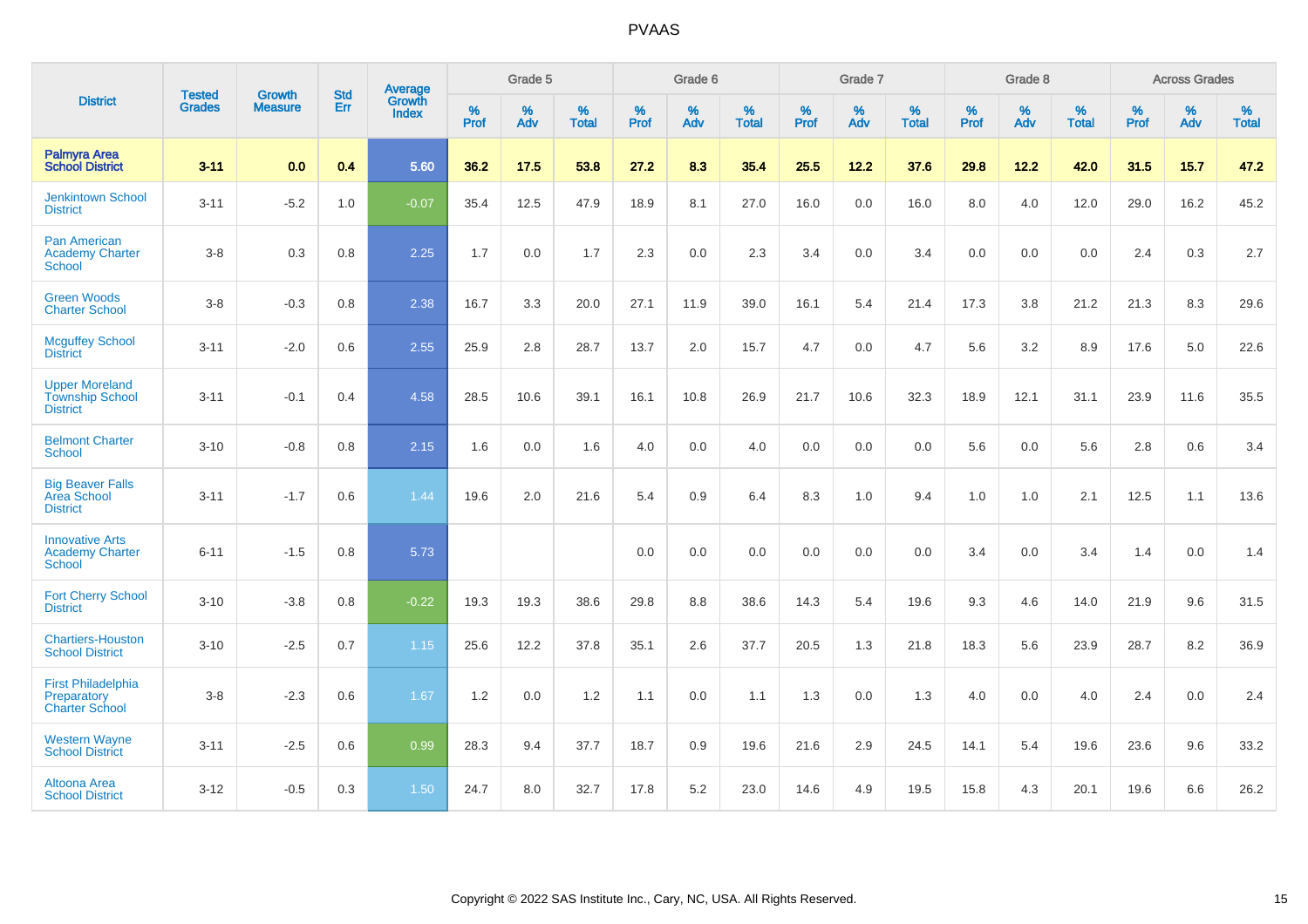|                                                                    | <b>Tested</b> | <b>Growth</b>  | <b>Std</b> | Average                |                     | Grade 5  |                   |              | Grade 6  |                   |                     | Grade 7  |                   |                     | Grade 8  |                   |              | <b>Across Grades</b> |                   |
|--------------------------------------------------------------------|---------------|----------------|------------|------------------------|---------------------|----------|-------------------|--------------|----------|-------------------|---------------------|----------|-------------------|---------------------|----------|-------------------|--------------|----------------------|-------------------|
| <b>District</b>                                                    | <b>Grades</b> | <b>Measure</b> | Err        | Growth<br><b>Index</b> | $\%$<br><b>Prof</b> | %<br>Adv | %<br><b>Total</b> | $\%$<br>Prof | %<br>Adv | %<br><b>Total</b> | $\%$<br><b>Prof</b> | %<br>Adv | %<br><b>Total</b> | $\%$<br><b>Prof</b> | %<br>Adv | %<br><b>Total</b> | $\%$<br>Prof | %<br>Adv             | %<br><b>Total</b> |
| <b>Palmyra Area</b><br><b>School District</b>                      | $3 - 11$      | 0.0            | 0.4        | 5.60                   | 36.2                | 17.5     | 53.8              | 27.2         | 8.3      | 35.4              | 25.5                | 12.2     | 37.6              | 29.8                | 12.2     | 42.0              | 31.5         | 15.7                 | 47.2              |
| <b>Jenkintown School</b><br><b>District</b>                        | $3 - 11$      | $-5.2$         | 1.0        | $-0.07$                | 35.4                | 12.5     | 47.9              | 18.9         | 8.1      | 27.0              | 16.0                | 0.0      | 16.0              | 8.0                 | 4.0      | 12.0              | 29.0         | 16.2                 | 45.2              |
| Pan American<br><b>Academy Charter</b><br><b>School</b>            | $3-8$         | 0.3            | 0.8        | 2.25                   | 1.7                 | 0.0      | 1.7               | 2.3          | 0.0      | 2.3               | 3.4                 | 0.0      | 3.4               | 0.0                 | 0.0      | 0.0               | 2.4          | 0.3                  | 2.7               |
| <b>Green Woods</b><br><b>Charter School</b>                        | $3-8$         | $-0.3$         | 0.8        | 2.38                   | 16.7                | 3.3      | 20.0              | 27.1         | 11.9     | 39.0              | 16.1                | 5.4      | 21.4              | 17.3                | 3.8      | 21.2              | 21.3         | 8.3                  | 29.6              |
| <b>Mcguffey School</b><br><b>District</b>                          | $3 - 11$      | $-2.0$         | 0.6        | 2.55                   | 25.9                | 2.8      | 28.7              | 13.7         | 2.0      | 15.7              | 4.7                 | 0.0      | 4.7               | 5.6                 | 3.2      | 8.9               | 17.6         | 5.0                  | 22.6              |
| <b>Upper Moreland</b><br><b>Township School</b><br><b>District</b> | $3 - 11$      | $-0.1$         | 0.4        | 4.58                   | 28.5                | 10.6     | 39.1              | 16.1         | 10.8     | 26.9              | 21.7                | 10.6     | 32.3              | 18.9                | 12.1     | 31.1              | 23.9         | 11.6                 | 35.5              |
| <b>Belmont Charter</b><br>School                                   | $3 - 10$      | $-0.8$         | 0.8        | 2.15                   | 1.6                 | 0.0      | 1.6               | 4.0          | 0.0      | 4.0               | 0.0                 | 0.0      | 0.0               | 5.6                 | 0.0      | 5.6               | 2.8          | 0.6                  | 3.4               |
| <b>Big Beaver Falls</b><br>Area School<br><b>District</b>          | $3 - 11$      | $-1.7$         | 0.6        | 1.44                   | 19.6                | 2.0      | 21.6              | 5.4          | 0.9      | 6.4               | 8.3                 | 1.0      | 9.4               | 1.0                 | 1.0      | 2.1               | 12.5         | 1.1                  | 13.6              |
| <b>Innovative Arts</b><br><b>Academy Charter</b><br><b>School</b>  | $6 - 11$      | $-1.5$         | 0.8        | 5.73                   |                     |          |                   | 0.0          | 0.0      | 0.0               | 0.0                 | 0.0      | 0.0               | 3.4                 | 0.0      | 3.4               | 1.4          | 0.0                  | 1.4               |
| <b>Fort Cherry School</b><br><b>District</b>                       | $3 - 10$      | $-3.8$         | 0.8        | $-0.22$                | 19.3                | 19.3     | 38.6              | 29.8         | 8.8      | 38.6              | 14.3                | 5.4      | 19.6              | 9.3                 | 4.6      | 14.0              | 21.9         | 9.6                  | 31.5              |
| <b>Chartiers-Houston</b><br><b>School District</b>                 | $3 - 10$      | $-2.5$         | 0.7        | 1.15                   | 25.6                | 12.2     | 37.8              | 35.1         | 2.6      | 37.7              | 20.5                | 1.3      | 21.8              | 18.3                | 5.6      | 23.9              | 28.7         | 8.2                  | 36.9              |
| <b>First Philadelphia</b><br>Preparatory<br><b>Charter School</b>  | $3 - 8$       | $-2.3$         | 0.6        | 1.67                   | 1.2                 | 0.0      | 1.2               | 1.1          | 0.0      | 1.1               | 1.3                 | 0.0      | 1.3               | 4.0                 | 0.0      | 4.0               | 2.4          | 0.0                  | 2.4               |
| <b>Western Wayne</b><br><b>School District</b>                     | $3 - 11$      | $-2.5$         | 0.6        | 0.99                   | 28.3                | 9.4      | 37.7              | 18.7         | 0.9      | 19.6              | 21.6                | 2.9      | 24.5              | 14.1                | 5.4      | 19.6              | 23.6         | 9.6                  | 33.2              |
| Altoona Area<br><b>School District</b>                             | $3 - 12$      | $-0.5$         | 0.3        | 1.50                   | 24.7                | 8.0      | 32.7              | 17.8         | 5.2      | 23.0              | 14.6                | 4.9      | 19.5              | 15.8                | 4.3      | 20.1              | 19.6         | 6.6                  | 26.2              |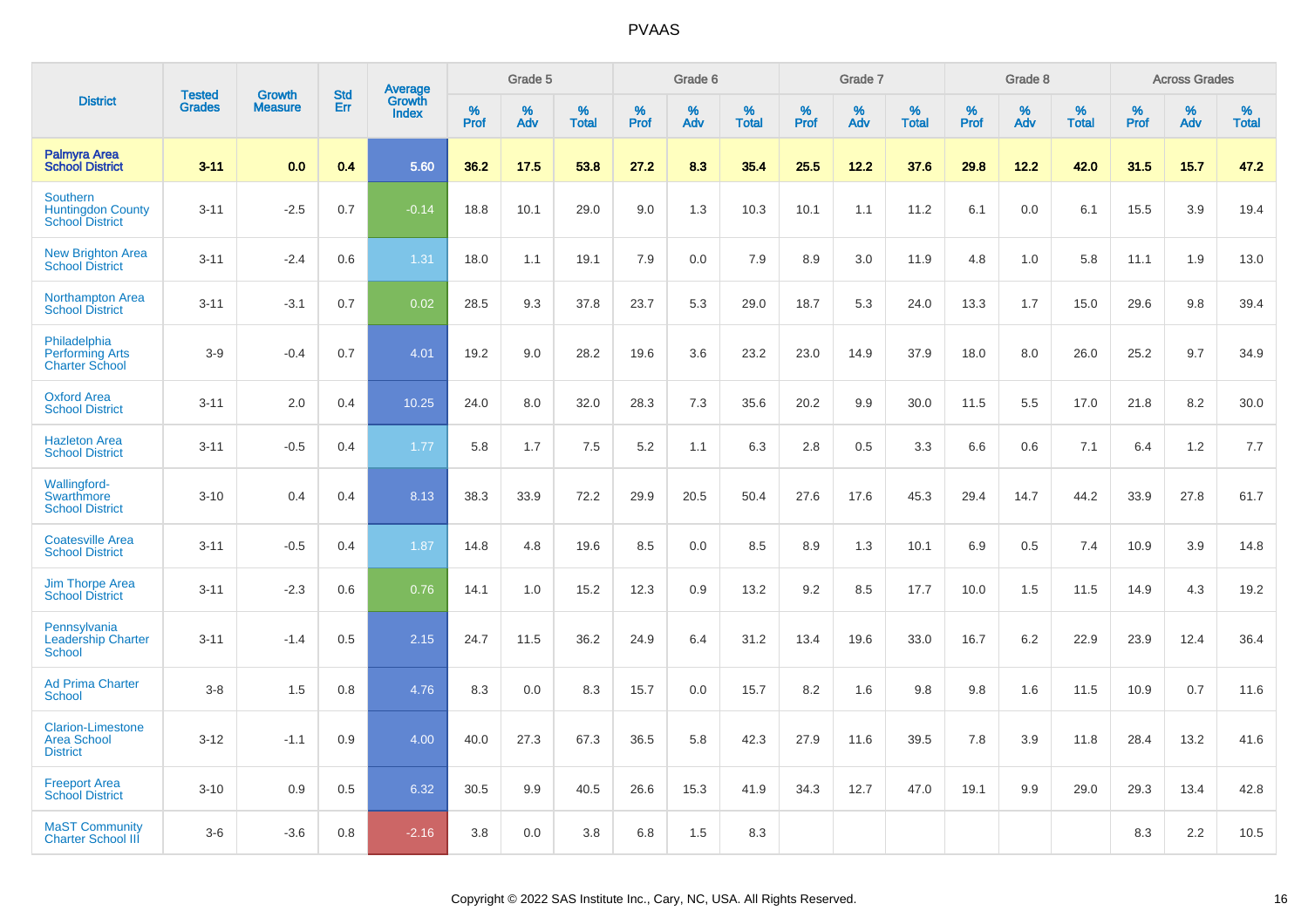|                                                                       | <b>Tested</b> | <b>Growth</b>  | <b>Std</b> | Average                |              | Grade 5  |                   |           | Grade 6  |                   |           | Grade 7  |                   |           | Grade 8  |                   |              | <b>Across Grades</b> |                   |
|-----------------------------------------------------------------------|---------------|----------------|------------|------------------------|--------------|----------|-------------------|-----------|----------|-------------------|-----------|----------|-------------------|-----------|----------|-------------------|--------------|----------------------|-------------------|
| <b>District</b>                                                       | <b>Grades</b> | <b>Measure</b> | Err        | Growth<br><b>Index</b> | $\%$<br>Prof | %<br>Adv | %<br><b>Total</b> | %<br>Prof | %<br>Adv | %<br><b>Total</b> | %<br>Prof | %<br>Adv | %<br><b>Total</b> | %<br>Prof | %<br>Adv | %<br><b>Total</b> | $\%$<br>Prof | $\%$<br>Adv          | %<br><b>Total</b> |
| <b>Palmyra Area</b><br><b>School District</b>                         | $3 - 11$      | 0.0            | 0.4        | 5.60                   | 36.2         | 17.5     | 53.8              | 27.2      | 8.3      | 35.4              | 25.5      | 12.2     | 37.6              | 29.8      | 12.2     | 42.0              | 31.5         | 15.7                 | 47.2              |
| <b>Southern</b><br><b>Huntingdon County</b><br><b>School District</b> | $3 - 11$      | $-2.5$         | 0.7        | $-0.14$                | 18.8         | 10.1     | 29.0              | 9.0       | 1.3      | 10.3              | 10.1      | 1.1      | 11.2              | 6.1       | 0.0      | 6.1               | 15.5         | 3.9                  | 19.4              |
| <b>New Brighton Area</b><br><b>School District</b>                    | $3 - 11$      | $-2.4$         | 0.6        | 1.31                   | 18.0         | 1.1      | 19.1              | 7.9       | 0.0      | 7.9               | 8.9       | 3.0      | 11.9              | 4.8       | 1.0      | 5.8               | 11.1         | 1.9                  | 13.0              |
| <b>Northampton Area</b><br><b>School District</b>                     | $3 - 11$      | $-3.1$         | 0.7        | 0.02                   | 28.5         | 9.3      | 37.8              | 23.7      | 5.3      | 29.0              | 18.7      | 5.3      | 24.0              | 13.3      | 1.7      | 15.0              | 29.6         | 9.8                  | 39.4              |
| Philadelphia<br><b>Performing Arts</b><br><b>Charter School</b>       | $3-9$         | $-0.4$         | 0.7        | 4.01                   | 19.2         | 9.0      | 28.2              | 19.6      | 3.6      | 23.2              | 23.0      | 14.9     | 37.9              | 18.0      | 8.0      | 26.0              | 25.2         | 9.7                  | 34.9              |
| <b>Oxford Area</b><br><b>School District</b>                          | $3 - 11$      | 2.0            | 0.4        | 10.25                  | 24.0         | 8.0      | 32.0              | 28.3      | 7.3      | 35.6              | 20.2      | 9.9      | 30.0              | 11.5      | 5.5      | 17.0              | 21.8         | 8.2                  | 30.0              |
| <b>Hazleton Area</b><br><b>School District</b>                        | $3 - 11$      | $-0.5$         | 0.4        | 1.77                   | 5.8          | 1.7      | 7.5               | 5.2       | 1.1      | 6.3               | 2.8       | 0.5      | 3.3               | 6.6       | 0.6      | 7.1               | 6.4          | 1.2                  | 7.7               |
| Wallingford-<br>Swarthmore<br><b>School District</b>                  | $3 - 10$      | 0.4            | 0.4        | 8.13                   | 38.3         | 33.9     | 72.2              | 29.9      | 20.5     | 50.4              | 27.6      | 17.6     | 45.3              | 29.4      | 14.7     | 44.2              | 33.9         | 27.8                 | 61.7              |
| <b>Coatesville Area</b><br><b>School District</b>                     | $3 - 11$      | $-0.5$         | 0.4        | 1.87                   | 14.8         | 4.8      | 19.6              | 8.5       | 0.0      | 8.5               | 8.9       | 1.3      | 10.1              | 6.9       | 0.5      | 7.4               | 10.9         | 3.9                  | 14.8              |
| <b>Jim Thorpe Area</b><br><b>School District</b>                      | $3 - 11$      | $-2.3$         | 0.6        | 0.76                   | 14.1         | 1.0      | 15.2              | 12.3      | 0.9      | 13.2              | 9.2       | 8.5      | 17.7              | 10.0      | 1.5      | 11.5              | 14.9         | 4.3                  | 19.2              |
| Pennsylvania<br><b>Leadership Charter</b><br><b>School</b>            | $3 - 11$      | $-1.4$         | 0.5        | 2.15                   | 24.7         | 11.5     | 36.2              | 24.9      | 6.4      | 31.2              | 13.4      | 19.6     | 33.0              | 16.7      | 6.2      | 22.9              | 23.9         | 12.4                 | 36.4              |
| <b>Ad Prima Charter</b><br><b>School</b>                              | $3-8$         | 1.5            | 0.8        | 4.76                   | 8.3          | 0.0      | 8.3               | 15.7      | 0.0      | 15.7              | 8.2       | 1.6      | 9.8               | 9.8       | 1.6      | 11.5              | 10.9         | 0.7                  | 11.6              |
| <b>Clarion-Limestone</b><br><b>Area School</b><br><b>District</b>     | $3 - 12$      | $-1.1$         | 0.9        | 4.00                   | 40.0         | 27.3     | 67.3              | 36.5      | 5.8      | 42.3              | 27.9      | 11.6     | 39.5              | 7.8       | 3.9      | 11.8              | 28.4         | 13.2                 | 41.6              |
| <b>Freeport Area</b><br><b>School District</b>                        | $3 - 10$      | 0.9            | 0.5        | 6.32                   | 30.5         | 9.9      | 40.5              | 26.6      | 15.3     | 41.9              | 34.3      | 12.7     | 47.0              | 19.1      | 9.9      | 29.0              | 29.3         | 13.4                 | 42.8              |
| <b>MaST Community</b><br><b>Charter School III</b>                    | $3-6$         | $-3.6$         | 0.8        | $-2.16$                | 3.8          | 0.0      | 3.8               | 6.8       | 1.5      | 8.3               |           |          |                   |           |          |                   | 8.3          | 2.2                  | 10.5              |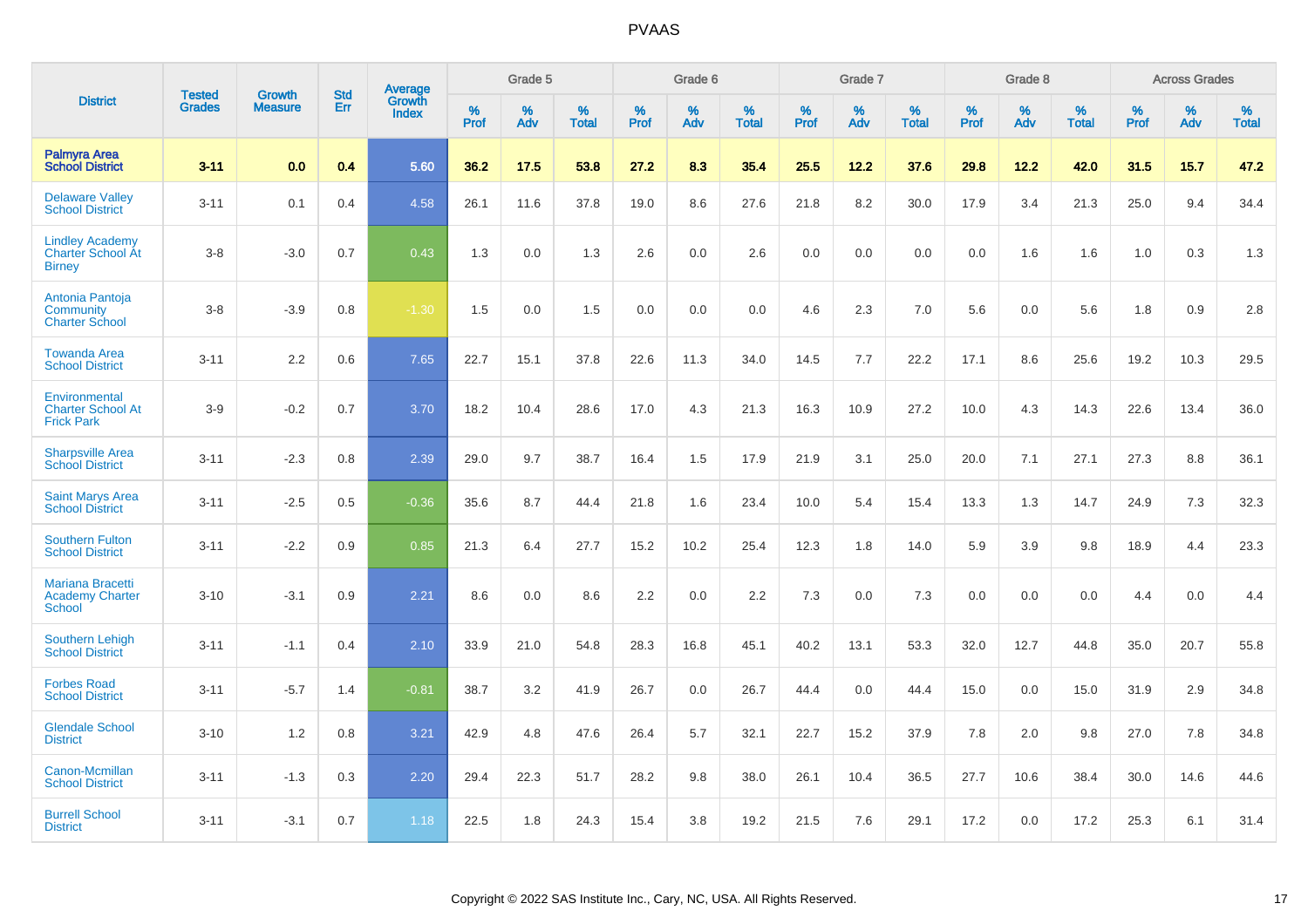|                                                                     |                                | <b>Growth</b>  | <b>Std</b> |                                          |              | Grade 5  |                   |           | Grade 6  |                   |              | Grade 7  |                   |              | Grade 8  |                   |              | <b>Across Grades</b> |                   |
|---------------------------------------------------------------------|--------------------------------|----------------|------------|------------------------------------------|--------------|----------|-------------------|-----------|----------|-------------------|--------------|----------|-------------------|--------------|----------|-------------------|--------------|----------------------|-------------------|
| <b>District</b>                                                     | <b>Tested</b><br><b>Grades</b> | <b>Measure</b> | <b>Err</b> | <b>Average</b><br>Growth<br><b>Index</b> | $\%$<br>Prof | %<br>Adv | %<br><b>Total</b> | %<br>Prof | %<br>Adv | %<br><b>Total</b> | $\%$<br>Prof | %<br>Adv | %<br><b>Total</b> | $\%$<br>Prof | %<br>Adv | %<br><b>Total</b> | $\%$<br>Prof | %<br>Adv             | %<br><b>Total</b> |
| <b>Palmyra Area</b><br><b>School District</b>                       | $3 - 11$                       | 0.0            | 0.4        | 5.60                                     | 36.2         | 17.5     | 53.8              | 27.2      | 8.3      | 35.4              | 25.5         | 12.2     | 37.6              | 29.8         | 12.2     | 42.0              | 31.5         | 15.7                 | 47.2              |
| <b>Delaware Valley</b><br><b>School District</b>                    | $3 - 11$                       | 0.1            | 0.4        | 4.58                                     | 26.1         | 11.6     | 37.8              | 19.0      | 8.6      | 27.6              | 21.8         | 8.2      | 30.0              | 17.9         | 3.4      | 21.3              | 25.0         | 9.4                  | 34.4              |
| <b>Lindley Academy</b><br><b>Charter School At</b><br><b>Birney</b> | $3 - 8$                        | $-3.0$         | 0.7        | 0.43                                     | 1.3          | 0.0      | 1.3               | 2.6       | 0.0      | 2.6               | 0.0          | 0.0      | 0.0               | 0.0          | 1.6      | 1.6               | 1.0          | 0.3                  | 1.3               |
| Antonia Pantoja<br>Community<br><b>Charter School</b>               | $3 - 8$                        | $-3.9$         | 0.8        | $-1.30$                                  | 1.5          | 0.0      | 1.5               | 0.0       | 0.0      | 0.0               | 4.6          | 2.3      | 7.0               | 5.6          | 0.0      | 5.6               | 1.8          | 0.9                  | 2.8               |
| <b>Towanda Area</b><br><b>School District</b>                       | $3 - 11$                       | 2.2            | 0.6        | 7.65                                     | 22.7         | 15.1     | 37.8              | 22.6      | 11.3     | 34.0              | 14.5         | 7.7      | 22.2              | 17.1         | 8.6      | 25.6              | 19.2         | 10.3                 | 29.5              |
| Environmental<br><b>Charter School At</b><br><b>Frick Park</b>      | $3-9$                          | $-0.2$         | 0.7        | 3.70                                     | 18.2         | 10.4     | 28.6              | 17.0      | 4.3      | 21.3              | 16.3         | 10.9     | 27.2              | 10.0         | 4.3      | 14.3              | 22.6         | 13.4                 | 36.0              |
| <b>Sharpsville Area</b><br><b>School District</b>                   | $3 - 11$                       | $-2.3$         | 0.8        | 2.39                                     | 29.0         | 9.7      | 38.7              | 16.4      | 1.5      | 17.9              | 21.9         | 3.1      | 25.0              | 20.0         | 7.1      | 27.1              | 27.3         | 8.8                  | 36.1              |
| <b>Saint Marys Area</b><br><b>School District</b>                   | $3 - 11$                       | $-2.5$         | 0.5        | $-0.36$                                  | 35.6         | 8.7      | 44.4              | 21.8      | 1.6      | 23.4              | 10.0         | 5.4      | 15.4              | 13.3         | 1.3      | 14.7              | 24.9         | 7.3                  | 32.3              |
| <b>Southern Fulton</b><br><b>School District</b>                    | $3 - 11$                       | $-2.2$         | 0.9        | 0.85                                     | 21.3         | 6.4      | 27.7              | 15.2      | 10.2     | 25.4              | 12.3         | 1.8      | 14.0              | 5.9          | 3.9      | 9.8               | 18.9         | 4.4                  | 23.3              |
| <b>Mariana Bracetti</b><br><b>Academy Charter</b><br><b>School</b>  | $3 - 10$                       | $-3.1$         | 0.9        | 2.21                                     | 8.6          | 0.0      | 8.6               | 2.2       | 0.0      | 2.2               | 7.3          | 0.0      | 7.3               | 0.0          | 0.0      | 0.0               | 4.4          | 0.0                  | 4.4               |
| <b>Southern Lehigh</b><br><b>School District</b>                    | $3 - 11$                       | $-1.1$         | 0.4        | 2.10                                     | 33.9         | 21.0     | 54.8              | 28.3      | 16.8     | 45.1              | 40.2         | 13.1     | 53.3              | 32.0         | 12.7     | 44.8              | 35.0         | 20.7                 | 55.8              |
| <b>Forbes Road</b><br><b>School District</b>                        | $3 - 11$                       | $-5.7$         | 1.4        | $-0.81$                                  | 38.7         | 3.2      | 41.9              | 26.7      | 0.0      | 26.7              | 44.4         | 0.0      | 44.4              | 15.0         | 0.0      | 15.0              | 31.9         | 2.9                  | 34.8              |
| <b>Glendale School</b><br><b>District</b>                           | $3 - 10$                       | 1.2            | 0.8        | 3.21                                     | 42.9         | 4.8      | 47.6              | 26.4      | 5.7      | 32.1              | 22.7         | 15.2     | 37.9              | 7.8          | 2.0      | 9.8               | 27.0         | 7.8                  | 34.8              |
| Canon-Mcmillan<br><b>School District</b>                            | $3 - 11$                       | $-1.3$         | 0.3        | 2.20                                     | 29.4         | 22.3     | 51.7              | 28.2      | 9.8      | 38.0              | 26.1         | 10.4     | 36.5              | 27.7         | 10.6     | 38.4              | 30.0         | 14.6                 | 44.6              |
| <b>Burrell School</b><br><b>District</b>                            | $3 - 11$                       | $-3.1$         | 0.7        | 1.18                                     | 22.5         | 1.8      | 24.3              | 15.4      | 3.8      | 19.2              | 21.5         | 7.6      | 29.1              | 17.2         | 0.0      | 17.2              | 25.3         | 6.1                  | 31.4              |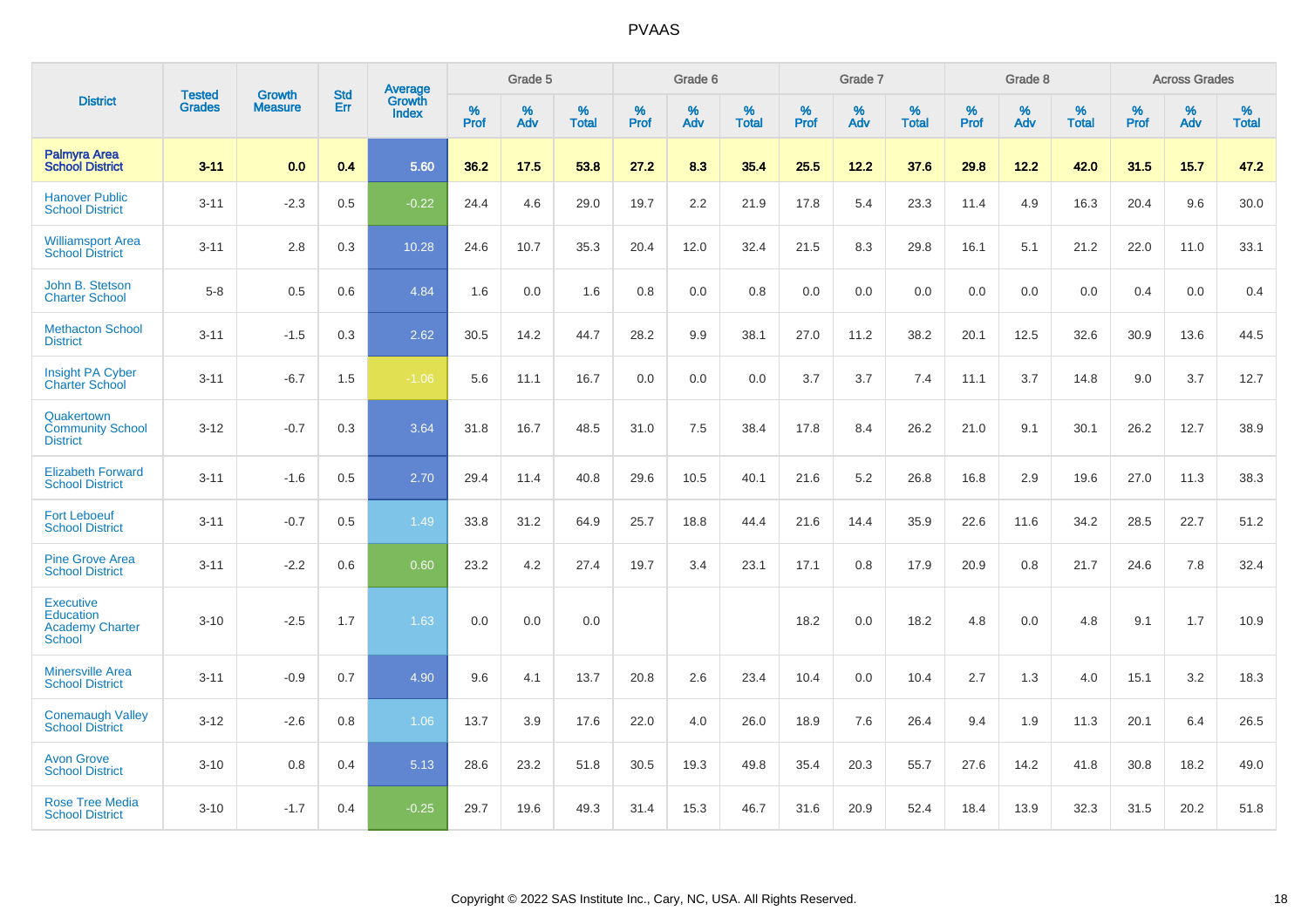|                                                                                 |                                |                                 | <b>Std</b> | Average                       |           | Grade 5  |                   |           | Grade 6  |                   |           | Grade 7  |                   |           | Grade 8  |                   |           | <b>Across Grades</b> |                   |
|---------------------------------------------------------------------------------|--------------------------------|---------------------------------|------------|-------------------------------|-----------|----------|-------------------|-----------|----------|-------------------|-----------|----------|-------------------|-----------|----------|-------------------|-----------|----------------------|-------------------|
| <b>District</b>                                                                 | <b>Tested</b><br><b>Grades</b> | <b>Growth</b><br><b>Measure</b> | Err        | <b>Growth</b><br><b>Index</b> | %<br>Prof | %<br>Adv | %<br><b>Total</b> | %<br>Prof | %<br>Adv | %<br><b>Total</b> | %<br>Prof | %<br>Adv | %<br><b>Total</b> | %<br>Prof | %<br>Adv | %<br><b>Total</b> | %<br>Prof | %<br>Adv             | %<br><b>Total</b> |
| <b>Palmyra Area</b><br><b>School District</b>                                   | $3 - 11$                       | 0.0                             | 0.4        | 5.60                          | 36.2      | 17.5     | 53.8              | 27.2      | 8.3      | 35.4              | 25.5      | 12.2     | 37.6              | 29.8      | 12.2     | 42.0              | 31.5      | 15.7                 | 47.2              |
| <b>Hanover Public</b><br><b>School District</b>                                 | $3 - 11$                       | $-2.3$                          | 0.5        | $-0.22$                       | 24.4      | 4.6      | 29.0              | 19.7      | 2.2      | 21.9              | 17.8      | 5.4      | 23.3              | 11.4      | 4.9      | 16.3              | 20.4      | 9.6                  | 30.0              |
| <b>Williamsport Area</b><br><b>School District</b>                              | $3 - 11$                       | 2.8                             | 0.3        | 10.28                         | 24.6      | 10.7     | 35.3              | 20.4      | 12.0     | 32.4              | 21.5      | 8.3      | 29.8              | 16.1      | 5.1      | 21.2              | 22.0      | 11.0                 | 33.1              |
| John B. Stetson<br><b>Charter School</b>                                        | $5-8$                          | 0.5                             | 0.6        | 4.84                          | 1.6       | 0.0      | 1.6               | 0.8       | 0.0      | 0.8               | 0.0       | 0.0      | 0.0               | 0.0       | 0.0      | 0.0               | 0.4       | 0.0                  | 0.4               |
| <b>Methacton School</b><br><b>District</b>                                      | $3 - 11$                       | $-1.5$                          | 0.3        | 2.62                          | 30.5      | 14.2     | 44.7              | 28.2      | 9.9      | 38.1              | 27.0      | 11.2     | 38.2              | 20.1      | 12.5     | 32.6              | 30.9      | 13.6                 | 44.5              |
| <b>Insight PA Cyber</b><br>Charter School                                       | $3 - 11$                       | $-6.7$                          | 1.5        | $-1.06$                       | 5.6       | 11.1     | 16.7              | 0.0       | 0.0      | 0.0               | 3.7       | 3.7      | 7.4               | 11.1      | 3.7      | 14.8              | 9.0       | 3.7                  | 12.7              |
| Quakertown<br><b>Community School</b><br><b>District</b>                        | $3 - 12$                       | $-0.7$                          | 0.3        | 3.64                          | 31.8      | 16.7     | 48.5              | 31.0      | $7.5\,$  | 38.4              | 17.8      | 8.4      | 26.2              | 21.0      | 9.1      | 30.1              | 26.2      | 12.7                 | 38.9              |
| <b>Elizabeth Forward</b><br><b>School District</b>                              | $3 - 11$                       | $-1.6$                          | 0.5        | 2.70                          | 29.4      | 11.4     | 40.8              | 29.6      | 10.5     | 40.1              | 21.6      | 5.2      | 26.8              | 16.8      | 2.9      | 19.6              | 27.0      | 11.3                 | 38.3              |
| <b>Fort Leboeuf</b><br><b>School District</b>                                   | $3 - 11$                       | $-0.7$                          | 0.5        | 1.49                          | 33.8      | 31.2     | 64.9              | 25.7      | 18.8     | 44.4              | 21.6      | 14.4     | 35.9              | 22.6      | 11.6     | 34.2              | 28.5      | 22.7                 | 51.2              |
| <b>Pine Grove Area</b><br><b>School District</b>                                | $3 - 11$                       | $-2.2$                          | 0.6        | 0.60                          | 23.2      | 4.2      | 27.4              | 19.7      | 3.4      | 23.1              | 17.1      | 0.8      | 17.9              | 20.9      | 0.8      | 21.7              | 24.6      | 7.8                  | 32.4              |
| <b>Executive</b><br><b>Education</b><br><b>Academy Charter</b><br><b>School</b> | $3 - 10$                       | $-2.5$                          | 1.7        | 1.63                          | 0.0       | 0.0      | 0.0               |           |          |                   | 18.2      | 0.0      | 18.2              | 4.8       | 0.0      | 4.8               | 9.1       | 1.7                  | 10.9              |
| <b>Minersville Area</b><br><b>School District</b>                               | $3 - 11$                       | $-0.9$                          | 0.7        | 4.90                          | 9.6       | 4.1      | 13.7              | 20.8      | 2.6      | 23.4              | 10.4      | 0.0      | 10.4              | 2.7       | 1.3      | 4.0               | 15.1      | 3.2                  | 18.3              |
| <b>Conemaugh Valley</b><br><b>School District</b>                               | $3 - 12$                       | $-2.6$                          | 0.8        | 1.06                          | 13.7      | 3.9      | 17.6              | 22.0      | 4.0      | 26.0              | 18.9      | 7.6      | 26.4              | 9.4       | 1.9      | 11.3              | 20.1      | 6.4                  | 26.5              |
| <b>Avon Grove</b><br><b>School District</b>                                     | $3 - 10$                       | 0.8                             | 0.4        | 5.13                          | 28.6      | 23.2     | 51.8              | 30.5      | 19.3     | 49.8              | 35.4      | 20.3     | 55.7              | 27.6      | 14.2     | 41.8              | 30.8      | 18.2                 | 49.0              |
| <b>Rose Tree Media</b><br><b>School District</b>                                | $3 - 10$                       | $-1.7$                          | 0.4        | $-0.25$                       | 29.7      | 19.6     | 49.3              | 31.4      | 15.3     | 46.7              | 31.6      | 20.9     | 52.4              | 18.4      | 13.9     | 32.3              | 31.5      | 20.2                 | 51.8              |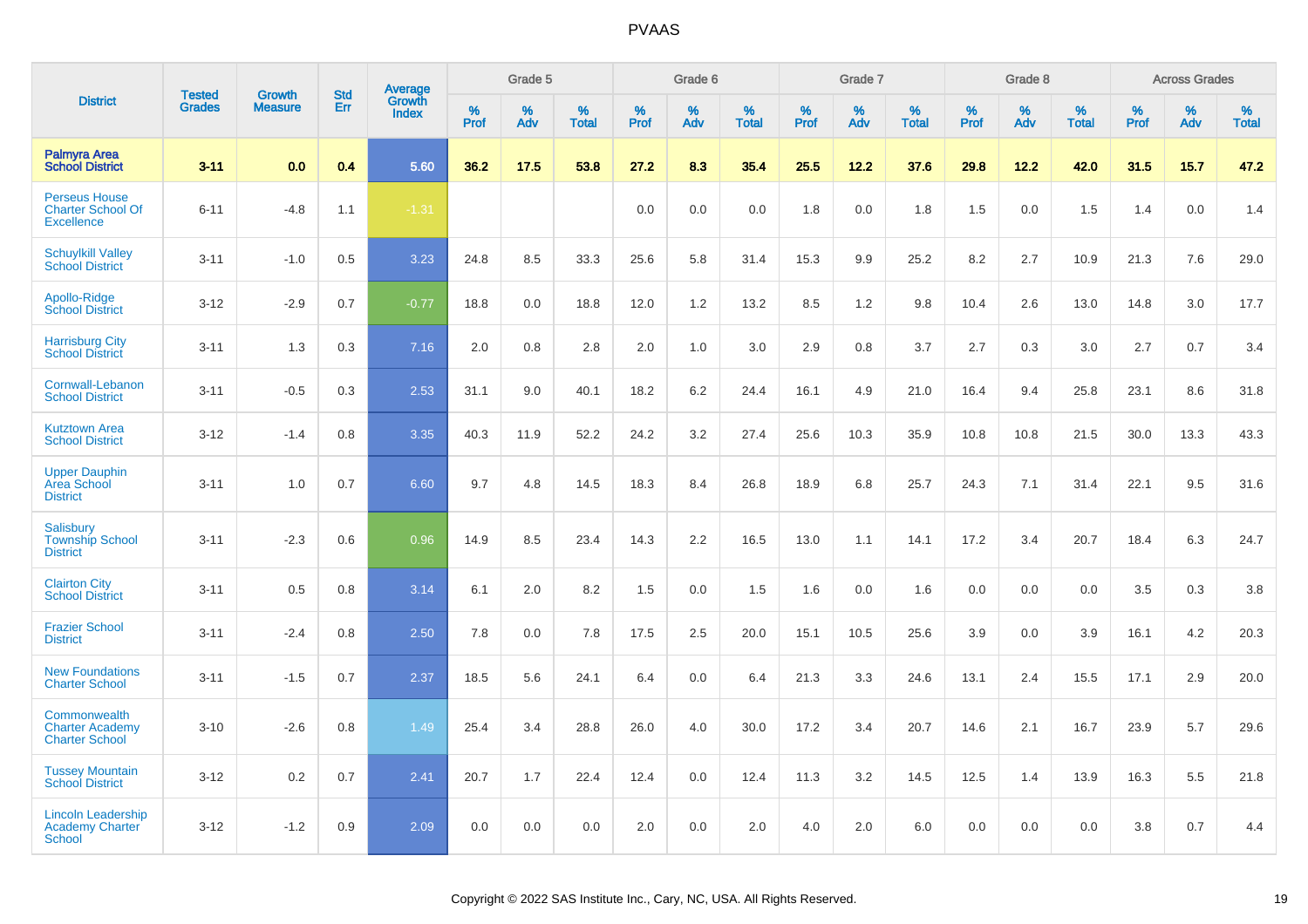|                                                                       |                                | <b>Growth</b>  | <b>Std</b> | Average                |                  | Grade 5  |                   |                  | Grade 6  |                   |                  | Grade 7  |                   |           | Grade 8  |                   |                  | <b>Across Grades</b> |                   |
|-----------------------------------------------------------------------|--------------------------------|----------------|------------|------------------------|------------------|----------|-------------------|------------------|----------|-------------------|------------------|----------|-------------------|-----------|----------|-------------------|------------------|----------------------|-------------------|
| <b>District</b>                                                       | <b>Tested</b><br><b>Grades</b> | <b>Measure</b> | Err        | Growth<br><b>Index</b> | %<br><b>Prof</b> | %<br>Adv | %<br><b>Total</b> | %<br><b>Prof</b> | %<br>Adv | %<br><b>Total</b> | %<br><b>Prof</b> | %<br>Adv | %<br><b>Total</b> | %<br>Prof | %<br>Adv | %<br><b>Total</b> | %<br><b>Prof</b> | %<br>Adv             | %<br><b>Total</b> |
| <b>Palmyra Area</b><br><b>School District</b>                         | $3 - 11$                       | 0.0            | 0.4        | 5.60                   | 36.2             | 17.5     | 53.8              | 27.2             | 8.3      | 35.4              | 25.5             | 12.2     | 37.6              | 29.8      | 12.2     | 42.0              | 31.5             | 15.7                 | 47.2              |
| <b>Perseus House</b><br><b>Charter School Of</b><br><b>Excellence</b> | $6 - 11$                       | $-4.8$         | 1.1        | $-1.31$                |                  |          |                   | 0.0              | 0.0      | 0.0               | 1.8              | 0.0      | 1.8               | 1.5       | 0.0      | 1.5               | 1.4              | 0.0                  | 1.4               |
| <b>Schuylkill Valley</b><br><b>School District</b>                    | $3 - 11$                       | $-1.0$         | 0.5        | 3.23                   | 24.8             | 8.5      | 33.3              | 25.6             | 5.8      | 31.4              | 15.3             | 9.9      | 25.2              | 8.2       | 2.7      | 10.9              | 21.3             | 7.6                  | 29.0              |
| Apollo-Ridge<br><b>School District</b>                                | $3-12$                         | $-2.9$         | 0.7        | $-0.77$                | 18.8             | 0.0      | 18.8              | 12.0             | 1.2      | 13.2              | 8.5              | 1.2      | 9.8               | 10.4      | 2.6      | 13.0              | 14.8             | 3.0                  | 17.7              |
| <b>Harrisburg City</b><br><b>School District</b>                      | $3 - 11$                       | 1.3            | 0.3        | 7.16                   | 2.0              | 0.8      | 2.8               | 2.0              | 1.0      | 3.0               | 2.9              | 0.8      | 3.7               | 2.7       | 0.3      | 3.0               | 2.7              | 0.7                  | 3.4               |
| Cornwall-Lebanon<br><b>School District</b>                            | $3 - 11$                       | $-0.5$         | 0.3        | 2.53                   | 31.1             | 9.0      | 40.1              | 18.2             | 6.2      | 24.4              | 16.1             | 4.9      | 21.0              | 16.4      | 9.4      | 25.8              | 23.1             | 8.6                  | 31.8              |
| <b>Kutztown Area</b><br><b>School District</b>                        | $3 - 12$                       | $-1.4$         | 0.8        | 3.35                   | 40.3             | 11.9     | 52.2              | 24.2             | 3.2      | 27.4              | 25.6             | 10.3     | 35.9              | 10.8      | 10.8     | 21.5              | 30.0             | 13.3                 | 43.3              |
| <b>Upper Dauphin</b><br><b>Area School</b><br><b>District</b>         | $3 - 11$                       | 1.0            | 0.7        | 6.60                   | 9.7              | 4.8      | 14.5              | 18.3             | 8.4      | 26.8              | 18.9             | 6.8      | 25.7              | 24.3      | 7.1      | 31.4              | 22.1             | 9.5                  | 31.6              |
| Salisbury<br><b>Township School</b><br><b>District</b>                | $3 - 11$                       | $-2.3$         | 0.6        | 0.96                   | 14.9             | 8.5      | 23.4              | 14.3             | 2.2      | 16.5              | 13.0             | 1.1      | 14.1              | 17.2      | 3.4      | 20.7              | 18.4             | 6.3                  | 24.7              |
| <b>Clairton City</b><br><b>School District</b>                        | $3 - 11$                       | 0.5            | 0.8        | 3.14                   | 6.1              | 2.0      | 8.2               | 1.5              | 0.0      | 1.5               | 1.6              | 0.0      | 1.6               | 0.0       | 0.0      | 0.0               | 3.5              | 0.3                  | 3.8               |
| <b>Frazier School</b><br><b>District</b>                              | $3 - 11$                       | $-2.4$         | 0.8        | 2.50                   | 7.8              | 0.0      | 7.8               | 17.5             | 2.5      | 20.0              | 15.1             | 10.5     | 25.6              | 3.9       | 0.0      | 3.9               | 16.1             | 4.2                  | 20.3              |
| <b>New Foundations</b><br><b>Charter School</b>                       | $3 - 11$                       | $-1.5$         | 0.7        | 2.37                   | 18.5             | 5.6      | 24.1              | 6.4              | 0.0      | 6.4               | 21.3             | 3.3      | 24.6              | 13.1      | 2.4      | 15.5              | 17.1             | 2.9                  | 20.0              |
| Commonwealth<br><b>Charter Academy</b><br><b>Charter School</b>       | $3 - 10$                       | $-2.6$         | 0.8        | 1.49                   | 25.4             | 3.4      | 28.8              | 26.0             | 4.0      | 30.0              | 17.2             | 3.4      | 20.7              | 14.6      | 2.1      | 16.7              | 23.9             | 5.7                  | 29.6              |
| <b>Tussey Mountain</b><br><b>School District</b>                      | $3 - 12$                       | 0.2            | 0.7        | 2.41                   | 20.7             | 1.7      | 22.4              | 12.4             | 0.0      | 12.4              | 11.3             | 3.2      | 14.5              | 12.5      | 1.4      | 13.9              | 16.3             | 5.5                  | 21.8              |
| <b>Lincoln Leadership</b><br><b>Academy Charter</b><br>School         | $3 - 12$                       | $-1.2$         | 0.9        | 2.09                   | 0.0              | 0.0      | 0.0               | 2.0              | 0.0      | 2.0               | 4.0              | 2.0      | 6.0               | 0.0       | 0.0      | 0.0               | 3.8              | 0.7                  | 4.4               |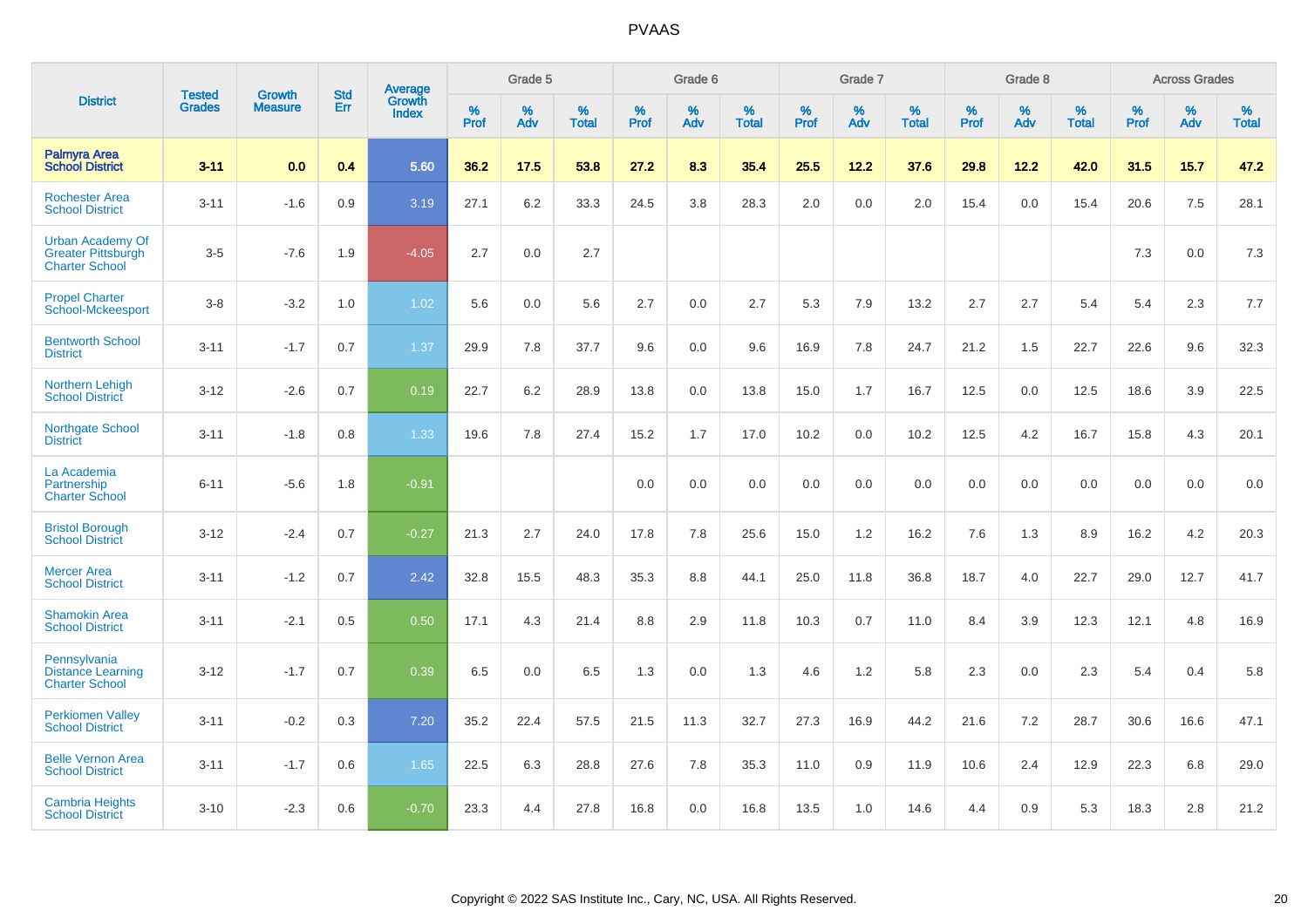|                                                                               | <b>Tested</b> | <b>Growth</b>  | <b>Std</b> | <b>Average</b>         |           | Grade 5  |                   |           | Grade 6  |                   |           | Grade 7  |                   |           | Grade 8  |                   |           | <b>Across Grades</b> |                   |
|-------------------------------------------------------------------------------|---------------|----------------|------------|------------------------|-----------|----------|-------------------|-----------|----------|-------------------|-----------|----------|-------------------|-----------|----------|-------------------|-----------|----------------------|-------------------|
| <b>District</b>                                                               | <b>Grades</b> | <b>Measure</b> | Err        | Growth<br><b>Index</b> | %<br>Prof | %<br>Adv | %<br><b>Total</b> | %<br>Prof | %<br>Adv | %<br><b>Total</b> | %<br>Prof | %<br>Adv | %<br><b>Total</b> | %<br>Prof | %<br>Adv | %<br><b>Total</b> | %<br>Prof | %<br>Adv             | %<br><b>Total</b> |
| <b>Palmyra Area</b><br><b>School District</b>                                 | $3 - 11$      | 0.0            | 0.4        | 5.60                   | 36.2      | 17.5     | 53.8              | 27.2      | 8.3      | 35.4              | 25.5      | 12.2     | 37.6              | 29.8      | 12.2     | 42.0              | 31.5      | 15.7                 | 47.2              |
| <b>Rochester Area</b><br><b>School District</b>                               | $3 - 11$      | $-1.6$         | 0.9        | 3.19                   | 27.1      | $6.2\,$  | 33.3              | 24.5      | 3.8      | 28.3              | 2.0       | 0.0      | 2.0               | 15.4      | 0.0      | 15.4              | 20.6      | 7.5                  | 28.1              |
| <b>Urban Academy Of</b><br><b>Greater Pittsburgh</b><br><b>Charter School</b> | $3-5$         | $-7.6$         | 1.9        | $-4.05$                | 2.7       | 0.0      | 2.7               |           |          |                   |           |          |                   |           |          |                   | 7.3       | 0.0                  | $7.3$             |
| <b>Propel Charter</b><br>School-Mckeesport                                    | $3-8$         | $-3.2$         | 1.0        | 1.02                   | 5.6       | 0.0      | 5.6               | 2.7       | 0.0      | 2.7               | 5.3       | 7.9      | 13.2              | 2.7       | 2.7      | 5.4               | 5.4       | 2.3                  | 7.7               |
| <b>Bentworth School</b><br><b>District</b>                                    | $3 - 11$      | $-1.7$         | 0.7        | 1.37                   | 29.9      | 7.8      | 37.7              | 9.6       | 0.0      | 9.6               | 16.9      | 7.8      | 24.7              | 21.2      | 1.5      | 22.7              | 22.6      | 9.6                  | 32.3              |
| <b>Northern Lehigh</b><br><b>School District</b>                              | $3 - 12$      | $-2.6$         | 0.7        | 0.19                   | 22.7      | 6.2      | 28.9              | 13.8      | 0.0      | 13.8              | 15.0      | 1.7      | 16.7              | 12.5      | 0.0      | 12.5              | 18.6      | 3.9                  | 22.5              |
| <b>Northgate School</b><br><b>District</b>                                    | $3 - 11$      | $-1.8$         | 0.8        | 1.33                   | 19.6      | 7.8      | 27.4              | 15.2      | 1.7      | 17.0              | 10.2      | 0.0      | 10.2              | 12.5      | 4.2      | 16.7              | 15.8      | 4.3                  | 20.1              |
| La Academia<br>Partnership<br><b>Charter School</b>                           | $6 - 11$      | $-5.6$         | 1.8        | $-0.91$                |           |          |                   | 0.0       | 0.0      | 0.0               | 0.0       | 0.0      | 0.0               | 0.0       | 0.0      | 0.0               | 0.0       | 0.0                  | 0.0               |
| <b>Bristol Borough</b><br><b>School District</b>                              | $3 - 12$      | $-2.4$         | 0.7        | $-0.27$                | 21.3      | 2.7      | 24.0              | 17.8      | 7.8      | 25.6              | 15.0      | 1.2      | 16.2              | 7.6       | 1.3      | 8.9               | 16.2      | 4.2                  | 20.3              |
| <b>Mercer Area</b><br><b>School District</b>                                  | $3 - 11$      | $-1.2$         | 0.7        | 2.42                   | 32.8      | 15.5     | 48.3              | 35.3      | 8.8      | 44.1              | 25.0      | 11.8     | 36.8              | 18.7      | 4.0      | 22.7              | 29.0      | 12.7                 | 41.7              |
| <b>Shamokin Area</b><br><b>School District</b>                                | $3 - 11$      | $-2.1$         | 0.5        | 0.50                   | 17.1      | 4.3      | 21.4              | 8.8       | 2.9      | 11.8              | 10.3      | 0.7      | 11.0              | 8.4       | 3.9      | 12.3              | 12.1      | 4.8                  | 16.9              |
| Pennsylvania<br><b>Distance Learning</b><br><b>Charter School</b>             | $3 - 12$      | $-1.7$         | 0.7        | 0.39                   | 6.5       | 0.0      | 6.5               | 1.3       | 0.0      | 1.3               | 4.6       | 1.2      | 5.8               | 2.3       | 0.0      | 2.3               | 5.4       | 0.4                  | 5.8               |
| <b>Perkiomen Valley</b><br><b>School District</b>                             | $3 - 11$      | $-0.2$         | 0.3        | 7.20                   | 35.2      | 22.4     | 57.5              | 21.5      | 11.3     | 32.7              | 27.3      | 16.9     | 44.2              | 21.6      | 7.2      | 28.7              | 30.6      | 16.6                 | 47.1              |
| <b>Belle Vernon Area</b><br><b>School District</b>                            | $3 - 11$      | $-1.7$         | 0.6        | 1.65                   | 22.5      | 6.3      | 28.8              | 27.6      | 7.8      | 35.3              | 11.0      | 0.9      | 11.9              | 10.6      | 2.4      | 12.9              | 22.3      | 6.8                  | 29.0              |
| <b>Cambria Heights</b><br><b>School District</b>                              | $3 - 10$      | $-2.3$         | 0.6        | $-0.70$                | 23.3      | 4.4      | 27.8              | 16.8      | 0.0      | 16.8              | 13.5      | 1.0      | 14.6              | 4.4       | 0.9      | 5.3               | 18.3      | 2.8                  | 21.2              |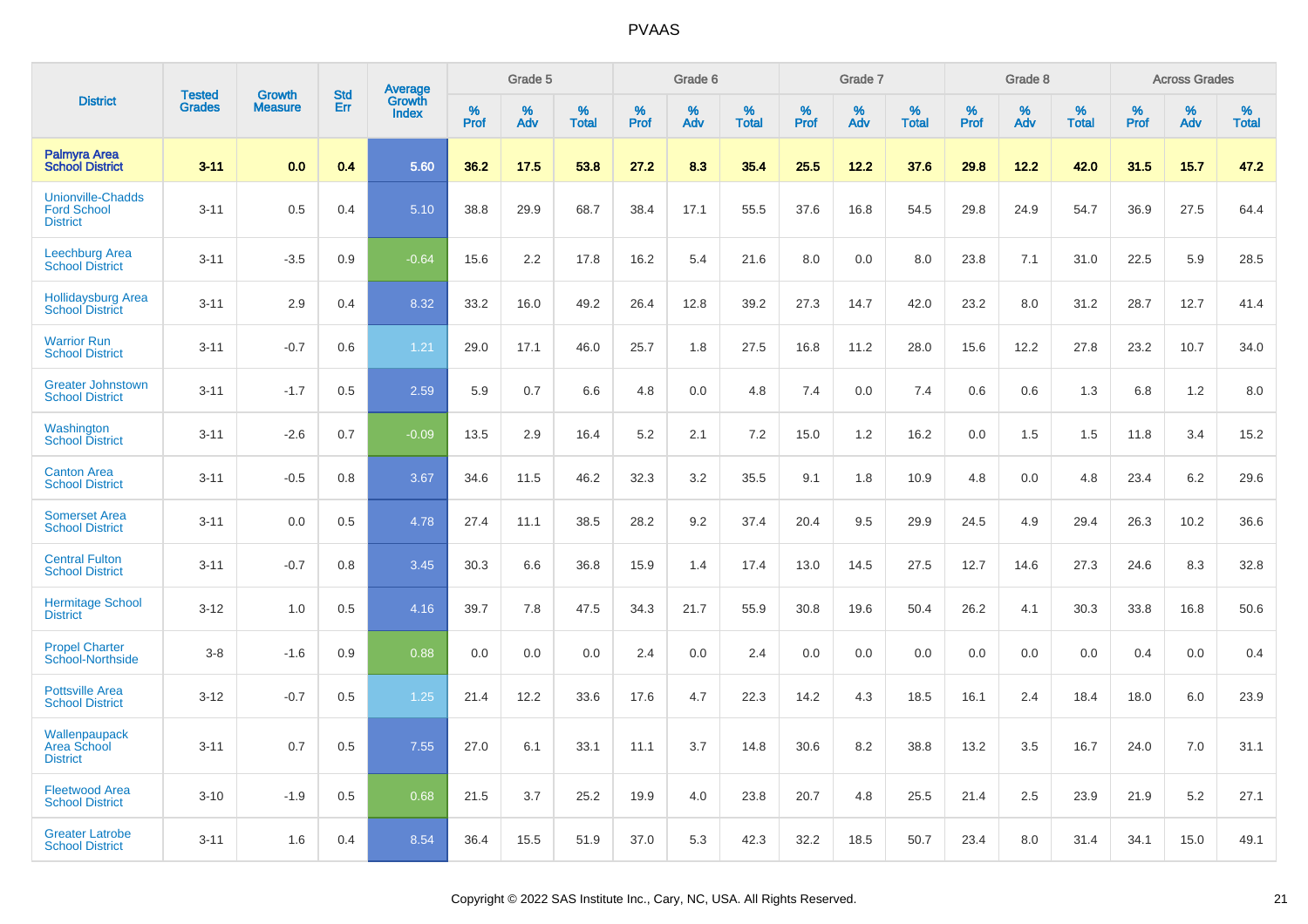|                                                                   | <b>Tested</b> |                                 | <b>Std</b> | Average                |              | Grade 5  |                   |              | Grade 6  |                   |              | Grade 7  |                   |              | Grade 8  |                   |              | <b>Across Grades</b> |                   |
|-------------------------------------------------------------------|---------------|---------------------------------|------------|------------------------|--------------|----------|-------------------|--------------|----------|-------------------|--------------|----------|-------------------|--------------|----------|-------------------|--------------|----------------------|-------------------|
| <b>District</b>                                                   | <b>Grades</b> | <b>Growth</b><br><b>Measure</b> | Err        | Growth<br><b>Index</b> | $\%$<br>Prof | %<br>Adv | %<br><b>Total</b> | $\%$<br>Prof | %<br>Adv | %<br><b>Total</b> | $\%$<br>Prof | %<br>Adv | %<br><b>Total</b> | $\%$<br>Prof | %<br>Adv | %<br><b>Total</b> | $\%$<br>Prof | %<br>Adv             | %<br><b>Total</b> |
| <b>Palmyra Area</b><br><b>School District</b>                     | $3 - 11$      | 0.0                             | 0.4        | 5.60                   | 36.2         | 17.5     | 53.8              | 27.2         | 8.3      | 35.4              | 25.5         | 12.2     | 37.6              | 29.8         | 12.2     | 42.0              | 31.5         | 15.7                 | 47.2              |
| <b>Unionville-Chadds</b><br><b>Ford School</b><br><b>District</b> | $3 - 11$      | 0.5                             | 0.4        | 5.10                   | 38.8         | 29.9     | 68.7              | 38.4         | 17.1     | 55.5              | 37.6         | 16.8     | 54.5              | 29.8         | 24.9     | 54.7              | 36.9         | 27.5                 | 64.4              |
| <b>Leechburg Area</b><br><b>School District</b>                   | $3 - 11$      | $-3.5$                          | 0.9        | $-0.64$                | 15.6         | 2.2      | 17.8              | 16.2         | 5.4      | 21.6              | 8.0          | 0.0      | 8.0               | 23.8         | 7.1      | 31.0              | 22.5         | 5.9                  | 28.5              |
| <b>Hollidaysburg Area</b><br><b>School District</b>               | $3 - 11$      | 2.9                             | 0.4        | 8.32                   | 33.2         | 16.0     | 49.2              | 26.4         | 12.8     | 39.2              | 27.3         | 14.7     | 42.0              | 23.2         | 8.0      | 31.2              | 28.7         | 12.7                 | 41.4              |
| <b>Warrior Run</b><br><b>School District</b>                      | $3 - 11$      | $-0.7$                          | 0.6        | 1.21                   | 29.0         | 17.1     | 46.0              | 25.7         | 1.8      | 27.5              | 16.8         | 11.2     | 28.0              | 15.6         | 12.2     | 27.8              | 23.2         | 10.7                 | 34.0              |
| <b>Greater Johnstown</b><br><b>School District</b>                | $3 - 11$      | $-1.7$                          | 0.5        | 2.59                   | 5.9          | 0.7      | 6.6               | 4.8          | 0.0      | 4.8               | 7.4          | 0.0      | 7.4               | 0.6          | 0.6      | 1.3               | 6.8          | 1.2                  | 8.0               |
| Washington<br><b>School District</b>                              | $3 - 11$      | $-2.6$                          | 0.7        | $-0.09$                | 13.5         | 2.9      | 16.4              | 5.2          | 2.1      | 7.2               | 15.0         | 1.2      | 16.2              | 0.0          | 1.5      | 1.5               | 11.8         | 3.4                  | 15.2              |
| <b>Canton Area</b><br><b>School District</b>                      | $3 - 11$      | $-0.5$                          | 0.8        | 3.67                   | 34.6         | 11.5     | 46.2              | 32.3         | 3.2      | 35.5              | 9.1          | 1.8      | 10.9              | 4.8          | 0.0      | 4.8               | 23.4         | 6.2                  | 29.6              |
| <b>Somerset Area</b><br><b>School District</b>                    | $3 - 11$      | 0.0                             | 0.5        | 4.78                   | 27.4         | 11.1     | 38.5              | 28.2         | 9.2      | 37.4              | 20.4         | 9.5      | 29.9              | 24.5         | 4.9      | 29.4              | 26.3         | 10.2                 | 36.6              |
| <b>Central Fulton</b><br><b>School District</b>                   | $3 - 11$      | $-0.7$                          | 0.8        | 3.45                   | 30.3         | 6.6      | 36.8              | 15.9         | 1.4      | 17.4              | 13.0         | 14.5     | 27.5              | 12.7         | 14.6     | 27.3              | 24.6         | 8.3                  | 32.8              |
| <b>Hermitage School</b><br><b>District</b>                        | $3 - 12$      | 1.0                             | 0.5        | 4.16                   | 39.7         | 7.8      | 47.5              | 34.3         | 21.7     | 55.9              | 30.8         | 19.6     | 50.4              | 26.2         | 4.1      | 30.3              | 33.8         | 16.8                 | 50.6              |
| <b>Propel Charter</b><br><b>School-Northside</b>                  | $3 - 8$       | $-1.6$                          | 0.9        | 0.88                   | 0.0          | 0.0      | 0.0               | 2.4          | 0.0      | 2.4               | 0.0          | 0.0      | 0.0               | 0.0          | 0.0      | 0.0               | 0.4          | 0.0                  | 0.4               |
| <b>Pottsville Area</b><br><b>School District</b>                  | $3 - 12$      | $-0.7$                          | 0.5        | 1.25                   | 21.4         | 12.2     | 33.6              | 17.6         | 4.7      | 22.3              | 14.2         | 4.3      | 18.5              | 16.1         | 2.4      | 18.4              | 18.0         | 6.0                  | 23.9              |
| Wallenpaupack<br><b>Area School</b><br><b>District</b>            | $3 - 11$      | 0.7                             | 0.5        | 7.55                   | 27.0         | 6.1      | 33.1              | 11.1         | 3.7      | 14.8              | 30.6         | 8.2      | 38.8              | 13.2         | 3.5      | 16.7              | 24.0         | 7.0                  | 31.1              |
| <b>Fleetwood Area</b><br><b>School District</b>                   | $3 - 10$      | $-1.9$                          | 0.5        | 0.68                   | 21.5         | 3.7      | 25.2              | 19.9         | 4.0      | 23.8              | 20.7         | 4.8      | 25.5              | 21.4         | 2.5      | 23.9              | 21.9         | 5.2                  | 27.1              |
| <b>Greater Latrobe</b><br><b>School District</b>                  | $3 - 11$      | 1.6                             | 0.4        | 8.54                   | 36.4         | 15.5     | 51.9              | 37.0         | 5.3      | 42.3              | 32.2         | 18.5     | 50.7              | 23.4         | 8.0      | 31.4              | 34.1         | 15.0                 | 49.1              |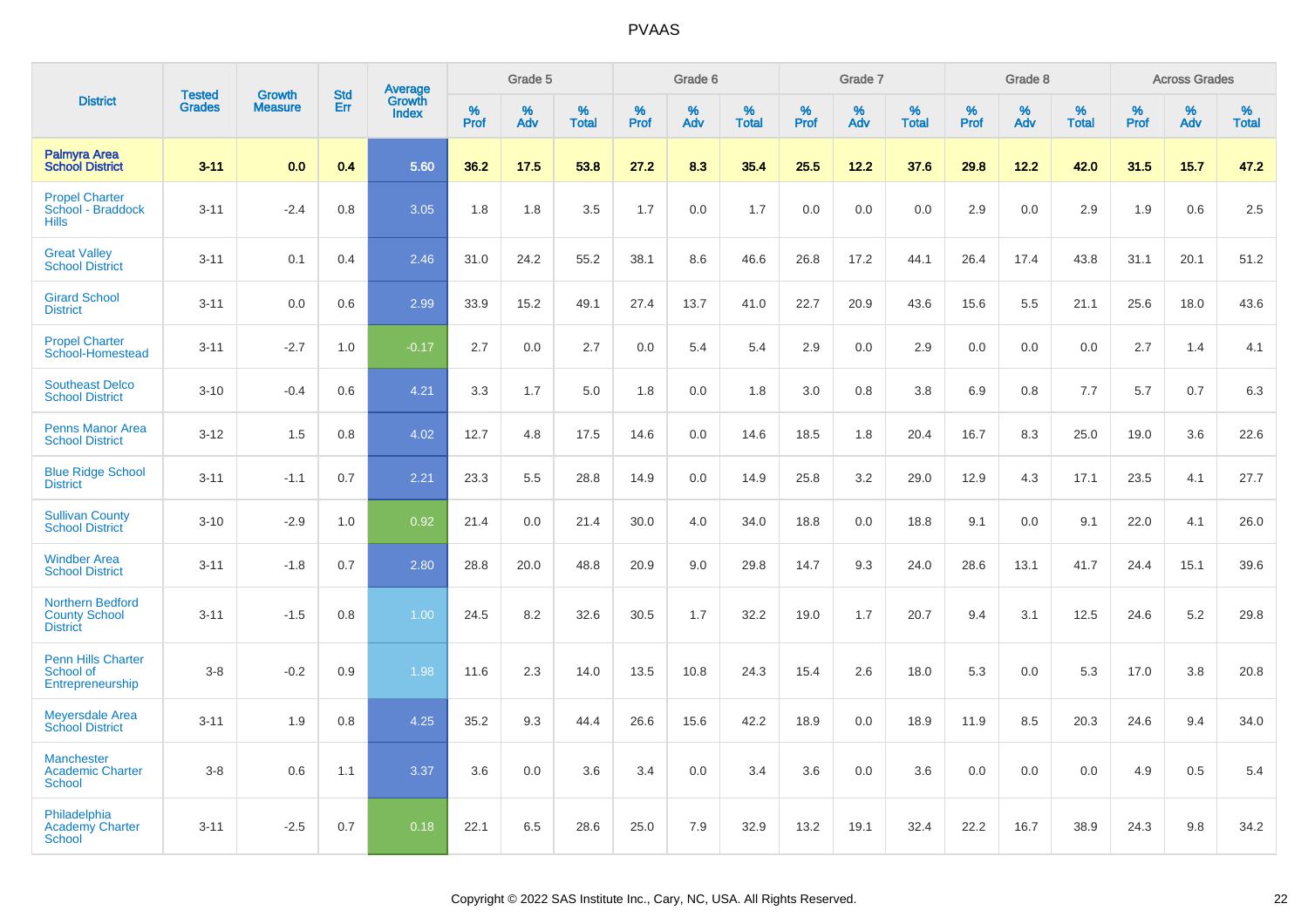|                                                                    |                                |                                 | <b>Std</b> | Average                |                  | Grade 5  |                   |                  | Grade 6  |                   |                  | Grade 7  |                   |           | Grade 8  |                   |                  | <b>Across Grades</b> |                   |
|--------------------------------------------------------------------|--------------------------------|---------------------------------|------------|------------------------|------------------|----------|-------------------|------------------|----------|-------------------|------------------|----------|-------------------|-----------|----------|-------------------|------------------|----------------------|-------------------|
| <b>District</b>                                                    | <b>Tested</b><br><b>Grades</b> | <b>Growth</b><br><b>Measure</b> | Err        | Growth<br><b>Index</b> | %<br><b>Prof</b> | %<br>Adv | %<br><b>Total</b> | %<br><b>Prof</b> | %<br>Adv | %<br><b>Total</b> | %<br><b>Prof</b> | %<br>Adv | %<br><b>Total</b> | %<br>Prof | %<br>Adv | %<br><b>Total</b> | %<br><b>Prof</b> | %<br>Adv             | %<br><b>Total</b> |
| <b>Palmyra Area</b><br><b>School District</b>                      | $3 - 11$                       | 0.0                             | 0.4        | 5.60                   | 36.2             | 17.5     | 53.8              | 27.2             | 8.3      | 35.4              | 25.5             | 12.2     | 37.6              | 29.8      | 12.2     | 42.0              | 31.5             | 15.7                 | 47.2              |
| <b>Propel Charter</b><br>School - Braddock<br><b>Hills</b>         | $3 - 11$                       | $-2.4$                          | 0.8        | 3.05                   | 1.8              | 1.8      | 3.5               | 1.7              | 0.0      | 1.7               | 0.0              | 0.0      | 0.0               | 2.9       | 0.0      | 2.9               | 1.9              | 0.6                  | 2.5               |
| <b>Great Valley</b><br><b>School District</b>                      | $3 - 11$                       | 0.1                             | 0.4        | 2.46                   | 31.0             | 24.2     | 55.2              | 38.1             | 8.6      | 46.6              | 26.8             | 17.2     | 44.1              | 26.4      | 17.4     | 43.8              | 31.1             | 20.1                 | 51.2              |
| <b>Girard School</b><br><b>District</b>                            | $3 - 11$                       | 0.0                             | 0.6        | 2.99                   | 33.9             | 15.2     | 49.1              | 27.4             | 13.7     | 41.0              | 22.7             | 20.9     | 43.6              | 15.6      | 5.5      | 21.1              | 25.6             | 18.0                 | 43.6              |
| <b>Propel Charter</b><br>School-Homestead                          | $3 - 11$                       | $-2.7$                          | 1.0        | $-0.17$                | 2.7              | 0.0      | 2.7               | 0.0              | 5.4      | 5.4               | 2.9              | 0.0      | 2.9               | 0.0       | 0.0      | 0.0               | 2.7              | 1.4                  | 4.1               |
| <b>Southeast Delco</b><br><b>School District</b>                   | $3 - 10$                       | $-0.4$                          | 0.6        | 4.21                   | 3.3              | 1.7      | 5.0               | 1.8              | 0.0      | 1.8               | 3.0              | 0.8      | 3.8               | 6.9       | 0.8      | 7.7               | 5.7              | 0.7                  | 6.3               |
| <b>Penns Manor Area</b><br><b>School District</b>                  | $3 - 12$                       | 1.5                             | 0.8        | 4.02                   | 12.7             | 4.8      | 17.5              | 14.6             | 0.0      | 14.6              | 18.5             | 1.8      | 20.4              | 16.7      | 8.3      | 25.0              | 19.0             | 3.6                  | 22.6              |
| <b>Blue Ridge School</b><br><b>District</b>                        | $3 - 11$                       | $-1.1$                          | 0.7        | 2.21                   | 23.3             | 5.5      | 28.8              | 14.9             | 0.0      | 14.9              | 25.8             | 3.2      | 29.0              | 12.9      | 4.3      | 17.1              | 23.5             | 4.1                  | 27.7              |
| <b>Sullivan County</b><br><b>School District</b>                   | $3 - 10$                       | $-2.9$                          | 1.0        | 0.92                   | 21.4             | 0.0      | 21.4              | 30.0             | 4.0      | 34.0              | 18.8             | 0.0      | 18.8              | 9.1       | 0.0      | 9.1               | 22.0             | 4.1                  | 26.0              |
| <b>Windber Area</b><br><b>School District</b>                      | $3 - 11$                       | $-1.8$                          | 0.7        | 2.80                   | 28.8             | 20.0     | 48.8              | 20.9             | 9.0      | 29.8              | 14.7             | 9.3      | 24.0              | 28.6      | 13.1     | 41.7              | 24.4             | 15.1                 | 39.6              |
| <b>Northern Bedford</b><br><b>County School</b><br><b>District</b> | $3 - 11$                       | $-1.5$                          | 0.8        | 1.00                   | 24.5             | 8.2      | 32.6              | 30.5             | 1.7      | 32.2              | 19.0             | 1.7      | 20.7              | 9.4       | 3.1      | 12.5              | 24.6             | 5.2                  | 29.8              |
| <b>Penn Hills Charter</b><br>School of<br>Entrepreneurship         | $3-8$                          | $-0.2$                          | 0.9        | 1.98                   | 11.6             | 2.3      | 14.0              | 13.5             | 10.8     | 24.3              | 15.4             | 2.6      | 18.0              | 5.3       | 0.0      | 5.3               | 17.0             | 3.8                  | 20.8              |
| <b>Meyersdale Area</b><br><b>School District</b>                   | $3 - 11$                       | 1.9                             | 0.8        | 4.25                   | 35.2             | 9.3      | 44.4              | 26.6             | 15.6     | 42.2              | 18.9             | 0.0      | 18.9              | 11.9      | 8.5      | 20.3              | 24.6             | 9.4                  | 34.0              |
| <b>Manchester</b><br><b>Academic Charter</b><br><b>School</b>      | $3-8$                          | 0.6                             | 1.1        | 3.37                   | 3.6              | 0.0      | 3.6               | 3.4              | 0.0      | 3.4               | 3.6              | 0.0      | 3.6               | 0.0       | 0.0      | 0.0               | 4.9              | 0.5                  | 5.4               |
| Philadelphia<br><b>Academy Charter</b><br><b>School</b>            | $3 - 11$                       | $-2.5$                          | 0.7        | 0.18                   | 22.1             | 6.5      | 28.6              | 25.0             | 7.9      | 32.9              | 13.2             | 19.1     | 32.4              | 22.2      | 16.7     | 38.9              | 24.3             | 9.8                  | 34.2              |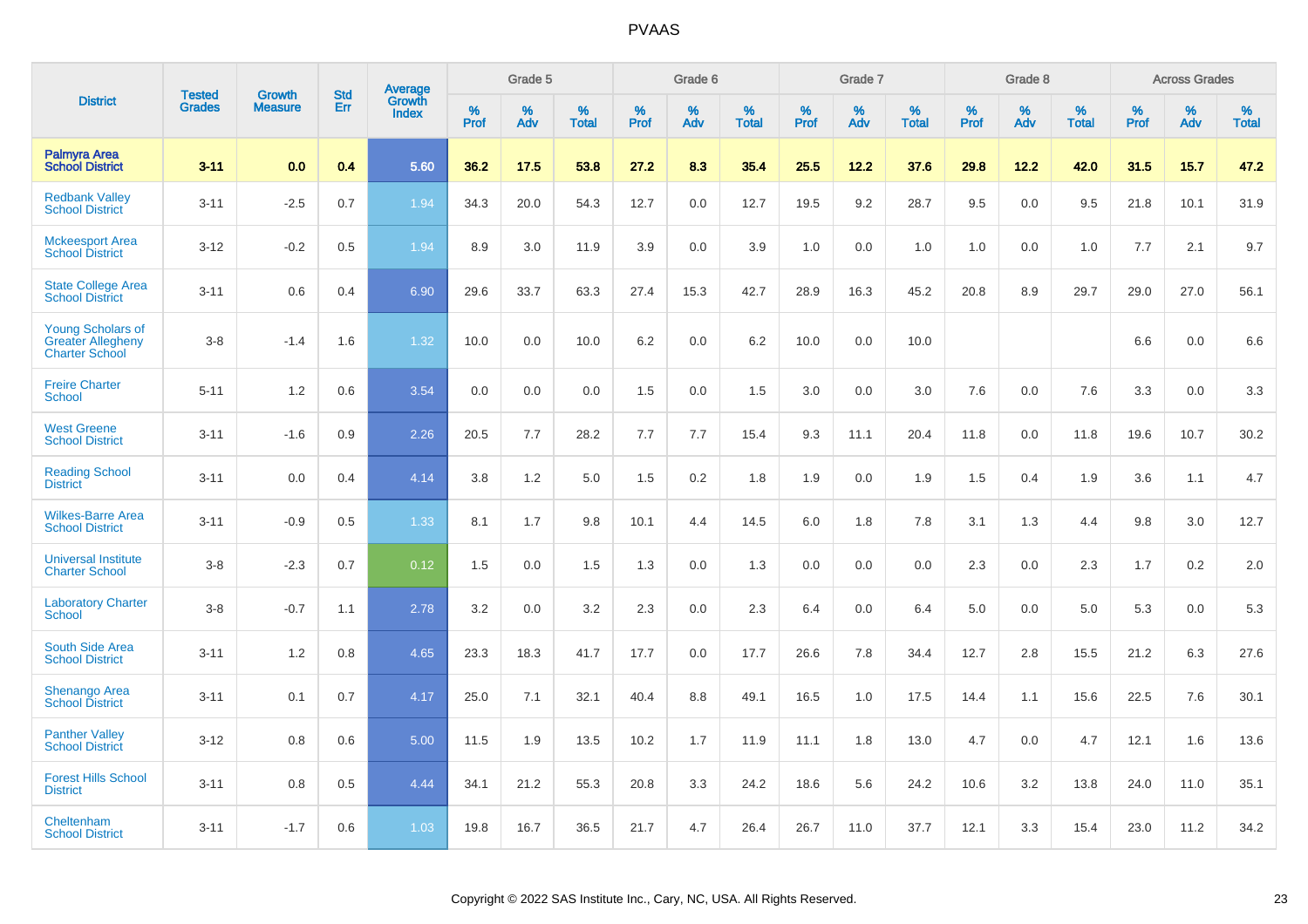|                                                                               |                                |                          | <b>Std</b> | Average                |           | Grade 5  |                      |           | Grade 6  |                   |           | Grade 7  |                      |           | Grade 8  |                   |           | <b>Across Grades</b> |                   |
|-------------------------------------------------------------------------------|--------------------------------|--------------------------|------------|------------------------|-----------|----------|----------------------|-----------|----------|-------------------|-----------|----------|----------------------|-----------|----------|-------------------|-----------|----------------------|-------------------|
| <b>District</b>                                                               | <b>Tested</b><br><b>Grades</b> | Growth<br><b>Measure</b> | Err        | Growth<br><b>Index</b> | %<br>Prof | %<br>Adv | $\%$<br><b>Total</b> | %<br>Prof | %<br>Adv | %<br><b>Total</b> | %<br>Prof | %<br>Adv | $\%$<br><b>Total</b> | %<br>Prof | %<br>Adv | %<br><b>Total</b> | %<br>Prof | %<br>Adv             | %<br><b>Total</b> |
| <b>Palmyra Area</b><br><b>School District</b>                                 | $3 - 11$                       | 0.0                      | 0.4        | 5.60                   | 36.2      | 17.5     | 53.8                 | 27.2      | 8.3      | 35.4              | 25.5      | 12.2     | 37.6                 | 29.8      | 12.2     | 42.0              | 31.5      | 15.7                 | 47.2              |
| <b>Redbank Valley</b><br><b>School District</b>                               | $3 - 11$                       | $-2.5$                   | 0.7        | 1.94                   | 34.3      | 20.0     | 54.3                 | 12.7      | 0.0      | 12.7              | 19.5      | 9.2      | 28.7                 | 9.5       | 0.0      | 9.5               | 21.8      | 10.1                 | 31.9              |
| <b>Mckeesport Area</b><br><b>School District</b>                              | $3 - 12$                       | $-0.2$                   | 0.5        | 1.94                   | 8.9       | 3.0      | 11.9                 | 3.9       | 0.0      | 3.9               | 1.0       | 0.0      | 1.0                  | 1.0       | 0.0      | 1.0               | 7.7       | 2.1                  | 9.7               |
| <b>State College Area</b><br><b>School District</b>                           | $3 - 11$                       | 0.6                      | 0.4        | 6.90                   | 29.6      | 33.7     | 63.3                 | 27.4      | 15.3     | 42.7              | 28.9      | 16.3     | 45.2                 | 20.8      | 8.9      | 29.7              | 29.0      | 27.0                 | 56.1              |
| <b>Young Scholars of</b><br><b>Greater Allegheny</b><br><b>Charter School</b> | $3 - 8$                        | $-1.4$                   | 1.6        | 1.32                   | 10.0      | 0.0      | 10.0                 | 6.2       | 0.0      | 6.2               | 10.0      | 0.0      | 10.0                 |           |          |                   | 6.6       | 0.0                  | 6.6               |
| <b>Freire Charter</b><br><b>School</b>                                        | $5 - 11$                       | 1.2                      | 0.6        | 3.54                   | 0.0       | 0.0      | 0.0                  | 1.5       | 0.0      | 1.5               | 3.0       | 0.0      | 3.0                  | 7.6       | 0.0      | 7.6               | 3.3       | 0.0                  | 3.3               |
| <b>West Greene</b><br><b>School District</b>                                  | $3 - 11$                       | $-1.6$                   | 0.9        | 2.26                   | 20.5      | 7.7      | 28.2                 | 7.7       | 7.7      | 15.4              | 9.3       | 11.1     | 20.4                 | 11.8      | 0.0      | 11.8              | 19.6      | 10.7                 | 30.2              |
| <b>Reading School</b><br><b>District</b>                                      | $3 - 11$                       | 0.0                      | 0.4        | 4.14                   | 3.8       | 1.2      | 5.0                  | 1.5       | 0.2      | 1.8               | 1.9       | 0.0      | 1.9                  | 1.5       | 0.4      | 1.9               | 3.6       | 1.1                  | 4.7               |
| <b>Wilkes-Barre Area</b><br><b>School District</b>                            | $3 - 11$                       | $-0.9$                   | 0.5        | 1.33                   | 8.1       | 1.7      | 9.8                  | 10.1      | 4.4      | 14.5              | 6.0       | 1.8      | 7.8                  | 3.1       | 1.3      | 4.4               | 9.8       | 3.0                  | 12.7              |
| <b>Universal Institute</b><br><b>Charter School</b>                           | $3 - 8$                        | $-2.3$                   | 0.7        | 0.12                   | 1.5       | 0.0      | 1.5                  | 1.3       | 0.0      | 1.3               | 0.0       | 0.0      | 0.0                  | 2.3       | 0.0      | 2.3               | 1.7       | 0.2                  | 2.0               |
| <b>Laboratory Charter</b><br>School                                           | $3 - 8$                        | $-0.7$                   | 1.1        | 2.78                   | 3.2       | 0.0      | 3.2                  | 2.3       | 0.0      | 2.3               | 6.4       | 0.0      | 6.4                  | 5.0       | 0.0      | 5.0               | 5.3       | 0.0                  | 5.3               |
| <b>South Side Area</b><br><b>School District</b>                              | $3 - 11$                       | 1.2                      | 0.8        | 4.65                   | 23.3      | 18.3     | 41.7                 | 17.7      | 0.0      | 17.7              | 26.6      | 7.8      | 34.4                 | 12.7      | 2.8      | 15.5              | 21.2      | 6.3                  | 27.6              |
| <b>Shenango Area</b><br><b>School District</b>                                | $3 - 11$                       | 0.1                      | 0.7        | 4.17                   | 25.0      | 7.1      | 32.1                 | 40.4      | 8.8      | 49.1              | 16.5      | 1.0      | 17.5                 | 14.4      | 1.1      | 15.6              | 22.5      | 7.6                  | 30.1              |
| <b>Panther Valley</b><br><b>School District</b>                               | $3 - 12$                       | 0.8                      | 0.6        | 5.00                   | 11.5      | 1.9      | 13.5                 | 10.2      | 1.7      | 11.9              | 11.1      | 1.8      | 13.0                 | 4.7       | 0.0      | 4.7               | 12.1      | 1.6                  | 13.6              |
| <b>Forest Hills School</b><br><b>District</b>                                 | $3 - 11$                       | 0.8                      | 0.5        | 4.44                   | 34.1      | 21.2     | 55.3                 | 20.8      | 3.3      | 24.2              | 18.6      | 5.6      | 24.2                 | 10.6      | 3.2      | 13.8              | 24.0      | 11.0                 | 35.1              |
| Cheltenham<br><b>School District</b>                                          | $3 - 11$                       | $-1.7$                   | 0.6        | 1.03                   | 19.8      | 16.7     | 36.5                 | 21.7      | 4.7      | 26.4              | 26.7      | 11.0     | 37.7                 | 12.1      | 3.3      | 15.4              | 23.0      | 11.2                 | 34.2              |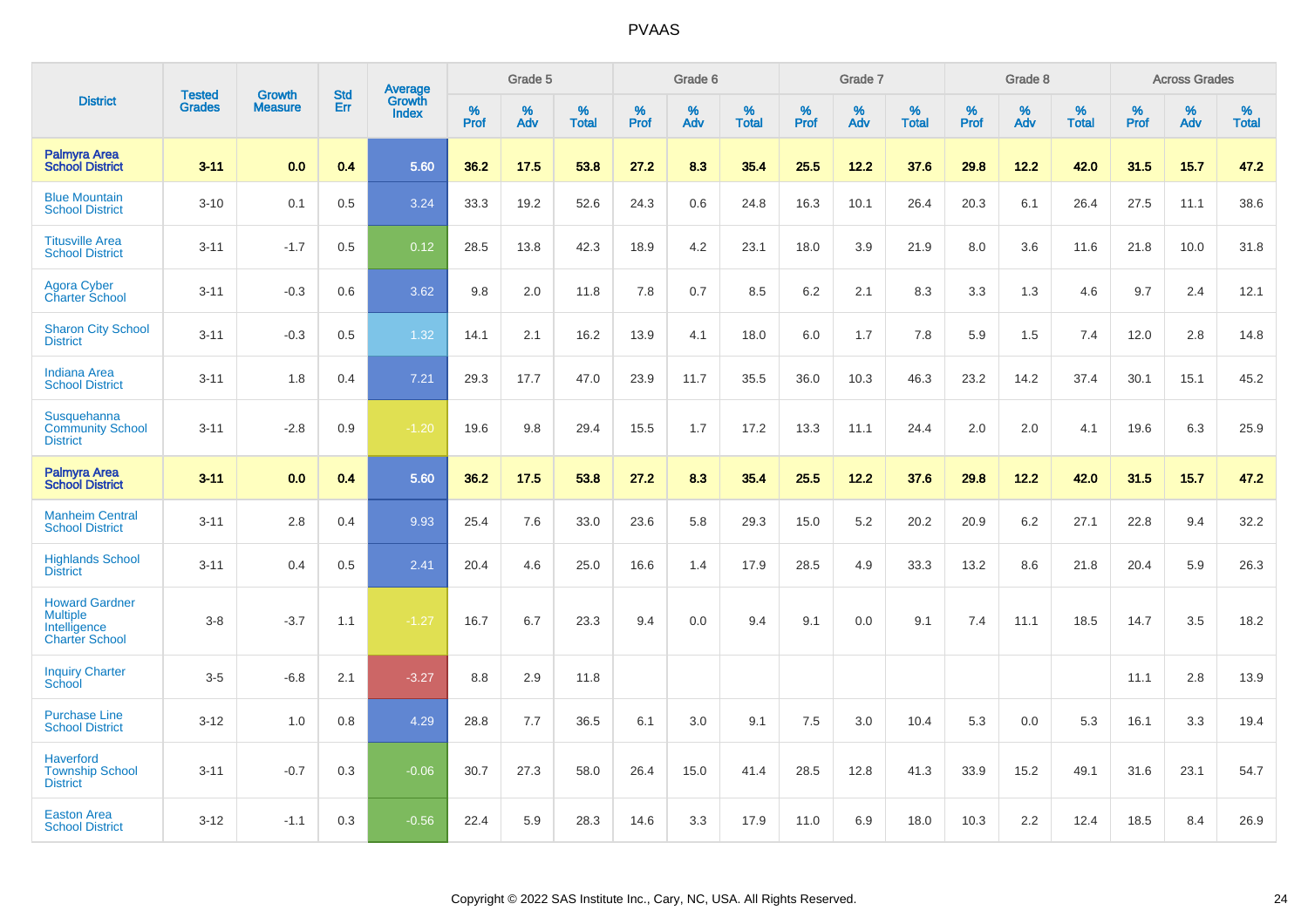|                                                                                   | <b>Tested</b> | <b>Growth</b>  | <b>Std</b> | <b>Average</b><br>Growth |                     | Grade 5  |                   |              | Grade 6  |                   |              | Grade 7  |                   |           | Grade 8  |                   |           | <b>Across Grades</b> |                   |
|-----------------------------------------------------------------------------------|---------------|----------------|------------|--------------------------|---------------------|----------|-------------------|--------------|----------|-------------------|--------------|----------|-------------------|-----------|----------|-------------------|-----------|----------------------|-------------------|
| <b>District</b>                                                                   | <b>Grades</b> | <b>Measure</b> | Err        | <b>Index</b>             | $\%$<br><b>Prof</b> | %<br>Adv | %<br><b>Total</b> | $\%$<br>Prof | %<br>Adv | %<br><b>Total</b> | $\%$<br>Prof | %<br>Adv | %<br><b>Total</b> | %<br>Prof | %<br>Adv | %<br><b>Total</b> | %<br>Prof | %<br>Adv             | %<br><b>Total</b> |
| <b>Palmyra Area</b><br><b>School District</b>                                     | $3 - 11$      | 0.0            | 0.4        | 5.60                     | 36.2                | 17.5     | 53.8              | 27.2         | 8.3      | 35.4              | 25.5         | 12.2     | 37.6              | 29.8      | 12.2     | 42.0              | 31.5      | 15.7                 | 47.2              |
| <b>Blue Mountain</b><br><b>School District</b>                                    | $3 - 10$      | 0.1            | 0.5        | 3.24                     | 33.3                | 19.2     | 52.6              | 24.3         | 0.6      | 24.8              | 16.3         | 10.1     | 26.4              | 20.3      | 6.1      | 26.4              | 27.5      | 11.1                 | 38.6              |
| <b>Titusville Area</b><br><b>School District</b>                                  | $3 - 11$      | $-1.7$         | 0.5        | 0.12                     | 28.5                | 13.8     | 42.3              | 18.9         | 4.2      | 23.1              | 18.0         | 3.9      | 21.9              | 8.0       | 3.6      | 11.6              | 21.8      | 10.0                 | 31.8              |
| <b>Agora Cyber</b><br><b>Charter School</b>                                       | $3 - 11$      | $-0.3$         | 0.6        | 3.62                     | 9.8                 | 2.0      | 11.8              | 7.8          | 0.7      | 8.5               | 6.2          | 2.1      | 8.3               | 3.3       | 1.3      | 4.6               | 9.7       | 2.4                  | 12.1              |
| <b>Sharon City School</b><br><b>District</b>                                      | $3 - 11$      | $-0.3$         | 0.5        | 1.32                     | 14.1                | 2.1      | 16.2              | 13.9         | 4.1      | 18.0              | 6.0          | 1.7      | 7.8               | 5.9       | 1.5      | 7.4               | 12.0      | 2.8                  | 14.8              |
| <b>Indiana Area</b><br><b>School District</b>                                     | $3 - 11$      | 1.8            | 0.4        | 7.21                     | 29.3                | 17.7     | 47.0              | 23.9         | 11.7     | 35.5              | 36.0         | 10.3     | 46.3              | 23.2      | 14.2     | 37.4              | 30.1      | 15.1                 | 45.2              |
| Susquehanna<br><b>Community School</b><br><b>District</b>                         | $3 - 11$      | $-2.8$         | 0.9        | $-1.20$                  | 19.6                | 9.8      | 29.4              | 15.5         | 1.7      | 17.2              | 13.3         | 11.1     | 24.4              | 2.0       | 2.0      | 4.1               | 19.6      | 6.3                  | 25.9              |
| <b>Palmyra Area</b><br><b>School District</b>                                     | $3 - 11$      | 0.0            | 0.4        | 5.60                     | 36.2                | 17.5     | 53.8              | 27.2         | 8.3      | 35.4              | 25.5         | $12.2$   | 37.6              | 29.8      | $12.2$   | 42.0              | 31.5      | 15.7                 | 47.2              |
| <b>Manheim Central</b><br><b>School District</b>                                  | $3 - 11$      | 2.8            | 0.4        | 9.93                     | 25.4                | 7.6      | 33.0              | 23.6         | 5.8      | 29.3              | 15.0         | $5.2\,$  | 20.2              | 20.9      | $6.2\,$  | 27.1              | 22.8      | 9.4                  | 32.2              |
| <b>Highlands School</b><br><b>District</b>                                        | $3 - 11$      | 0.4            | 0.5        | 2.41                     | 20.4                | 4.6      | 25.0              | 16.6         | 1.4      | 17.9              | 28.5         | 4.9      | 33.3              | 13.2      | 8.6      | 21.8              | 20.4      | 5.9                  | 26.3              |
| <b>Howard Gardner</b><br><b>Multiple</b><br>Intelligence<br><b>Charter School</b> | $3-8$         | $-3.7$         | 1.1        | $-1.27$                  | 16.7                | 6.7      | 23.3              | 9.4          | 0.0      | 9.4               | 9.1          | 0.0      | 9.1               | 7.4       | 11.1     | 18.5              | 14.7      | 3.5                  | 18.2              |
| <b>Inquiry Charter</b><br>School                                                  | $3-5$         | $-6.8$         | 2.1        | $-3.27$                  | 8.8                 | 2.9      | 11.8              |              |          |                   |              |          |                   |           |          |                   | 11.1      | 2.8                  | 13.9              |
| <b>Purchase Line</b><br><b>School District</b>                                    | $3 - 12$      | 1.0            | 0.8        | 4.29                     | 28.8                | 7.7      | 36.5              | 6.1          | 3.0      | 9.1               | 7.5          | 3.0      | 10.4              | 5.3       | 0.0      | 5.3               | 16.1      | 3.3                  | 19.4              |
| <b>Haverford</b><br><b>Township School</b><br><b>District</b>                     | $3 - 11$      | $-0.7$         | 0.3        | $-0.06$                  | 30.7                | 27.3     | 58.0              | 26.4         | 15.0     | 41.4              | 28.5         | 12.8     | 41.3              | 33.9      | 15.2     | 49.1              | 31.6      | 23.1                 | 54.7              |
| <b>Easton Area</b><br><b>School District</b>                                      | $3 - 12$      | $-1.1$         | 0.3        | $-0.56$                  | 22.4                | 5.9      | 28.3              | 14.6         | 3.3      | 17.9              | 11.0         | 6.9      | 18.0              | 10.3      | 2.2      | 12.4              | 18.5      | 8.4                  | 26.9              |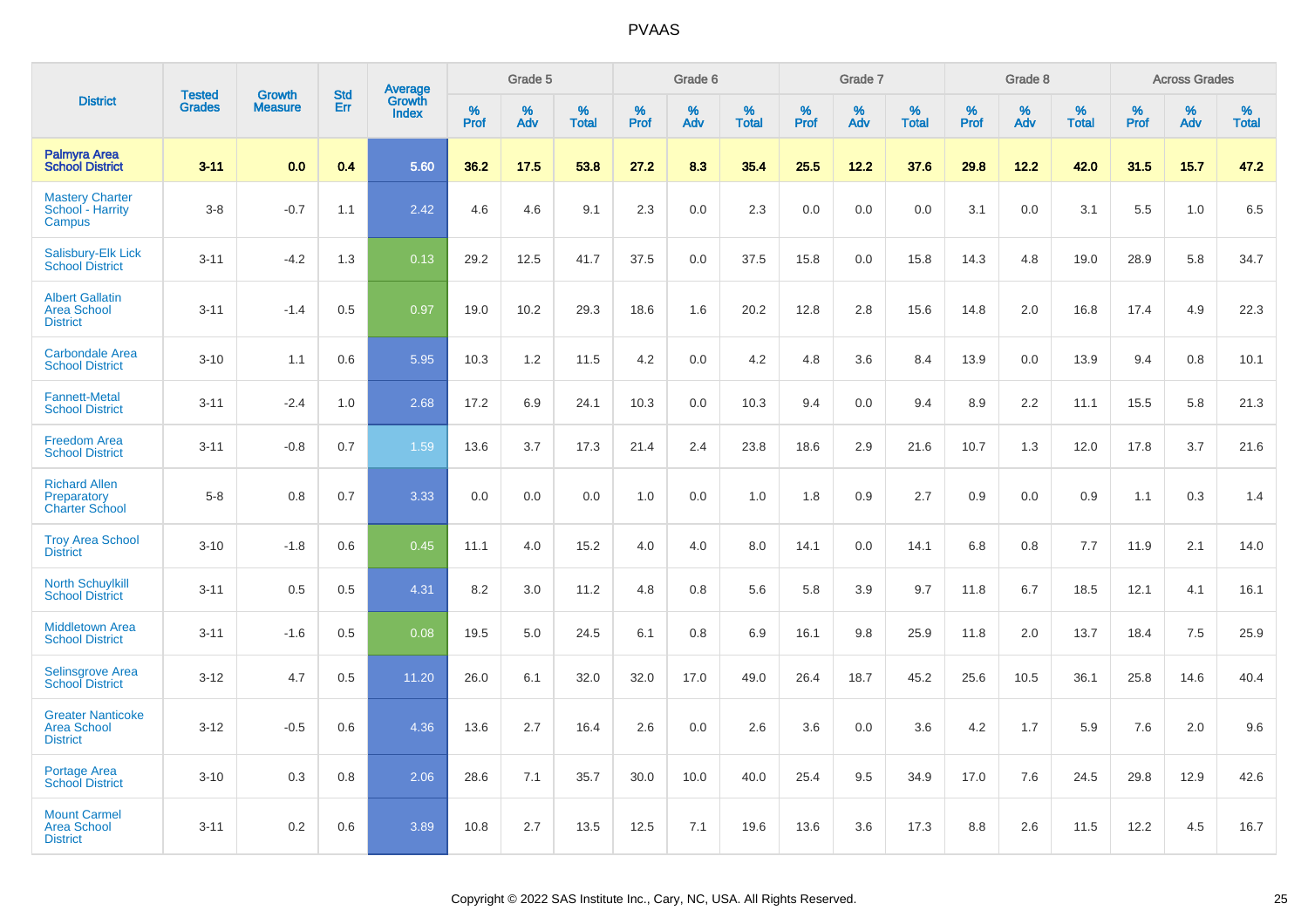|                                                                   |                                | <b>Growth</b>  |                          |                                   |           | Grade 5  |                   |                  | Grade 6  |                   |           | Grade 7  |                   |           | Grade 8  |                   |           | <b>Across Grades</b> |                   |
|-------------------------------------------------------------------|--------------------------------|----------------|--------------------------|-----------------------------------|-----------|----------|-------------------|------------------|----------|-------------------|-----------|----------|-------------------|-----------|----------|-------------------|-----------|----------------------|-------------------|
| <b>District</b>                                                   | <b>Tested</b><br><b>Grades</b> | <b>Measure</b> | <b>Std</b><br><b>Err</b> | Average<br>Growth<br><b>Index</b> | %<br>Prof | %<br>Adv | %<br><b>Total</b> | %<br><b>Prof</b> | %<br>Adv | %<br><b>Total</b> | %<br>Prof | %<br>Adv | %<br><b>Total</b> | %<br>Prof | %<br>Adv | %<br><b>Total</b> | %<br>Prof | %<br>Adv             | %<br><b>Total</b> |
| <b>Palmyra Area</b><br><b>School District</b>                     | $3 - 11$                       | 0.0            | 0.4                      | 5.60                              | 36.2      | 17.5     | 53.8              | 27.2             | 8.3      | 35.4              | 25.5      | 12.2     | 37.6              | 29.8      | 12.2     | 42.0              | 31.5      | 15.7                 | 47.2              |
| <b>Mastery Charter</b><br>School - Harrity<br>Campus              | $3 - 8$                        | $-0.7$         | 1.1                      | 2.42                              | 4.6       | 4.6      | 9.1               | 2.3              | 0.0      | 2.3               | 0.0       | 0.0      | 0.0               | 3.1       | 0.0      | 3.1               | 5.5       | 1.0                  | 6.5               |
| <b>Salisbury-Elk Lick</b><br><b>School District</b>               | $3 - 11$                       | $-4.2$         | 1.3                      | 0.13                              | 29.2      | 12.5     | 41.7              | 37.5             | 0.0      | 37.5              | 15.8      | 0.0      | 15.8              | 14.3      | 4.8      | 19.0              | 28.9      | 5.8                  | 34.7              |
| <b>Albert Gallatin</b><br><b>Area School</b><br><b>District</b>   | $3 - 11$                       | $-1.4$         | 0.5                      | 0.97                              | 19.0      | 10.2     | 29.3              | 18.6             | 1.6      | 20.2              | 12.8      | 2.8      | 15.6              | 14.8      | 2.0      | 16.8              | 17.4      | 4.9                  | 22.3              |
| <b>Carbondale Area</b><br><b>School District</b>                  | $3 - 10$                       | 1.1            | 0.6                      | 5.95                              | 10.3      | 1.2      | 11.5              | 4.2              | 0.0      | 4.2               | 4.8       | 3.6      | 8.4               | 13.9      | 0.0      | 13.9              | 9.4       | 0.8                  | 10.1              |
| <b>Fannett-Metal</b><br><b>School District</b>                    | $3 - 11$                       | $-2.4$         | 1.0                      | 2.68                              | 17.2      | 6.9      | 24.1              | 10.3             | 0.0      | 10.3              | 9.4       | 0.0      | 9.4               | 8.9       | 2.2      | 11.1              | 15.5      | 5.8                  | 21.3              |
| <b>Freedom Area</b><br><b>School District</b>                     | $3 - 11$                       | $-0.8$         | 0.7                      | 1.59                              | 13.6      | 3.7      | 17.3              | 21.4             | 2.4      | 23.8              | 18.6      | 2.9      | 21.6              | 10.7      | 1.3      | 12.0              | 17.8      | 3.7                  | 21.6              |
| <b>Richard Allen</b><br>Preparatory<br><b>Charter School</b>      | $5 - 8$                        | 0.8            | 0.7                      | 3.33                              | 0.0       | 0.0      | 0.0               | 1.0              | 0.0      | 1.0               | 1.8       | 0.9      | 2.7               | 0.9       | 0.0      | 0.9               | 1.1       | 0.3                  | 1.4               |
| <b>Troy Area School</b><br><b>District</b>                        | $3 - 10$                       | $-1.8$         | 0.6                      | 0.45                              | 11.1      | 4.0      | 15.2              | 4.0              | 4.0      | 8.0               | 14.1      | 0.0      | 14.1              | 6.8       | 0.8      | 7.7               | 11.9      | 2.1                  | 14.0              |
| <b>North Schuylkill</b><br><b>School District</b>                 | $3 - 11$                       | 0.5            | 0.5                      | 4.31                              | 8.2       | 3.0      | 11.2              | 4.8              | 0.8      | 5.6               | 5.8       | 3.9      | 9.7               | 11.8      | 6.7      | 18.5              | 12.1      | 4.1                  | 16.1              |
| <b>Middletown Area</b><br><b>School District</b>                  | $3 - 11$                       | $-1.6$         | 0.5                      | 0.08                              | 19.5      | 5.0      | 24.5              | 6.1              | 0.8      | 6.9               | 16.1      | 9.8      | 25.9              | 11.8      | 2.0      | 13.7              | 18.4      | 7.5                  | 25.9              |
| <b>Selinsgrove Area</b><br><b>School District</b>                 | $3 - 12$                       | 4.7            | 0.5                      | 11.20                             | 26.0      | 6.1      | 32.0              | 32.0             | 17.0     | 49.0              | 26.4      | 18.7     | 45.2              | 25.6      | 10.5     | 36.1              | 25.8      | 14.6                 | 40.4              |
| <b>Greater Nanticoke</b><br><b>Area School</b><br><b>District</b> | $3 - 12$                       | $-0.5$         | 0.6                      | 4.36                              | 13.6      | 2.7      | 16.4              | 2.6              | 0.0      | 2.6               | 3.6       | 0.0      | 3.6               | 4.2       | 1.7      | 5.9               | 7.6       | 2.0                  | 9.6               |
| Portage Area<br><b>School District</b>                            | $3 - 10$                       | 0.3            | 0.8                      | 2.06                              | 28.6      | 7.1      | 35.7              | 30.0             | 10.0     | 40.0              | 25.4      | 9.5      | 34.9              | 17.0      | 7.6      | 24.5              | 29.8      | 12.9                 | 42.6              |
| <b>Mount Carmel</b><br><b>Area School</b><br><b>District</b>      | $3 - 11$                       | 0.2            | 0.6                      | 3.89                              | 10.8      | 2.7      | 13.5              | 12.5             | 7.1      | 19.6              | 13.6      | 3.6      | 17.3              | 8.8       | 2.6      | 11.5              | 12.2      | 4.5                  | 16.7              |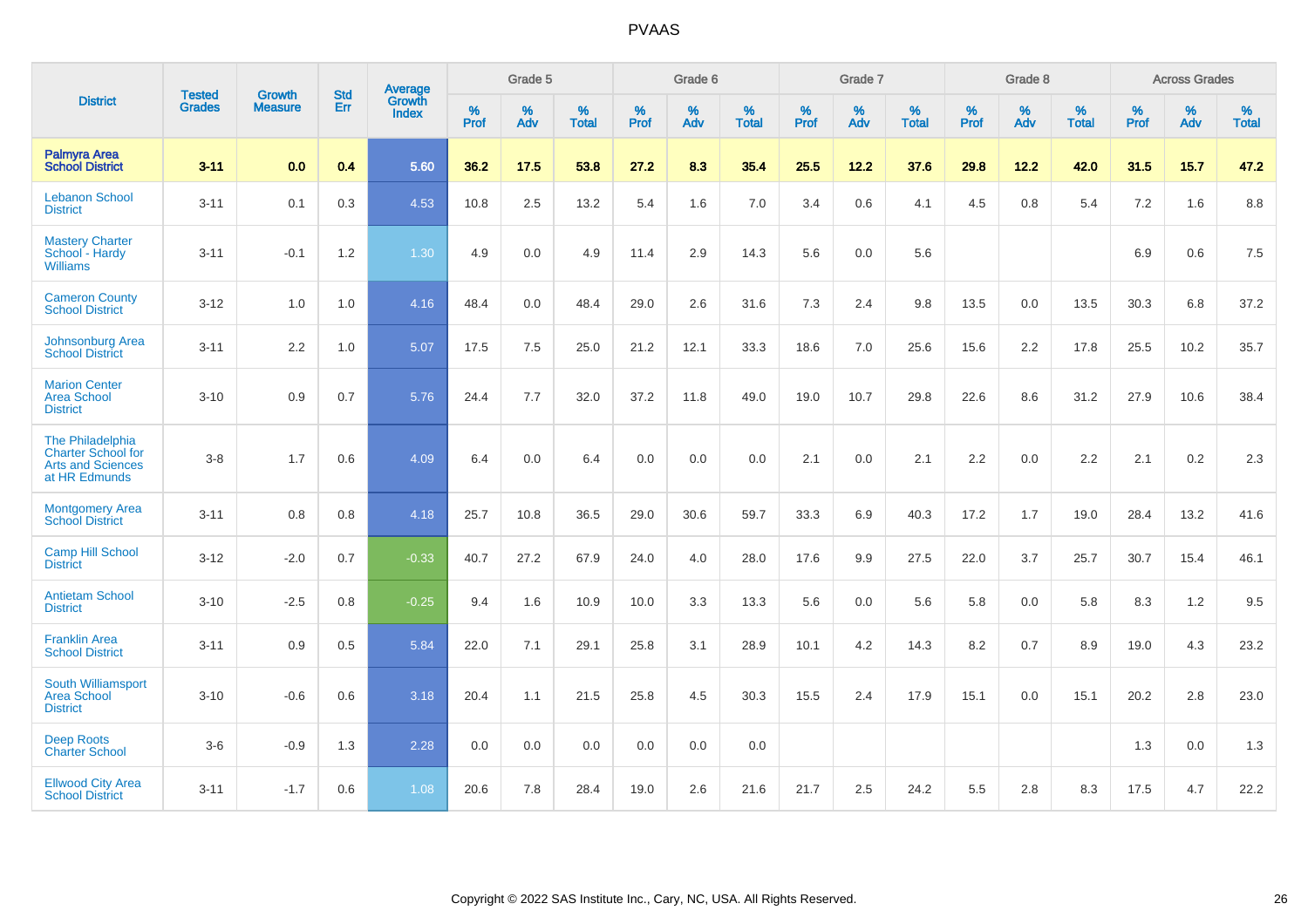|                                                                                            | <b>Tested</b> | <b>Growth</b>    | <b>Std</b> | Average                |                     | Grade 5  |                   |                     | Grade 6  |                   |              | Grade 7  |                   |                     | Grade 8  |                   |                     | <b>Across Grades</b> |                   |
|--------------------------------------------------------------------------------------------|---------------|------------------|------------|------------------------|---------------------|----------|-------------------|---------------------|----------|-------------------|--------------|----------|-------------------|---------------------|----------|-------------------|---------------------|----------------------|-------------------|
| <b>District</b>                                                                            | <b>Grades</b> | <b>Measure</b>   | <b>Err</b> | Growth<br><b>Index</b> | $\%$<br><b>Prof</b> | %<br>Adv | %<br><b>Total</b> | $\%$<br><b>Prof</b> | %<br>Adv | %<br><b>Total</b> | $\%$<br>Prof | %<br>Adv | %<br><b>Total</b> | $\%$<br><b>Prof</b> | %<br>Adv | %<br><b>Total</b> | $\%$<br><b>Prof</b> | %<br>Adv             | %<br><b>Total</b> |
| <b>Palmyra Area</b><br><b>School District</b>                                              | $3 - 11$      | 0.0              | 0.4        | 5.60                   | 36.2                | 17.5     | 53.8              | 27.2                | 8.3      | 35.4              | 25.5         | 12.2     | 37.6              | 29.8                | 12.2     | 42.0              | 31.5                | 15.7                 | 47.2              |
| <b>Lebanon School</b><br><b>District</b>                                                   | $3 - 11$      | 0.1              | 0.3        | 4.53                   | 10.8                | 2.5      | 13.2              | 5.4                 | 1.6      | 7.0               | 3.4          | 0.6      | 4.1               | 4.5                 | 0.8      | 5.4               | 7.2                 | 1.6                  | 8.8               |
| <b>Mastery Charter</b><br>School - Hardy<br><b>Williams</b>                                | $3 - 11$      | $-0.1$           | 1.2        | 1.30                   | 4.9                 | 0.0      | 4.9               | 11.4                | 2.9      | 14.3              | 5.6          | 0.0      | 5.6               |                     |          |                   | 6.9                 | 0.6                  | 7.5               |
| <b>Cameron County</b><br><b>School District</b>                                            | $3 - 12$      | 1.0              | 1.0        | 4.16                   | 48.4                | 0.0      | 48.4              | 29.0                | 2.6      | 31.6              | 7.3          | 2.4      | 9.8               | 13.5                | $0.0\,$  | 13.5              | 30.3                | 6.8                  | 37.2              |
| Johnsonburg Area<br><b>School District</b>                                                 | $3 - 11$      | $2.2\phantom{0}$ | 1.0        | 5.07                   | 17.5                | 7.5      | 25.0              | 21.2                | 12.1     | 33.3              | 18.6         | 7.0      | 25.6              | 15.6                | 2.2      | 17.8              | 25.5                | 10.2                 | 35.7              |
| <b>Marion Center</b><br><b>Area School</b><br><b>District</b>                              | $3 - 10$      | 0.9              | 0.7        | 5.76                   | 24.4                | 7.7      | 32.0              | 37.2                | 11.8     | 49.0              | 19.0         | 10.7     | 29.8              | 22.6                | 8.6      | 31.2              | 27.9                | 10.6                 | 38.4              |
| The Philadelphia<br><b>Charter School for</b><br><b>Arts and Sciences</b><br>at HR Edmunds | $3 - 8$       | 1.7              | 0.6        | 4.09                   | 6.4                 | 0.0      | 6.4               | 0.0                 | 0.0      | 0.0               | 2.1          | 0.0      | 2.1               | 2.2                 | 0.0      | 2.2               | 2.1                 | 0.2                  | 2.3               |
| Montgomery Area<br><b>School District</b>                                                  | $3 - 11$      | 0.8              | 0.8        | 4.18                   | 25.7                | 10.8     | 36.5              | 29.0                | 30.6     | 59.7              | 33.3         | 6.9      | 40.3              | 17.2                | 1.7      | 19.0              | 28.4                | 13.2                 | 41.6              |
| <b>Camp Hill School</b><br><b>District</b>                                                 | $3 - 12$      | $-2.0$           | 0.7        | $-0.33$                | 40.7                | 27.2     | 67.9              | 24.0                | 4.0      | 28.0              | 17.6         | 9.9      | 27.5              | 22.0                | 3.7      | 25.7              | 30.7                | 15.4                 | 46.1              |
| <b>Antietam School</b><br><b>District</b>                                                  | $3 - 10$      | $-2.5$           | 0.8        | $-0.25$                | 9.4                 | 1.6      | 10.9              | 10.0                | 3.3      | 13.3              | 5.6          | 0.0      | 5.6               | 5.8                 | 0.0      | 5.8               | 8.3                 | 1.2                  | 9.5               |
| <b>Franklin Area</b><br><b>School District</b>                                             | $3 - 11$      | 0.9              | 0.5        | 5.84                   | 22.0                | 7.1      | 29.1              | 25.8                | 3.1      | 28.9              | 10.1         | 4.2      | 14.3              | 8.2                 | 0.7      | 8.9               | 19.0                | 4.3                  | 23.2              |
| South Williamsport<br><b>Area School</b><br><b>District</b>                                | $3 - 10$      | $-0.6$           | 0.6        | 3.18                   | 20.4                | 1.1      | 21.5              | 25.8                | 4.5      | 30.3              | 15.5         | 2.4      | 17.9              | 15.1                | 0.0      | 15.1              | 20.2                | 2.8                  | 23.0              |
| <b>Deep Roots</b><br><b>Charter School</b>                                                 | $3-6$         | $-0.9$           | 1.3        | 2.28                   | 0.0                 | 0.0      | 0.0               | 0.0                 | 0.0      | 0.0               |              |          |                   |                     |          |                   | 1.3                 | 0.0                  | 1.3               |
| <b>Ellwood City Area</b><br><b>School District</b>                                         | $3 - 11$      | $-1.7$           | 0.6        | 1.08                   | 20.6                | 7.8      | 28.4              | 19.0                | 2.6      | 21.6              | 21.7         | 2.5      | 24.2              | 5.5                 | 2.8      | 8.3               | 17.5                | 4.7                  | 22.2              |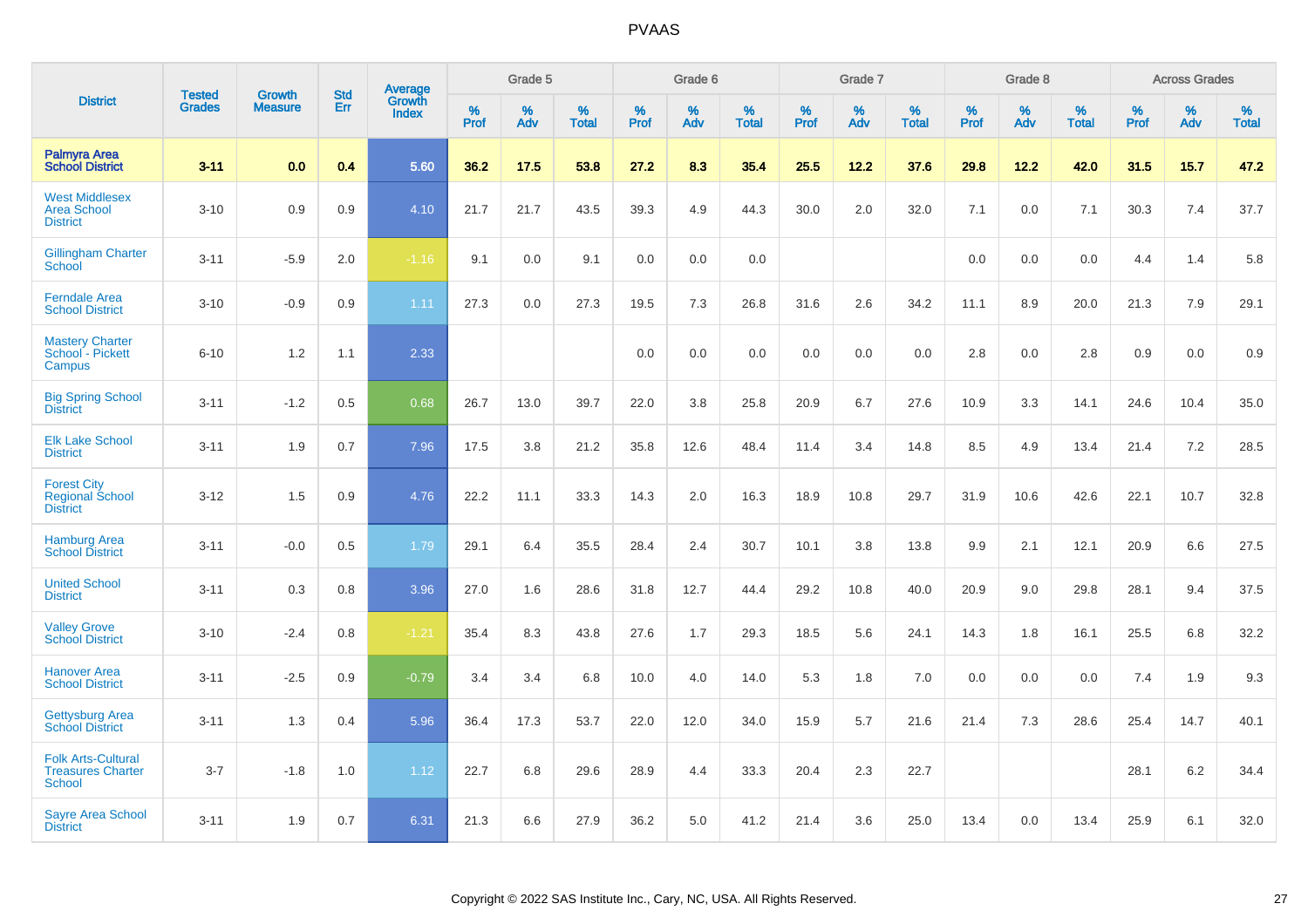|                                                                        |                                | <b>Growth</b>  | <b>Std</b> | Average<br>Growth |              | Grade 5  |                   |              | Grade 6  |                   |              | Grade 7  |                   |              | Grade 8  |                   |              | <b>Across Grades</b> |                   |
|------------------------------------------------------------------------|--------------------------------|----------------|------------|-------------------|--------------|----------|-------------------|--------------|----------|-------------------|--------------|----------|-------------------|--------------|----------|-------------------|--------------|----------------------|-------------------|
| <b>District</b>                                                        | <b>Tested</b><br><b>Grades</b> | <b>Measure</b> | <b>Err</b> | <b>Index</b>      | $\%$<br>Prof | %<br>Adv | %<br><b>Total</b> | $\%$<br>Prof | %<br>Adv | %<br><b>Total</b> | $\%$<br>Prof | %<br>Adv | %<br><b>Total</b> | $\%$<br>Prof | %<br>Adv | %<br><b>Total</b> | $\%$<br>Prof | %<br>Adv             | %<br><b>Total</b> |
| Palmyra Area<br><b>School District</b>                                 | $3 - 11$                       | 0.0            | 0.4        | 5.60              | 36.2         | 17.5     | 53.8              | 27.2         | 8.3      | 35.4              | 25.5         | 12.2     | 37.6              | 29.8         | 12.2     | 42.0              | 31.5         | 15.7                 | 47.2              |
| <b>West Middlesex</b><br><b>Area School</b><br><b>District</b>         | $3 - 10$                       | 0.9            | 0.9        | 4.10              | 21.7         | 21.7     | 43.5              | 39.3         | 4.9      | 44.3              | 30.0         | 2.0      | 32.0              | 7.1          | 0.0      | 7.1               | 30.3         | 7.4                  | 37.7              |
| <b>Gillingham Charter</b><br>School                                    | $3 - 11$                       | $-5.9$         | 2.0        | $-1.16$           | 9.1          | 0.0      | 9.1               | 0.0          | 0.0      | 0.0               |              |          |                   | 0.0          | 0.0      | 0.0               | 4.4          | 1.4                  | 5.8               |
| <b>Ferndale Area</b><br><b>School District</b>                         | $3 - 10$                       | $-0.9$         | 0.9        | 1.11              | 27.3         | 0.0      | 27.3              | 19.5         | 7.3      | 26.8              | 31.6         | 2.6      | 34.2              | 11.1         | 8.9      | 20.0              | 21.3         | 7.9                  | 29.1              |
| <b>Mastery Charter</b><br>School - Pickett<br>Campus                   | $6 - 10$                       | 1.2            | 1.1        | 2.33              |              |          |                   | 0.0          | 0.0      | 0.0               | 0.0          | 0.0      | 0.0               | 2.8          | 0.0      | 2.8               | 0.9          | 0.0                  | 0.9               |
| <b>Big Spring School</b><br><b>District</b>                            | $3 - 11$                       | $-1.2$         | 0.5        | 0.68              | 26.7         | 13.0     | 39.7              | 22.0         | 3.8      | 25.8              | 20.9         | 6.7      | 27.6              | 10.9         | 3.3      | 14.1              | 24.6         | 10.4                 | 35.0              |
| <b>Elk Lake School</b><br><b>District</b>                              | $3 - 11$                       | 1.9            | 0.7        | 7.96              | 17.5         | 3.8      | 21.2              | 35.8         | 12.6     | 48.4              | 11.4         | 3.4      | 14.8              | 8.5          | 4.9      | 13.4              | 21.4         | 7.2                  | 28.5              |
| <b>Forest City</b><br><b>Regional School</b><br><b>District</b>        | $3 - 12$                       | 1.5            | 0.9        | 4.76              | 22.2         | 11.1     | 33.3              | 14.3         | 2.0      | 16.3              | 18.9         | 10.8     | 29.7              | 31.9         | 10.6     | 42.6              | 22.1         | 10.7                 | 32.8              |
| <b>Hamburg Area</b><br><b>School District</b>                          | $3 - 11$                       | $-0.0$         | 0.5        | 1.79              | 29.1         | 6.4      | 35.5              | 28.4         | 2.4      | 30.7              | 10.1         | 3.8      | 13.8              | 9.9          | 2.1      | 12.1              | 20.9         | 6.6                  | 27.5              |
| <b>United School</b><br><b>District</b>                                | $3 - 11$                       | 0.3            | 0.8        | 3.96              | 27.0         | 1.6      | 28.6              | 31.8         | 12.7     | 44.4              | 29.2         | 10.8     | 40.0              | 20.9         | 9.0      | 29.8              | 28.1         | 9.4                  | 37.5              |
| <b>Valley Grove</b><br><b>School District</b>                          | $3 - 10$                       | $-2.4$         | 0.8        | $-1.21$           | 35.4         | 8.3      | 43.8              | 27.6         | 1.7      | 29.3              | 18.5         | 5.6      | 24.1              | 14.3         | 1.8      | 16.1              | 25.5         | 6.8                  | 32.2              |
| <b>Hanover Area</b><br><b>School District</b>                          | $3 - 11$                       | $-2.5$         | 0.9        | $-0.79$           | 3.4          | 3.4      | 6.8               | 10.0         | 4.0      | 14.0              | 5.3          | 1.8      | 7.0               | 0.0          | 0.0      | 0.0               | 7.4          | 1.9                  | 9.3               |
| <b>Gettysburg Area</b><br><b>School District</b>                       | $3 - 11$                       | 1.3            | 0.4        | 5.96              | 36.4         | 17.3     | 53.7              | 22.0         | 12.0     | 34.0              | 15.9         | 5.7      | 21.6              | 21.4         | 7.3      | 28.6              | 25.4         | 14.7                 | 40.1              |
| <b>Folk Arts-Cultural</b><br><b>Treasures Charter</b><br><b>School</b> | $3 - 7$                        | $-1.8$         | 1.0        | 1.12              | 22.7         | 6.8      | 29.6              | 28.9         | 4.4      | 33.3              | 20.4         | 2.3      | 22.7              |              |          |                   | 28.1         | $6.2\,$              | 34.4              |
| <b>Sayre Area School</b><br><b>District</b>                            | $3 - 11$                       | 1.9            | 0.7        | 6.31              | 21.3         | 6.6      | 27.9              | 36.2         | 5.0      | 41.2              | 21.4         | 3.6      | 25.0              | 13.4         | 0.0      | 13.4              | 25.9         | 6.1                  | 32.0              |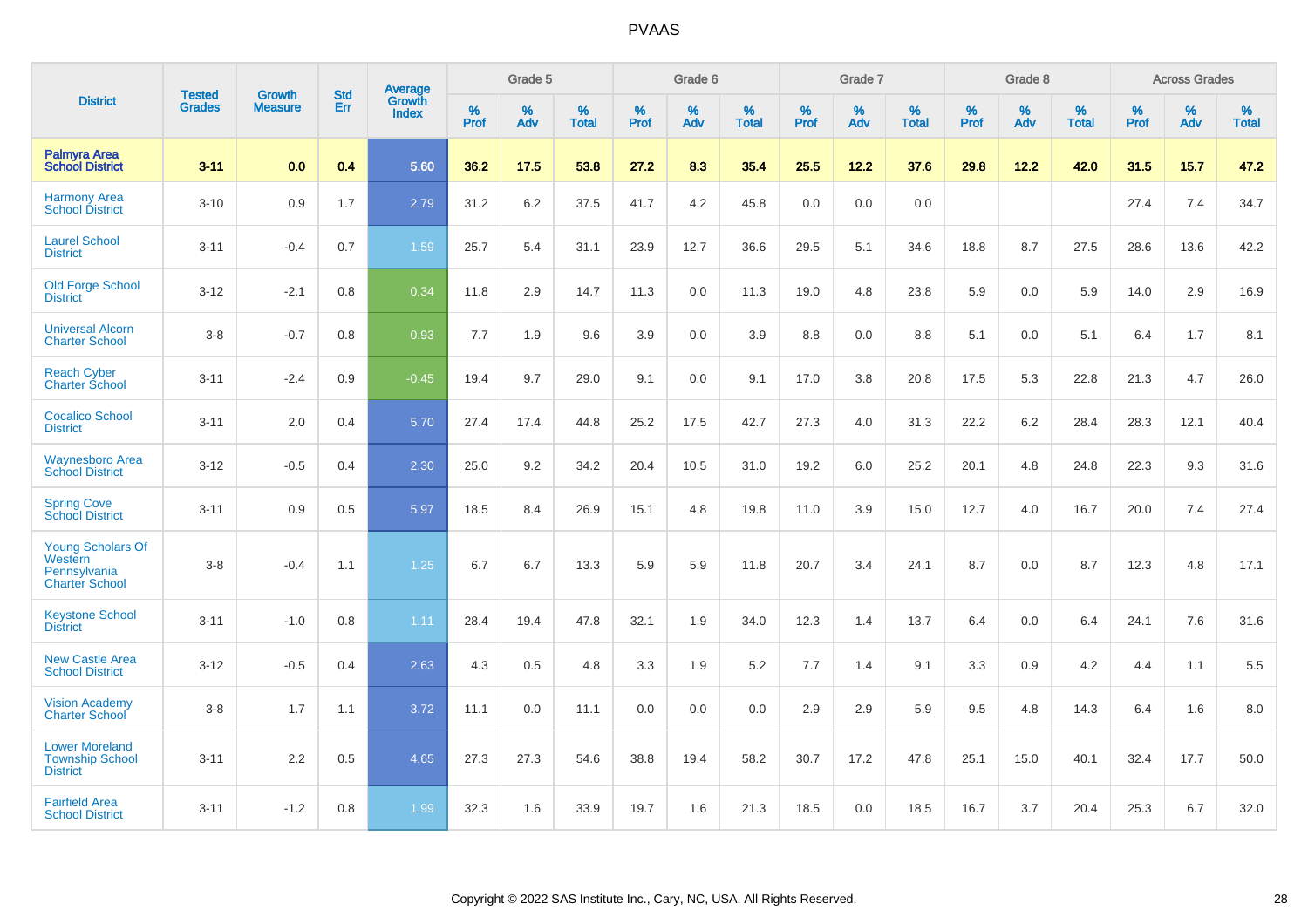|                                                                              |                                |                                 | <b>Std</b> | Average                       |           | Grade 5  |                   |           | Grade 6  |                   |           | Grade 7  |                   |           | Grade 8  |                   |           | <b>Across Grades</b> |                   |
|------------------------------------------------------------------------------|--------------------------------|---------------------------------|------------|-------------------------------|-----------|----------|-------------------|-----------|----------|-------------------|-----------|----------|-------------------|-----------|----------|-------------------|-----------|----------------------|-------------------|
| <b>District</b>                                                              | <b>Tested</b><br><b>Grades</b> | <b>Growth</b><br><b>Measure</b> | Err        | <b>Growth</b><br><b>Index</b> | %<br>Prof | %<br>Adv | %<br><b>Total</b> | %<br>Prof | %<br>Adv | %<br><b>Total</b> | %<br>Prof | %<br>Adv | %<br><b>Total</b> | %<br>Prof | %<br>Adv | %<br><b>Total</b> | %<br>Prof | %<br>Adv             | %<br><b>Total</b> |
| <b>Palmyra Area</b><br><b>School District</b>                                | $3 - 11$                       | 0.0                             | 0.4        | 5.60                          | 36.2      | 17.5     | 53.8              | 27.2      | 8.3      | 35.4              | 25.5      | 12.2     | 37.6              | 29.8      | 12.2     | 42.0              | 31.5      | 15.7                 | 47.2              |
| <b>Harmony Area</b><br><b>School District</b>                                | $3 - 10$                       | 0.9                             | 1.7        | 2.79                          | 31.2      | 6.2      | 37.5              | 41.7      | 4.2      | 45.8              | 0.0       | 0.0      | 0.0               |           |          |                   | 27.4      | 7.4                  | 34.7              |
| <b>Laurel School</b><br><b>District</b>                                      | $3 - 11$                       | $-0.4$                          | 0.7        | 1.59                          | 25.7      | 5.4      | 31.1              | 23.9      | 12.7     | 36.6              | 29.5      | 5.1      | 34.6              | 18.8      | 8.7      | 27.5              | 28.6      | 13.6                 | 42.2              |
| <b>Old Forge School</b><br><b>District</b>                                   | $3 - 12$                       | $-2.1$                          | 0.8        | 0.34                          | 11.8      | 2.9      | 14.7              | 11.3      | 0.0      | 11.3              | 19.0      | 4.8      | 23.8              | 5.9       | 0.0      | 5.9               | 14.0      | 2.9                  | 16.9              |
| <b>Universal Alcorn</b><br><b>Charter School</b>                             | $3 - 8$                        | $-0.7$                          | 0.8        | 0.93                          | 7.7       | 1.9      | 9.6               | 3.9       | 0.0      | 3.9               | 8.8       | 0.0      | 8.8               | 5.1       | 0.0      | 5.1               | 6.4       | 1.7                  | 8.1               |
| <b>Reach Cyber</b><br><b>Charter School</b>                                  | $3 - 11$                       | $-2.4$                          | 0.9        | $-0.45$                       | 19.4      | 9.7      | 29.0              | 9.1       | 0.0      | 9.1               | 17.0      | 3.8      | 20.8              | 17.5      | 5.3      | 22.8              | 21.3      | 4.7                  | 26.0              |
| <b>Cocalico School</b><br><b>District</b>                                    | $3 - 11$                       | 2.0                             | 0.4        | 5.70                          | 27.4      | 17.4     | 44.8              | 25.2      | 17.5     | 42.7              | 27.3      | 4.0      | 31.3              | 22.2      | $6.2\,$  | 28.4              | 28.3      | 12.1                 | 40.4              |
| <b>Waynesboro Area</b><br><b>School District</b>                             | $3 - 12$                       | $-0.5$                          | 0.4        | 2.30                          | 25.0      | 9.2      | 34.2              | 20.4      | 10.5     | 31.0              | 19.2      | 6.0      | 25.2              | 20.1      | 4.8      | 24.8              | 22.3      | 9.3                  | 31.6              |
| <b>Spring Cove</b><br><b>School District</b>                                 | $3 - 11$                       | 0.9                             | 0.5        | 5.97                          | 18.5      | 8.4      | 26.9              | 15.1      | 4.8      | 19.8              | 11.0      | 3.9      | 15.0              | 12.7      | 4.0      | 16.7              | 20.0      | 7.4                  | 27.4              |
| <b>Young Scholars Of</b><br>Western<br>Pennsylvania<br><b>Charter School</b> | $3 - 8$                        | $-0.4$                          | 1.1        | 1.25                          | 6.7       | 6.7      | 13.3              | 5.9       | 5.9      | 11.8              | 20.7      | 3.4      | 24.1              | 8.7       | 0.0      | 8.7               | 12.3      | 4.8                  | 17.1              |
| <b>Keystone School</b><br><b>District</b>                                    | $3 - 11$                       | $-1.0$                          | 0.8        | 1.11                          | 28.4      | 19.4     | 47.8              | 32.1      | 1.9      | 34.0              | 12.3      | 1.4      | 13.7              | 6.4       | 0.0      | 6.4               | 24.1      | 7.6                  | 31.6              |
| <b>New Castle Area</b><br><b>School District</b>                             | $3 - 12$                       | $-0.5$                          | 0.4        | 2.63                          | 4.3       | 0.5      | 4.8               | 3.3       | 1.9      | 5.2               | 7.7       | 1.4      | 9.1               | 3.3       | 0.9      | 4.2               | 4.4       | 1.1                  | 5.5               |
| <b>Vision Academy</b><br>Charter School                                      | $3 - 8$                        | 1.7                             | 1.1        | 3.72                          | 11.1      | 0.0      | 11.1              | 0.0       | 0.0      | 0.0               | 2.9       | 2.9      | 5.9               | 9.5       | 4.8      | 14.3              | 6.4       | 1.6                  | 8.0               |
| <b>Lower Moreland</b><br><b>Township School</b><br><b>District</b>           | $3 - 11$                       | 2.2                             | 0.5        | 4.65                          | 27.3      | 27.3     | 54.6              | 38.8      | 19.4     | 58.2              | 30.7      | 17.2     | 47.8              | 25.1      | 15.0     | 40.1              | 32.4      | 17.7                 | 50.0              |
| <b>Fairfield Area</b><br><b>School District</b>                              | $3 - 11$                       | $-1.2$                          | 0.8        | 1.99                          | 32.3      | 1.6      | 33.9              | 19.7      | 1.6      | 21.3              | 18.5      | 0.0      | 18.5              | 16.7      | 3.7      | 20.4              | 25.3      | 6.7                  | 32.0              |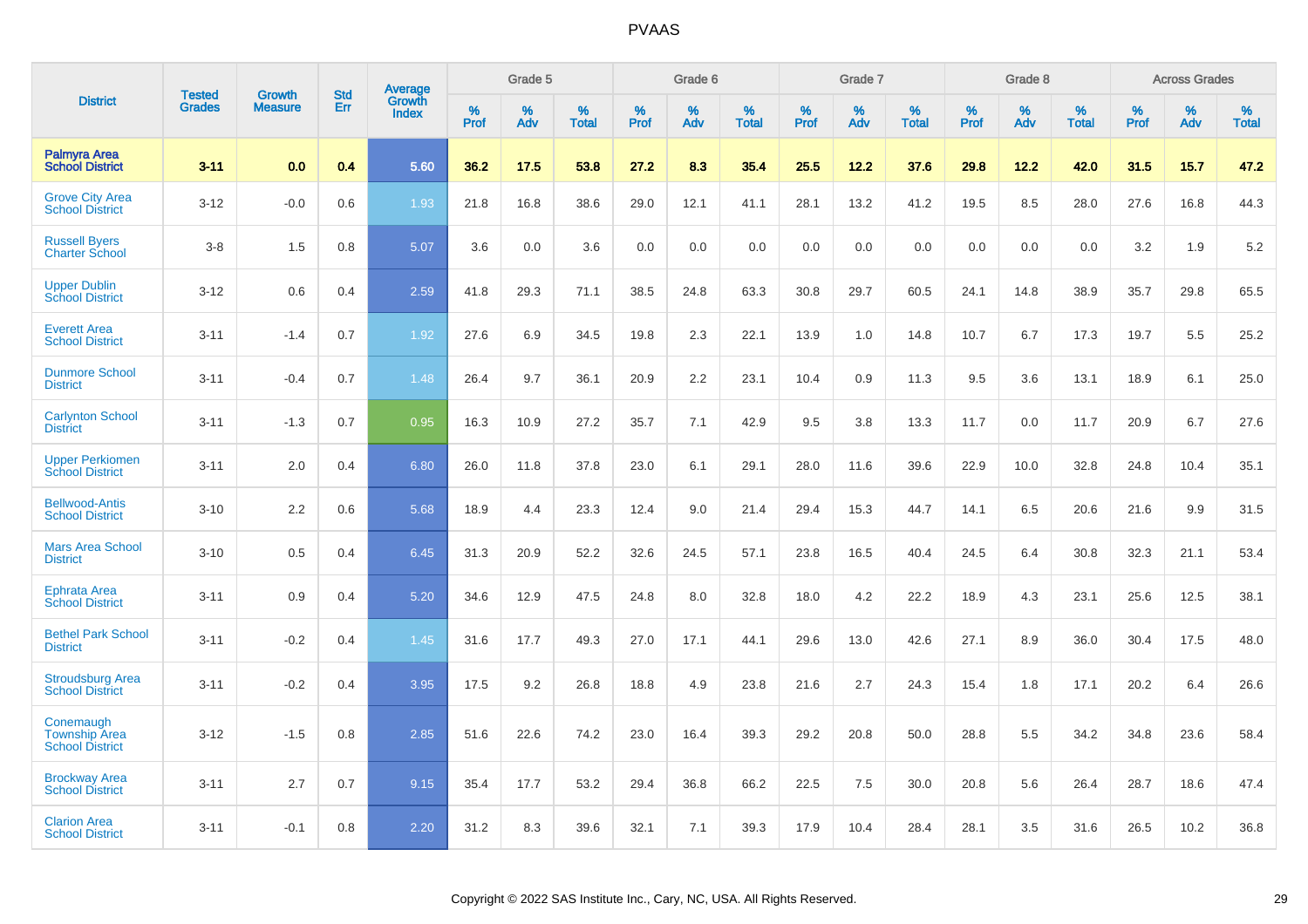|                                                             |                                | <b>Growth</b>  | <b>Std</b> | Average                |              | Grade 5     |                      |                     | Grade 6     |                      |              | Grade 7     |                      |              | Grade 8     |                   |                     | <b>Across Grades</b> |                      |
|-------------------------------------------------------------|--------------------------------|----------------|------------|------------------------|--------------|-------------|----------------------|---------------------|-------------|----------------------|--------------|-------------|----------------------|--------------|-------------|-------------------|---------------------|----------------------|----------------------|
| <b>District</b>                                             | <b>Tested</b><br><b>Grades</b> | <b>Measure</b> | Err        | Growth<br><b>Index</b> | $\%$<br>Prof | $\%$<br>Adv | $\%$<br><b>Total</b> | $\%$<br><b>Prof</b> | $\%$<br>Adv | $\%$<br><b>Total</b> | $\%$<br>Prof | $\%$<br>Adv | $\%$<br><b>Total</b> | $\%$<br>Prof | $\%$<br>Adv | %<br><b>Total</b> | $\%$<br><b>Prof</b> | $\%$<br>Adv          | $\%$<br><b>Total</b> |
| <b>Palmyra Area</b><br><b>School District</b>               | $3 - 11$                       | 0.0            | 0.4        | 5.60                   | 36.2         | 17.5        | 53.8                 | 27.2                | 8.3         | 35.4                 | 25.5         | 12.2        | 37.6                 | 29.8         | 12.2        | 42.0              | 31.5                | 15.7                 | 47.2                 |
| <b>Grove City Area</b><br><b>School District</b>            | $3 - 12$                       | $-0.0$         | 0.6        | 1.93                   | 21.8         | 16.8        | 38.6                 | 29.0                | 12.1        | 41.1                 | 28.1         | 13.2        | 41.2                 | 19.5         | 8.5         | 28.0              | 27.6                | 16.8                 | 44.3                 |
| <b>Russell Byers</b><br><b>Charter School</b>               | $3 - 8$                        | 1.5            | 0.8        | 5.07                   | 3.6          | 0.0         | 3.6                  | 0.0                 | 0.0         | 0.0                  | 0.0          | 0.0         | 0.0                  | 0.0          | 0.0         | 0.0               | 3.2                 | 1.9                  | 5.2                  |
| <b>Upper Dublin</b><br><b>School District</b>               | $3 - 12$                       | 0.6            | 0.4        | 2.59                   | 41.8         | 29.3        | 71.1                 | 38.5                | 24.8        | 63.3                 | 30.8         | 29.7        | 60.5                 | 24.1         | 14.8        | 38.9              | 35.7                | 29.8                 | 65.5                 |
| <b>Everett Area</b><br><b>School District</b>               | $3 - 11$                       | $-1.4$         | 0.7        | 1.92                   | 27.6         | 6.9         | 34.5                 | 19.8                | 2.3         | 22.1                 | 13.9         | 1.0         | 14.8                 | 10.7         | 6.7         | 17.3              | 19.7                | 5.5                  | 25.2                 |
| <b>Dunmore School</b><br><b>District</b>                    | $3 - 11$                       | $-0.4$         | 0.7        | 1.48                   | 26.4         | 9.7         | 36.1                 | 20.9                | 2.2         | 23.1                 | 10.4         | 0.9         | 11.3                 | 9.5          | 3.6         | 13.1              | 18.9                | 6.1                  | 25.0                 |
| <b>Carlynton School</b><br><b>District</b>                  | $3 - 11$                       | $-1.3$         | 0.7        | 0.95                   | 16.3         | 10.9        | 27.2                 | 35.7                | 7.1         | 42.9                 | 9.5          | 3.8         | 13.3                 | 11.7         | 0.0         | 11.7              | 20.9                | 6.7                  | 27.6                 |
| <b>Upper Perkiomen</b><br><b>School District</b>            | $3 - 11$                       | 2.0            | 0.4        | 6.80                   | 26.0         | 11.8        | 37.8                 | 23.0                | 6.1         | 29.1                 | 28.0         | 11.6        | 39.6                 | 22.9         | 10.0        | 32.8              | 24.8                | 10.4                 | 35.1                 |
| <b>Bellwood-Antis</b><br><b>School District</b>             | $3 - 10$                       | 2.2            | 0.6        | 5.68                   | 18.9         | 4.4         | 23.3                 | 12.4                | 9.0         | 21.4                 | 29.4         | 15.3        | 44.7                 | 14.1         | 6.5         | 20.6              | 21.6                | 9.9                  | 31.5                 |
| <b>Mars Area School</b><br><b>District</b>                  | $3 - 10$                       | 0.5            | 0.4        | 6.45                   | 31.3         | 20.9        | 52.2                 | 32.6                | 24.5        | 57.1                 | 23.8         | 16.5        | 40.4                 | 24.5         | 6.4         | 30.8              | 32.3                | 21.1                 | 53.4                 |
| Ephrata Area<br><b>School District</b>                      | $3 - 11$                       | 0.9            | 0.4        | 5.20                   | 34.6         | 12.9        | 47.5                 | 24.8                | 8.0         | 32.8                 | 18.0         | 4.2         | 22.2                 | 18.9         | 4.3         | 23.1              | 25.6                | 12.5                 | 38.1                 |
| <b>Bethel Park School</b><br><b>District</b>                | $3 - 11$                       | $-0.2$         | 0.4        | 1.45                   | 31.6         | 17.7        | 49.3                 | 27.0                | 17.1        | 44.1                 | 29.6         | 13.0        | 42.6                 | 27.1         | 8.9         | 36.0              | 30.4                | 17.5                 | 48.0                 |
| <b>Stroudsburg Area</b><br><b>School District</b>           | $3 - 11$                       | $-0.2$         | 0.4        | 3.95                   | 17.5         | 9.2         | 26.8                 | 18.8                | 4.9         | 23.8                 | 21.6         | 2.7         | 24.3                 | 15.4         | 1.8         | 17.1              | 20.2                | 6.4                  | 26.6                 |
| Conemaugh<br><b>Township Area</b><br><b>School District</b> | $3 - 12$                       | $-1.5$         | 0.8        | 2.85                   | 51.6         | 22.6        | 74.2                 | 23.0                | 16.4        | 39.3                 | 29.2         | 20.8        | 50.0                 | 28.8         | 5.5         | 34.2              | 34.8                | 23.6                 | 58.4                 |
| <b>Brockway Area</b><br><b>School District</b>              | $3 - 11$                       | 2.7            | 0.7        | 9.15                   | 35.4         | 17.7        | 53.2                 | 29.4                | 36.8        | 66.2                 | 22.5         | 7.5         | 30.0                 | 20.8         | 5.6         | 26.4              | 28.7                | 18.6                 | 47.4                 |
| <b>Clarion Area</b><br><b>School District</b>               | $3 - 11$                       | $-0.1$         | 0.8        | 2.20                   | 31.2         | 8.3         | 39.6                 | 32.1                | 7.1         | 39.3                 | 17.9         | 10.4        | 28.4                 | 28.1         | 3.5         | 31.6              | 26.5                | 10.2                 | 36.8                 |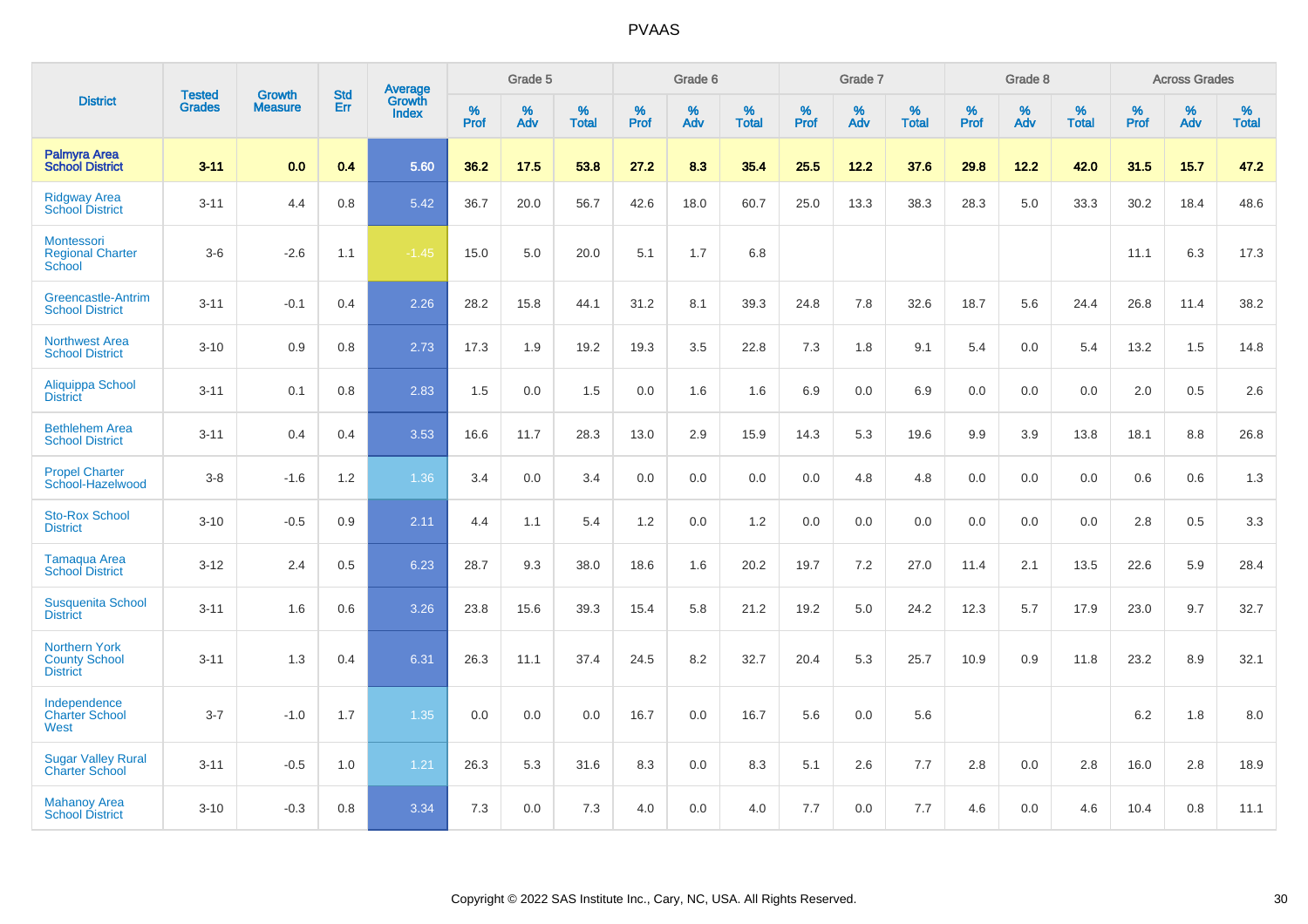|                                                                 | <b>Tested</b> | <b>Growth</b>  | <b>Std</b> | Average                |              | Grade 5  |                   |           | Grade 6  |                   |           | Grade 7  |                   |           | Grade 8  |                   |           | <b>Across Grades</b> |                   |
|-----------------------------------------------------------------|---------------|----------------|------------|------------------------|--------------|----------|-------------------|-----------|----------|-------------------|-----------|----------|-------------------|-----------|----------|-------------------|-----------|----------------------|-------------------|
| <b>District</b>                                                 | <b>Grades</b> | <b>Measure</b> | Err        | Growth<br><b>Index</b> | $\%$<br>Prof | %<br>Adv | %<br><b>Total</b> | %<br>Prof | %<br>Adv | %<br><b>Total</b> | %<br>Prof | %<br>Adv | %<br><b>Total</b> | %<br>Prof | %<br>Adv | %<br><b>Total</b> | %<br>Prof | %<br>Adv             | %<br><b>Total</b> |
| Palmyra Area<br><b>School District</b>                          | $3 - 11$      | 0.0            | 0.4        | 5.60                   | 36.2         | 17.5     | 53.8              | 27.2      | 8.3      | 35.4              | 25.5      | 12.2     | 37.6              | 29.8      | 12.2     | 42.0              | 31.5      | 15.7                 | 47.2              |
| <b>Ridgway Area</b><br><b>School District</b>                   | $3 - 11$      | 4.4            | 0.8        | 5.42                   | 36.7         | 20.0     | 56.7              | 42.6      | 18.0     | 60.7              | 25.0      | 13.3     | 38.3              | 28.3      | 5.0      | 33.3              | 30.2      | 18.4                 | 48.6              |
| Montessori<br><b>Regional Charter</b><br>School                 | $3-6$         | $-2.6$         | 1.1        | $-1.45$                | 15.0         | 5.0      | 20.0              | 5.1       | 1.7      | 6.8               |           |          |                   |           |          |                   | 11.1      | 6.3                  | 17.3              |
| Greencastle-Antrim<br><b>School District</b>                    | $3 - 11$      | $-0.1$         | 0.4        | 2.26                   | 28.2         | 15.8     | 44.1              | 31.2      | 8.1      | 39.3              | 24.8      | 7.8      | 32.6              | 18.7      | 5.6      | 24.4              | 26.8      | 11.4                 | 38.2              |
| <b>Northwest Area</b><br><b>School District</b>                 | $3 - 10$      | 0.9            | 0.8        | 2.73                   | 17.3         | 1.9      | 19.2              | 19.3      | 3.5      | 22.8              | 7.3       | 1.8      | 9.1               | 5.4       | 0.0      | 5.4               | 13.2      | 1.5                  | 14.8              |
| <b>Aliquippa School</b><br><b>District</b>                      | $3 - 11$      | 0.1            | 0.8        | 2.83                   | 1.5          | 0.0      | 1.5               | 0.0       | 1.6      | 1.6               | 6.9       | 0.0      | 6.9               | 0.0       | 0.0      | 0.0               | 2.0       | 0.5                  | 2.6               |
| <b>Bethlehem Area</b><br><b>School District</b>                 | $3 - 11$      | 0.4            | 0.4        | 3.53                   | 16.6         | 11.7     | 28.3              | 13.0      | 2.9      | 15.9              | 14.3      | 5.3      | 19.6              | 9.9       | 3.9      | 13.8              | 18.1      | 8.8                  | 26.8              |
| <b>Propel Charter</b><br>School-Hazelwood                       | $3-8$         | $-1.6$         | $1.2$      | 1.36                   | 3.4          | 0.0      | 3.4               | 0.0       | 0.0      | 0.0               | 0.0       | 4.8      | 4.8               | 0.0       | 0.0      | 0.0               | 0.6       | 0.6                  | 1.3               |
| <b>Sto-Rox School</b><br><b>District</b>                        | $3 - 10$      | $-0.5$         | 0.9        | 2.11                   | 4.4          | 1.1      | 5.4               | 1.2       | 0.0      | 1.2               | 0.0       | 0.0      | 0.0               | 0.0       | 0.0      | 0.0               | 2.8       | 0.5                  | 3.3               |
| Tamaqua Area<br><b>School District</b>                          | $3 - 12$      | 2.4            | 0.5        | 6.23                   | 28.7         | 9.3      | 38.0              | 18.6      | 1.6      | 20.2              | 19.7      | $7.2\,$  | 27.0              | 11.4      | 2.1      | 13.5              | 22.6      | 5.9                  | 28.4              |
| <b>Susquenita School</b><br><b>District</b>                     | $3 - 11$      | 1.6            | 0.6        | 3.26                   | 23.8         | 15.6     | 39.3              | 15.4      | 5.8      | 21.2              | 19.2      | 5.0      | 24.2              | 12.3      | 5.7      | 17.9              | 23.0      | 9.7                  | 32.7              |
| <b>Northern York</b><br><b>County School</b><br><b>District</b> | $3 - 11$      | 1.3            | 0.4        | 6.31                   | 26.3         | 11.1     | 37.4              | 24.5      | 8.2      | 32.7              | 20.4      | 5.3      | 25.7              | 10.9      | 0.9      | 11.8              | 23.2      | 8.9                  | 32.1              |
| Independence<br><b>Charter School</b><br>West                   | $3 - 7$       | $-1.0$         | 1.7        | 1.35                   | 0.0          | 0.0      | 0.0               | 16.7      | 0.0      | 16.7              | 5.6       | 0.0      | 5.6               |           |          |                   | $6.2\,$   | 1.8                  | $8.0\,$           |
| <b>Sugar Valley Rural</b><br><b>Charter School</b>              | $3 - 11$      | $-0.5$         | 1.0        | 1.21                   | 26.3         | 5.3      | 31.6              | 8.3       | 0.0      | 8.3               | 5.1       | 2.6      | 7.7               | 2.8       | 0.0      | 2.8               | 16.0      | 2.8                  | 18.9              |
| <b>Mahanoy Area</b><br><b>School District</b>                   | $3 - 10$      | $-0.3$         | 0.8        | 3.34                   | 7.3          | 0.0      | 7.3               | 4.0       | 0.0      | 4.0               | 7.7       | 0.0      | 7.7               | 4.6       | 0.0      | 4.6               | 10.4      | 0.8                  | 11.1              |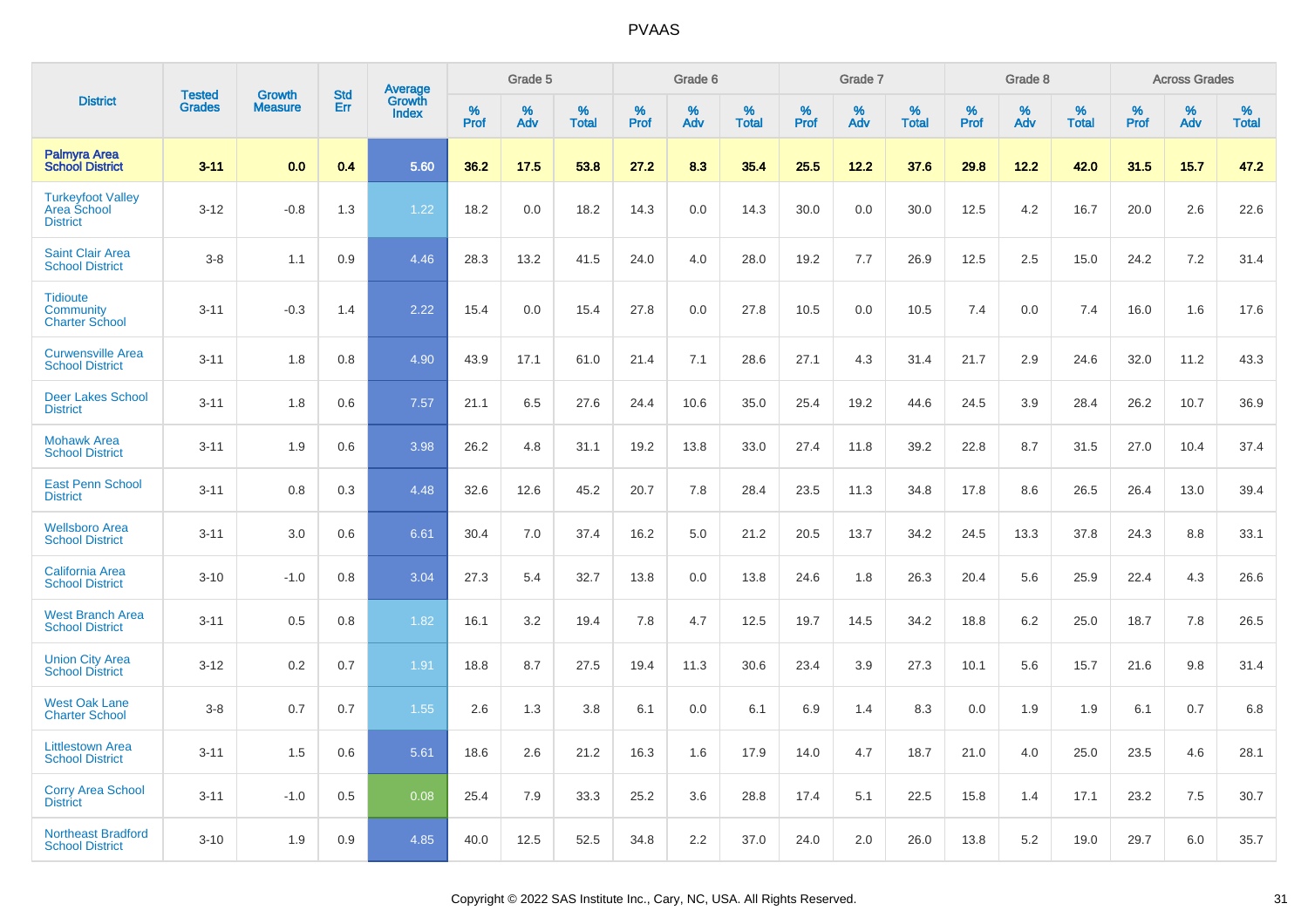|                                                                   |                                |                                 | <b>Std</b> |                                          |              | Grade 5  |                   |              | Grade 6  |                   |              | Grade 7  |                   |              | Grade 8  |                   |              | <b>Across Grades</b> |                   |
|-------------------------------------------------------------------|--------------------------------|---------------------------------|------------|------------------------------------------|--------------|----------|-------------------|--------------|----------|-------------------|--------------|----------|-------------------|--------------|----------|-------------------|--------------|----------------------|-------------------|
| <b>District</b>                                                   | <b>Tested</b><br><b>Grades</b> | <b>Growth</b><br><b>Measure</b> | Err        | <b>Average</b><br>Growth<br><b>Index</b> | $\%$<br>Prof | %<br>Adv | %<br><b>Total</b> | $\%$<br>Prof | %<br>Adv | %<br><b>Total</b> | $\%$<br>Prof | %<br>Adv | %<br><b>Total</b> | $\%$<br>Prof | %<br>Adv | %<br><b>Total</b> | $\%$<br>Prof | %<br>Adv             | %<br><b>Total</b> |
| <b>Palmyra Area</b><br><b>School District</b>                     | $3 - 11$                       | 0.0                             | 0.4        | 5.60                                     | 36.2         | 17.5     | 53.8              | 27.2         | 8.3      | 35.4              | 25.5         | 12.2     | 37.6              | 29.8         | 12.2     | 42.0              | 31.5         | 15.7                 | 47.2              |
| <b>Turkeyfoot Valley</b><br><b>Area School</b><br><b>District</b> | $3 - 12$                       | $-0.8$                          | 1.3        | 1.22                                     | 18.2         | 0.0      | 18.2              | 14.3         | 0.0      | 14.3              | 30.0         | 0.0      | 30.0              | 12.5         | 4.2      | 16.7              | 20.0         | 2.6                  | 22.6              |
| <b>Saint Clair Area</b><br><b>School District</b>                 | $3 - 8$                        | 1.1                             | 0.9        | 4.46                                     | 28.3         | 13.2     | 41.5              | 24.0         | 4.0      | 28.0              | 19.2         | 7.7      | 26.9              | 12.5         | 2.5      | 15.0              | 24.2         | 7.2                  | 31.4              |
| <b>Tidioute</b><br>Community<br><b>Charter School</b>             | $3 - 11$                       | $-0.3$                          | 1.4        | 2.22                                     | 15.4         | 0.0      | 15.4              | 27.8         | 0.0      | 27.8              | 10.5         | 0.0      | 10.5              | 7.4          | 0.0      | 7.4               | 16.0         | 1.6                  | 17.6              |
| <b>Curwensville Area</b><br><b>School District</b>                | $3 - 11$                       | 1.8                             | 0.8        | 4.90                                     | 43.9         | 17.1     | 61.0              | 21.4         | 7.1      | 28.6              | 27.1         | 4.3      | 31.4              | 21.7         | 2.9      | 24.6              | 32.0         | 11.2                 | 43.3              |
| <b>Deer Lakes School</b><br><b>District</b>                       | $3 - 11$                       | 1.8                             | 0.6        | 7.57                                     | 21.1         | 6.5      | 27.6              | 24.4         | 10.6     | 35.0              | 25.4         | 19.2     | 44.6              | 24.5         | 3.9      | 28.4              | 26.2         | 10.7                 | 36.9              |
| <b>Mohawk Area</b><br><b>School District</b>                      | $3 - 11$                       | 1.9                             | 0.6        | 3.98                                     | 26.2         | 4.8      | 31.1              | 19.2         | 13.8     | 33.0              | 27.4         | 11.8     | 39.2              | 22.8         | 8.7      | 31.5              | 27.0         | 10.4                 | 37.4              |
| <b>East Penn School</b><br><b>District</b>                        | $3 - 11$                       | 0.8                             | 0.3        | 4.48                                     | 32.6         | 12.6     | 45.2              | 20.7         | 7.8      | 28.4              | 23.5         | 11.3     | 34.8              | 17.8         | 8.6      | 26.5              | 26.4         | 13.0                 | 39.4              |
| <b>Wellsboro Area</b><br><b>School District</b>                   | $3 - 11$                       | 3.0                             | 0.6        | 6.61                                     | 30.4         | 7.0      | 37.4              | 16.2         | 5.0      | 21.2              | 20.5         | 13.7     | 34.2              | 24.5         | 13.3     | 37.8              | 24.3         | 8.8                  | 33.1              |
| <b>California Area</b><br><b>School District</b>                  | $3 - 10$                       | $-1.0$                          | 0.8        | 3.04                                     | 27.3         | 5.4      | 32.7              | 13.8         | 0.0      | 13.8              | 24.6         | 1.8      | 26.3              | 20.4         | 5.6      | 25.9              | 22.4         | 4.3                  | 26.6              |
| <b>West Branch Area</b><br><b>School District</b>                 | $3 - 11$                       | 0.5                             | 0.8        | 1.82                                     | 16.1         | 3.2      | 19.4              | 7.8          | 4.7      | 12.5              | 19.7         | 14.5     | 34.2              | 18.8         | 6.2      | 25.0              | 18.7         | 7.8                  | 26.5              |
| <b>Union City Area</b><br><b>School District</b>                  | $3 - 12$                       | 0.2                             | 0.7        | 1.91                                     | 18.8         | 8.7      | 27.5              | 19.4         | 11.3     | 30.6              | 23.4         | 3.9      | 27.3              | 10.1         | 5.6      | 15.7              | 21.6         | 9.8                  | 31.4              |
| <b>West Oak Lane</b><br><b>Charter School</b>                     | $3 - 8$                        | 0.7                             | 0.7        | 1.55                                     | 2.6          | 1.3      | 3.8               | 6.1          | 0.0      | 6.1               | 6.9          | 1.4      | 8.3               | 0.0          | 1.9      | 1.9               | 6.1          | 0.7                  | 6.8               |
| <b>Littlestown Area</b><br><b>School District</b>                 | $3 - 11$                       | 1.5                             | 0.6        | 5.61                                     | 18.6         | 2.6      | 21.2              | 16.3         | 1.6      | 17.9              | 14.0         | 4.7      | 18.7              | 21.0         | 4.0      | 25.0              | 23.5         | 4.6                  | 28.1              |
| <b>Corry Area School</b><br><b>District</b>                       | $3 - 11$                       | $-1.0$                          | 0.5        | 0.08                                     | 25.4         | 7.9      | 33.3              | 25.2         | 3.6      | 28.8              | 17.4         | 5.1      | 22.5              | 15.8         | 1.4      | 17.1              | 23.2         | 7.5                  | 30.7              |
| <b>Northeast Bradford</b><br><b>School District</b>               | $3 - 10$                       | 1.9                             | 0.9        | 4.85                                     | 40.0         | 12.5     | 52.5              | 34.8         | 2.2      | 37.0              | 24.0         | 2.0      | 26.0              | 13.8         | 5.2      | 19.0              | 29.7         | 6.0                  | 35.7              |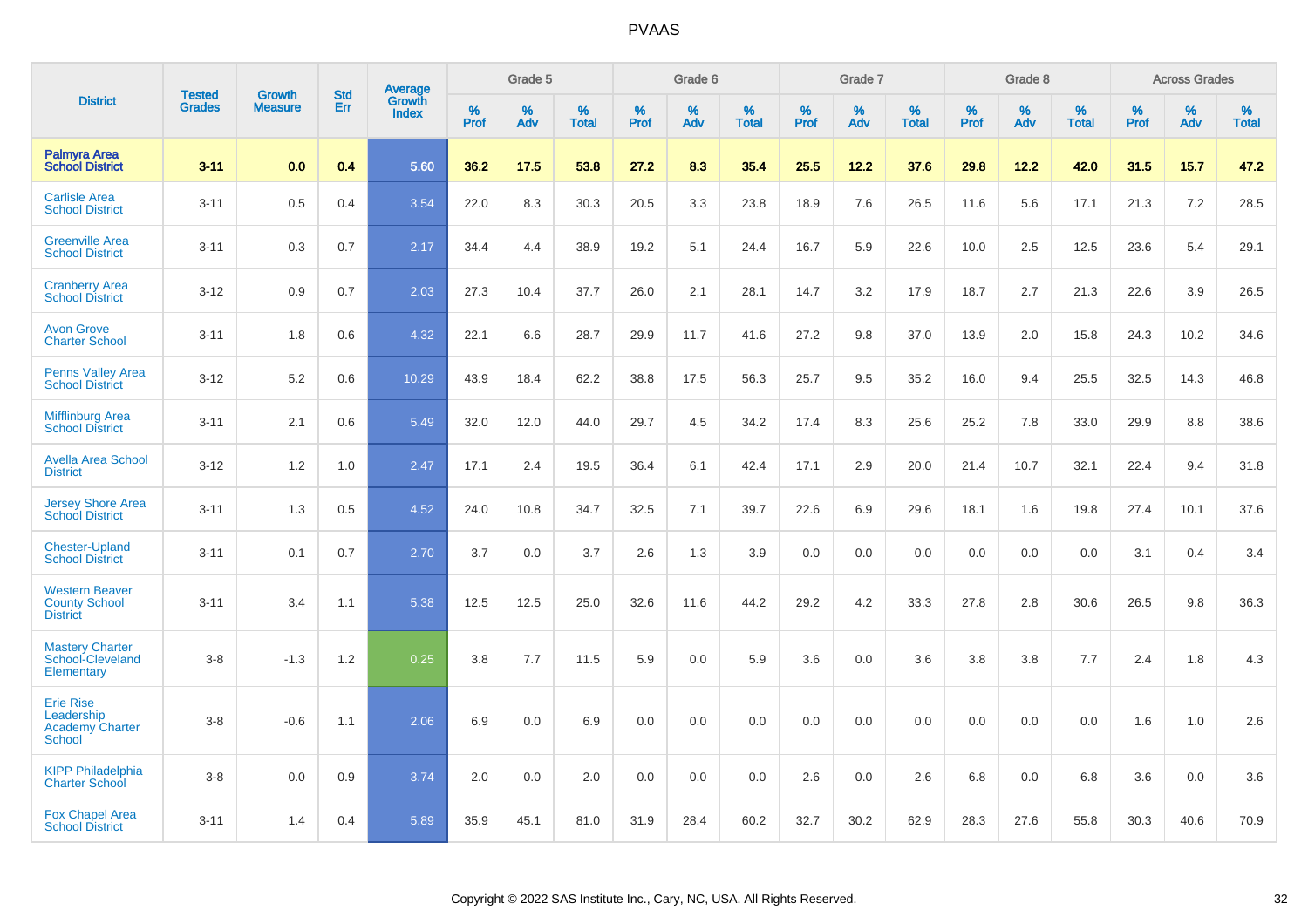|                                                                           | <b>Tested</b> | <b>Growth</b>  | <b>Std</b> | Average                |              | Grade 5  |                   |           | Grade 6  |                   |              | Grade 7  |                   |              | Grade 8  |                   |              | <b>Across Grades</b> |                   |
|---------------------------------------------------------------------------|---------------|----------------|------------|------------------------|--------------|----------|-------------------|-----------|----------|-------------------|--------------|----------|-------------------|--------------|----------|-------------------|--------------|----------------------|-------------------|
| <b>District</b>                                                           | <b>Grades</b> | <b>Measure</b> | Err        | Growth<br><b>Index</b> | $\%$<br>Prof | %<br>Adv | %<br><b>Total</b> | %<br>Prof | %<br>Adv | %<br><b>Total</b> | $\%$<br>Prof | %<br>Adv | %<br><b>Total</b> | $\%$<br>Prof | %<br>Adv | %<br><b>Total</b> | $\%$<br>Prof | $\%$<br>Adv          | %<br><b>Total</b> |
| <b>Palmyra Area</b><br><b>School District</b>                             | $3 - 11$      | 0.0            | 0.4        | 5.60                   | 36.2         | 17.5     | 53.8              | 27.2      | 8.3      | 35.4              | 25.5         | 12.2     | 37.6              | 29.8         | 12.2     | 42.0              | 31.5         | 15.7                 | 47.2              |
| <b>Carlisle Area</b><br><b>School District</b>                            | $3 - 11$      | 0.5            | 0.4        | 3.54                   | 22.0         | 8.3      | 30.3              | 20.5      | 3.3      | 23.8              | 18.9         | 7.6      | 26.5              | 11.6         | 5.6      | 17.1              | 21.3         | 7.2                  | 28.5              |
| <b>Greenville Area</b><br><b>School District</b>                          | $3 - 11$      | 0.3            | 0.7        | 2.17                   | 34.4         | 4.4      | 38.9              | 19.2      | 5.1      | 24.4              | 16.7         | 5.9      | 22.6              | 10.0         | 2.5      | 12.5              | 23.6         | 5.4                  | 29.1              |
| <b>Cranberry Area</b><br><b>School District</b>                           | $3 - 12$      | 0.9            | 0.7        | 2.03                   | 27.3         | 10.4     | 37.7              | 26.0      | 2.1      | 28.1              | 14.7         | 3.2      | 17.9              | 18.7         | 2.7      | 21.3              | 22.6         | 3.9                  | 26.5              |
| <b>Avon Grove</b><br><b>Charter School</b>                                | $3 - 11$      | 1.8            | 0.6        | 4.32                   | 22.1         | 6.6      | 28.7              | 29.9      | 11.7     | 41.6              | 27.2         | 9.8      | 37.0              | 13.9         | 2.0      | 15.8              | 24.3         | 10.2                 | 34.6              |
| <b>Penns Valley Area</b><br><b>School District</b>                        | $3 - 12$      | 5.2            | 0.6        | 10.29                  | 43.9         | 18.4     | 62.2              | 38.8      | 17.5     | 56.3              | 25.7         | 9.5      | 35.2              | 16.0         | 9.4      | 25.5              | 32.5         | 14.3                 | 46.8              |
| <b>Mifflinburg Area</b><br><b>School District</b>                         | $3 - 11$      | 2.1            | 0.6        | 5.49                   | 32.0         | 12.0     | 44.0              | 29.7      | 4.5      | 34.2              | 17.4         | 8.3      | 25.6              | 25.2         | 7.8      | 33.0              | 29.9         | 8.8                  | 38.6              |
| <b>Avella Area School</b><br><b>District</b>                              | $3 - 12$      | 1.2            | 1.0        | 2.47                   | 17.1         | 2.4      | 19.5              | 36.4      | 6.1      | 42.4              | 17.1         | 2.9      | 20.0              | 21.4         | 10.7     | 32.1              | 22.4         | 9.4                  | 31.8              |
| <b>Jersey Shore Area</b><br><b>School District</b>                        | $3 - 11$      | 1.3            | 0.5        | 4.52                   | 24.0         | 10.8     | 34.7              | 32.5      | 7.1      | 39.7              | 22.6         | 6.9      | 29.6              | 18.1         | 1.6      | 19.8              | 27.4         | 10.1                 | 37.6              |
| <b>Chester-Upland</b><br><b>School District</b>                           | $3 - 11$      | 0.1            | 0.7        | 2.70                   | 3.7          | 0.0      | 3.7               | 2.6       | 1.3      | 3.9               | 0.0          | 0.0      | 0.0               | 0.0          | 0.0      | 0.0               | 3.1          | 0.4                  | 3.4               |
| <b>Western Beaver</b><br><b>County School</b><br><b>District</b>          | $3 - 11$      | 3.4            | 1.1        | 5.38                   | 12.5         | 12.5     | 25.0              | 32.6      | 11.6     | 44.2              | 29.2         | 4.2      | 33.3              | 27.8         | 2.8      | 30.6              | 26.5         | 9.8                  | 36.3              |
| <b>Mastery Charter</b><br>School-Cleveland<br>Elementary                  | $3 - 8$       | $-1.3$         | 1.2        | 0.25                   | 3.8          | 7.7      | 11.5              | 5.9       | 0.0      | 5.9               | 3.6          | 0.0      | 3.6               | 3.8          | 3.8      | 7.7               | 2.4          | 1.8                  | 4.3               |
| <b>Erie Rise</b><br>Leadership<br><b>Academy Charter</b><br><b>School</b> | $3 - 8$       | $-0.6$         | 1.1        | 2.06                   | 6.9          | 0.0      | 6.9               | 0.0       | 0.0      | 0.0               | 0.0          | 0.0      | 0.0               | 0.0          | 0.0      | 0.0               | 1.6          | 1.0                  | 2.6               |
| <b>KIPP Philadelphia</b><br><b>Charter School</b>                         | $3 - 8$       | 0.0            | 0.9        | 3.74                   | 2.0          | 0.0      | 2.0               | 0.0       | 0.0      | 0.0               | 2.6          | 0.0      | 2.6               | 6.8          | 0.0      | 6.8               | 3.6          | 0.0                  | 3.6               |
| <b>Fox Chapel Area</b><br><b>School District</b>                          | $3 - 11$      | 1.4            | 0.4        | 5.89                   | 35.9         | 45.1     | 81.0              | 31.9      | 28.4     | 60.2              | 32.7         | 30.2     | 62.9              | 28.3         | 27.6     | 55.8              | 30.3         | 40.6                 | 70.9              |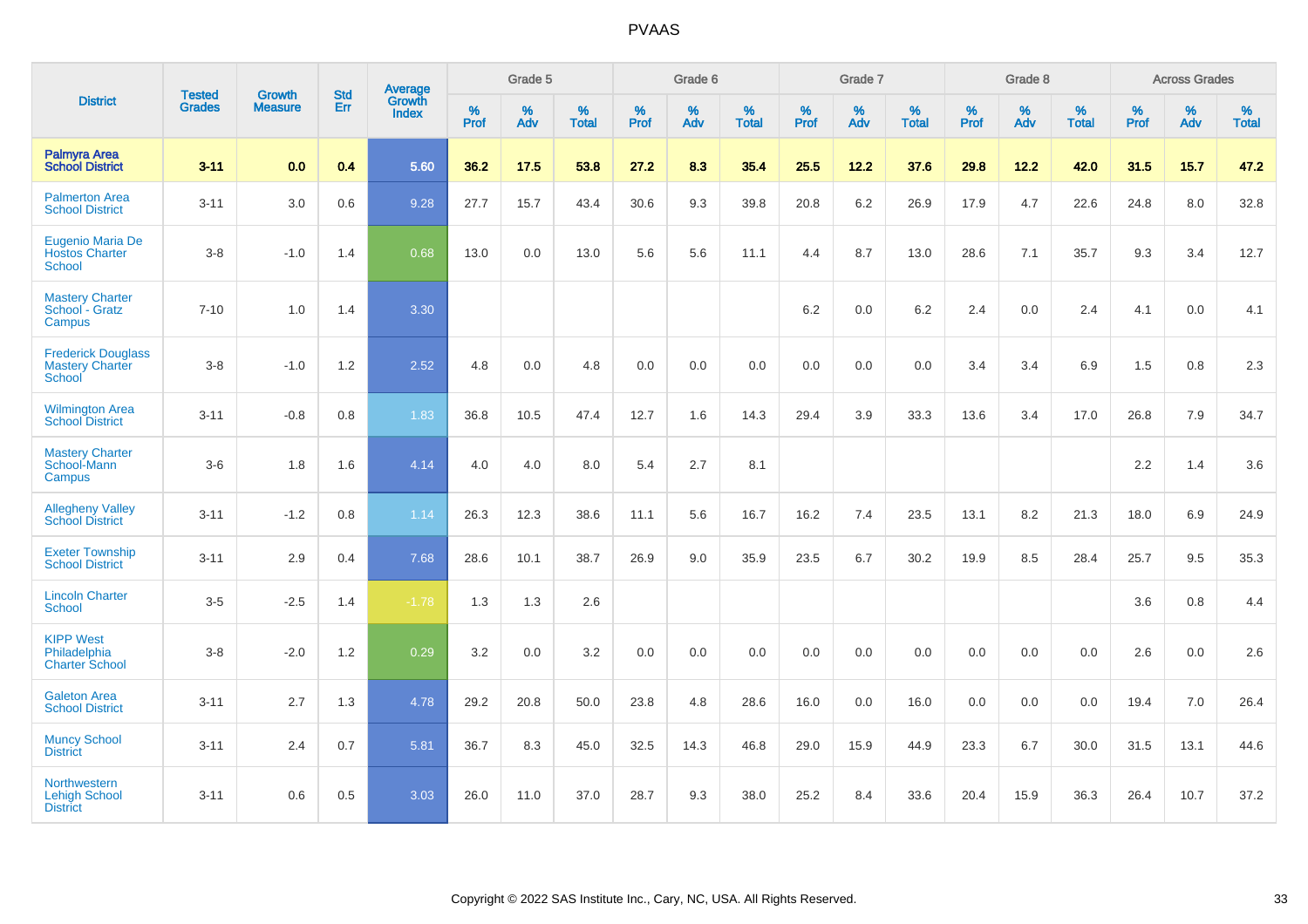|                                                               |                                | <b>Growth</b>  | <b>Std</b> | Average         |              | Grade 5  |                   |              | Grade 6  |                   |              | Grade 7  |                   |              | Grade 8  |                   |              | <b>Across Grades</b> |                   |
|---------------------------------------------------------------|--------------------------------|----------------|------------|-----------------|--------------|----------|-------------------|--------------|----------|-------------------|--------------|----------|-------------------|--------------|----------|-------------------|--------------|----------------------|-------------------|
| <b>District</b>                                               | <b>Tested</b><br><b>Grades</b> | <b>Measure</b> | Err        | Growth<br>Index | $\%$<br>Prof | %<br>Adv | %<br><b>Total</b> | $\%$<br>Prof | %<br>Adv | %<br><b>Total</b> | $\%$<br>Prof | %<br>Adv | %<br><b>Total</b> | $\%$<br>Prof | %<br>Adv | %<br><b>Total</b> | $\%$<br>Prof | $\%$<br>Adv          | %<br><b>Total</b> |
| Palmyra Area<br><b>School District</b>                        | $3 - 11$                       | 0.0            | 0.4        | 5.60            | 36.2         | 17.5     | 53.8              | 27.2         | 8.3      | 35.4              | 25.5         | 12.2     | 37.6              | 29.8         | 12.2     | 42.0              | 31.5         | 15.7                 | 47.2              |
| <b>Palmerton Area</b><br><b>School District</b>               | $3 - 11$                       | 3.0            | 0.6        | 9.28            | 27.7         | 15.7     | 43.4              | 30.6         | 9.3      | 39.8              | 20.8         | 6.2      | 26.9              | 17.9         | 4.7      | 22.6              | 24.8         | 8.0                  | 32.8              |
| Eugenio Maria De<br><b>Hostos Charter</b><br><b>School</b>    | $3 - 8$                        | $-1.0$         | 1.4        | 0.68            | 13.0         | 0.0      | 13.0              | 5.6          | 5.6      | 11.1              | 4.4          | 8.7      | 13.0              | 28.6         | 7.1      | 35.7              | 9.3          | 3.4                  | 12.7              |
| <b>Mastery Charter</b><br>School - Gratz<br>Campus            | $7 - 10$                       | 1.0            | 1.4        | 3.30            |              |          |                   |              |          |                   | 6.2          | 0.0      | 6.2               | 2.4          | 0.0      | 2.4               | 4.1          | 0.0                  | 4.1               |
| <b>Frederick Douglass</b><br><b>Mastery Charter</b><br>School | $3 - 8$                        | $-1.0$         | 1.2        | 2.52            | 4.8          | 0.0      | 4.8               | 0.0          | 0.0      | 0.0               | 0.0          | 0.0      | 0.0               | 3.4          | 3.4      | 6.9               | 1.5          | 0.8                  | $2.3\,$           |
| <b>Wilmington Area</b><br><b>School District</b>              | $3 - 11$                       | $-0.8$         | 0.8        | 1.83            | 36.8         | 10.5     | 47.4              | 12.7         | 1.6      | 14.3              | 29.4         | 3.9      | 33.3              | 13.6         | 3.4      | 17.0              | 26.8         | 7.9                  | 34.7              |
| <b>Mastery Charter</b><br>School-Mann<br>Campus               | $3-6$                          | 1.8            | 1.6        | 4.14            | 4.0          | 4.0      | 8.0               | 5.4          | 2.7      | 8.1               |              |          |                   |              |          |                   | $2.2\,$      | 1.4                  | 3.6               |
| <b>Allegheny Valley</b><br><b>School District</b>             | $3 - 11$                       | $-1.2$         | $0.8\,$    | 1.14            | 26.3         | 12.3     | 38.6              | 11.1         | 5.6      | 16.7              | 16.2         | 7.4      | 23.5              | 13.1         | 8.2      | 21.3              | 18.0         | 6.9                  | 24.9              |
| <b>Exeter Township</b><br><b>School District</b>              | $3 - 11$                       | 2.9            | 0.4        | 7.68            | 28.6         | 10.1     | 38.7              | 26.9         | 9.0      | 35.9              | 23.5         | 6.7      | 30.2              | 19.9         | 8.5      | 28.4              | 25.7         | 9.5                  | 35.3              |
| <b>Lincoln Charter</b><br><b>School</b>                       | $3 - 5$                        | $-2.5$         | 1.4        | $-1.78$         | 1.3          | 1.3      | 2.6               |              |          |                   |              |          |                   |              |          |                   | 3.6          | 0.8                  | 4.4               |
| <b>KIPP West</b><br>Philadelphia<br><b>Charter School</b>     | $3 - 8$                        | $-2.0$         | 1.2        | 0.29            | 3.2          | 0.0      | 3.2               | 0.0          | 0.0      | 0.0               | 0.0          | 0.0      | 0.0               | 0.0          | 0.0      | 0.0               | 2.6          | 0.0                  | 2.6               |
| <b>Galeton Area</b><br><b>School District</b>                 | $3 - 11$                       | 2.7            | 1.3        | 4.78            | 29.2         | 20.8     | 50.0              | 23.8         | 4.8      | 28.6              | 16.0         | 0.0      | 16.0              | 0.0          | 0.0      | 0.0               | 19.4         | 7.0                  | 26.4              |
| <b>Muncy School</b><br><b>District</b>                        | $3 - 11$                       | 2.4            | 0.7        | 5.81            | 36.7         | 8.3      | 45.0              | 32.5         | 14.3     | 46.8              | 29.0         | 15.9     | 44.9              | 23.3         | 6.7      | 30.0              | 31.5         | 13.1                 | 44.6              |
| Northwestern<br><b>Lehigh School</b><br><b>District</b>       | $3 - 11$                       | 0.6            | 0.5        | 3.03            | 26.0         | 11.0     | 37.0              | 28.7         | 9.3      | 38.0              | 25.2         | 8.4      | 33.6              | 20.4         | 15.9     | 36.3              | 26.4         | 10.7                 | 37.2              |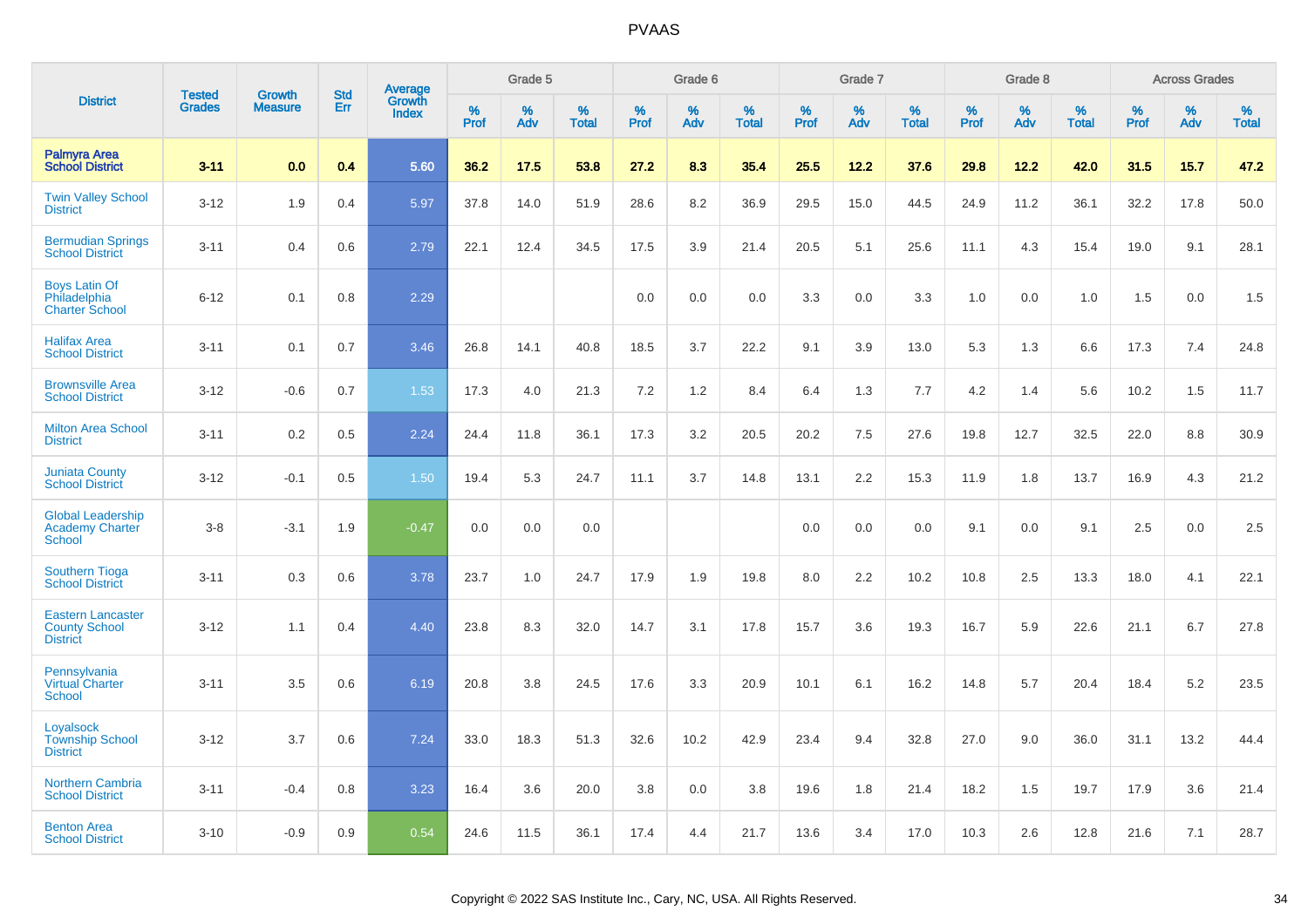|                                                                     | <b>Tested</b> | <b>Growth</b>  | <b>Std</b> |                                          |              | Grade 5  |                   |           | Grade 6  |                   |           | Grade 7  |                   |           | Grade 8  |                   |              | <b>Across Grades</b> |                   |
|---------------------------------------------------------------------|---------------|----------------|------------|------------------------------------------|--------------|----------|-------------------|-----------|----------|-------------------|-----------|----------|-------------------|-----------|----------|-------------------|--------------|----------------------|-------------------|
| <b>District</b>                                                     | <b>Grades</b> | <b>Measure</b> | <b>Err</b> | <b>Average</b><br>Growth<br><b>Index</b> | $\%$<br>Prof | %<br>Adv | %<br><b>Total</b> | %<br>Prof | %<br>Adv | %<br><b>Total</b> | %<br>Prof | %<br>Adv | %<br><b>Total</b> | %<br>Prof | %<br>Adv | %<br><b>Total</b> | $\%$<br>Prof | %<br>Adv             | %<br><b>Total</b> |
| <b>Palmyra Area</b><br><b>School District</b>                       | $3 - 11$      | 0.0            | 0.4        | 5.60                                     | 36.2         | 17.5     | 53.8              | 27.2      | 8.3      | 35.4              | 25.5      | 12.2     | 37.6              | 29.8      | 12.2     | 42.0              | 31.5         | 15.7                 | 47.2              |
| <b>Twin Valley School</b><br><b>District</b>                        | $3 - 12$      | 1.9            | 0.4        | 5.97                                     | 37.8         | 14.0     | 51.9              | 28.6      | 8.2      | 36.9              | 29.5      | 15.0     | 44.5              | 24.9      | 11.2     | 36.1              | 32.2         | 17.8                 | 50.0              |
| <b>Bermudian Springs</b><br><b>School District</b>                  | $3 - 11$      | 0.4            | 0.6        | 2.79                                     | 22.1         | 12.4     | 34.5              | 17.5      | 3.9      | 21.4              | 20.5      | 5.1      | 25.6              | 11.1      | 4.3      | 15.4              | 19.0         | 9.1                  | 28.1              |
| <b>Boys Latin Of</b><br>Philadelphia<br><b>Charter School</b>       | $6 - 12$      | 0.1            | 0.8        | 2.29                                     |              |          |                   | 0.0       | 0.0      | 0.0               | 3.3       | 0.0      | 3.3               | 1.0       | 0.0      | 1.0               | 1.5          | 0.0                  | 1.5               |
| <b>Halifax Area</b><br><b>School District</b>                       | $3 - 11$      | 0.1            | 0.7        | 3.46                                     | 26.8         | 14.1     | 40.8              | 18.5      | 3.7      | 22.2              | 9.1       | 3.9      | 13.0              | 5.3       | 1.3      | 6.6               | 17.3         | 7.4                  | 24.8              |
| <b>Brownsville Area</b><br><b>School District</b>                   | $3 - 12$      | $-0.6$         | 0.7        | 1.53                                     | 17.3         | 4.0      | 21.3              | 7.2       | $1.2$    | 8.4               | 6.4       | 1.3      | 7.7               | 4.2       | 1.4      | 5.6               | 10.2         | 1.5                  | 11.7              |
| <b>Milton Area School</b><br><b>District</b>                        | $3 - 11$      | 0.2            | 0.5        | 2.24                                     | 24.4         | 11.8     | 36.1              | 17.3      | 3.2      | 20.5              | 20.2      | 7.5      | 27.6              | 19.8      | 12.7     | 32.5              | 22.0         | 8.8                  | 30.9              |
| <b>Juniata County</b><br><b>School District</b>                     | $3 - 12$      | $-0.1$         | 0.5        | 1.50                                     | 19.4         | 5.3      | 24.7              | 11.1      | 3.7      | 14.8              | 13.1      | 2.2      | 15.3              | 11.9      | 1.8      | 13.7              | 16.9         | 4.3                  | 21.2              |
| <b>Global Leadership</b><br><b>Academy Charter</b><br>School        | $3 - 8$       | $-3.1$         | 1.9        | $-0.47$                                  | 0.0          | 0.0      | 0.0               |           |          |                   | 0.0       | 0.0      | 0.0               | 9.1       | 0.0      | 9.1               | 2.5          | 0.0                  | 2.5               |
| <b>Southern Tioga</b><br><b>School District</b>                     | $3 - 11$      | 0.3            | 0.6        | 3.78                                     | 23.7         | 1.0      | 24.7              | 17.9      | 1.9      | 19.8              | 8.0       | 2.2      | 10.2              | 10.8      | 2.5      | 13.3              | 18.0         | 4.1                  | 22.1              |
| <b>Eastern Lancaster</b><br><b>County School</b><br><b>District</b> | $3 - 12$      | 1.1            | 0.4        | 4.40                                     | 23.8         | 8.3      | 32.0              | 14.7      | 3.1      | 17.8              | 15.7      | 3.6      | 19.3              | 16.7      | 5.9      | 22.6              | 21.1         | 6.7                  | 27.8              |
| Pennsylvania<br><b>Virtual Charter</b><br><b>School</b>             | $3 - 11$      | 3.5            | 0.6        | 6.19                                     | 20.8         | 3.8      | 24.5              | 17.6      | 3.3      | 20.9              | 10.1      | 6.1      | 16.2              | 14.8      | 5.7      | 20.4              | 18.4         | 5.2                  | 23.5              |
| Loyalsock<br><b>Township School</b><br><b>District</b>              | $3 - 12$      | 3.7            | 0.6        | 7.24                                     | 33.0         | 18.3     | 51.3              | 32.6      | 10.2     | 42.9              | 23.4      | 9.4      | 32.8              | 27.0      | 9.0      | 36.0              | 31.1         | 13.2                 | 44.4              |
| <b>Northern Cambria</b><br><b>School District</b>                   | $3 - 11$      | $-0.4$         | 0.8        | 3.23                                     | 16.4         | 3.6      | 20.0              | 3.8       | 0.0      | 3.8               | 19.6      | 1.8      | 21.4              | 18.2      | 1.5      | 19.7              | 17.9         | 3.6                  | 21.4              |
| <b>Benton Area</b><br><b>School District</b>                        | $3 - 10$      | $-0.9$         | 0.9        | 0.54                                     | 24.6         | 11.5     | 36.1              | 17.4      | 4.4      | 21.7              | 13.6      | 3.4      | 17.0              | 10.3      | 2.6      | 12.8              | 21.6         | 7.1                  | 28.7              |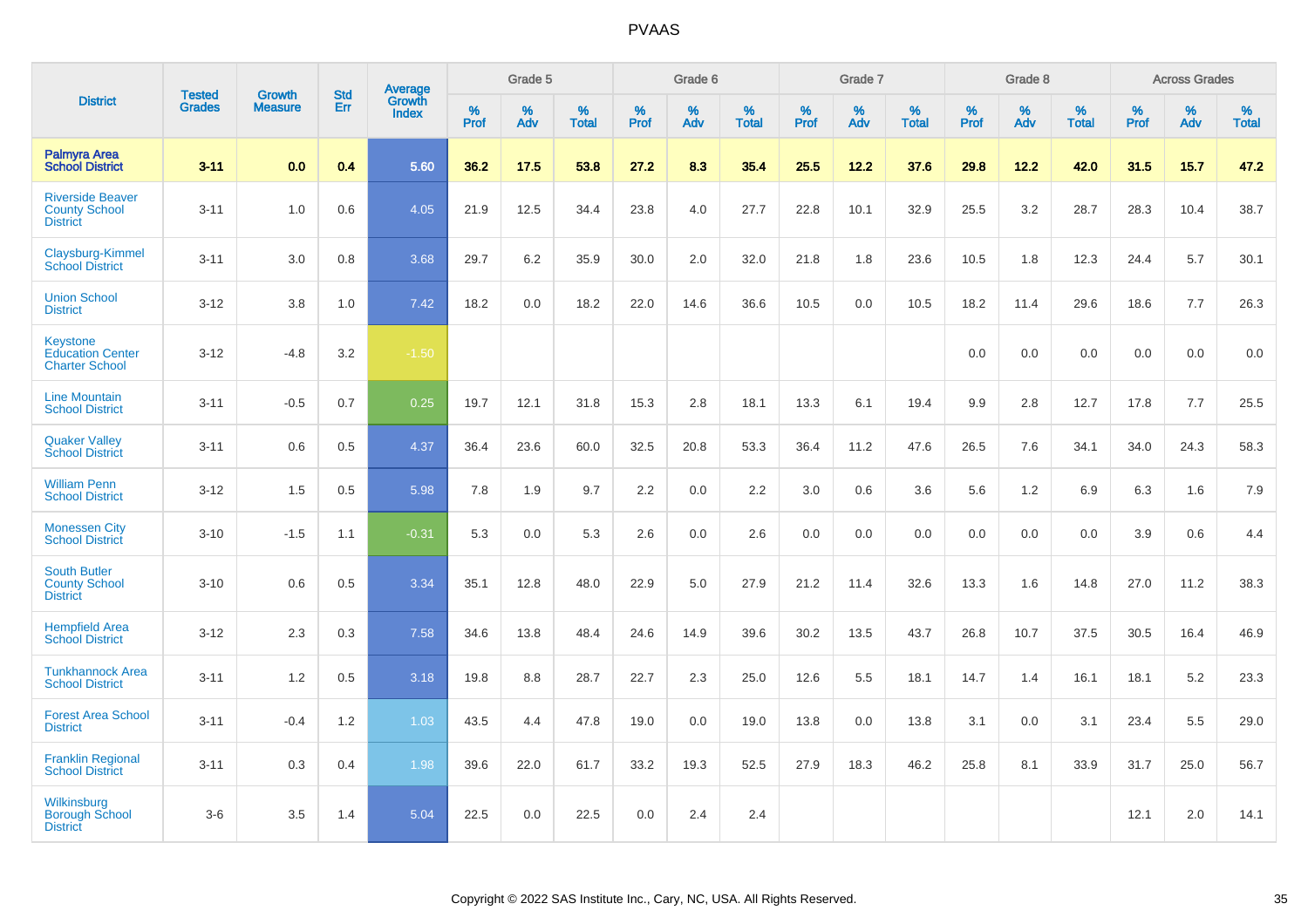|                                                                     |                                |                                 | <b>Std</b> | Average                |              | Grade 5  |                   |                  | Grade 6  |                   |           | Grade 7  |                   |           | Grade 8  |                   |                     | <b>Across Grades</b> |                   |
|---------------------------------------------------------------------|--------------------------------|---------------------------------|------------|------------------------|--------------|----------|-------------------|------------------|----------|-------------------|-----------|----------|-------------------|-----------|----------|-------------------|---------------------|----------------------|-------------------|
| <b>District</b>                                                     | <b>Tested</b><br><b>Grades</b> | <b>Growth</b><br><b>Measure</b> | Err        | Growth<br><b>Index</b> | $\%$<br>Prof | %<br>Adv | %<br><b>Total</b> | %<br><b>Prof</b> | %<br>Adv | %<br><b>Total</b> | %<br>Prof | %<br>Adv | %<br><b>Total</b> | %<br>Prof | %<br>Adv | %<br><b>Total</b> | $\%$<br><b>Prof</b> | %<br>Adv             | %<br><b>Total</b> |
| <b>Palmyra Area</b><br><b>School District</b>                       | $3 - 11$                       | 0.0                             | 0.4        | 5.60                   | 36.2         | 17.5     | 53.8              | 27.2             | 8.3      | 35.4              | 25.5      | 12.2     | 37.6              | 29.8      | 12.2     | 42.0              | 31.5                | 15.7                 | 47.2              |
| <b>Riverside Beaver</b><br><b>County School</b><br><b>District</b>  | $3 - 11$                       | 1.0                             | 0.6        | 4.05                   | 21.9         | 12.5     | 34.4              | 23.8             | 4.0      | 27.7              | 22.8      | 10.1     | 32.9              | 25.5      | 3.2      | 28.7              | 28.3                | 10.4                 | 38.7              |
| Claysburg-Kimmel<br><b>School District</b>                          | $3 - 11$                       | 3.0                             | 0.8        | 3.68                   | 29.7         | 6.2      | 35.9              | 30.0             | 2.0      | 32.0              | 21.8      | 1.8      | 23.6              | 10.5      | 1.8      | 12.3              | 24.4                | 5.7                  | 30.1              |
| <b>Union School</b><br><b>District</b>                              | $3 - 12$                       | 3.8                             | 1.0        | 7.42                   | 18.2         | 0.0      | 18.2              | 22.0             | 14.6     | 36.6              | 10.5      | 0.0      | 10.5              | 18.2      | 11.4     | 29.6              | 18.6                | 7.7                  | 26.3              |
| <b>Keystone</b><br><b>Education Center</b><br><b>Charter School</b> | $3 - 12$                       | $-4.8$                          | 3.2        | $-1.50$                |              |          |                   |                  |          |                   |           |          |                   | 0.0       | 0.0      | 0.0               | 0.0                 | 0.0                  | 0.0               |
| <b>Line Mountain</b><br><b>School District</b>                      | $3 - 11$                       | $-0.5$                          | 0.7        | 0.25                   | 19.7         | 12.1     | 31.8              | 15.3             | 2.8      | 18.1              | 13.3      | 6.1      | 19.4              | 9.9       | 2.8      | 12.7              | 17.8                | 7.7                  | 25.5              |
| <b>Quaker Valley</b><br><b>School District</b>                      | $3 - 11$                       | 0.6                             | 0.5        | 4.37                   | 36.4         | 23.6     | 60.0              | 32.5             | 20.8     | 53.3              | 36.4      | 11.2     | 47.6              | 26.5      | 7.6      | 34.1              | 34.0                | 24.3                 | 58.3              |
| <b>William Penn</b><br><b>School District</b>                       | $3 - 12$                       | 1.5                             | 0.5        | 5.98                   | 7.8          | 1.9      | 9.7               | 2.2              | 0.0      | 2.2               | 3.0       | 0.6      | 3.6               | 5.6       | 1.2      | 6.9               | 6.3                 | 1.6                  | 7.9               |
| <b>Monessen City</b><br><b>School District</b>                      | $3 - 10$                       | $-1.5$                          | 1.1        | $-0.31$                | 5.3          | 0.0      | 5.3               | 2.6              | 0.0      | 2.6               | 0.0       | 0.0      | 0.0               | 0.0       | 0.0      | 0.0               | 3.9                 | 0.6                  | 4.4               |
| <b>South Butler</b><br><b>County School</b><br><b>District</b>      | $3 - 10$                       | 0.6                             | 0.5        | 3.34                   | 35.1         | 12.8     | 48.0              | 22.9             | 5.0      | 27.9              | 21.2      | 11.4     | 32.6              | 13.3      | 1.6      | 14.8              | 27.0                | 11.2                 | 38.3              |
| <b>Hempfield Area</b><br><b>School District</b>                     | $3 - 12$                       | 2.3                             | 0.3        | 7.58                   | 34.6         | 13.8     | 48.4              | 24.6             | 14.9     | 39.6              | 30.2      | 13.5     | 43.7              | 26.8      | 10.7     | 37.5              | 30.5                | 16.4                 | 46.9              |
| <b>Tunkhannock Area</b><br><b>School District</b>                   | $3 - 11$                       | 1.2                             | 0.5        | 3.18                   | 19.8         | 8.8      | 28.7              | 22.7             | 2.3      | 25.0              | 12.6      | 5.5      | 18.1              | 14.7      | 1.4      | 16.1              | 18.1                | 5.2                  | 23.3              |
| <b>Forest Area School</b><br><b>District</b>                        | $3 - 11$                       | $-0.4$                          | 1.2        | 1.03                   | 43.5         | 4.4      | 47.8              | 19.0             | 0.0      | 19.0              | 13.8      | 0.0      | 13.8              | 3.1       | 0.0      | 3.1               | 23.4                | 5.5                  | 29.0              |
| <b>Franklin Regional</b><br><b>School District</b>                  | $3 - 11$                       | 0.3                             | 0.4        | 1.98                   | 39.6         | 22.0     | 61.7              | 33.2             | 19.3     | 52.5              | 27.9      | 18.3     | 46.2              | 25.8      | 8.1      | 33.9              | 31.7                | 25.0                 | 56.7              |
| Wilkinsburg<br><b>Borough School</b><br><b>District</b>             | $3-6$                          | 3.5                             | 1.4        | 5.04                   | 22.5         | 0.0      | 22.5              | 0.0              | 2.4      | 2.4               |           |          |                   |           |          |                   | 12.1                | 2.0                  | 14.1              |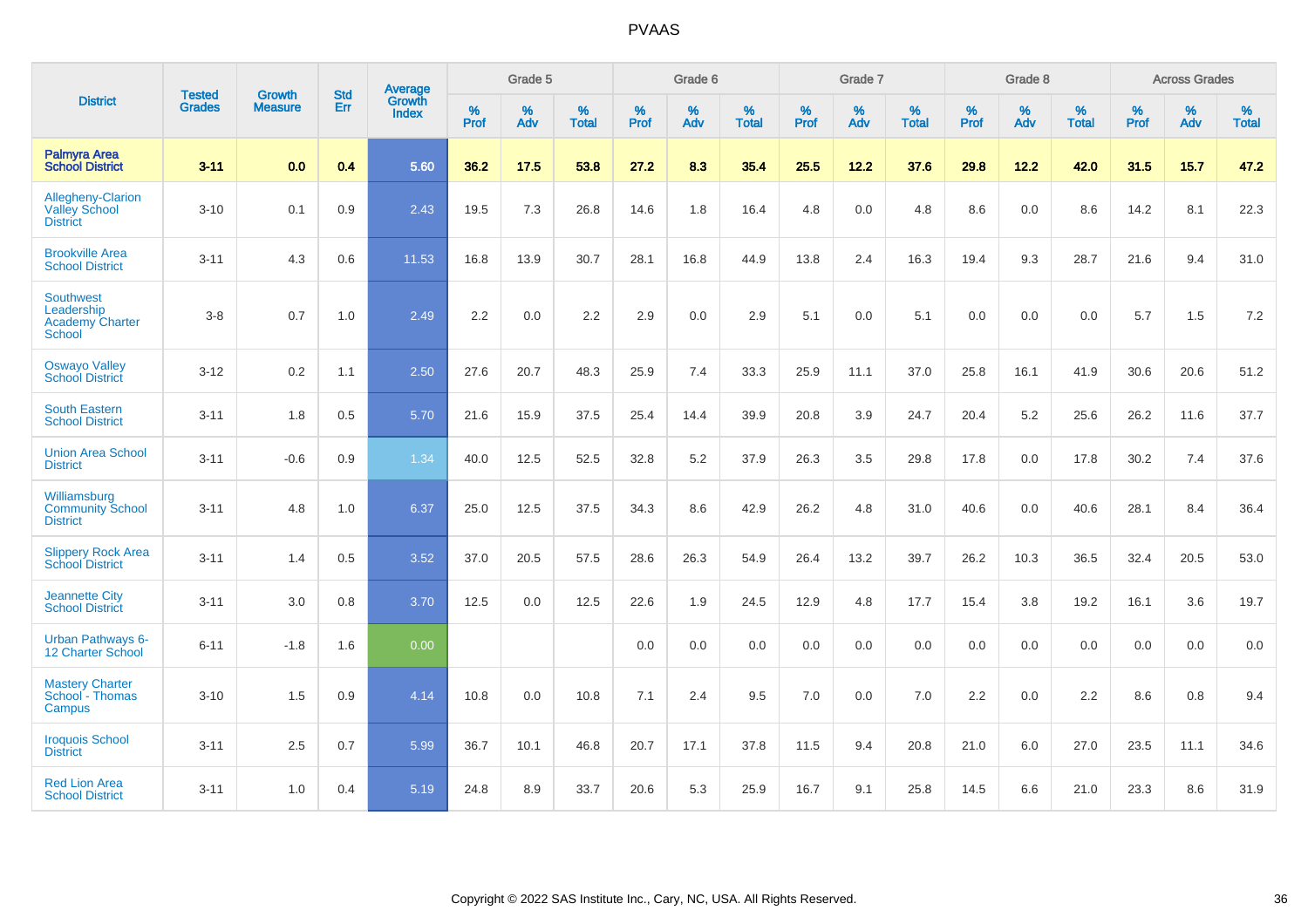|                                                                    | <b>Tested</b> | <b>Growth</b>  | <b>Std</b> | Average                |                     | Grade 5  |                   |                     | Grade 6  |                   |              | Grade 7  |                   |                     | Grade 8  |                   |                     | <b>Across Grades</b> |                   |
|--------------------------------------------------------------------|---------------|----------------|------------|------------------------|---------------------|----------|-------------------|---------------------|----------|-------------------|--------------|----------|-------------------|---------------------|----------|-------------------|---------------------|----------------------|-------------------|
| <b>District</b>                                                    | <b>Grades</b> | <b>Measure</b> | <b>Err</b> | Growth<br><b>Index</b> | $\%$<br><b>Prof</b> | %<br>Adv | %<br><b>Total</b> | $\%$<br><b>Prof</b> | %<br>Adv | %<br><b>Total</b> | $\%$<br>Prof | %<br>Adv | %<br><b>Total</b> | $\%$<br><b>Prof</b> | %<br>Adv | %<br><b>Total</b> | $\%$<br><b>Prof</b> | %<br>Adv             | %<br><b>Total</b> |
| <b>Palmyra Area</b><br><b>School District</b>                      | $3 - 11$      | 0.0            | 0.4        | 5.60                   | 36.2                | 17.5     | 53.8              | 27.2                | 8.3      | 35.4              | 25.5         | 12.2     | 37.6              | 29.8                | 12.2     | 42.0              | 31.5                | 15.7                 | 47.2              |
| Allegheny-Clarion<br><b>Valley School</b><br><b>District</b>       | $3 - 10$      | 0.1            | 0.9        | 2.43                   | 19.5                | 7.3      | 26.8              | 14.6                | 1.8      | 16.4              | 4.8          | 0.0      | 4.8               | 8.6                 | 0.0      | 8.6               | 14.2                | 8.1                  | 22.3              |
| <b>Brookville Area</b><br><b>School District</b>                   | $3 - 11$      | 4.3            | 0.6        | 11.53                  | 16.8                | 13.9     | 30.7              | 28.1                | 16.8     | 44.9              | 13.8         | 2.4      | 16.3              | 19.4                | 9.3      | 28.7              | 21.6                | 9.4                  | 31.0              |
| <b>Southwest</b><br>Leadership<br><b>Academy Charter</b><br>School | $3 - 8$       | 0.7            | 1.0        | 2.49                   | 2.2                 | 0.0      | 2.2               | 2.9                 | 0.0      | 2.9               | 5.1          | 0.0      | 5.1               | 0.0                 | 0.0      | 0.0               | 5.7                 | 1.5                  | 7.2               |
| <b>Oswayo Valley</b><br><b>School District</b>                     | $3 - 12$      | 0.2            | 1.1        | 2.50                   | 27.6                | 20.7     | 48.3              | 25.9                | 7.4      | 33.3              | 25.9         | 11.1     | 37.0              | 25.8                | 16.1     | 41.9              | 30.6                | 20.6                 | 51.2              |
| <b>South Eastern</b><br><b>School District</b>                     | $3 - 11$      | 1.8            | 0.5        | 5.70                   | 21.6                | 15.9     | 37.5              | 25.4                | 14.4     | 39.9              | 20.8         | 3.9      | 24.7              | 20.4                | 5.2      | 25.6              | 26.2                | 11.6                 | 37.7              |
| <b>Union Area School</b><br><b>District</b>                        | $3 - 11$      | $-0.6$         | 0.9        | 1.34                   | 40.0                | 12.5     | 52.5              | 32.8                | 5.2      | 37.9              | 26.3         | 3.5      | 29.8              | 17.8                | 0.0      | 17.8              | 30.2                | 7.4                  | 37.6              |
| Williamsburg<br><b>Community School</b><br><b>District</b>         | $3 - 11$      | 4.8            | 1.0        | 6.37                   | 25.0                | 12.5     | 37.5              | 34.3                | 8.6      | 42.9              | 26.2         | 4.8      | 31.0              | 40.6                | 0.0      | 40.6              | 28.1                | 8.4                  | 36.4              |
| <b>Slippery Rock Area</b><br><b>School District</b>                | $3 - 11$      | 1.4            | 0.5        | 3.52                   | 37.0                | 20.5     | 57.5              | 28.6                | 26.3     | 54.9              | 26.4         | 13.2     | 39.7              | 26.2                | 10.3     | 36.5              | 32.4                | 20.5                 | 53.0              |
| <b>Jeannette City</b><br><b>School District</b>                    | $3 - 11$      | 3.0            | 0.8        | 3.70                   | 12.5                | 0.0      | 12.5              | 22.6                | 1.9      | 24.5              | 12.9         | 4.8      | 17.7              | 15.4                | 3.8      | 19.2              | 16.1                | 3.6                  | 19.7              |
| Urban Pathways 6-<br>12 Charter School                             | $6 - 11$      | $-1.8$         | 1.6        | 0.00                   |                     |          |                   | $0.0\,$             | $0.0\,$  | 0.0               | $0.0\,$      | $0.0\,$  | 0.0               | 0.0                 | $0.0\,$  | 0.0               | 0.0                 | $0.0\,$              | $0.0\,$           |
| <b>Mastery Charter</b><br>School - Thomas<br>Campus                | $3 - 10$      | 1.5            | 0.9        | 4.14                   | 10.8                | 0.0      | 10.8              | 7.1                 | 2.4      | 9.5               | 7.0          | 0.0      | 7.0               | 2.2                 | 0.0      | 2.2               | 8.6                 | 0.8                  | 9.4               |
| <b>Iroquois School</b><br><b>District</b>                          | $3 - 11$      | 2.5            | 0.7        | 5.99                   | 36.7                | 10.1     | 46.8              | 20.7                | 17.1     | 37.8              | 11.5         | 9.4      | 20.8              | 21.0                | 6.0      | 27.0              | 23.5                | 11.1                 | 34.6              |
| <b>Red Lion Area</b><br><b>School District</b>                     | $3 - 11$      | 1.0            | 0.4        | 5.19                   | 24.8                | 8.9      | 33.7              | 20.6                | 5.3      | 25.9              | 16.7         | 9.1      | 25.8              | 14.5                | 6.6      | 21.0              | 23.3                | 8.6                  | 31.9              |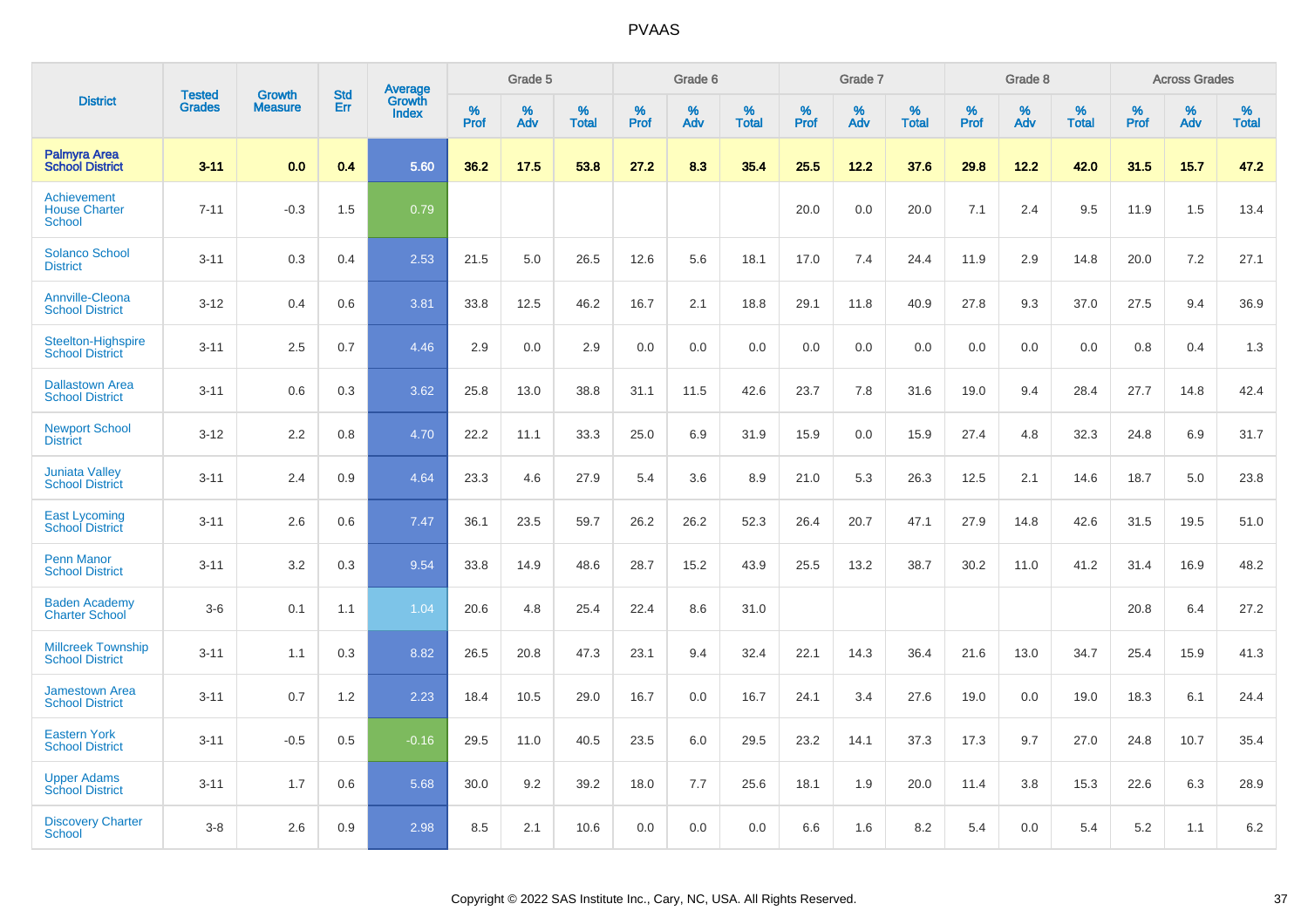|                                                      |                                |                          | <b>Std</b> | Average                |           | Grade 5  |                      |           | Grade 6  |                   |           | Grade 7  |                   |           | Grade 8  |                   |           | <b>Across Grades</b> |                   |
|------------------------------------------------------|--------------------------------|--------------------------|------------|------------------------|-----------|----------|----------------------|-----------|----------|-------------------|-----------|----------|-------------------|-----------|----------|-------------------|-----------|----------------------|-------------------|
| <b>District</b>                                      | <b>Tested</b><br><b>Grades</b> | Growth<br><b>Measure</b> | Err        | Growth<br><b>Index</b> | %<br>Prof | %<br>Adv | $\%$<br><b>Total</b> | %<br>Prof | %<br>Adv | %<br><b>Total</b> | %<br>Prof | %<br>Adv | %<br><b>Total</b> | %<br>Prof | %<br>Adv | %<br><b>Total</b> | %<br>Prof | %<br>Adv             | %<br><b>Total</b> |
| <b>Palmyra Area</b><br><b>School District</b>        | $3 - 11$                       | 0.0                      | 0.4        | 5.60                   | 36.2      | 17.5     | 53.8                 | 27.2      | 8.3      | 35.4              | 25.5      | 12.2     | 37.6              | 29.8      | 12.2     | 42.0              | 31.5      | 15.7                 | 47.2              |
| Achievement<br><b>House Charter</b><br><b>School</b> | $7 - 11$                       | $-0.3$                   | 1.5        | 0.79                   |           |          |                      |           |          |                   | 20.0      | 0.0      | 20.0              | 7.1       | 2.4      | 9.5               | 11.9      | 1.5                  | 13.4              |
| <b>Solanco School</b><br><b>District</b>             | $3 - 11$                       | 0.3                      | 0.4        | 2.53                   | 21.5      | 5.0      | 26.5                 | 12.6      | 5.6      | 18.1              | 17.0      | 7.4      | 24.4              | 11.9      | 2.9      | 14.8              | 20.0      | 7.2                  | 27.1              |
| <b>Annville-Cleona</b><br><b>School District</b>     | $3 - 12$                       | 0.4                      | 0.6        | 3.81                   | 33.8      | 12.5     | 46.2                 | 16.7      | 2.1      | 18.8              | 29.1      | 11.8     | 40.9              | 27.8      | 9.3      | 37.0              | 27.5      | 9.4                  | 36.9              |
| <b>Steelton-Highspire</b><br><b>School District</b>  | $3 - 11$                       | 2.5                      | 0.7        | 4.46                   | 2.9       | 0.0      | 2.9                  | 0.0       | 0.0      | 0.0               | 0.0       | 0.0      | 0.0               | 0.0       | 0.0      | 0.0               | 0.8       | 0.4                  | 1.3               |
| <b>Dallastown Area</b><br><b>School District</b>     | $3 - 11$                       | 0.6                      | 0.3        | 3.62                   | 25.8      | 13.0     | 38.8                 | 31.1      | 11.5     | 42.6              | 23.7      | 7.8      | 31.6              | 19.0      | 9.4      | 28.4              | 27.7      | 14.8                 | 42.4              |
| <b>Newport School</b><br><b>District</b>             | $3 - 12$                       | 2.2                      | 0.8        | 4.70                   | 22.2      | 11.1     | 33.3                 | 25.0      | 6.9      | 31.9              | 15.9      | 0.0      | 15.9              | 27.4      | 4.8      | 32.3              | 24.8      | 6.9                  | 31.7              |
| <b>Juniata Valley</b><br><b>School District</b>      | $3 - 11$                       | 2.4                      | 0.9        | 4.64                   | 23.3      | 4.6      | 27.9                 | 5.4       | 3.6      | 8.9               | 21.0      | 5.3      | 26.3              | 12.5      | 2.1      | 14.6              | 18.7      | 5.0                  | 23.8              |
| <b>East Lycoming</b><br><b>School District</b>       | $3 - 11$                       | 2.6                      | 0.6        | 7.47                   | 36.1      | 23.5     | 59.7                 | 26.2      | 26.2     | 52.3              | 26.4      | 20.7     | 47.1              | 27.9      | 14.8     | 42.6              | 31.5      | 19.5                 | 51.0              |
| <b>Penn Manor</b><br><b>School District</b>          | $3 - 11$                       | 3.2                      | 0.3        | 9.54                   | 33.8      | 14.9     | 48.6                 | 28.7      | 15.2     | 43.9              | 25.5      | 13.2     | 38.7              | 30.2      | 11.0     | 41.2              | 31.4      | 16.9                 | 48.2              |
| <b>Baden Academy</b><br><b>Charter School</b>        | $3-6$                          | 0.1                      | 1.1        | 1.04                   | 20.6      | 4.8      | 25.4                 | 22.4      | 8.6      | 31.0              |           |          |                   |           |          |                   | 20.8      | 6.4                  | 27.2              |
| <b>Millcreek Township</b><br><b>School District</b>  | $3 - 11$                       | 1.1                      | 0.3        | 8.82                   | 26.5      | 20.8     | 47.3                 | 23.1      | 9.4      | 32.4              | 22.1      | 14.3     | 36.4              | 21.6      | 13.0     | 34.7              | 25.4      | 15.9                 | 41.3              |
| <b>Jamestown Area</b><br><b>School District</b>      | $3 - 11$                       | 0.7                      | 1.2        | 2.23                   | 18.4      | 10.5     | 29.0                 | 16.7      | 0.0      | 16.7              | 24.1      | 3.4      | 27.6              | 19.0      | 0.0      | 19.0              | 18.3      | 6.1                  | 24.4              |
| <b>Eastern York</b><br><b>School District</b>        | $3 - 11$                       | $-0.5$                   | 0.5        | $-0.16$                | 29.5      | 11.0     | 40.5                 | 23.5      | 6.0      | 29.5              | 23.2      | 14.1     | 37.3              | 17.3      | 9.7      | 27.0              | 24.8      | 10.7                 | 35.4              |
| <b>Upper Adams</b><br><b>School District</b>         | $3 - 11$                       | 1.7                      | 0.6        | 5.68                   | 30.0      | 9.2      | 39.2                 | 18.0      | 7.7      | 25.6              | 18.1      | 1.9      | 20.0              | 11.4      | 3.8      | 15.3              | 22.6      | 6.3                  | 28.9              |
| <b>Discovery Charter</b><br>School                   | $3 - 8$                        | 2.6                      | 0.9        | 2.98                   | 8.5       | 2.1      | 10.6                 | 0.0       | 0.0      | 0.0               | 6.6       | 1.6      | 8.2               | 5.4       | $0.0\,$  | 5.4               | 5.2       | 1.1                  | 6.2               |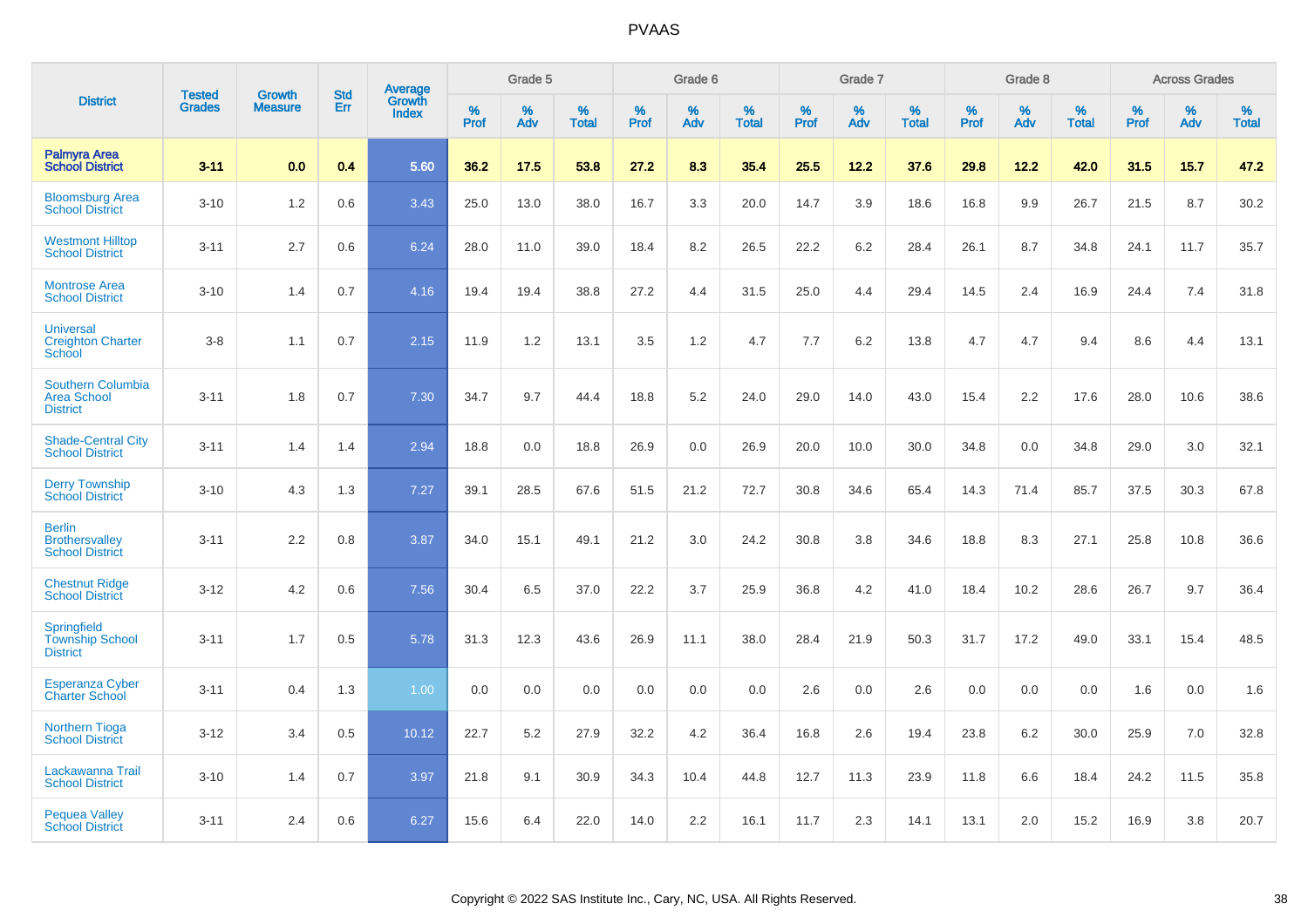|                                                                   | <b>Tested</b> | <b>Growth</b>  | <b>Std</b> | Average                |              | Grade 5  |                   |           | Grade 6  |                   |              | Grade 7  |                   |           | Grade 8  |                   |              | <b>Across Grades</b> |                   |
|-------------------------------------------------------------------|---------------|----------------|------------|------------------------|--------------|----------|-------------------|-----------|----------|-------------------|--------------|----------|-------------------|-----------|----------|-------------------|--------------|----------------------|-------------------|
| <b>District</b>                                                   | <b>Grades</b> | <b>Measure</b> | Err        | Growth<br><b>Index</b> | $\%$<br>Prof | %<br>Adv | %<br><b>Total</b> | %<br>Prof | %<br>Adv | %<br><b>Total</b> | $\%$<br>Prof | %<br>Adv | %<br><b>Total</b> | %<br>Prof | %<br>Adv | %<br><b>Total</b> | $\%$<br>Prof | %<br>Adv             | %<br><b>Total</b> |
| <b>Palmyra Area</b><br><b>School District</b>                     | $3 - 11$      | 0.0            | 0.4        | 5.60                   | 36.2         | 17.5     | 53.8              | 27.2      | 8.3      | 35.4              | 25.5         | 12.2     | 37.6              | 29.8      | 12.2     | 42.0              | 31.5         | 15.7                 | 47.2              |
| <b>Bloomsburg Area</b><br><b>School District</b>                  | $3 - 10$      | 1.2            | 0.6        | 3.43                   | 25.0         | 13.0     | 38.0              | 16.7      | 3.3      | 20.0              | 14.7         | 3.9      | 18.6              | 16.8      | 9.9      | 26.7              | 21.5         | 8.7                  | 30.2              |
| <b>Westmont Hilltop</b><br><b>School District</b>                 | $3 - 11$      | 2.7            | 0.6        | 6.24                   | 28.0         | 11.0     | 39.0              | 18.4      | 8.2      | 26.5              | 22.2         | 6.2      | 28.4              | 26.1      | 8.7      | 34.8              | 24.1         | 11.7                 | 35.7              |
| <b>Montrose Area</b><br><b>School District</b>                    | $3 - 10$      | 1.4            | 0.7        | 4.16                   | 19.4         | 19.4     | 38.8              | 27.2      | 4.4      | 31.5              | 25.0         | 4.4      | 29.4              | 14.5      | 2.4      | 16.9              | 24.4         | 7.4                  | 31.8              |
| <b>Universal</b><br><b>Creighton Charter</b><br>School            | $3 - 8$       | 1.1            | 0.7        | 2.15                   | 11.9         | 1.2      | 13.1              | 3.5       | 1.2      | 4.7               | 7.7          | 6.2      | 13.8              | 4.7       | 4.7      | 9.4               | 8.6          | 4.4                  | 13.1              |
| <b>Southern Columbia</b><br><b>Area School</b><br><b>District</b> | $3 - 11$      | 1.8            | 0.7        | 7.30                   | 34.7         | 9.7      | 44.4              | 18.8      | 5.2      | 24.0              | 29.0         | 14.0     | 43.0              | 15.4      | 2.2      | 17.6              | 28.0         | 10.6                 | 38.6              |
| <b>Shade-Central City</b><br><b>School District</b>               | $3 - 11$      | 1.4            | 1.4        | 2.94                   | 18.8         | 0.0      | 18.8              | 26.9      | 0.0      | 26.9              | 20.0         | 10.0     | 30.0              | 34.8      | 0.0      | 34.8              | 29.0         | 3.0                  | 32.1              |
| <b>Derry Township</b><br><b>School District</b>                   | $3 - 10$      | 4.3            | 1.3        | 7.27                   | 39.1         | 28.5     | 67.6              | 51.5      | 21.2     | 72.7              | 30.8         | 34.6     | 65.4              | 14.3      | 71.4     | 85.7              | 37.5         | 30.3                 | 67.8              |
| <b>Berlin</b><br><b>Brothersvalley</b><br><b>School District</b>  | $3 - 11$      | 2.2            | 0.8        | 3.87                   | 34.0         | 15.1     | 49.1              | 21.2      | 3.0      | 24.2              | 30.8         | 3.8      | 34.6              | 18.8      | 8.3      | 27.1              | 25.8         | 10.8                 | 36.6              |
| <b>Chestnut Ridge</b><br><b>School District</b>                   | $3 - 12$      | 4.2            | 0.6        | 7.56                   | 30.4         | 6.5      | 37.0              | 22.2      | 3.7      | 25.9              | 36.8         | 4.2      | 41.0              | 18.4      | 10.2     | 28.6              | 26.7         | 9.7                  | 36.4              |
| Springfield<br><b>Township School</b><br><b>District</b>          | $3 - 11$      | 1.7            | 0.5        | 5.78                   | 31.3         | 12.3     | 43.6              | 26.9      | 11.1     | 38.0              | 28.4         | 21.9     | 50.3              | 31.7      | 17.2     | 49.0              | 33.1         | 15.4                 | 48.5              |
| <b>Esperanza Cyber</b><br><b>Charter School</b>                   | $3 - 11$      | 0.4            | 1.3        | 1.00                   | 0.0          | 0.0      | 0.0               | 0.0       | 0.0      | 0.0               | 2.6          | 0.0      | 2.6               | 0.0       | 0.0      | 0.0               | 1.6          | 0.0                  | 1.6               |
| <b>Northern Tioga</b><br><b>School District</b>                   | $3 - 12$      | 3.4            | 0.5        | 10.12                  | 22.7         | 5.2      | 27.9              | 32.2      | 4.2      | 36.4              | 16.8         | 2.6      | 19.4              | 23.8      | 6.2      | 30.0              | 25.9         | 7.0                  | 32.8              |
| Lackawanna Trail<br><b>School District</b>                        | $3 - 10$      | 1.4            | 0.7        | 3.97                   | 21.8         | 9.1      | 30.9              | 34.3      | 10.4     | 44.8              | 12.7         | 11.3     | 23.9              | 11.8      | 6.6      | 18.4              | 24.2         | 11.5                 | 35.8              |
| <b>Pequea Valley</b><br><b>School District</b>                    | $3 - 11$      | 2.4            | 0.6        | 6.27                   | 15.6         | 6.4      | 22.0              | 14.0      | 2.2      | 16.1              | 11.7         | 2.3      | 14.1              | 13.1      | 2.0      | 15.2              | 16.9         | 3.8                  | 20.7              |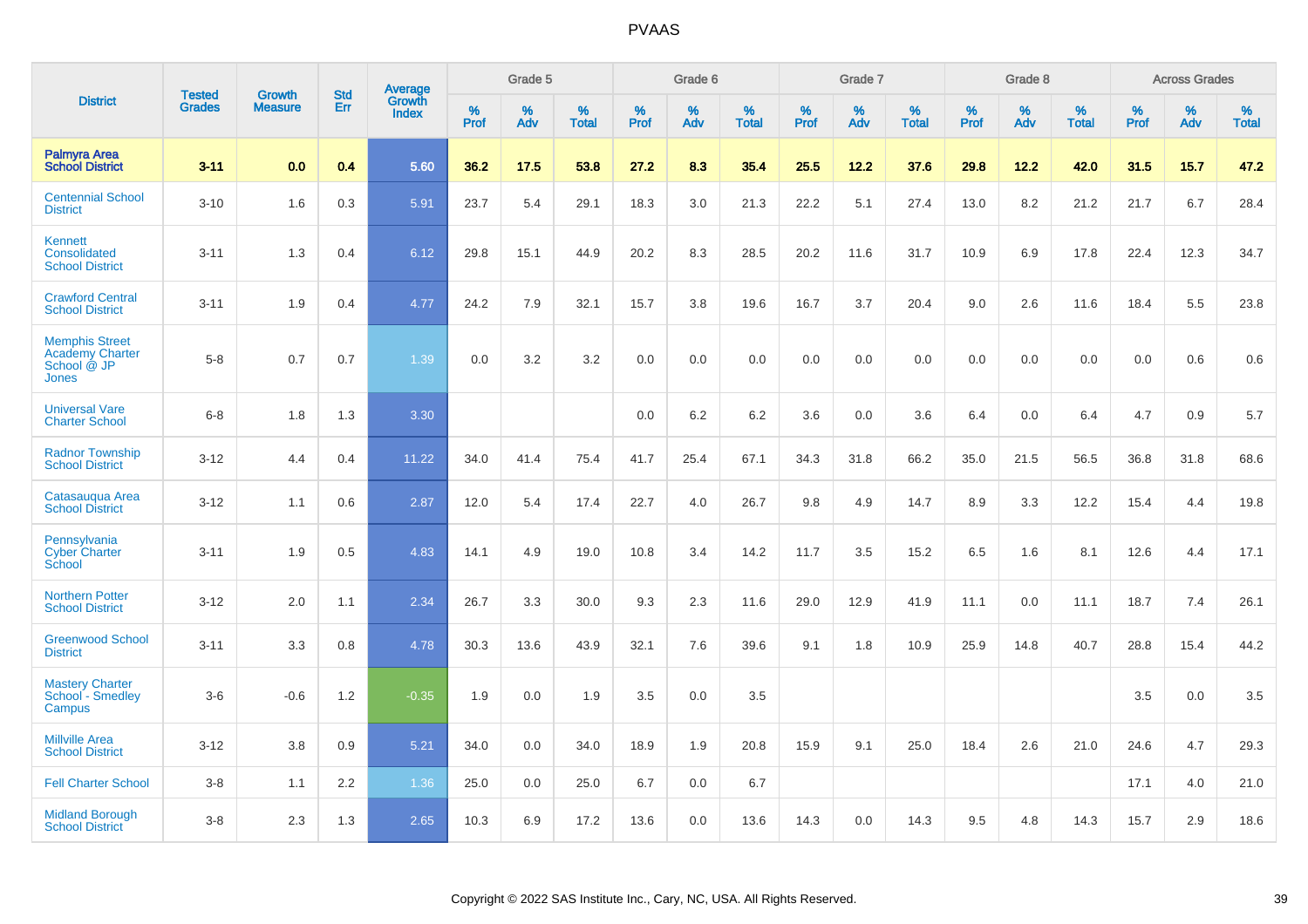|                                                                         |                                |                                 | <b>Std</b> | Average                |           | Grade 5  |                   |           | Grade 6  |                   |           | Grade 7  |                   |           | Grade 8  |                   |           | <b>Across Grades</b> |                   |
|-------------------------------------------------------------------------|--------------------------------|---------------------------------|------------|------------------------|-----------|----------|-------------------|-----------|----------|-------------------|-----------|----------|-------------------|-----------|----------|-------------------|-----------|----------------------|-------------------|
| <b>District</b>                                                         | <b>Tested</b><br><b>Grades</b> | <b>Growth</b><br><b>Measure</b> | <b>Err</b> | Growth<br><b>Index</b> | %<br>Prof | %<br>Adv | %<br><b>Total</b> | %<br>Prof | %<br>Adv | %<br><b>Total</b> | %<br>Prof | %<br>Adv | %<br><b>Total</b> | %<br>Prof | %<br>Adv | %<br><b>Total</b> | %<br>Prof | %<br>Adv             | %<br><b>Total</b> |
| <b>Palmyra Area</b><br><b>School District</b>                           | $3 - 11$                       | 0.0                             | 0.4        | 5.60                   | 36.2      | 17.5     | 53.8              | 27.2      | 8.3      | 35.4              | 25.5      | 12.2     | 37.6              | 29.8      | 12.2     | 42.0              | 31.5      | 15.7                 | 47.2              |
| <b>Centennial School</b><br><b>District</b>                             | $3 - 10$                       | 1.6                             | 0.3        | 5.91                   | 23.7      | 5.4      | 29.1              | 18.3      | 3.0      | 21.3              | 22.2      | 5.1      | 27.4              | 13.0      | 8.2      | 21.2              | 21.7      | 6.7                  | 28.4              |
| Kennett<br>Consolidated<br><b>School District</b>                       | $3 - 11$                       | 1.3                             | 0.4        | 6.12                   | 29.8      | 15.1     | 44.9              | 20.2      | 8.3      | 28.5              | 20.2      | 11.6     | 31.7              | 10.9      | 6.9      | 17.8              | 22.4      | 12.3                 | 34.7              |
| <b>Crawford Central</b><br><b>School District</b>                       | $3 - 11$                       | 1.9                             | 0.4        | 4.77                   | 24.2      | 7.9      | 32.1              | 15.7      | 3.8      | 19.6              | 16.7      | 3.7      | 20.4              | 9.0       | 2.6      | 11.6              | 18.4      | 5.5                  | 23.8              |
| <b>Memphis Street</b><br><b>Academy Charter</b><br>School @ JP<br>Jones | $5 - 8$                        | 0.7                             | 0.7        | 1.39                   | 0.0       | 3.2      | 3.2               | $0.0\,$   | 0.0      | 0.0               | 0.0       | 0.0      | 0.0               | 0.0       | 0.0      | 0.0               | 0.0       | 0.6                  | 0.6               |
| <b>Universal Vare</b><br><b>Charter School</b>                          | $6-8$                          | 1.8                             | 1.3        | 3.30                   |           |          |                   | 0.0       | 6.2      | 6.2               | 3.6       | 0.0      | 3.6               | 6.4       | 0.0      | 6.4               | 4.7       | 0.9                  | 5.7               |
| <b>Radnor Township</b><br><b>School District</b>                        | $3 - 12$                       | 4.4                             | 0.4        | 11.22                  | 34.0      | 41.4     | 75.4              | 41.7      | 25.4     | 67.1              | 34.3      | 31.8     | 66.2              | 35.0      | 21.5     | 56.5              | 36.8      | 31.8                 | 68.6              |
| Catasaugua Area<br><b>School District</b>                               | $3 - 12$                       | 1.1                             | 0.6        | 2.87                   | 12.0      | 5.4      | 17.4              | 22.7      | 4.0      | 26.7              | 9.8       | 4.9      | 14.7              | 8.9       | 3.3      | 12.2              | 15.4      | 4.4                  | 19.8              |
| Pennsylvania<br><b>Cyber Charter</b><br>School                          | $3 - 11$                       | 1.9                             | 0.5        | 4.83                   | 14.1      | 4.9      | 19.0              | 10.8      | 3.4      | 14.2              | 11.7      | 3.5      | 15.2              | 6.5       | 1.6      | 8.1               | 12.6      | 4.4                  | 17.1              |
| <b>Northern Potter</b><br><b>School District</b>                        | $3 - 12$                       | 2.0                             | 1.1        | 2.34                   | 26.7      | 3.3      | 30.0              | 9.3       | 2.3      | 11.6              | 29.0      | 12.9     | 41.9              | 11.1      | 0.0      | 11.1              | 18.7      | 7.4                  | 26.1              |
| <b>Greenwood School</b><br><b>District</b>                              | $3 - 11$                       | 3.3                             | 0.8        | 4.78                   | 30.3      | 13.6     | 43.9              | 32.1      | 7.6      | 39.6              | 9.1       | 1.8      | 10.9              | 25.9      | 14.8     | 40.7              | 28.8      | 15.4                 | 44.2              |
| <b>Mastery Charter</b><br>School - Smedley<br>Campus                    | $3-6$                          | $-0.6$                          | 1.2        | $-0.35$                | 1.9       | 0.0      | 1.9               | 3.5       | 0.0      | 3.5               |           |          |                   |           |          |                   | 3.5       | 0.0                  | 3.5               |
| <b>Millville Area</b><br><b>School District</b>                         | $3 - 12$                       | 3.8                             | 0.9        | 5.21                   | 34.0      | 0.0      | 34.0              | 18.9      | 1.9      | 20.8              | 15.9      | 9.1      | 25.0              | 18.4      | 2.6      | 21.0              | 24.6      | 4.7                  | 29.3              |
| <b>Fell Charter School</b>                                              | $3 - 8$                        | 1.1                             | 2.2        | 1.36                   | 25.0      | 0.0      | 25.0              | 6.7       | 0.0      | 6.7               |           |          |                   |           |          |                   | 17.1      | 4.0                  | 21.0              |
| <b>Midland Borough</b><br><b>School District</b>                        | $3 - 8$                        | 2.3                             | 1.3        | 2.65                   | 10.3      | 6.9      | 17.2              | 13.6      | 0.0      | 13.6              | 14.3      | 0.0      | 14.3              | 9.5       | 4.8      | 14.3              | 15.7      | 2.9                  | 18.6              |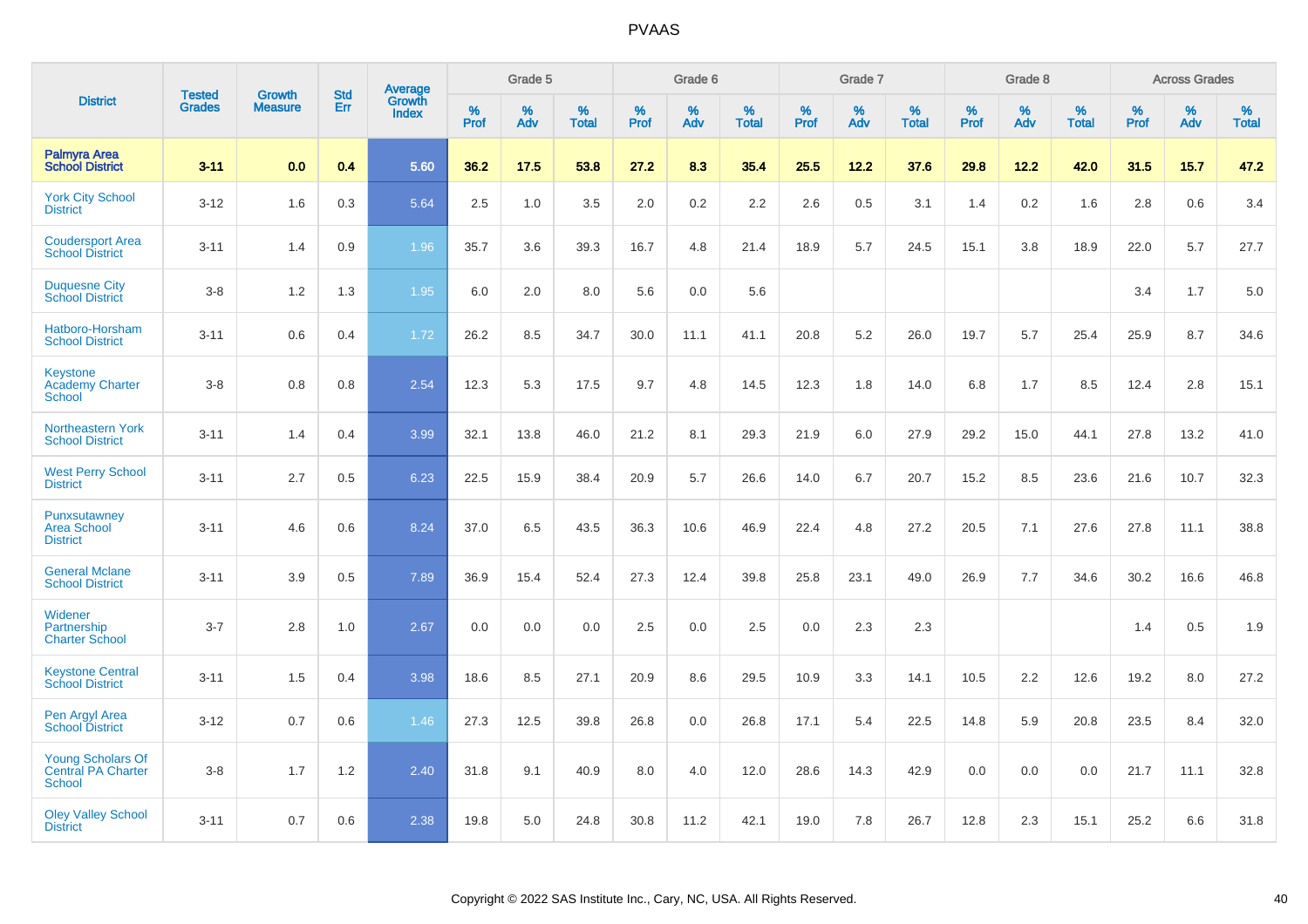|                                                                 |                                | <b>Growth</b>  | <b>Std</b> |                                          |              | Grade 5  |                   |              | Grade 6  |                   |              | Grade 7  |                      |              | Grade 8  |                   |              | <b>Across Grades</b> |                   |
|-----------------------------------------------------------------|--------------------------------|----------------|------------|------------------------------------------|--------------|----------|-------------------|--------------|----------|-------------------|--------------|----------|----------------------|--------------|----------|-------------------|--------------|----------------------|-------------------|
| <b>District</b>                                                 | <b>Tested</b><br><b>Grades</b> | <b>Measure</b> | <b>Err</b> | <b>Average</b><br>Growth<br><b>Index</b> | $\%$<br>Prof | %<br>Adv | %<br><b>Total</b> | $\%$<br>Prof | %<br>Adv | %<br><b>Total</b> | $\%$<br>Prof | %<br>Adv | $\%$<br><b>Total</b> | $\%$<br>Prof | %<br>Adv | %<br><b>Total</b> | $\%$<br>Prof | %<br>Adv             | %<br><b>Total</b> |
| <b>Palmyra Area</b><br><b>School District</b>                   | $3 - 11$                       | 0.0            | 0.4        | 5.60                                     | 36.2         | 17.5     | 53.8              | 27.2         | 8.3      | 35.4              | 25.5         | 12.2     | 37.6                 | 29.8         | 12.2     | 42.0              | 31.5         | 15.7                 | 47.2              |
| <b>York City School</b><br><b>District</b>                      | $3 - 12$                       | 1.6            | 0.3        | 5.64                                     | 2.5          | 1.0      | 3.5               | 2.0          | $0.2\,$  | 2.2               | 2.6          | 0.5      | 3.1                  | 1.4          | 0.2      | 1.6               | 2.8          | 0.6                  | 3.4               |
| <b>Coudersport Area</b><br><b>School District</b>               | $3 - 11$                       | 1.4            | 0.9        | 1.96                                     | 35.7         | 3.6      | 39.3              | 16.7         | 4.8      | 21.4              | 18.9         | 5.7      | 24.5                 | 15.1         | 3.8      | 18.9              | 22.0         | 5.7                  | 27.7              |
| <b>Duquesne City</b><br><b>School District</b>                  | $3 - 8$                        | 1.2            | 1.3        | 1.95                                     | 6.0          | 2.0      | 8.0               | 5.6          | 0.0      | 5.6               |              |          |                      |              |          |                   | 3.4          | 1.7                  | 5.0               |
| Hatboro-Horsham<br><b>School District</b>                       | $3 - 11$                       | 0.6            | 0.4        | 1.72                                     | 26.2         | 8.5      | 34.7              | 30.0         | 11.1     | 41.1              | 20.8         | 5.2      | 26.0                 | 19.7         | 5.7      | 25.4              | 25.9         | 8.7                  | 34.6              |
| <b>Keystone</b><br><b>Academy Charter</b><br>School             | $3 - 8$                        | 0.8            | 0.8        | 2.54                                     | 12.3         | 5.3      | 17.5              | 9.7          | 4.8      | 14.5              | 12.3         | 1.8      | 14.0                 | 6.8          | 1.7      | 8.5               | 12.4         | 2.8                  | 15.1              |
| <b>Northeastern York</b><br><b>School District</b>              | $3 - 11$                       | 1.4            | 0.4        | 3.99                                     | 32.1         | 13.8     | 46.0              | 21.2         | 8.1      | 29.3              | 21.9         | 6.0      | 27.9                 | 29.2         | 15.0     | 44.1              | 27.8         | 13.2                 | 41.0              |
| <b>West Perry School</b><br><b>District</b>                     | $3 - 11$                       | 2.7            | 0.5        | 6.23                                     | 22.5         | 15.9     | 38.4              | 20.9         | 5.7      | 26.6              | 14.0         | 6.7      | 20.7                 | 15.2         | 8.5      | 23.6              | 21.6         | 10.7                 | 32.3              |
| Punxsutawney<br><b>Area School</b><br><b>District</b>           | $3 - 11$                       | 4.6            | 0.6        | 8.24                                     | 37.0         | 6.5      | 43.5              | 36.3         | 10.6     | 46.9              | 22.4         | 4.8      | 27.2                 | 20.5         | 7.1      | 27.6              | 27.8         | 11.1                 | 38.8              |
| <b>General Mclane</b><br><b>School District</b>                 | $3 - 11$                       | 3.9            | 0.5        | 7.89                                     | 36.9         | 15.4     | 52.4              | 27.3         | 12.4     | 39.8              | 25.8         | 23.1     | 49.0                 | 26.9         | 7.7      | 34.6              | 30.2         | 16.6                 | 46.8              |
| Widener<br>Partnership<br><b>Charter School</b>                 | $3 - 7$                        | 2.8            | 1.0        | 2.67                                     | 0.0          | 0.0      | 0.0               | 2.5          | 0.0      | 2.5               | 0.0          | 2.3      | 2.3                  |              |          |                   | 1.4          | 0.5                  | 1.9               |
| <b>Keystone Central</b><br><b>School District</b>               | $3 - 11$                       | 1.5            | 0.4        | 3.98                                     | 18.6         | 8.5      | 27.1              | 20.9         | 8.6      | 29.5              | 10.9         | 3.3      | 14.1                 | 10.5         | 2.2      | 12.6              | 19.2         | 8.0                  | 27.2              |
| Pen Argyl Area<br><b>School District</b>                        | $3 - 12$                       | 0.7            | 0.6        | 1.46                                     | 27.3         | 12.5     | 39.8              | 26.8         | 0.0      | 26.8              | 17.1         | 5.4      | 22.5                 | 14.8         | 5.9      | 20.8              | 23.5         | 8.4                  | 32.0              |
| <b>Young Scholars Of</b><br>Central PA Charter<br><b>School</b> | $3 - 8$                        | 1.7            | 1.2        | 2.40                                     | 31.8         | 9.1      | 40.9              | 8.0          | 4.0      | 12.0              | 28.6         | 14.3     | 42.9                 | 0.0          | 0.0      | 0.0               | 21.7         | 11.1                 | 32.8              |
| <b>Oley Valley School</b><br><b>District</b>                    | $3 - 11$                       | 0.7            | 0.6        | 2.38                                     | 19.8         | 5.0      | 24.8              | 30.8         | 11.2     | 42.1              | 19.0         | 7.8      | 26.7                 | 12.8         | 2.3      | 15.1              | 25.2         | 6.6                  | 31.8              |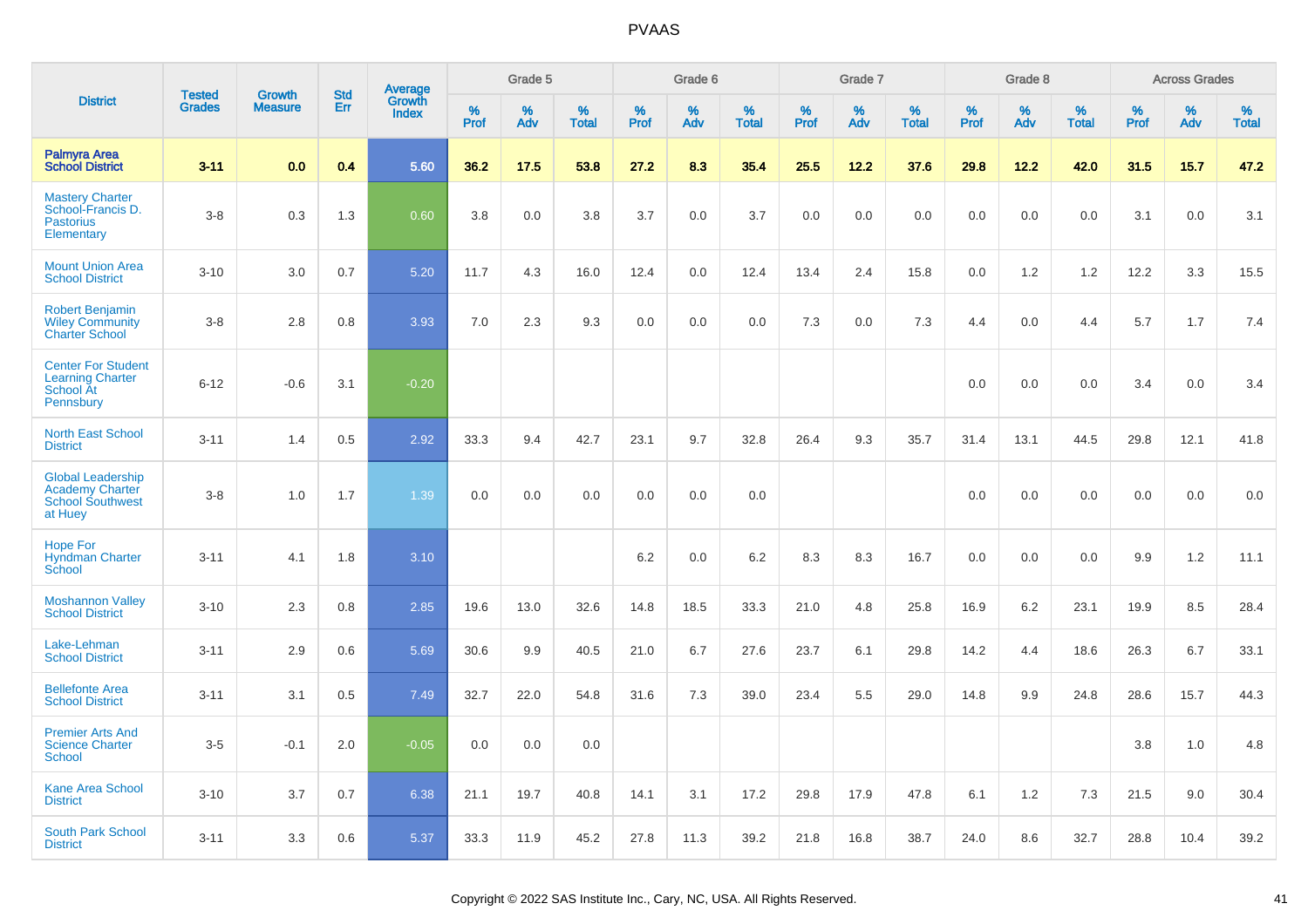|                                                                                          | <b>Tested</b> | <b>Growth</b>  | <b>Std</b> |                                          |              | Grade 5  |                   |              | Grade 6  |                   |              | Grade 7  |                   |              | Grade 8  |                   |              | <b>Across Grades</b> |                   |
|------------------------------------------------------------------------------------------|---------------|----------------|------------|------------------------------------------|--------------|----------|-------------------|--------------|----------|-------------------|--------------|----------|-------------------|--------------|----------|-------------------|--------------|----------------------|-------------------|
| <b>District</b>                                                                          | <b>Grades</b> | <b>Measure</b> | Err        | <b>Average</b><br>Growth<br><b>Index</b> | $\%$<br>Prof | %<br>Adv | %<br><b>Total</b> | $\%$<br>Prof | %<br>Adv | %<br><b>Total</b> | $\%$<br>Prof | %<br>Adv | %<br><b>Total</b> | $\%$<br>Prof | %<br>Adv | %<br><b>Total</b> | $\%$<br>Prof | %<br>Adv             | %<br><b>Total</b> |
| <b>Palmyra Area</b><br><b>School District</b>                                            | $3 - 11$      | 0.0            | 0.4        | 5.60                                     | 36.2         | 17.5     | 53.8              | 27.2         | 8.3      | 35.4              | 25.5         | 12.2     | 37.6              | 29.8         | 12.2     | 42.0              | 31.5         | 15.7                 | 47.2              |
| <b>Mastery Charter</b><br>School-Francis D.<br><b>Pastorius</b><br>Elementary            | $3 - 8$       | 0.3            | 1.3        | 0.60                                     | 3.8          | 0.0      | 3.8               | 3.7          | 0.0      | 3.7               | 0.0          | 0.0      | 0.0               | 0.0          | 0.0      | 0.0               | 3.1          | 0.0                  | 3.1               |
| <b>Mount Union Area</b><br><b>School District</b>                                        | $3 - 10$      | 3.0            | 0.7        | 5.20                                     | 11.7         | 4.3      | 16.0              | 12.4         | 0.0      | 12.4              | 13.4         | 2.4      | 15.8              | 0.0          | 1.2      | 1.2               | 12.2         | 3.3                  | 15.5              |
| <b>Robert Benjamin</b><br><b>Wiley Community</b><br><b>Charter School</b>                | $3 - 8$       | 2.8            | 0.8        | 3.93                                     | 7.0          | 2.3      | 9.3               | 0.0          | 0.0      | 0.0               | 7.3          | 0.0      | 7.3               | 4.4          | 0.0      | 4.4               | 5.7          | 1.7                  | 7.4               |
| <b>Center For Student</b><br><b>Learning Charter</b><br>School At<br>Pennsbury           | $6 - 12$      | $-0.6$         | 3.1        | $-0.20$                                  |              |          |                   |              |          |                   |              |          |                   | 0.0          | 0.0      | 0.0               | 3.4          | 0.0                  | 3.4               |
| <b>North East School</b><br><b>District</b>                                              | $3 - 11$      | 1.4            | 0.5        | 2.92                                     | 33.3         | 9.4      | 42.7              | 23.1         | 9.7      | 32.8              | 26.4         | 9.3      | 35.7              | 31.4         | 13.1     | 44.5              | 29.8         | 12.1                 | 41.8              |
| <b>Global Leadership</b><br><b>Academy Charter</b><br><b>School Southwest</b><br>at Huey | $3 - 8$       | 1.0            | 1.7        | 1.39                                     | 0.0          | 0.0      | 0.0               | 0.0          | 0.0      | 0.0               |              |          |                   | 0.0          | 0.0      | 0.0               | 0.0          | 0.0                  | 0.0               |
| <b>Hope For</b><br><b>Hyndman Charter</b><br>School                                      | $3 - 11$      | 4.1            | 1.8        | 3.10                                     |              |          |                   | 6.2          | 0.0      | 6.2               | 8.3          | 8.3      | 16.7              | 0.0          | 0.0      | 0.0               | 9.9          | $1.2$                | 11.1              |
| <b>Moshannon Valley</b><br><b>School District</b>                                        | $3 - 10$      | 2.3            | 0.8        | 2.85                                     | 19.6         | 13.0     | 32.6              | 14.8         | 18.5     | 33.3              | 21.0         | 4.8      | 25.8              | 16.9         | 6.2      | 23.1              | 19.9         | 8.5                  | 28.4              |
| Lake-Lehman<br><b>School District</b>                                                    | $3 - 11$      | 2.9            | 0.6        | 5.69                                     | 30.6         | 9.9      | 40.5              | 21.0         | 6.7      | 27.6              | 23.7         | 6.1      | 29.8              | 14.2         | 4.4      | 18.6              | 26.3         | 6.7                  | 33.1              |
| <b>Bellefonte Area</b><br><b>School District</b>                                         | $3 - 11$      | 3.1            | 0.5        | 7.49                                     | 32.7         | 22.0     | 54.8              | 31.6         | 7.3      | 39.0              | 23.4         | 5.5      | 29.0              | 14.8         | 9.9      | 24.8              | 28.6         | 15.7                 | 44.3              |
| <b>Premier Arts And</b><br><b>Science Charter</b><br>School                              | $3-5$         | $-0.1$         | 2.0        | $-0.05$                                  | 0.0          | 0.0      | 0.0               |              |          |                   |              |          |                   |              |          |                   | 3.8          | 1.0                  | 4.8               |
| Kane Area School<br><b>District</b>                                                      | $3 - 10$      | 3.7            | 0.7        | 6.38                                     | 21.1         | 19.7     | 40.8              | 14.1         | 3.1      | 17.2              | 29.8         | 17.9     | 47.8              | 6.1          | 1.2      | 7.3               | 21.5         | 9.0                  | 30.4              |
| <b>South Park School</b><br><b>District</b>                                              | $3 - 11$      | 3.3            | 0.6        | 5.37                                     | 33.3         | 11.9     | 45.2              | 27.8         | 11.3     | 39.2              | 21.8         | 16.8     | 38.7              | 24.0         | 8.6      | 32.7              | 28.8         | 10.4                 | 39.2              |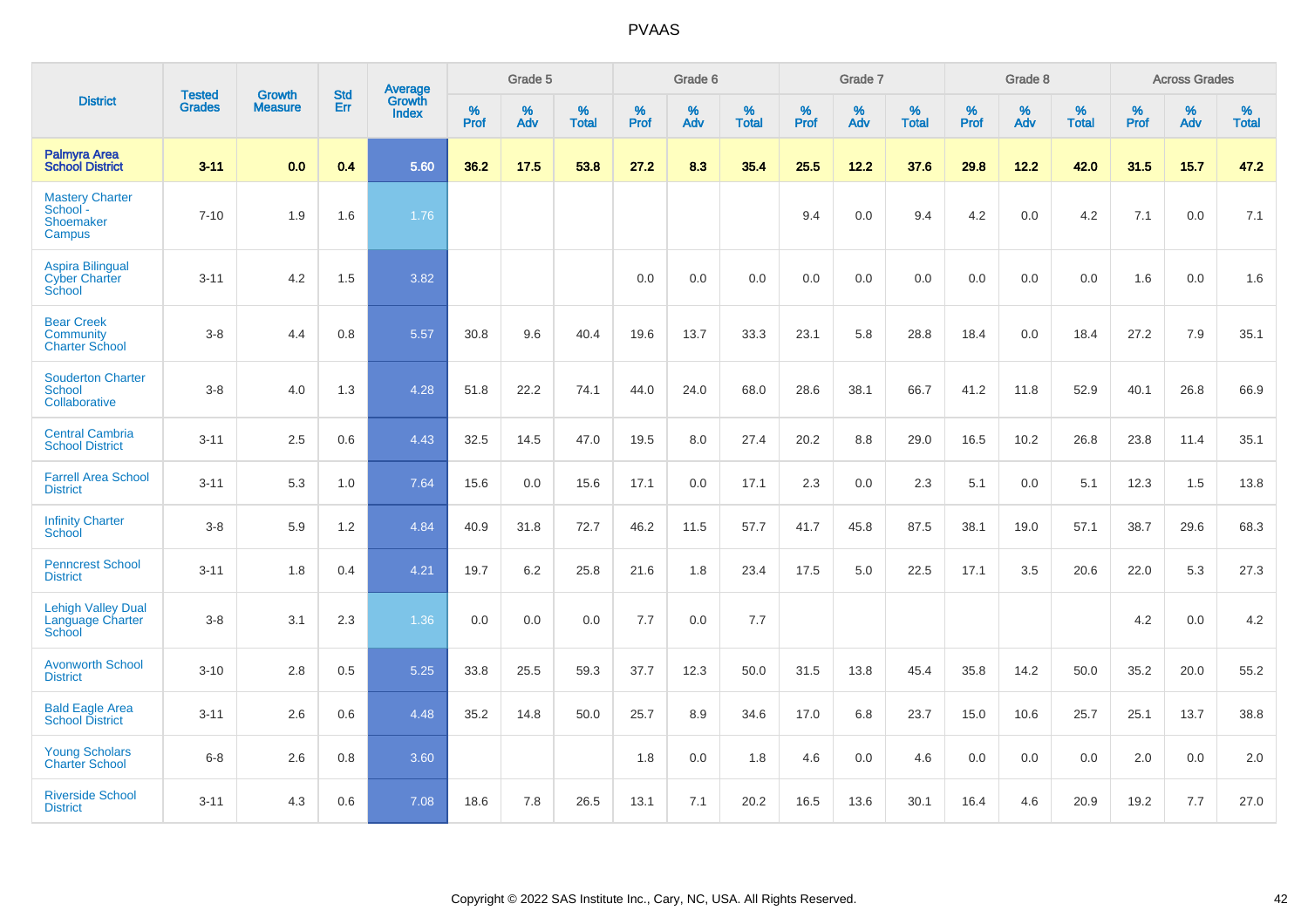|                                                                  | <b>Tested</b> | <b>Growth</b>  | <b>Std</b> | Average                |              | Grade 5  |                   |              | Grade 6  |                   |              | Grade 7  |                   |              | Grade 8  |                   |           | <b>Across Grades</b> |                   |
|------------------------------------------------------------------|---------------|----------------|------------|------------------------|--------------|----------|-------------------|--------------|----------|-------------------|--------------|----------|-------------------|--------------|----------|-------------------|-----------|----------------------|-------------------|
| <b>District</b>                                                  | <b>Grades</b> | <b>Measure</b> | Err        | Growth<br><b>Index</b> | $\%$<br>Prof | %<br>Adv | %<br><b>Total</b> | $\%$<br>Prof | %<br>Adv | %<br><b>Total</b> | $\%$<br>Prof | %<br>Adv | %<br><b>Total</b> | $\%$<br>Prof | %<br>Adv | %<br><b>Total</b> | %<br>Prof | %<br>Adv             | %<br><b>Total</b> |
| Palmyra Area<br><b>School District</b>                           | $3 - 11$      | 0.0            | 0.4        | 5.60                   | 36.2         | 17.5     | 53.8              | 27.2         | 8.3      | 35.4              | 25.5         | 12.2     | 37.6              | 29.8         | 12.2     | 42.0              | 31.5      | 15.7                 | 47.2              |
| <b>Mastery Charter</b><br>School -<br><b>Shoemaker</b><br>Campus | $7 - 10$      | 1.9            | 1.6        | 1.76                   |              |          |                   |              |          |                   | 9.4          | 0.0      | 9.4               | 4.2          | 0.0      | 4.2               | 7.1       | 0.0                  | 7.1               |
| <b>Aspira Bilingual</b><br><b>Cyber Charter</b><br>School        | $3 - 11$      | 4.2            | 1.5        | 3.82                   |              |          |                   | 0.0          | 0.0      | 0.0               | 0.0          | 0.0      | 0.0               | 0.0          | 0.0      | 0.0               | 1.6       | 0.0                  | 1.6               |
| <b>Bear Creek</b><br><b>Community</b><br><b>Charter School</b>   | $3 - 8$       | 4.4            | 0.8        | 5.57                   | 30.8         | 9.6      | 40.4              | 19.6         | 13.7     | 33.3              | 23.1         | 5.8      | 28.8              | 18.4         | 0.0      | 18.4              | 27.2      | 7.9                  | 35.1              |
| <b>Souderton Charter</b><br>School<br>Collaborative              | $3-8$         | 4.0            | 1.3        | 4.28                   | 51.8         | 22.2     | 74.1              | 44.0         | 24.0     | 68.0              | 28.6         | 38.1     | 66.7              | 41.2         | 11.8     | 52.9              | 40.1      | 26.8                 | 66.9              |
| <b>Central Cambria</b><br><b>School District</b>                 | $3 - 11$      | 2.5            | 0.6        | 4.43                   | 32.5         | 14.5     | 47.0              | 19.5         | 8.0      | 27.4              | 20.2         | 8.8      | 29.0              | 16.5         | 10.2     | 26.8              | 23.8      | 11.4                 | 35.1              |
| <b>Farrell Area School</b><br><b>District</b>                    | $3 - 11$      | 5.3            | 1.0        | 7.64                   | 15.6         | 0.0      | 15.6              | 17.1         | 0.0      | 17.1              | 2.3          | 0.0      | 2.3               | 5.1          | 0.0      | 5.1               | 12.3      | 1.5                  | 13.8              |
| <b>Infinity Charter</b><br><b>School</b>                         | $3-8$         | 5.9            | 1.2        | 4.84                   | 40.9         | 31.8     | 72.7              | 46.2         | 11.5     | 57.7              | 41.7         | 45.8     | 87.5              | 38.1         | 19.0     | 57.1              | 38.7      | 29.6                 | 68.3              |
| <b>Penncrest School</b><br><b>District</b>                       | $3 - 11$      | 1.8            | 0.4        | 4.21                   | 19.7         | $6.2\,$  | 25.8              | 21.6         | 1.8      | 23.4              | 17.5         | 5.0      | 22.5              | 17.1         | 3.5      | 20.6              | 22.0      | 5.3                  | 27.3              |
| <b>Lehigh Valley Dual</b><br>Language Charter<br>School          | $3 - 8$       | 3.1            | 2.3        | 1.36                   | 0.0          | 0.0      | 0.0               | 7.7          | 0.0      | 7.7               |              |          |                   |              |          |                   | 4.2       | 0.0                  | 4.2               |
| <b>Avonworth School</b><br><b>District</b>                       | $3 - 10$      | 2.8            | 0.5        | 5.25                   | 33.8         | 25.5     | 59.3              | 37.7         | 12.3     | 50.0              | 31.5         | 13.8     | 45.4              | 35.8         | 14.2     | 50.0              | 35.2      | 20.0                 | 55.2              |
| <b>Bald Eagle Area</b><br><b>School District</b>                 | $3 - 11$      | 2.6            | 0.6        | 4.48                   | 35.2         | 14.8     | 50.0              | 25.7         | 8.9      | 34.6              | 17.0         | 6.8      | 23.7              | 15.0         | 10.6     | 25.7              | 25.1      | 13.7                 | 38.8              |
| <b>Young Scholars</b><br><b>Charter School</b>                   | $6 - 8$       | 2.6            | 0.8        | 3.60                   |              |          |                   | 1.8          | 0.0      | 1.8               | 4.6          | 0.0      | 4.6               | 0.0          | 0.0      | 0.0               | 2.0       | 0.0                  | 2.0               |
| <b>Riverside School</b><br><b>District</b>                       | $3 - 11$      | 4.3            | 0.6        | 7.08                   | 18.6         | 7.8      | 26.5              | 13.1         | 7.1      | 20.2              | 16.5         | 13.6     | 30.1              | 16.4         | 4.6      | 20.9              | 19.2      | 7.7                  | 27.0              |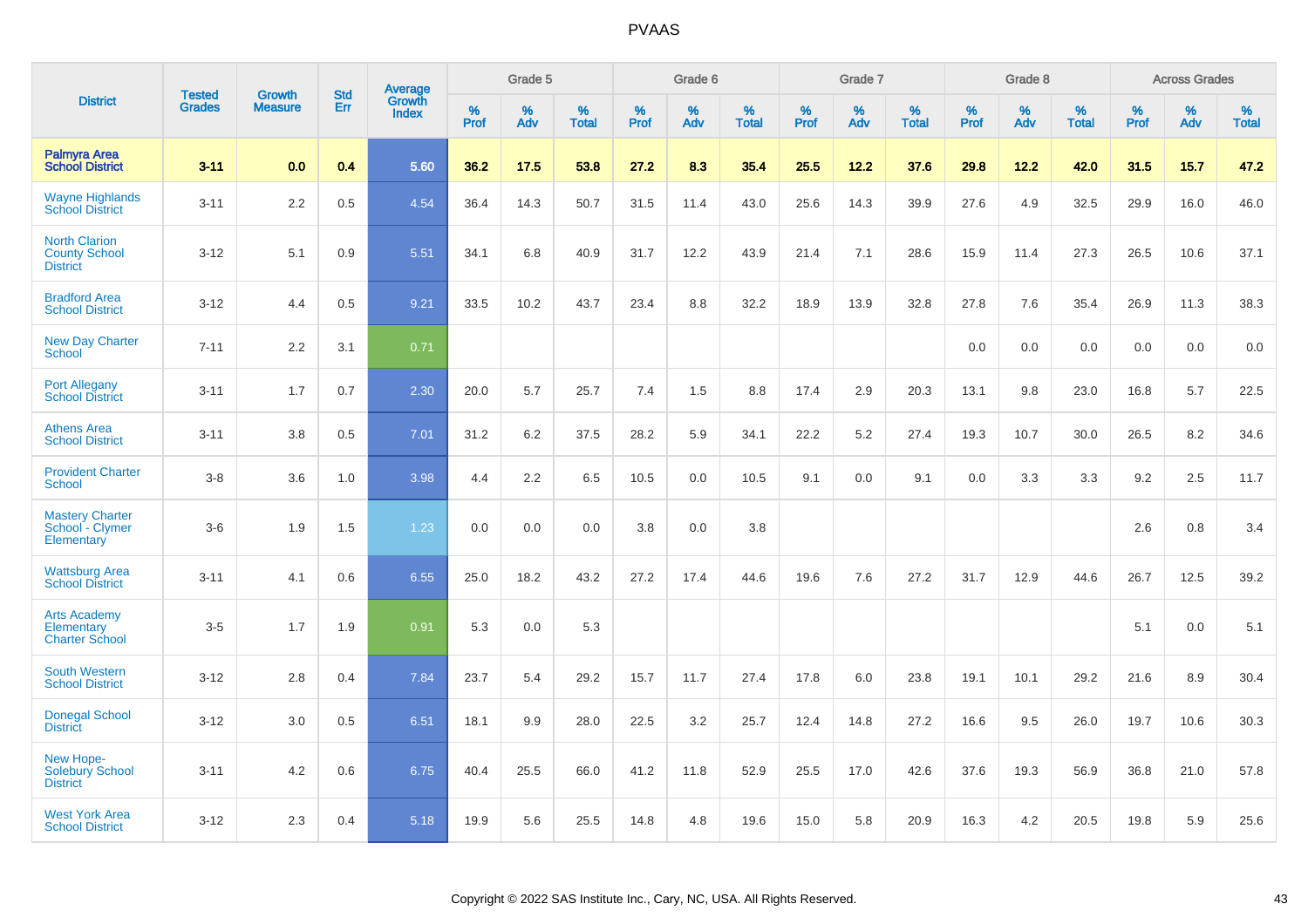|                                                                 |                                |                                 | <b>Std</b> | Average                |              | Grade 5  |                   |           | Grade 6  |                   |           | Grade 7  |                   |           | Grade 8  |                   |           | <b>Across Grades</b> |                   |
|-----------------------------------------------------------------|--------------------------------|---------------------------------|------------|------------------------|--------------|----------|-------------------|-----------|----------|-------------------|-----------|----------|-------------------|-----------|----------|-------------------|-----------|----------------------|-------------------|
| <b>District</b>                                                 | <b>Tested</b><br><b>Grades</b> | <b>Growth</b><br><b>Measure</b> | <b>Err</b> | Growth<br><b>Index</b> | $\%$<br>Prof | %<br>Adv | %<br><b>Total</b> | %<br>Prof | %<br>Adv | %<br><b>Total</b> | %<br>Prof | %<br>Adv | %<br><b>Total</b> | %<br>Prof | %<br>Adv | %<br><b>Total</b> | %<br>Prof | %<br>Adv             | %<br><b>Total</b> |
| Palmyra Area<br><b>School District</b>                          | $3 - 11$                       | 0.0                             | 0.4        | 5.60                   | 36.2         | 17.5     | 53.8              | 27.2      | 8.3      | 35.4              | 25.5      | 12.2     | 37.6              | 29.8      | 12.2     | 42.0              | 31.5      | 15.7                 | 47.2              |
| <b>Wayne Highlands</b><br><b>School District</b>                | $3 - 11$                       | 2.2                             | 0.5        | 4.54                   | 36.4         | 14.3     | 50.7              | 31.5      | 11.4     | 43.0              | 25.6      | 14.3     | 39.9              | 27.6      | 4.9      | 32.5              | 29.9      | 16.0                 | 46.0              |
| <b>North Clarion</b><br><b>County School</b><br><b>District</b> | $3 - 12$                       | 5.1                             | 0.9        | 5.51                   | 34.1         | 6.8      | 40.9              | 31.7      | 12.2     | 43.9              | 21.4      | 7.1      | 28.6              | 15.9      | 11.4     | 27.3              | 26.5      | 10.6                 | 37.1              |
| <b>Bradford Area</b><br><b>School District</b>                  | $3 - 12$                       | 4.4                             | 0.5        | 9.21                   | 33.5         | 10.2     | 43.7              | 23.4      | 8.8      | 32.2              | 18.9      | 13.9     | 32.8              | 27.8      | 7.6      | 35.4              | 26.9      | 11.3                 | 38.3              |
| <b>New Day Charter</b><br><b>School</b>                         | $7 - 11$                       | 2.2                             | 3.1        | 0.71                   |              |          |                   |           |          |                   |           |          |                   | 0.0       | 0.0      | 0.0               | 0.0       | 0.0                  | 0.0               |
| <b>Port Allegany</b><br><b>School District</b>                  | $3 - 11$                       | 1.7                             | 0.7        | 2.30                   | 20.0         | 5.7      | 25.7              | 7.4       | 1.5      | 8.8               | 17.4      | 2.9      | 20.3              | 13.1      | 9.8      | 23.0              | 16.8      | 5.7                  | 22.5              |
| <b>Athens Area</b><br><b>School District</b>                    | $3 - 11$                       | 3.8                             | 0.5        | 7.01                   | 31.2         | 6.2      | 37.5              | 28.2      | 5.9      | 34.1              | 22.2      | 5.2      | 27.4              | 19.3      | 10.7     | 30.0              | 26.5      | 8.2                  | 34.6              |
| <b>Provident Charter</b><br><b>School</b>                       | $3 - 8$                        | 3.6                             | 1.0        | 3.98                   | 4.4          | 2.2      | 6.5               | 10.5      | 0.0      | 10.5              | 9.1       | 0.0      | 9.1               | 0.0       | 3.3      | 3.3               | 9.2       | 2.5                  | 11.7              |
| <b>Mastery Charter</b><br>School - Clymer<br>Elementary         | $3-6$                          | 1.9                             | 1.5        | 1.23                   | 0.0          | 0.0      | 0.0               | 3.8       | 0.0      | 3.8               |           |          |                   |           |          |                   | 2.6       | 0.8                  | 3.4               |
| <b>Wattsburg Area</b><br><b>School District</b>                 | $3 - 11$                       | 4.1                             | 0.6        | 6.55                   | 25.0         | 18.2     | 43.2              | 27.2      | 17.4     | 44.6              | 19.6      | 7.6      | 27.2              | 31.7      | 12.9     | 44.6              | 26.7      | 12.5                 | 39.2              |
| <b>Arts Academy</b><br>Elementary<br><b>Charter School</b>      | $3-5$                          | 1.7                             | 1.9        | 0.91                   | 5.3          | 0.0      | 5.3               |           |          |                   |           |          |                   |           |          |                   | 5.1       | 0.0                  | 5.1               |
| <b>South Western</b><br><b>School District</b>                  | $3 - 12$                       | 2.8                             | 0.4        | 7.84                   | 23.7         | 5.4      | 29.2              | 15.7      | 11.7     | 27.4              | 17.8      | 6.0      | 23.8              | 19.1      | 10.1     | 29.2              | 21.6      | 8.9                  | 30.4              |
| <b>Donegal School</b><br><b>District</b>                        | $3 - 12$                       | 3.0                             | 0.5        | 6.51                   | 18.1         | 9.9      | 28.0              | 22.5      | 3.2      | 25.7              | 12.4      | 14.8     | 27.2              | 16.6      | 9.5      | 26.0              | 19.7      | 10.6                 | 30.3              |
| New Hope-<br><b>Solebury School</b><br><b>District</b>          | $3 - 11$                       | 4.2                             | 0.6        | 6.75                   | 40.4         | 25.5     | 66.0              | 41.2      | 11.8     | 52.9              | 25.5      | 17.0     | 42.6              | 37.6      | 19.3     | 56.9              | 36.8      | 21.0                 | 57.8              |
| <b>West York Area</b><br><b>School District</b>                 | $3 - 12$                       | 2.3                             | 0.4        | 5.18                   | 19.9         | 5.6      | 25.5              | 14.8      | 4.8      | 19.6              | 15.0      | 5.8      | 20.9              | 16.3      | 4.2      | 20.5              | 19.8      | 5.9                  | 25.6              |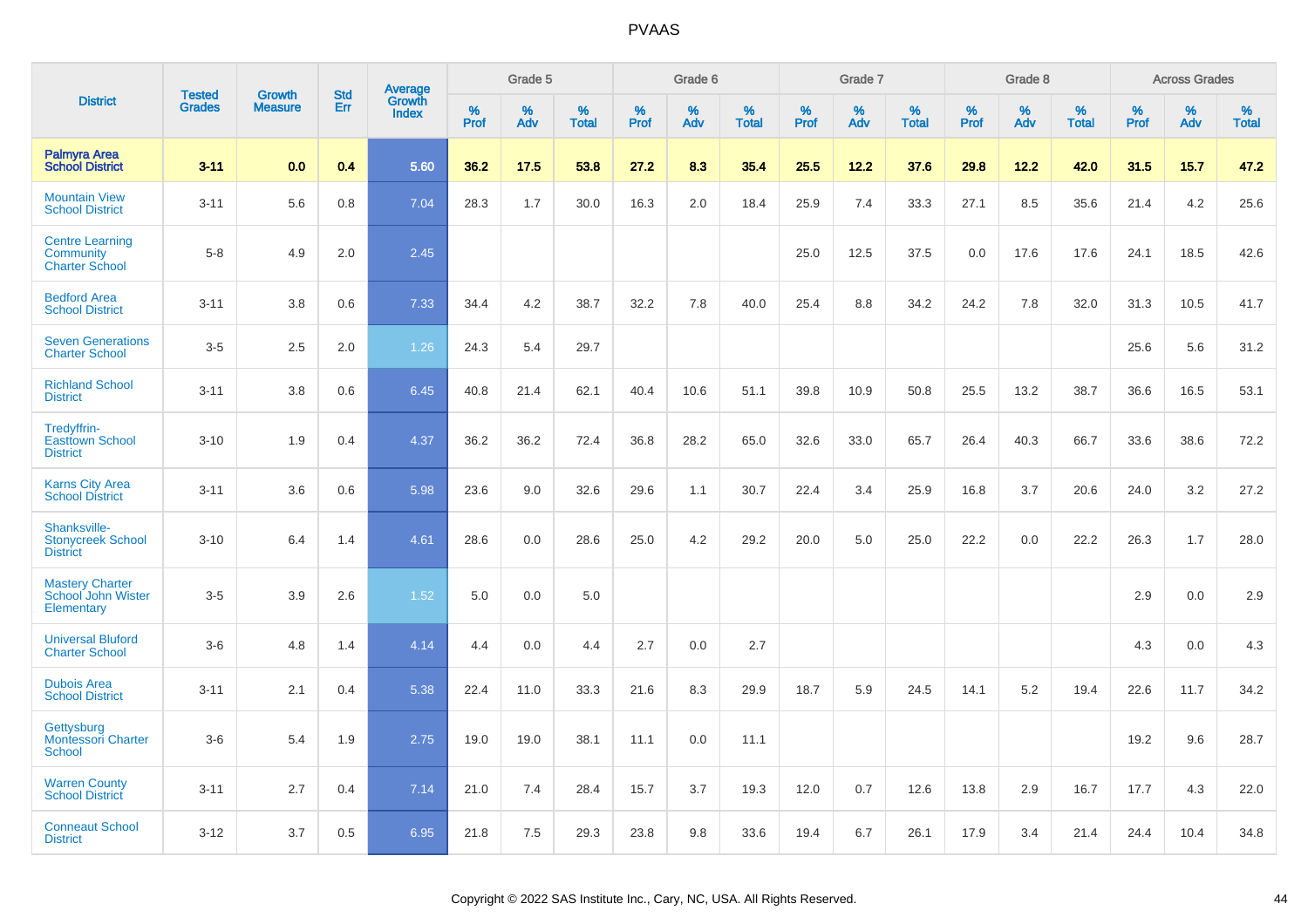|                                                              |                                |                                 | <b>Std</b> |                                   |                     | Grade 5  |                   |                     | Grade 6  |                   |              | Grade 7  |                   |              | Grade 8  |                   |              | <b>Across Grades</b> |                      |
|--------------------------------------------------------------|--------------------------------|---------------------------------|------------|-----------------------------------|---------------------|----------|-------------------|---------------------|----------|-------------------|--------------|----------|-------------------|--------------|----------|-------------------|--------------|----------------------|----------------------|
| <b>District</b>                                              | <b>Tested</b><br><b>Grades</b> | <b>Growth</b><br><b>Measure</b> | Err        | Average<br>Growth<br><b>Index</b> | $\%$<br><b>Prof</b> | %<br>Adv | %<br><b>Total</b> | $\%$<br><b>Prof</b> | %<br>Adv | %<br><b>Total</b> | $\%$<br>Prof | %<br>Adv | %<br><b>Total</b> | $\%$<br>Prof | %<br>Adv | %<br><b>Total</b> | $\%$<br>Prof | %<br>Adv             | $\%$<br><b>Total</b> |
| <b>Palmyra Area</b><br><b>School District</b>                | $3 - 11$                       | 0.0                             | 0.4        | 5.60                              | 36.2                | 17.5     | 53.8              | 27.2                | 8.3      | 35.4              | 25.5         | 12.2     | 37.6              | 29.8         | 12.2     | 42.0              | 31.5         | 15.7                 | 47.2                 |
| <b>Mountain View</b><br><b>School District</b>               | $3 - 11$                       | 5.6                             | 0.8        | 7.04                              | 28.3                | 1.7      | 30.0              | 16.3                | 2.0      | 18.4              | 25.9         | 7.4      | 33.3              | 27.1         | 8.5      | 35.6              | 21.4         | 4.2                  | 25.6                 |
| <b>Centre Learning</b><br>Community<br><b>Charter School</b> | $5 - 8$                        | 4.9                             | 2.0        | 2.45                              |                     |          |                   |                     |          |                   | 25.0         | 12.5     | 37.5              | 0.0          | 17.6     | 17.6              | 24.1         | 18.5                 | 42.6                 |
| <b>Bedford Area</b><br><b>School District</b>                | $3 - 11$                       | 3.8                             | 0.6        | 7.33                              | 34.4                | 4.2      | 38.7              | 32.2                | 7.8      | 40.0              | 25.4         | 8.8      | 34.2              | 24.2         | 7.8      | 32.0              | 31.3         | 10.5                 | 41.7                 |
| <b>Seven Generations</b><br><b>Charter School</b>            | $3-5$                          | 2.5                             | 2.0        | 1.26                              | 24.3                | 5.4      | 29.7              |                     |          |                   |              |          |                   |              |          |                   | 25.6         | 5.6                  | 31.2                 |
| <b>Richland School</b><br><b>District</b>                    | $3 - 11$                       | 3.8                             | 0.6        | 6.45                              | 40.8                | 21.4     | 62.1              | 40.4                | 10.6     | 51.1              | 39.8         | 10.9     | 50.8              | 25.5         | 13.2     | 38.7              | 36.6         | 16.5                 | 53.1                 |
| Tredyffrin-<br><b>Easttown School</b><br><b>District</b>     | $3 - 10$                       | 1.9                             | 0.4        | 4.37                              | 36.2                | 36.2     | 72.4              | 36.8                | 28.2     | 65.0              | 32.6         | 33.0     | 65.7              | 26.4         | 40.3     | 66.7              | 33.6         | 38.6                 | 72.2                 |
| <b>Karns City Area</b><br><b>School District</b>             | $3 - 11$                       | 3.6                             | 0.6        | 5.98                              | 23.6                | 9.0      | 32.6              | 29.6                | 1.1      | 30.7              | 22.4         | 3.4      | 25.9              | 16.8         | 3.7      | 20.6              | 24.0         | 3.2                  | 27.2                 |
| Shanksville-<br><b>Stonycreek School</b><br><b>District</b>  | $3 - 10$                       | 6.4                             | 1.4        | 4.61                              | 28.6                | 0.0      | 28.6              | 25.0                | 4.2      | 29.2              | 20.0         | 5.0      | 25.0              | 22.2         | 0.0      | 22.2              | 26.3         | 1.7                  | 28.0                 |
| <b>Mastery Charter</b><br>School John Wister<br>Elementary   | $3-5$                          | 3.9                             | 2.6        | 1.52                              | 5.0                 | 0.0      | 5.0               |                     |          |                   |              |          |                   |              |          |                   | 2.9          | 0.0                  | 2.9                  |
| <b>Universal Bluford</b><br><b>Charter School</b>            | $3-6$                          | 4.8                             | 1.4        | 4.14                              | 4.4                 | 0.0      | 4.4               | 2.7                 | 0.0      | 2.7               |              |          |                   |              |          |                   | 4.3          | 0.0                  | 4.3                  |
| <b>Dubois Area</b><br><b>School District</b>                 | $3 - 11$                       | 2.1                             | 0.4        | 5.38                              | 22.4                | 11.0     | 33.3              | 21.6                | 8.3      | 29.9              | 18.7         | 5.9      | 24.5              | 14.1         | 5.2      | 19.4              | 22.6         | 11.7                 | 34.2                 |
| Gettysburg<br><b>Montessori Charter</b><br>School            | $3-6$                          | 5.4                             | 1.9        | 2.75                              | 19.0                | 19.0     | 38.1              | 11.1                | 0.0      | 11.1              |              |          |                   |              |          |                   | 19.2         | 9.6                  | 28.7                 |
| <b>Warren County</b><br><b>School District</b>               | $3 - 11$                       | 2.7                             | 0.4        | 7.14                              | 21.0                | 7.4      | 28.4              | 15.7                | 3.7      | 19.3              | 12.0         | 0.7      | 12.6              | 13.8         | 2.9      | 16.7              | 17.7         | 4.3                  | 22.0                 |
| <b>Conneaut School</b><br><b>District</b>                    | $3 - 12$                       | 3.7                             | 0.5        | 6.95                              | 21.8                | 7.5      | 29.3              | 23.8                | 9.8      | 33.6              | 19.4         | 6.7      | 26.1              | 17.9         | 3.4      | 21.4              | 24.4         | 10.4                 | 34.8                 |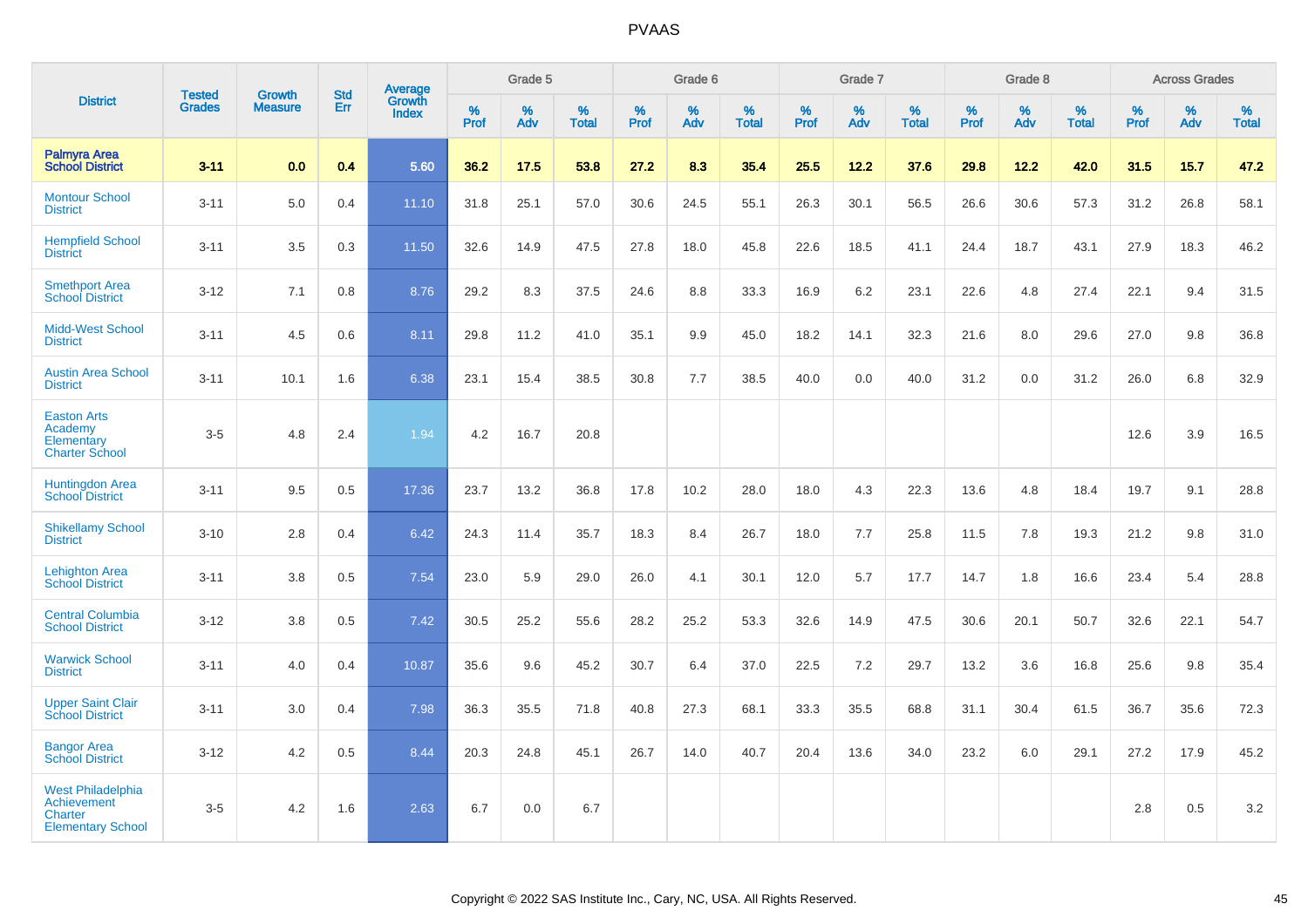|                                                                                              |                                |                                 |                   | Average                |              | Grade 5  |                   |           | Grade 6  |                   |           | Grade 7  |                   |           | Grade 8  |                   |           | <b>Across Grades</b> |                   |
|----------------------------------------------------------------------------------------------|--------------------------------|---------------------------------|-------------------|------------------------|--------------|----------|-------------------|-----------|----------|-------------------|-----------|----------|-------------------|-----------|----------|-------------------|-----------|----------------------|-------------------|
| <b>District</b>                                                                              | <b>Tested</b><br><b>Grades</b> | <b>Growth</b><br><b>Measure</b> | <b>Std</b><br>Err | Growth<br><b>Index</b> | $\%$<br>Prof | %<br>Adv | %<br><b>Total</b> | %<br>Prof | %<br>Adv | %<br><b>Total</b> | %<br>Prof | %<br>Adv | %<br><b>Total</b> | %<br>Prof | %<br>Adv | %<br><b>Total</b> | %<br>Prof | %<br>Adv             | %<br><b>Total</b> |
| <b>Palmyra Area</b><br><b>School District</b>                                                | $3 - 11$                       | 0.0                             | 0.4               | 5.60                   | 36.2         | 17.5     | 53.8              | 27.2      | 8.3      | 35.4              | 25.5      | 12.2     | 37.6              | 29.8      | 12.2     | 42.0              | 31.5      | 15.7                 | 47.2              |
| <b>Montour School</b><br><b>District</b>                                                     | $3 - 11$                       | 5.0                             | 0.4               | 11.10                  | 31.8         | 25.1     | 57.0              | 30.6      | 24.5     | 55.1              | 26.3      | 30.1     | 56.5              | 26.6      | 30.6     | 57.3              | 31.2      | 26.8                 | 58.1              |
| <b>Hempfield School</b><br><b>District</b>                                                   | $3 - 11$                       | 3.5                             | 0.3               | 11.50                  | 32.6         | 14.9     | 47.5              | 27.8      | 18.0     | 45.8              | 22.6      | 18.5     | 41.1              | 24.4      | 18.7     | 43.1              | 27.9      | 18.3                 | 46.2              |
| <b>Smethport Area</b><br><b>School District</b>                                              | $3 - 12$                       | 7.1                             | 0.8               | 8.76                   | 29.2         | 8.3      | 37.5              | 24.6      | 8.8      | 33.3              | 16.9      | 6.2      | 23.1              | 22.6      | 4.8      | 27.4              | 22.1      | 9.4                  | 31.5              |
| <b>Midd-West School</b><br><b>District</b>                                                   | $3 - 11$                       | 4.5                             | 0.6               | 8.11                   | 29.8         | 11.2     | 41.0              | 35.1      | 9.9      | 45.0              | 18.2      | 14.1     | 32.3              | 21.6      | 8.0      | 29.6              | 27.0      | 9.8                  | 36.8              |
| <b>Austin Area School</b><br><b>District</b>                                                 | $3 - 11$                       | 10.1                            | 1.6               | 6.38                   | 23.1         | 15.4     | 38.5              | 30.8      | 7.7      | 38.5              | 40.0      | 0.0      | 40.0              | 31.2      | 0.0      | 31.2              | 26.0      | 6.8                  | 32.9              |
| <b>Easton Arts</b><br>Academy<br>Elementary<br><b>Charter School</b>                         | $3-5$                          | 4.8                             | 2.4               | 1.94                   | 4.2          | 16.7     | 20.8              |           |          |                   |           |          |                   |           |          |                   | 12.6      | 3.9                  | 16.5              |
| <b>Huntingdon Area</b><br><b>School District</b>                                             | $3 - 11$                       | 9.5                             | 0.5               | 17.36                  | 23.7         | 13.2     | 36.8              | 17.8      | 10.2     | 28.0              | 18.0      | 4.3      | 22.3              | 13.6      | 4.8      | 18.4              | 19.7      | 9.1                  | 28.8              |
| <b>Shikellamy School</b><br><b>District</b>                                                  | $3 - 10$                       | 2.8                             | 0.4               | 6.42                   | 24.3         | 11.4     | 35.7              | 18.3      | 8.4      | 26.7              | 18.0      | 7.7      | 25.8              | 11.5      | 7.8      | 19.3              | 21.2      | 9.8                  | 31.0              |
| <b>Lehighton Area</b><br><b>School District</b>                                              | $3 - 11$                       | 3.8                             | 0.5               | 7.54                   | 23.0         | 5.9      | 29.0              | 26.0      | 4.1      | 30.1              | 12.0      | 5.7      | 17.7              | 14.7      | 1.8      | 16.6              | 23.4      | 5.4                  | 28.8              |
| <b>Central Columbia</b><br><b>School District</b>                                            | $3 - 12$                       | 3.8                             | 0.5               | 7.42                   | 30.5         | 25.2     | 55.6              | 28.2      | 25.2     | 53.3              | 32.6      | 14.9     | 47.5              | 30.6      | 20.1     | 50.7              | 32.6      | 22.1                 | 54.7              |
| <b>Warwick School</b><br><b>District</b>                                                     | $3 - 11$                       | 4.0                             | 0.4               | 10.87                  | 35.6         | 9.6      | 45.2              | 30.7      | 6.4      | 37.0              | 22.5      | 7.2      | 29.7              | 13.2      | 3.6      | 16.8              | 25.6      | 9.8                  | 35.4              |
| <b>Upper Saint Clair</b><br><b>School District</b>                                           | $3 - 11$                       | 3.0                             | 0.4               | 7.98                   | 36.3         | 35.5     | 71.8              | 40.8      | 27.3     | 68.1              | 33.3      | 35.5     | 68.8              | 31.1      | 30.4     | 61.5              | 36.7      | 35.6                 | 72.3              |
| <b>Bangor Area</b><br><b>School District</b>                                                 | $3 - 12$                       | 4.2                             | 0.5               | 8.44                   | 20.3         | 24.8     | 45.1              | 26.7      | 14.0     | 40.7              | 20.4      | 13.6     | 34.0              | 23.2      | 6.0      | 29.1              | 27.2      | 17.9                 | 45.2              |
| <b>West Philadelphia</b><br><b>Achievement</b><br><b>Charter</b><br><b>Elementary School</b> | $3-5$                          | 4.2                             | 1.6               | 2.63                   | 6.7          | 0.0      | 6.7               |           |          |                   |           |          |                   |           |          |                   | 2.8       | 0.5                  | 3.2               |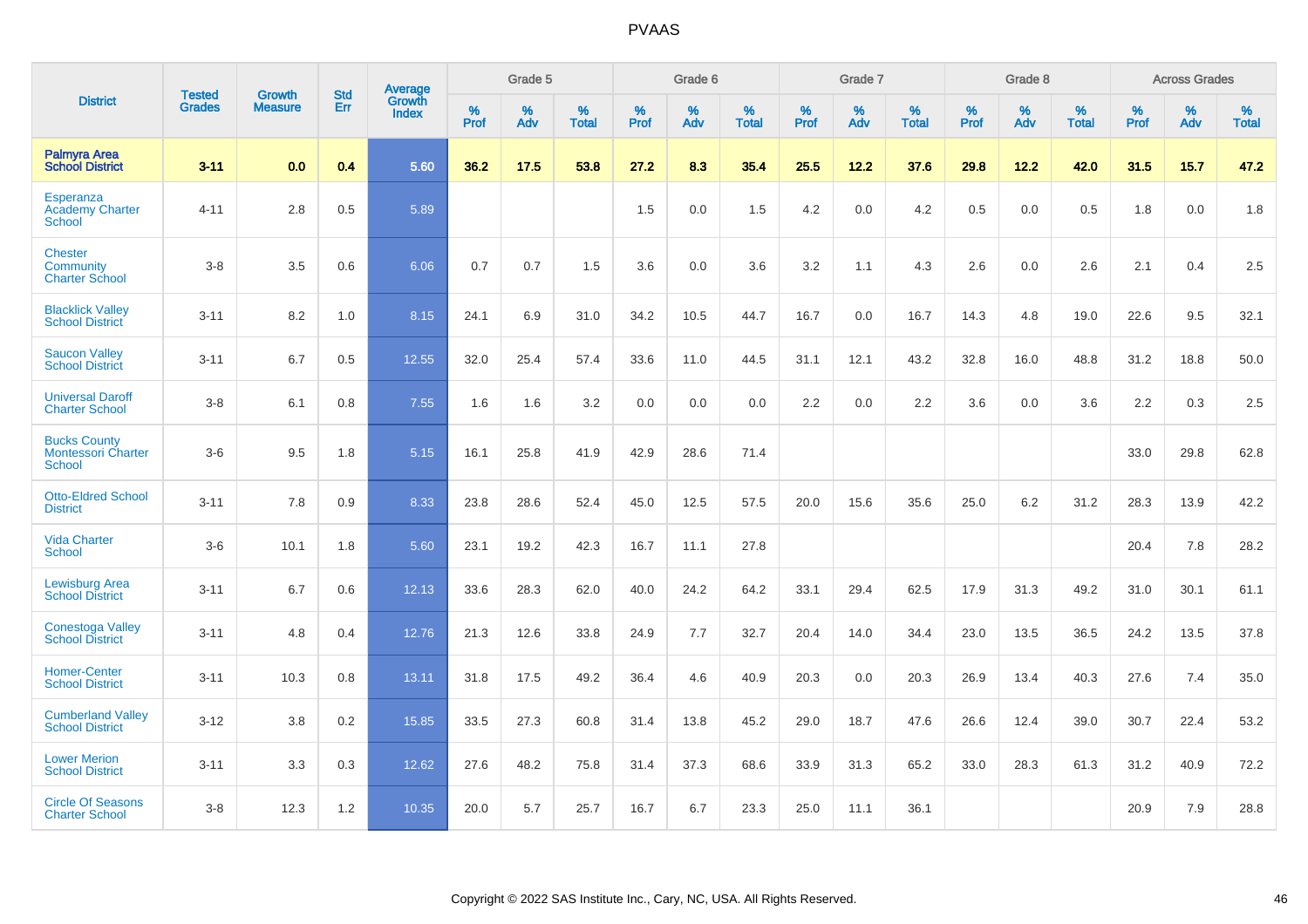|                                                                   | <b>Tested</b> | <b>Growth</b>  | <b>Std</b> | Average                       |           | Grade 5  |                   |           | Grade 6  |                   |           | Grade 7  |                   |           | Grade 8  |                   |           | <b>Across Grades</b> |                   |
|-------------------------------------------------------------------|---------------|----------------|------------|-------------------------------|-----------|----------|-------------------|-----------|----------|-------------------|-----------|----------|-------------------|-----------|----------|-------------------|-----------|----------------------|-------------------|
| <b>District</b>                                                   | <b>Grades</b> | <b>Measure</b> | Err        | <b>Growth</b><br><b>Index</b> | %<br>Prof | %<br>Adv | %<br><b>Total</b> | %<br>Prof | %<br>Adv | %<br><b>Total</b> | %<br>Prof | %<br>Adv | %<br><b>Total</b> | %<br>Prof | %<br>Adv | %<br><b>Total</b> | %<br>Prof | %<br>Adv             | %<br><b>Total</b> |
| <b>Palmyra Area</b><br><b>School District</b>                     | $3 - 11$      | 0.0            | 0.4        | 5.60                          | 36.2      | 17.5     | 53.8              | 27.2      | 8.3      | 35.4              | 25.5      | 12.2     | 37.6              | 29.8      | 12.2     | 42.0              | 31.5      | 15.7                 | 47.2              |
| Esperanza<br><b>Academy Charter</b><br>School                     | $4 - 11$      | 2.8            | 0.5        | 5.89                          |           |          |                   | 1.5       | 0.0      | 1.5               | 4.2       | 0.0      | 4.2               | 0.5       | 0.0      | 0.5               | 1.8       | 0.0                  | 1.8               |
| <b>Chester</b><br>Community<br><b>Charter School</b>              | $3 - 8$       | 3.5            | 0.6        | 6.06                          | 0.7       | 0.7      | 1.5               | 3.6       | 0.0      | 3.6               | 3.2       | 1.1      | 4.3               | 2.6       | 0.0      | 2.6               | 2.1       | 0.4                  | 2.5               |
| <b>Blacklick Valley</b><br><b>School District</b>                 | $3 - 11$      | 8.2            | 1.0        | 8.15                          | 24.1      | 6.9      | 31.0              | 34.2      | 10.5     | 44.7              | 16.7      | 0.0      | 16.7              | 14.3      | 4.8      | 19.0              | 22.6      | 9.5                  | 32.1              |
| <b>Saucon Valley</b><br><b>School District</b>                    | $3 - 11$      | 6.7            | 0.5        | 12.55                         | 32.0      | 25.4     | 57.4              | 33.6      | 11.0     | 44.5              | 31.1      | 12.1     | 43.2              | 32.8      | 16.0     | 48.8              | 31.2      | 18.8                 | 50.0              |
| <b>Universal Daroff</b><br><b>Charter School</b>                  | $3 - 8$       | 6.1            | 0.8        | 7.55                          | 1.6       | 1.6      | 3.2               | 0.0       | 0.0      | 0.0               | 2.2       | 0.0      | 2.2               | 3.6       | 0.0      | 3.6               | 2.2       | 0.3                  | 2.5               |
| <b>Bucks County</b><br><b>Montessori Charter</b><br><b>School</b> | $3-6$         | 9.5            | 1.8        | 5.15                          | 16.1      | 25.8     | 41.9              | 42.9      | 28.6     | 71.4              |           |          |                   |           |          |                   | 33.0      | 29.8                 | 62.8              |
| <b>Otto-Eldred School</b><br><b>District</b>                      | $3 - 11$      | 7.8            | 0.9        | 8.33                          | 23.8      | 28.6     | 52.4              | 45.0      | 12.5     | 57.5              | 20.0      | 15.6     | 35.6              | 25.0      | 6.2      | 31.2              | 28.3      | 13.9                 | 42.2              |
| <b>Vida Charter</b><br><b>School</b>                              | $3-6$         | 10.1           | 1.8        | 5.60                          | 23.1      | 19.2     | 42.3              | 16.7      | 11.1     | 27.8              |           |          |                   |           |          |                   | 20.4      | 7.8                  | 28.2              |
| <b>Lewisburg Area</b><br><b>School District</b>                   | $3 - 11$      | 6.7            | 0.6        | 12.13                         | 33.6      | 28.3     | 62.0              | 40.0      | 24.2     | 64.2              | 33.1      | 29.4     | 62.5              | 17.9      | 31.3     | 49.2              | 31.0      | 30.1                 | 61.1              |
| <b>Conestoga Valley</b><br><b>School District</b>                 | $3 - 11$      | 4.8            | 0.4        | 12.76                         | 21.3      | 12.6     | 33.8              | 24.9      | 7.7      | 32.7              | 20.4      | 14.0     | 34.4              | 23.0      | 13.5     | 36.5              | 24.2      | 13.5                 | 37.8              |
| <b>Homer-Center</b><br><b>School District</b>                     | $3 - 11$      | 10.3           | 0.8        | 13.11                         | 31.8      | 17.5     | 49.2              | 36.4      | 4.6      | 40.9              | 20.3      | 0.0      | 20.3              | 26.9      | 13.4     | 40.3              | 27.6      | 7.4                  | 35.0              |
| <b>Cumberland Valley</b><br><b>School District</b>                | $3 - 12$      | 3.8            | 0.2        | 15.85                         | 33.5      | 27.3     | 60.8              | 31.4      | 13.8     | 45.2              | 29.0      | 18.7     | 47.6              | 26.6      | 12.4     | 39.0              | 30.7      | 22.4                 | 53.2              |
| <b>Lower Merion</b><br><b>School District</b>                     | $3 - 11$      | 3.3            | 0.3        | 12.62                         | 27.6      | 48.2     | 75.8              | 31.4      | 37.3     | 68.6              | 33.9      | 31.3     | 65.2              | 33.0      | 28.3     | 61.3              | 31.2      | 40.9                 | 72.2              |
| <b>Circle Of Seasons</b><br><b>Charter School</b>                 | $3 - 8$       | 12.3           | 1.2        | 10.35                         | 20.0      | 5.7      | 25.7              | 16.7      | 6.7      | 23.3              | 25.0      | 11.1     | 36.1              |           |          |                   | 20.9      | 7.9                  | 28.8              |